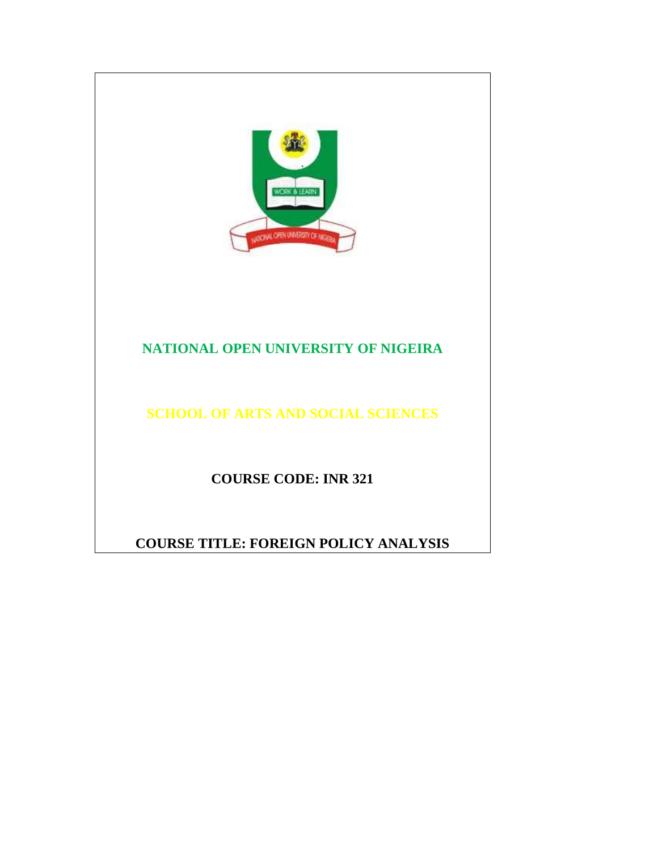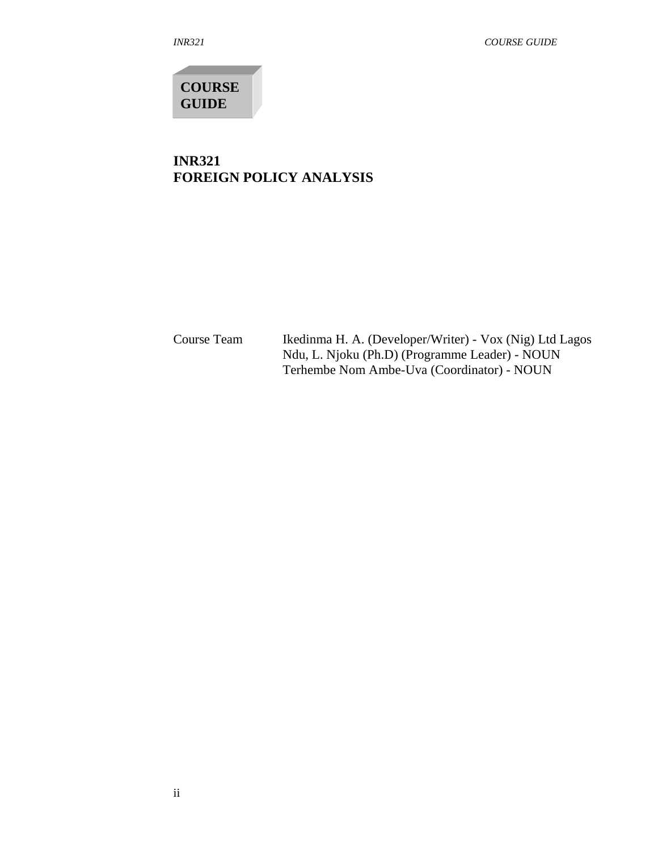*INR321 COURSE GUIDE* 

**COURSE GUIDE** 

# **INR321 FOREIGN POLICY ANALYSIS**

Course Team Ikedinma H. A. (Developer/Writer) - Vox (Nig) Ltd Lagos Ndu, L. Njoku (Ph.D) (Programme Leader) - NOUN Terhembe Nom Ambe-Uva (Coordinator) - NOUN

ii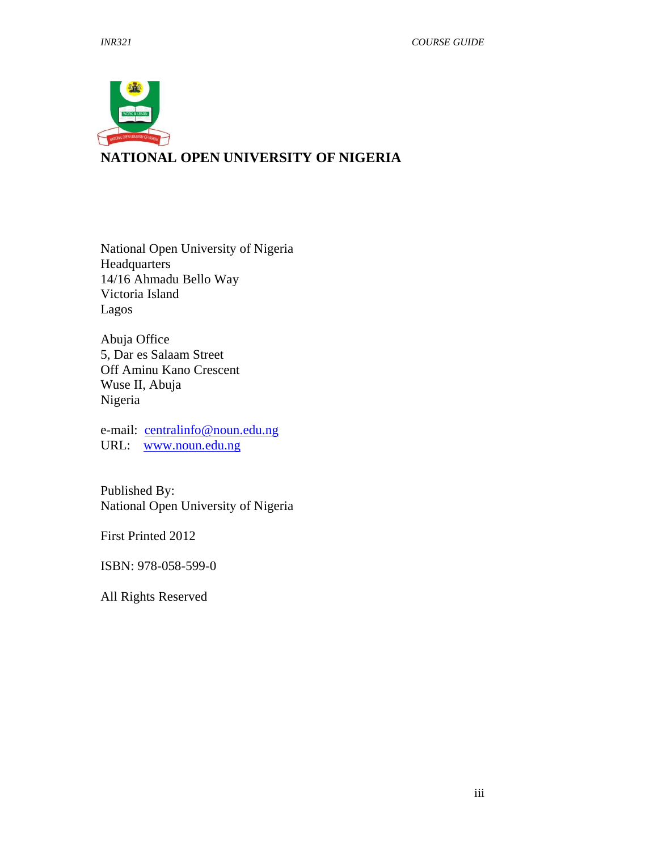

# **NATIONAL OPEN UNIVERSITY OF NIGERIA**

National Open University of Nigeria Headquarters 14/16 Ahmadu Bello Way Victoria Island Lagos

Abuja Office 5, Dar es Salaam Street Off Aminu Kano Crescent Wuse II, Abuja Nigeria

e-mail: centralinfo@noun.edu.ng URL: www.noun.edu.ng

Published By: National Open University of Nigeria

First Printed 2012

ISBN: 978-058-599-0

All Rights Reserved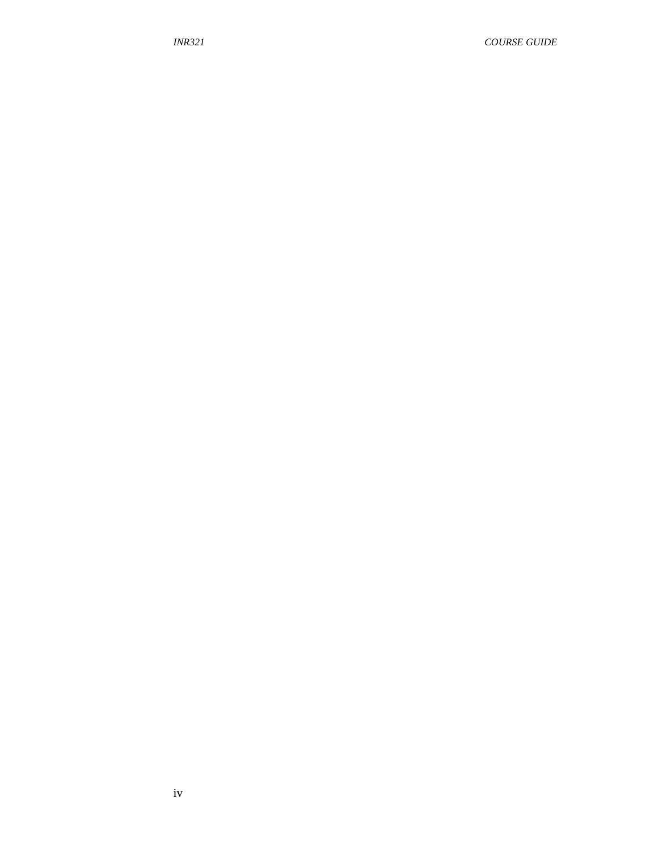iv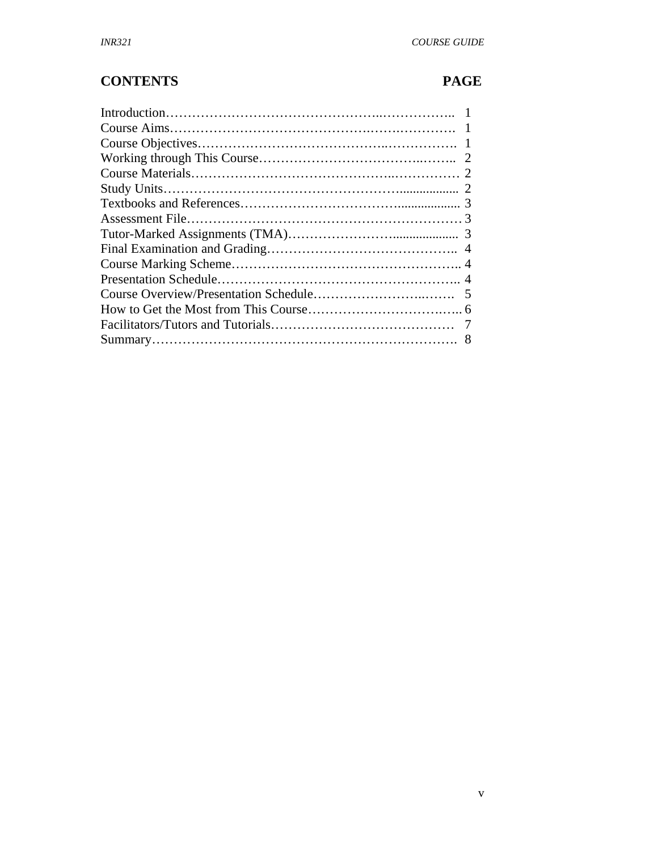# **CONTENTS PAGE**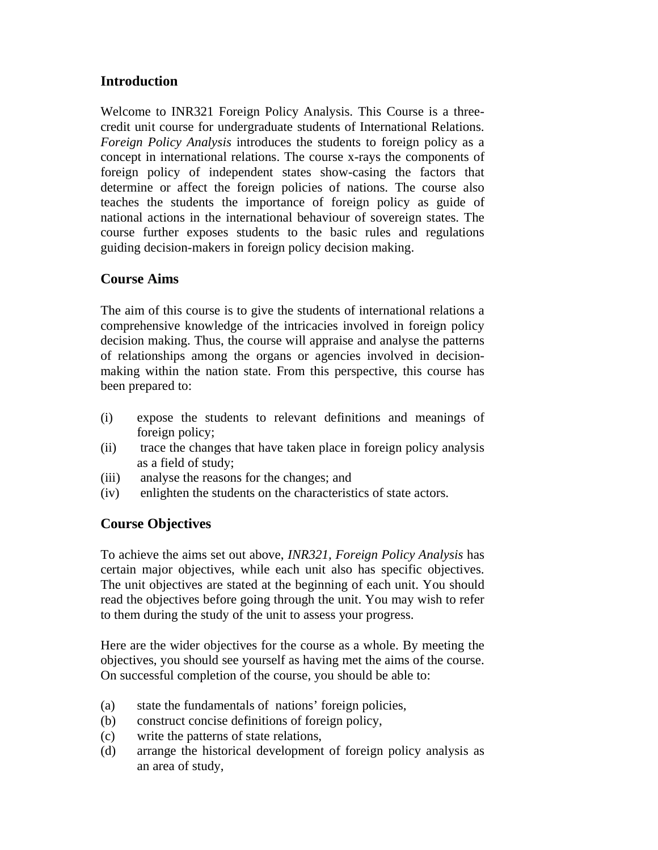## **Introduction**

Welcome to INR321 Foreign Policy Analysis. This Course is a threecredit unit course for undergraduate students of International Relations. *Foreign Policy Analysis* introduces the students to foreign policy as a concept in international relations. The course x-rays the components of foreign policy of independent states show-casing the factors that determine or affect the foreign policies of nations. The course also teaches the students the importance of foreign policy as guide of national actions in the international behaviour of sovereign states. The course further exposes students to the basic rules and regulations guiding decision-makers in foreign policy decision making.

## **Course Aims**

The aim of this course is to give the students of international relations a comprehensive knowledge of the intricacies involved in foreign policy decision making. Thus, the course will appraise and analyse the patterns of relationships among the organs or agencies involved in decisionmaking within the nation state. From this perspective, this course has been prepared to:

- (i) expose the students to relevant definitions and meanings of foreign policy;
- (ii) trace the changes that have taken place in foreign policy analysis as a field of study;
- (iii) analyse the reasons for the changes; and
- (iv) enlighten the students on the characteristics of state actors.

## **Course Objectives**

To achieve the aims set out above, *INR321, Foreign Policy Analysis* has certain major objectives, while each unit also has specific objectives. The unit objectives are stated at the beginning of each unit. You should read the objectives before going through the unit. You may wish to refer to them during the study of the unit to assess your progress.

Here are the wider objectives for the course as a whole. By meeting the objectives, you should see yourself as having met the aims of the course. On successful completion of the course, you should be able to:

- (a) state the fundamentals of nations' foreign policies,
- (b) construct concise definitions of foreign policy,
- (c) write the patterns of state relations,
- (d) arrange the historical development of foreign policy analysis as an area of study,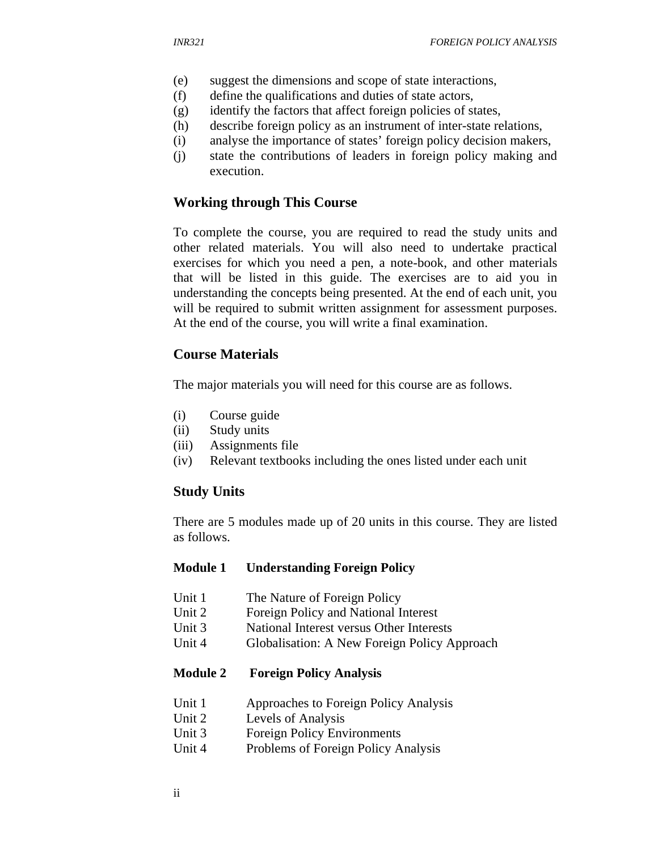- (e) suggest the dimensions and scope of state interactions,
- (f) define the qualifications and duties of state actors,
- (g) identify the factors that affect foreign policies of states,
- (h) describe foreign policy as an instrument of inter-state relations,
- (i) analyse the importance of states' foreign policy decision makers,
- (j) state the contributions of leaders in foreign policy making and execution.

#### **Working through This Course**

To complete the course, you are required to read the study units and other related materials. You will also need to undertake practical exercises for which you need a pen, a note-book, and other materials that will be listed in this guide. The exercises are to aid you in understanding the concepts being presented. At the end of each unit, you will be required to submit written assignment for assessment purposes. At the end of the course, you will write a final examination.

#### **Course Materials**

The major materials you will need for this course are as follows.

- (i) Course guide
- (ii) Study units
- (iii) Assignments file
- (iv) Relevant textbooks including the ones listed under each unit

#### **Study Units**

There are 5 modules made up of 20 units in this course. They are listed as follows.

#### **Module 1 Understanding Foreign Policy**

- Unit 1 The Nature of Foreign Policy
- Unit 2 Foreign Policy and National Interest
- Unit 3 National Interest versus Other Interests
- Unit 4 Globalisation: A New Foreign Policy Approach

#### **Module 2 Foreign Policy Analysis**

- Unit 1 Approaches to Foreign Policy Analysis
- Unit 2 Levels of Analysis
- Unit 3 Foreign Policy Environments
- Unit 4 Problems of Foreign Policy Analysis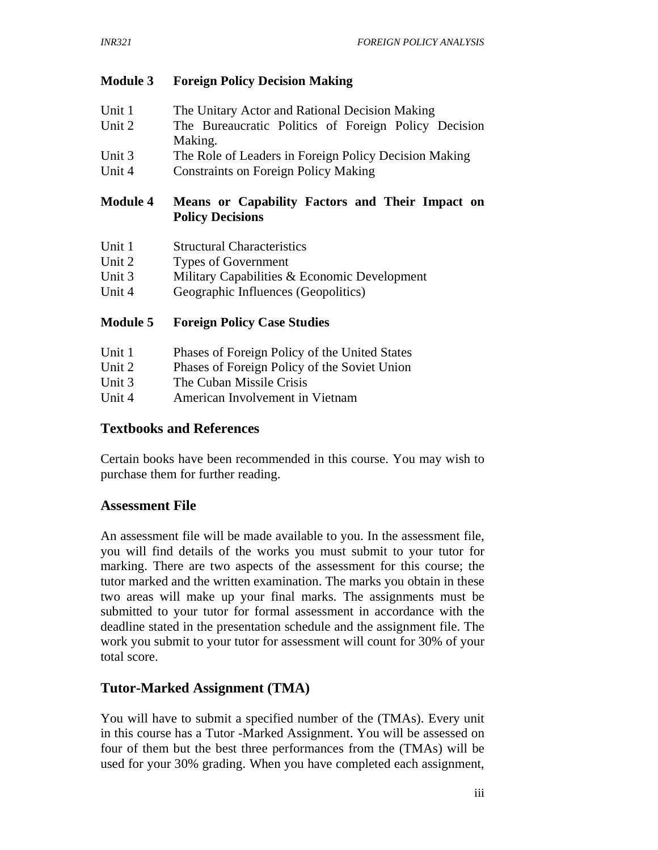## **Module 3 Foreign Policy Decision Making**

| Unit 1 | The Unitary Actor and Rational Decision Making        |
|--------|-------------------------------------------------------|
| Unit 2 | The Bureaucratic Politics of Foreign Policy Decision  |
|        | Making.                                               |
| Unit 3 | The Role of Leaders in Foreign Policy Decision Making |
|        |                                                       |

Unit 4 Constraints on Foreign Policy Making

#### **Module 4 Means or Capability Factors and Their Impact on Policy Decisions**

- Unit 1 Structural Characteristics
- Unit 2 Types of Government
- Unit 3 Military Capabilities & Economic Development
- Unit 4 Geographic Influences (Geopolitics)

## **Module 5 Foreign Policy Case Studies**

| Unit 1   | Phases of Foreign Policy of the United States |
|----------|-----------------------------------------------|
| Unit 2   | Phases of Foreign Policy of the Soviet Union  |
| Unit 3   | The Cuban Missile Crisis                      |
| Unit $4$ | American Involvement in Vietnam               |

#### **Textbooks and References**

Certain books have been recommended in this course. You may wish to purchase them for further reading.

#### **Assessment File**

An assessment file will be made available to you. In the assessment file, you will find details of the works you must submit to your tutor for marking. There are two aspects of the assessment for this course; the tutor marked and the written examination. The marks you obtain in these two areas will make up your final marks. The assignments must be submitted to your tutor for formal assessment in accordance with the deadline stated in the presentation schedule and the assignment file. The work you submit to your tutor for assessment will count for 30% of your total score.

## **Tutor-Marked Assignment (TMA)**

You will have to submit a specified number of the (TMAs). Every unit in this course has a Tutor -Marked Assignment. You will be assessed on four of them but the best three performances from the (TMAs) will be used for your 30% grading. When you have completed each assignment,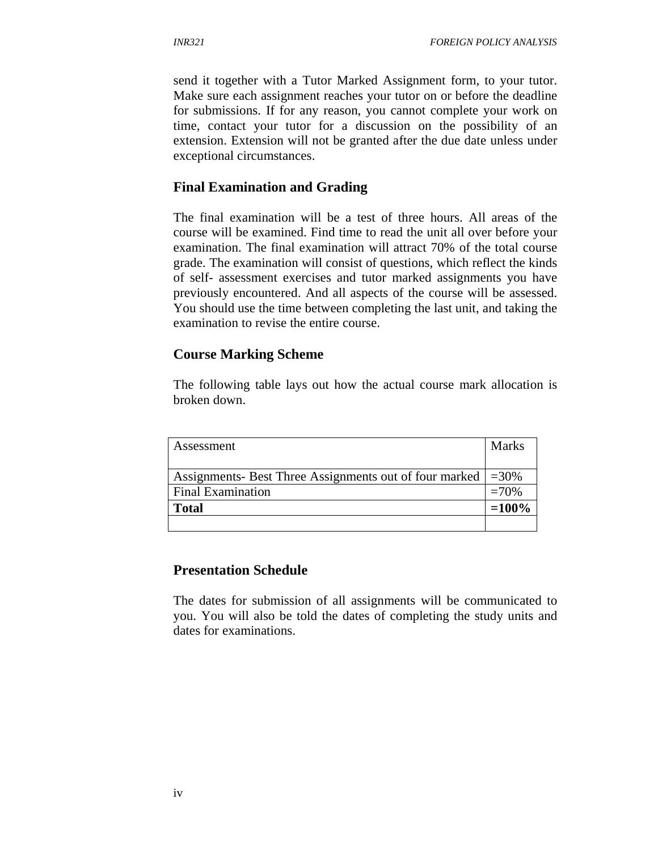send it together with a Tutor Marked Assignment form, to your tutor. Make sure each assignment reaches your tutor on or before the deadline for submissions. If for any reason, you cannot complete your work on time, contact your tutor for a discussion on the possibility of an extension. Extension will not be granted after the due date unless under exceptional circumstances.

#### **Final Examination and Grading**

The final examination will be a test of three hours. All areas of the course will be examined. Find time to read the unit all over before your examination. The final examination will attract 70% of the total course grade. The examination will consist of questions, which reflect the kinds of self- assessment exercises and tutor marked assignments you have previously encountered. And all aspects of the course will be assessed. You should use the time between completing the last unit, and taking the examination to revise the entire course.

#### **Course Marking Scheme**

The following table lays out how the actual course mark allocation is broken down.

| Assessment                                                            | <b>Marks</b> |
|-----------------------------------------------------------------------|--------------|
|                                                                       |              |
| Assignments- Best Three Assignments out of four marked $\vert = 30\%$ |              |
| <b>Final Examination</b>                                              | $=70%$       |
| Total                                                                 | $=100\%$     |
|                                                                       |              |

#### **Presentation Schedule**

The dates for submission of all assignments will be communicated to you. You will also be told the dates of completing the study units and dates for examinations.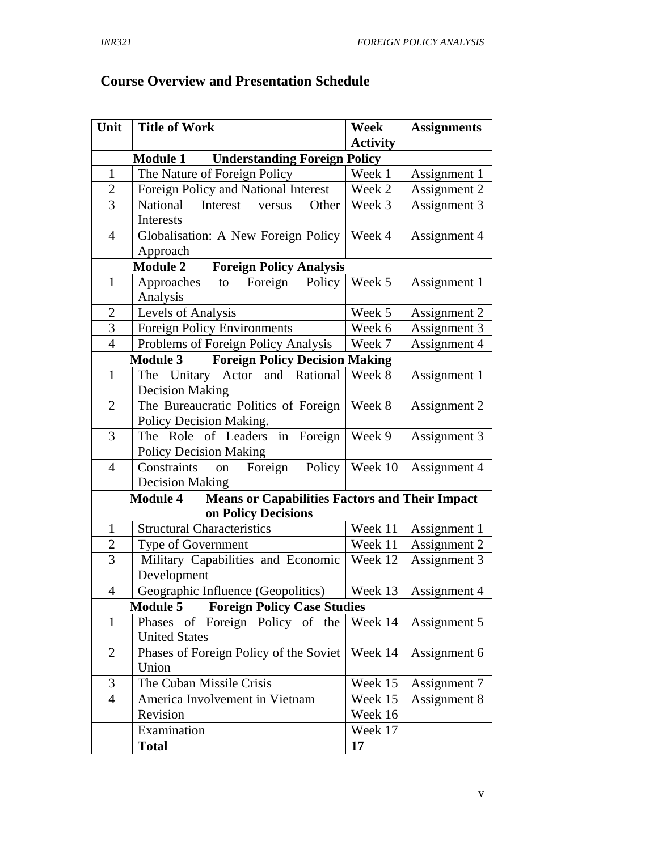# **Course Overview and Presentation Schedule**

| Unit           | <b>Title of Work</b>                                                     | Week             | <b>Assignments</b> |
|----------------|--------------------------------------------------------------------------|------------------|--------------------|
|                |                                                                          | <b>Activity</b>  |                    |
|                | <b>Understanding Foreign Policy</b><br><b>Module 1</b>                   |                  |                    |
| $\mathbf{1}$   | The Nature of Foreign Policy                                             | Week 1           | Assignment 1       |
| $\overline{2}$ | Foreign Policy and National Interest                                     | Week 2           | Assignment 2       |
| 3              | National<br>Interest<br>Other<br>versus                                  | Week 3           | Assignment 3       |
|                | Interests                                                                |                  |                    |
| $\overline{4}$ | Globalisation: A New Foreign Policy                                      | Week 4           | Assignment 4       |
|                | Approach                                                                 |                  |                    |
|                | <b>Foreign Policy Analysis</b><br><b>Module 2</b>                        |                  |                    |
| $\mathbf{1}$   | Foreign<br>Approaches<br>to<br>Policy<br>Analysis                        | Week 5           | Assignment 1       |
| $\overline{2}$ | Levels of Analysis                                                       | Week 5           | Assignment 2       |
| 3              | <b>Foreign Policy Environments</b>                                       | Week 6           | Assignment 3       |
| $\overline{4}$ | Problems of Foreign Policy Analysis                                      | Week 7           | Assignment 4       |
|                | <b>Module 3 Foreign Policy Decision Making</b>                           |                  |                    |
| $\mathbf{1}$   | The Unitary Actor and Rational                                           | Week 8           | Assignment 1       |
|                | <b>Decision Making</b>                                                   |                  |                    |
| $\overline{2}$ | The Bureaucratic Politics of Foreign                                     | Week 8           | Assignment 2       |
|                | Policy Decision Making.                                                  |                  |                    |
| 3              | The Role of Leaders in Foreign                                           | Week 9           | Assignment 3       |
|                | <b>Policy Decision Making</b>                                            |                  |                    |
| $\overline{4}$ | Foreign<br>Constraints<br>on                                             | Policy   Week 10 | Assignment 4       |
|                | <b>Decision Making</b>                                                   |                  |                    |
|                | <b>Means or Capabilities Factors and Their Impact</b><br><b>Module 4</b> |                  |                    |
|                | on Policy Decisions                                                      |                  |                    |
| $\mathbf{1}$   | <b>Structural Characteristics</b>                                        | Week 11          | Assignment 1       |
| $\overline{2}$ | Type of Government                                                       | Week 11          | Assignment 2       |
| 3              | Military Capabilities and Economic                                       | Week 12          | Assignment 3       |
| $\overline{4}$ | Development<br>Geographic Influence (Geopolitics)                        | Week 13          |                    |
|                | <b>Foreign Policy Case Studies</b><br><b>Module 5</b>                    |                  | Assignment 4       |
| 1              | Foreign Policy of<br>Phases of<br>the                                    | Week 14          | Assignment 5       |
|                | <b>United States</b>                                                     |                  |                    |
| $\overline{2}$ | Phases of Foreign Policy of the Soviet                                   | Week 14          | Assignment 6       |
|                | Union                                                                    |                  |                    |
| 3              | The Cuban Missile Crisis                                                 | Week 15          | Assignment 7       |
| $\overline{4}$ | America Involvement in Vietnam                                           | Week 15          | Assignment 8       |
|                | Revision                                                                 | Week 16          |                    |
|                | Examination                                                              | Week 17          |                    |
|                | <b>Total</b>                                                             | 17               |                    |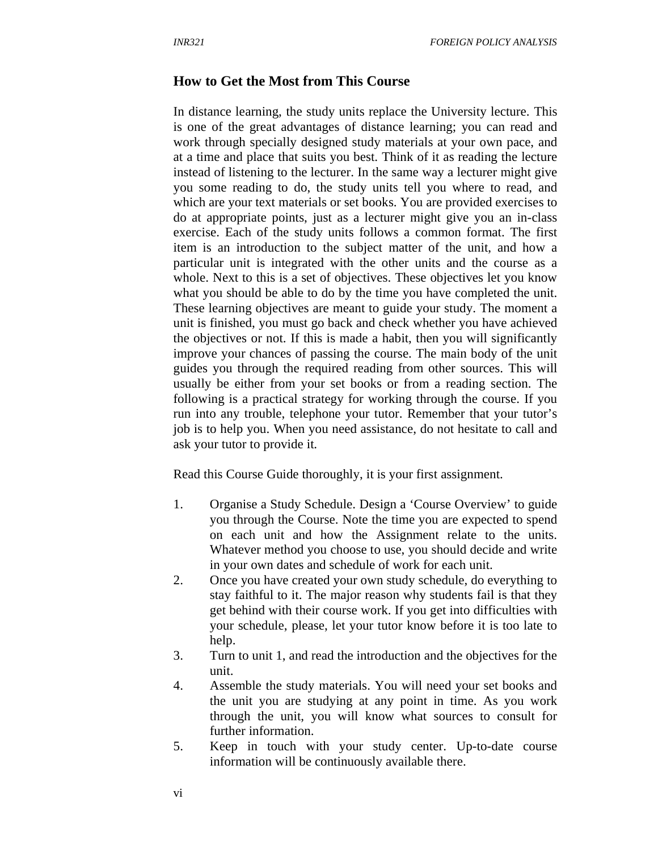#### **How to Get the Most from This Course**

In distance learning, the study units replace the University lecture. This is one of the great advantages of distance learning; you can read and work through specially designed study materials at your own pace, and at a time and place that suits you best. Think of it as reading the lecture instead of listening to the lecturer. In the same way a lecturer might give you some reading to do, the study units tell you where to read, and which are your text materials or set books. You are provided exercises to do at appropriate points, just as a lecturer might give you an in-class exercise. Each of the study units follows a common format. The first item is an introduction to the subject matter of the unit, and how a particular unit is integrated with the other units and the course as a whole. Next to this is a set of objectives. These objectives let you know what you should be able to do by the time you have completed the unit. These learning objectives are meant to guide your study. The moment a unit is finished, you must go back and check whether you have achieved the objectives or not. If this is made a habit, then you will significantly improve your chances of passing the course. The main body of the unit guides you through the required reading from other sources. This will usually be either from your set books or from a reading section. The following is a practical strategy for working through the course. If you run into any trouble, telephone your tutor. Remember that your tutor's job is to help you. When you need assistance, do not hesitate to call and ask your tutor to provide it.

Read this Course Guide thoroughly, it is your first assignment.

- 1. Organise a Study Schedule. Design a 'Course Overview' to guide you through the Course. Note the time you are expected to spend on each unit and how the Assignment relate to the units. Whatever method you choose to use, you should decide and write in your own dates and schedule of work for each unit.
- 2. Once you have created your own study schedule, do everything to stay faithful to it. The major reason why students fail is that they get behind with their course work. If you get into difficulties with your schedule, please, let your tutor know before it is too late to help.
- 3. Turn to unit 1, and read the introduction and the objectives for the unit.
- 4. Assemble the study materials. You will need your set books and the unit you are studying at any point in time. As you work through the unit, you will know what sources to consult for further information.
- 5. Keep in touch with your study center. Up-to-date course information will be continuously available there.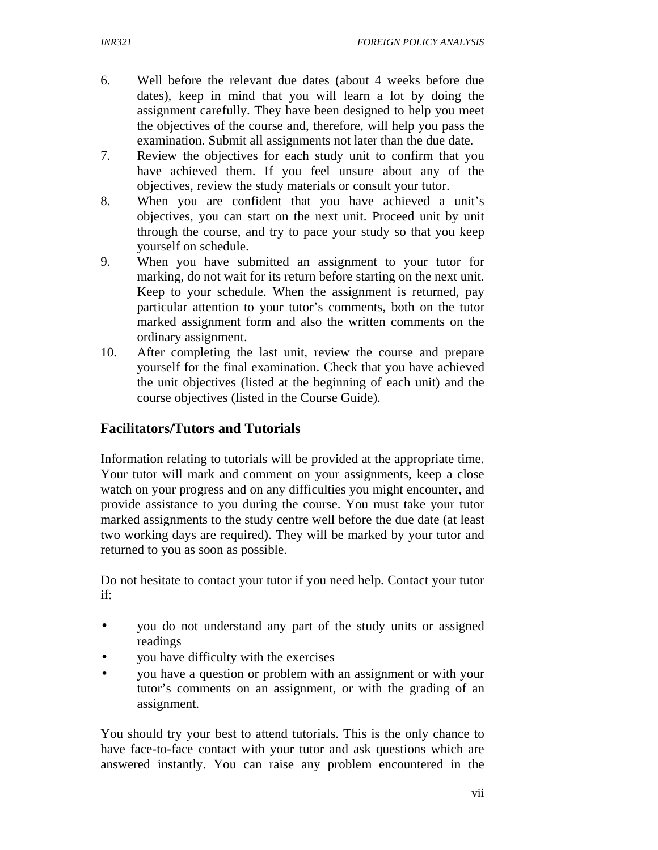- 6. Well before the relevant due dates (about 4 weeks before due dates), keep in mind that you will learn a lot by doing the assignment carefully. They have been designed to help you meet the objectives of the course and, therefore, will help you pass the examination. Submit all assignments not later than the due date.
- 7. Review the objectives for each study unit to confirm that you have achieved them. If you feel unsure about any of the objectives, review the study materials or consult your tutor.
- 8. When you are confident that you have achieved a unit's objectives, you can start on the next unit. Proceed unit by unit through the course, and try to pace your study so that you keep yourself on schedule.
- 9. When you have submitted an assignment to your tutor for marking, do not wait for its return before starting on the next unit. Keep to your schedule. When the assignment is returned, pay particular attention to your tutor's comments, both on the tutor marked assignment form and also the written comments on the ordinary assignment.
- 10. After completing the last unit, review the course and prepare yourself for the final examination. Check that you have achieved the unit objectives (listed at the beginning of each unit) and the course objectives (listed in the Course Guide).

## **Facilitators/Tutors and Tutorials**

Information relating to tutorials will be provided at the appropriate time. Your tutor will mark and comment on your assignments, keep a close watch on your progress and on any difficulties you might encounter, and provide assistance to you during the course. You must take your tutor marked assignments to the study centre well before the due date (at least two working days are required). They will be marked by your tutor and returned to you as soon as possible.

Do not hesitate to contact your tutor if you need help. Contact your tutor if:

- you do not understand any part of the study units or assigned readings
- you have difficulty with the exercises
- you have a question or problem with an assignment or with your tutor's comments on an assignment, or with the grading of an assignment.

You should try your best to attend tutorials. This is the only chance to have face-to-face contact with your tutor and ask questions which are answered instantly. You can raise any problem encountered in the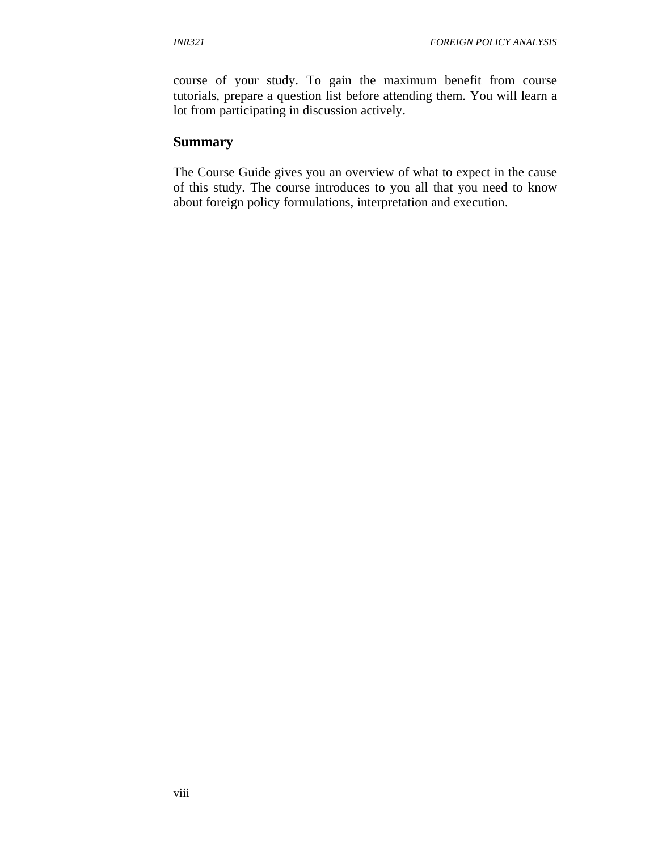course of your study. To gain the maximum benefit from course tutorials, prepare a question list before attending them. You will learn a lot from participating in discussion actively.

#### **Summary**

The Course Guide gives you an overview of what to expect in the cause of this study. The course introduces to you all that you need to know about foreign policy formulations, interpretation and execution.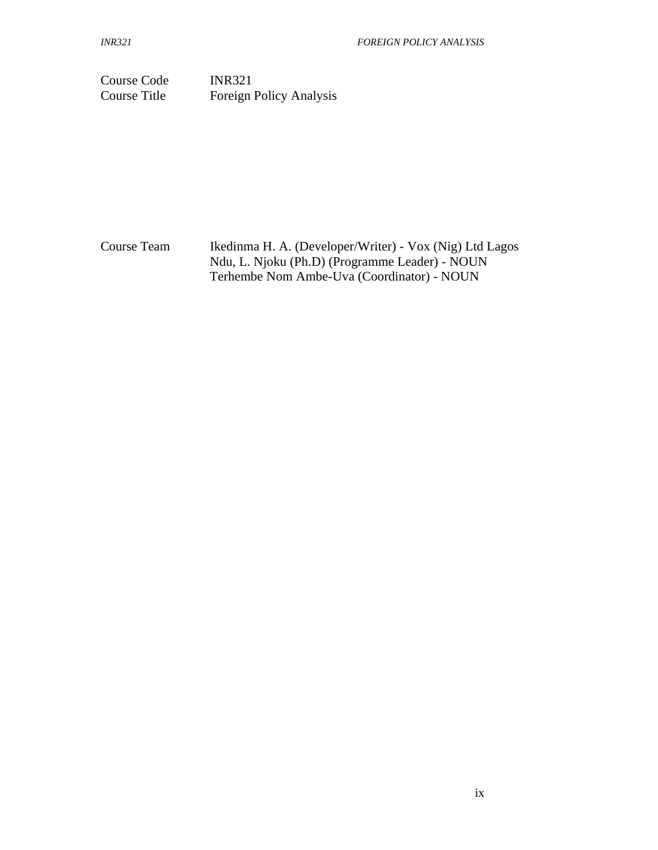Course Code INR321

Course Title Foreign Policy Analysis

Course Team Ikedinma H. A. (Developer/Writer) - Vox (Nig) Ltd Lagos Ndu, L. Njoku (Ph.D) (Programme Leader) - NOUN Terhembe Nom Ambe-Uva (Coordinator) - NOUN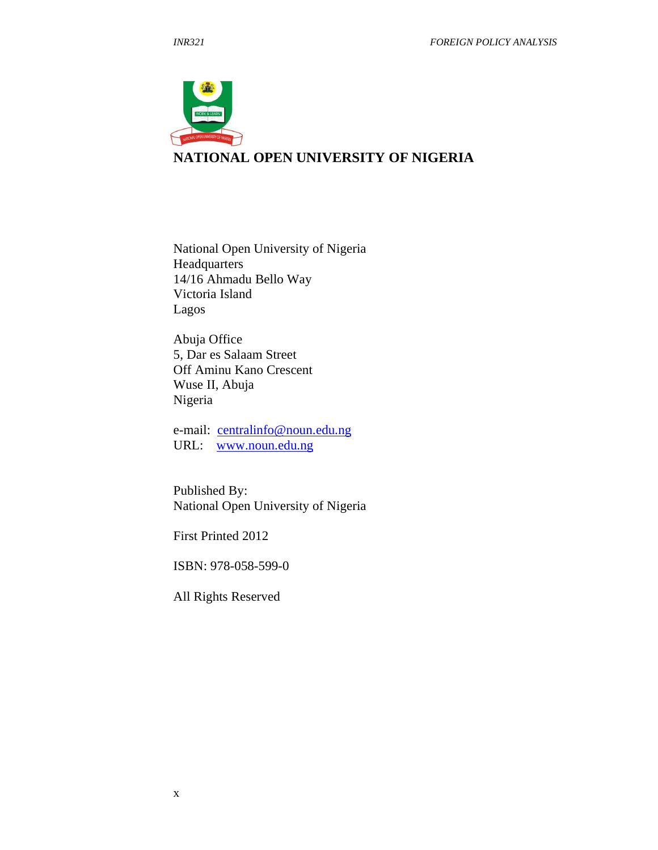

National Open University of Nigeria Headquarters 14/16 Ahmadu Bello Way Victoria Island Lagos

Abuja Office 5, Dar es Salaam Street Off Aminu Kano Crescent Wuse II, Abuja Nigeria

e-mail: centralinfo@noun.edu.ng URL: www.noun.edu.ng

Published By: National Open University of Nigeria

First Printed 2012

ISBN: 978-058-599-0

All Rights Reserved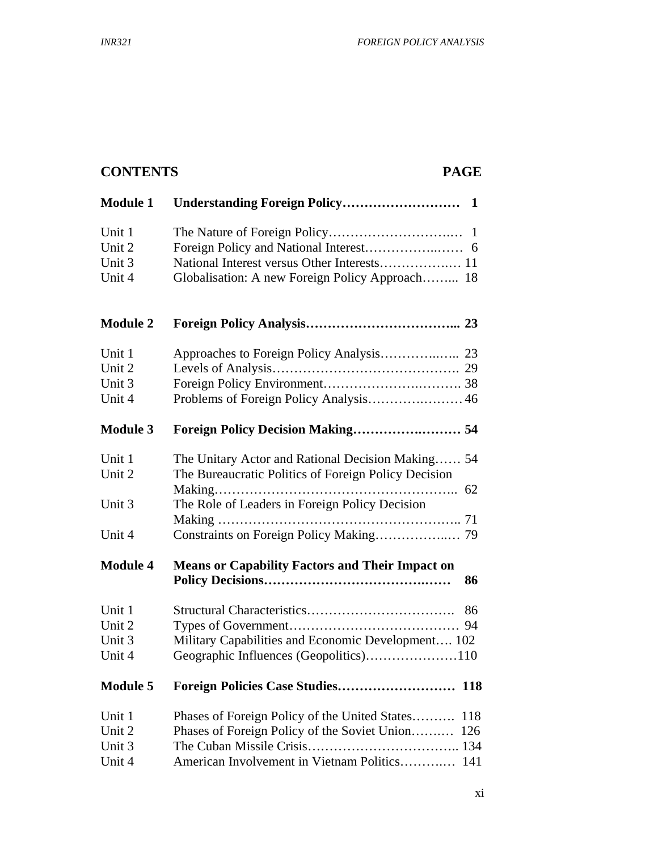## **CONTENTS PAGE**

| <b>Module 1</b> |                                                        |
|-----------------|--------------------------------------------------------|
| Unit 1          |                                                        |
| Unit 2          |                                                        |
| Unit 3          | National Interest versus Other Interests 11            |
| Unit 4          | Globalisation: A new Foreign Policy Approach 18        |
| <b>Module 2</b> |                                                        |
| Unit 1          |                                                        |
| Unit 2          |                                                        |
| Unit 3          |                                                        |
| Unit 4          | Problems of Foreign Policy Analysis 46                 |
| <b>Module 3</b> | Foreign Policy Decision Making 54                      |
| Unit 1          | The Unitary Actor and Rational Decision Making 54      |
| Unit 2          | The Bureaucratic Politics of Foreign Policy Decision   |
| Unit 3          | 62<br>The Role of Leaders in Foreign Policy Decision   |
|                 |                                                        |
| Unit 4          |                                                        |
| <b>Module 4</b> | <b>Means or Capability Factors and Their Impact on</b> |
|                 | 86                                                     |
| Unit 1          | 86                                                     |
| Unit 2          | 94                                                     |
| Unit 3          | Military Capabilities and Economic Development 102     |
| Unit 4          | Geographic Influences (Geopolitics)110                 |
| <b>Module 5</b> | Foreign Policies Case Studies 118                      |
| Unit 1          | Phases of Foreign Policy of the United States<br>118   |
| Unit 2          | Phases of Foreign Policy of the Soviet Union<br>126    |
| Unit 3          |                                                        |
| Unit 4          | American Involvement in Vietnam Politics<br>141        |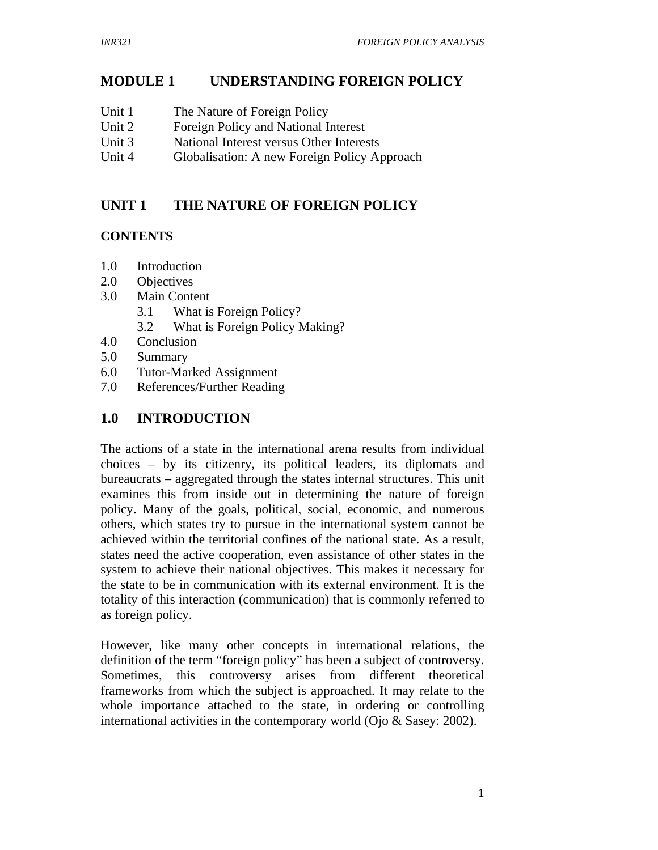# **MODULE 1 UNDERSTANDING FOREIGN POLICY**

- Unit 1 The Nature of Foreign Policy
- Unit 2 Foreign Policy and National Interest
- Unit 3 National Interest versus Other Interests
- Unit 4 Globalisation: A new Foreign Policy Approach

# **UNIT 1 THE NATURE OF FOREIGN POLICY**

## **CONTENTS**

- 1.0 Introduction
- 2.0 Objectives
- 3.0 Main Content
	- 3.1 What is Foreign Policy?
	- 3.2 What is Foreign Policy Making?
- 4.0 Conclusion
- 5.0 Summary
- 6.0 Tutor-Marked Assignment
- 7.0 References/Further Reading

# **1.0 INTRODUCTION**

The actions of a state in the international arena results from individual choices – by its citizenry, its political leaders, its diplomats and bureaucrats – aggregated through the states internal structures. This unit examines this from inside out in determining the nature of foreign policy. Many of the goals, political, social, economic, and numerous others, which states try to pursue in the international system cannot be achieved within the territorial confines of the national state. As a result, states need the active cooperation, even assistance of other states in the system to achieve their national objectives. This makes it necessary for the state to be in communication with its external environment. It is the totality of this interaction (communication) that is commonly referred to as foreign policy.

However, like many other concepts in international relations, the definition of the term "foreign policy" has been a subject of controversy. Sometimes, this controversy arises from different theoretical frameworks from which the subject is approached. It may relate to the whole importance attached to the state, in ordering or controlling international activities in the contemporary world (Ojo & Sasey: 2002).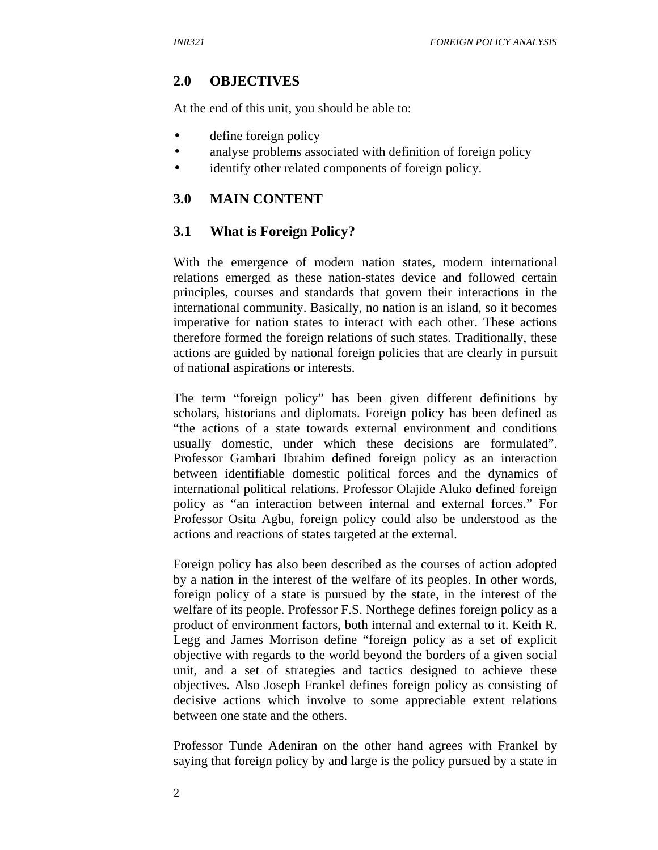## **2.0 OBJECTIVES**

At the end of this unit, you should be able to:

- define foreign policy
- analyse problems associated with definition of foreign policy
- identify other related components of foreign policy.

## **3.0 MAIN CONTENT**

## **3.1 What is Foreign Policy?**

With the emergence of modern nation states, modern international relations emerged as these nation-states device and followed certain principles, courses and standards that govern their interactions in the international community. Basically, no nation is an island, so it becomes imperative for nation states to interact with each other. These actions therefore formed the foreign relations of such states. Traditionally, these actions are guided by national foreign policies that are clearly in pursuit of national aspirations or interests.

The term "foreign policy" has been given different definitions by scholars, historians and diplomats. Foreign policy has been defined as "the actions of a state towards external environment and conditions usually domestic, under which these decisions are formulated". Professor Gambari Ibrahim defined foreign policy as an interaction between identifiable domestic political forces and the dynamics of international political relations. Professor Olajide Aluko defined foreign policy as "an interaction between internal and external forces." For Professor Osita Agbu, foreign policy could also be understood as the actions and reactions of states targeted at the external.

Foreign policy has also been described as the courses of action adopted by a nation in the interest of the welfare of its peoples. In other words, foreign policy of a state is pursued by the state, in the interest of the welfare of its people. Professor F.S. Northege defines foreign policy as a product of environment factors, both internal and external to it. Keith R. Legg and James Morrison define "foreign policy as a set of explicit objective with regards to the world beyond the borders of a given social unit, and a set of strategies and tactics designed to achieve these objectives. Also Joseph Frankel defines foreign policy as consisting of decisive actions which involve to some appreciable extent relations between one state and the others.

Professor Tunde Adeniran on the other hand agrees with Frankel by saying that foreign policy by and large is the policy pursued by a state in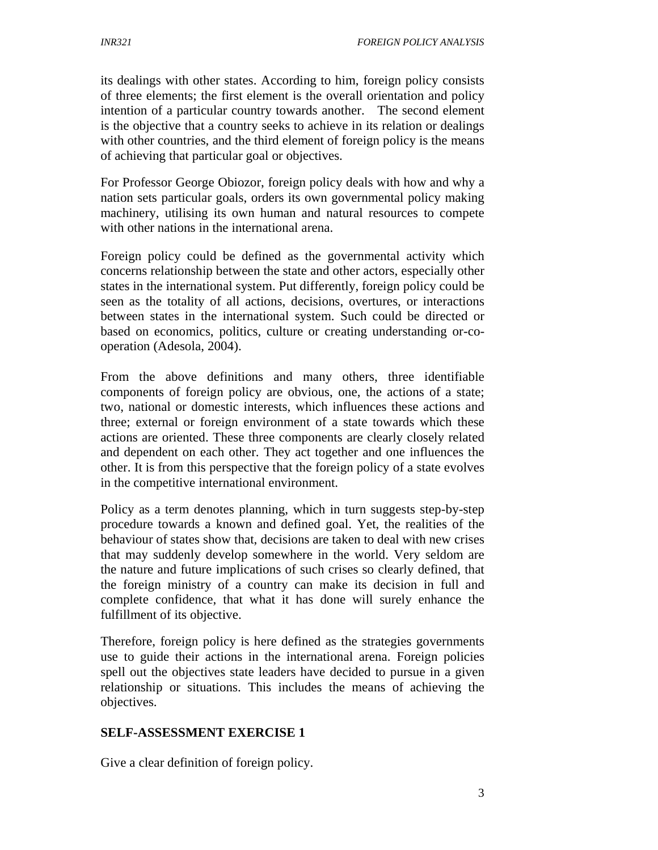its dealings with other states. According to him, foreign policy consists of three elements; the first element is the overall orientation and policy intention of a particular country towards another. The second element is the objective that a country seeks to achieve in its relation or dealings with other countries, and the third element of foreign policy is the means of achieving that particular goal or objectives.

For Professor George Obiozor, foreign policy deals with how and why a nation sets particular goals, orders its own governmental policy making machinery, utilising its own human and natural resources to compete with other nations in the international arena.

Foreign policy could be defined as the governmental activity which concerns relationship between the state and other actors, especially other states in the international system. Put differently, foreign policy could be seen as the totality of all actions, decisions, overtures, or interactions between states in the international system. Such could be directed or based on economics, politics, culture or creating understanding or-cooperation (Adesola, 2004).

From the above definitions and many others, three identifiable components of foreign policy are obvious, one, the actions of a state; two, national or domestic interests, which influences these actions and three; external or foreign environment of a state towards which these actions are oriented. These three components are clearly closely related and dependent on each other. They act together and one influences the other. It is from this perspective that the foreign policy of a state evolves in the competitive international environment.

Policy as a term denotes planning, which in turn suggests step-by-step procedure towards a known and defined goal. Yet, the realities of the behaviour of states show that, decisions are taken to deal with new crises that may suddenly develop somewhere in the world. Very seldom are the nature and future implications of such crises so clearly defined, that the foreign ministry of a country can make its decision in full and complete confidence, that what it has done will surely enhance the fulfillment of its objective.

Therefore, foreign policy is here defined as the strategies governments use to guide their actions in the international arena. Foreign policies spell out the objectives state leaders have decided to pursue in a given relationship or situations. This includes the means of achieving the objectives.

#### **SELF-ASSESSMENT EXERCISE 1**

Give a clear definition of foreign policy.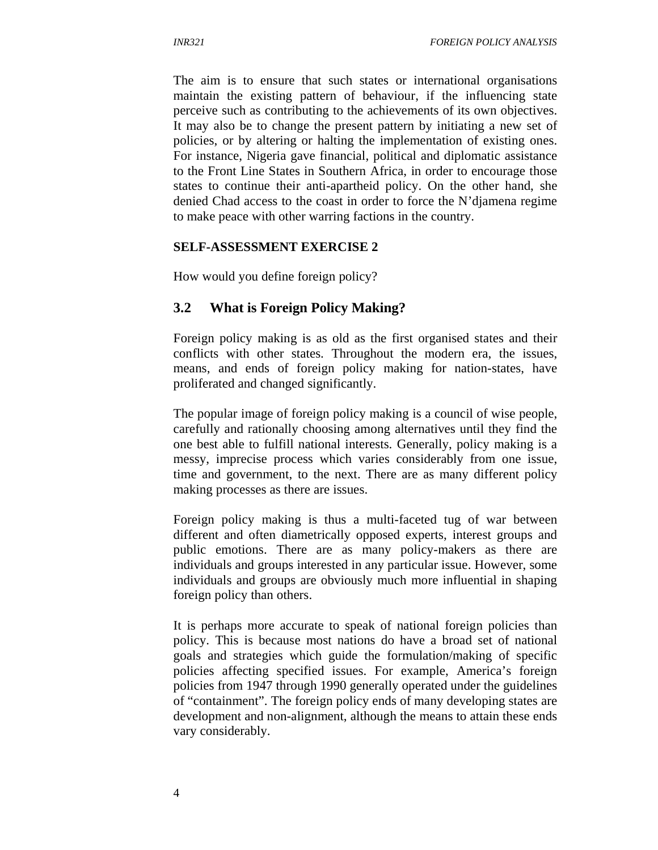The aim is to ensure that such states or international organisations maintain the existing pattern of behaviour, if the influencing state perceive such as contributing to the achievements of its own objectives. It may also be to change the present pattern by initiating a new set of policies, or by altering or halting the implementation of existing ones. For instance, Nigeria gave financial, political and diplomatic assistance to the Front Line States in Southern Africa, in order to encourage those states to continue their anti-apartheid policy. On the other hand, she denied Chad access to the coast in order to force the N'djamena regime to make peace with other warring factions in the country.

#### **SELF-ASSESSMENT EXERCISE 2**

How would you define foreign policy?

#### **3.2 What is Foreign Policy Making?**

Foreign policy making is as old as the first organised states and their conflicts with other states. Throughout the modern era, the issues, means, and ends of foreign policy making for nation-states, have proliferated and changed significantly.

The popular image of foreign policy making is a council of wise people, carefully and rationally choosing among alternatives until they find the one best able to fulfill national interests. Generally, policy making is a messy, imprecise process which varies considerably from one issue, time and government, to the next. There are as many different policy making processes as there are issues.

Foreign policy making is thus a multi-faceted tug of war between different and often diametrically opposed experts, interest groups and public emotions. There are as many policy-makers as there are individuals and groups interested in any particular issue. However, some individuals and groups are obviously much more influential in shaping foreign policy than others.

It is perhaps more accurate to speak of national foreign policies than policy. This is because most nations do have a broad set of national goals and strategies which guide the formulation/making of specific policies affecting specified issues. For example, America's foreign policies from 1947 through 1990 generally operated under the guidelines of "containment". The foreign policy ends of many developing states are development and non-alignment, although the means to attain these ends vary considerably.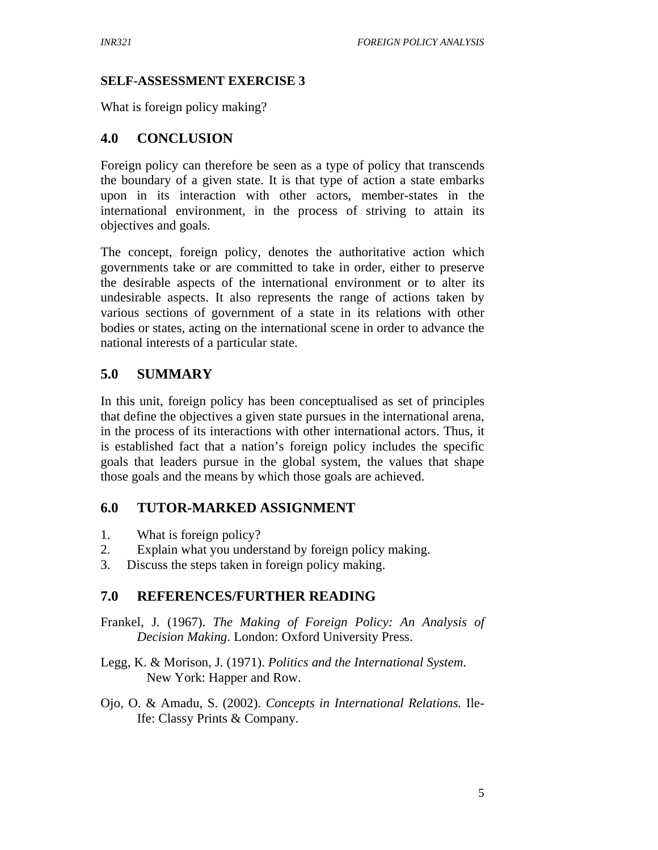#### **SELF-ASSESSMENT EXERCISE 3**

What is foreign policy making?

## **4.0 CONCLUSION**

Foreign policy can therefore be seen as a type of policy that transcends the boundary of a given state. It is that type of action a state embarks upon in its interaction with other actors, member-states in the international environment, in the process of striving to attain its objectives and goals.

The concept, foreign policy, denotes the authoritative action which governments take or are committed to take in order, either to preserve the desirable aspects of the international environment or to alter its undesirable aspects. It also represents the range of actions taken by various sections of government of a state in its relations with other bodies or states, acting on the international scene in order to advance the national interests of a particular state.

## **5.0 SUMMARY**

In this unit, foreign policy has been conceptualised as set of principles that define the objectives a given state pursues in the international arena, in the process of its interactions with other international actors. Thus, it is established fact that a nation's foreign policy includes the specific goals that leaders pursue in the global system, the values that shape those goals and the means by which those goals are achieved.

## **6.0 TUTOR-MARKED ASSIGNMENT**

- 1. What is foreign policy?
- 2. Explain what you understand by foreign policy making.
- 3. Discuss the steps taken in foreign policy making.

## **7.0 REFERENCES/FURTHER READING**

- Frankel, J. (1967). *The Making of Foreign Policy: An Analysis of Decision Making*. London: Oxford University Press.
- Legg, K. & Morison, J. (1971). *Politics and the International System.* New York: Happer and Row.
- Ojo, O. & Amadu, S. (2002). *Concepts in International Relations.* Ile-Ife: Classy Prints & Company.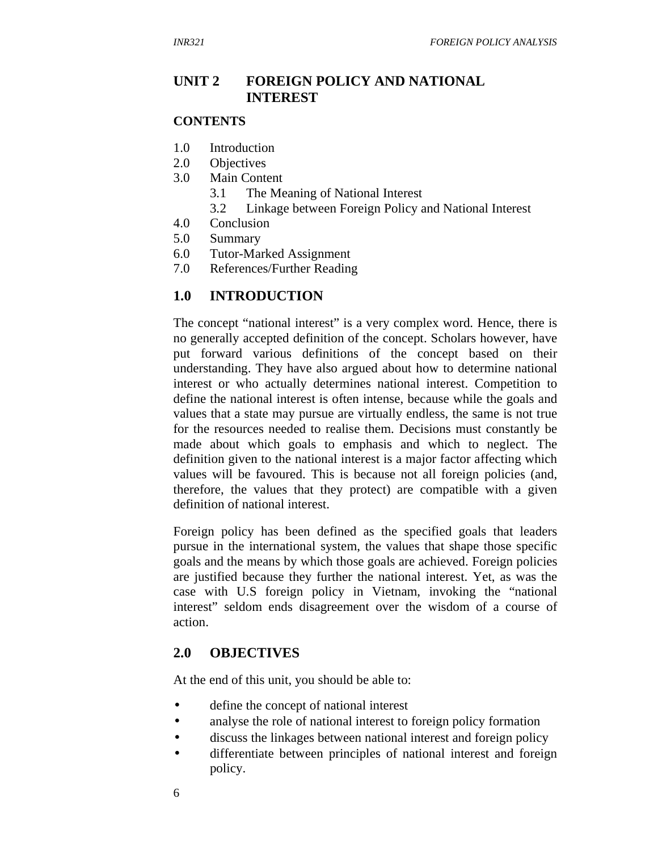## **UNIT 2 FOREIGN POLICY AND NATIONAL INTEREST**

#### **CONTENTS**

- 1.0 Introduction
- 2.0 Objectives
- 3.0 Main Content
	- 3.1 The Meaning of National Interest
	- 3.2 Linkage between Foreign Policy and National Interest
- 4.0 Conclusion
- 5.0 Summary
- 6.0 Tutor-Marked Assignment
- 7.0 References/Further Reading

#### **1.0 INTRODUCTION**

The concept "national interest" is a very complex word. Hence, there is no generally accepted definition of the concept. Scholars however, have put forward various definitions of the concept based on their understanding. They have also argued about how to determine national interest or who actually determines national interest. Competition to define the national interest is often intense, because while the goals and values that a state may pursue are virtually endless, the same is not true for the resources needed to realise them. Decisions must constantly be made about which goals to emphasis and which to neglect. The definition given to the national interest is a major factor affecting which values will be favoured. This is because not all foreign policies (and, therefore, the values that they protect) are compatible with a given definition of national interest.

Foreign policy has been defined as the specified goals that leaders pursue in the international system, the values that shape those specific goals and the means by which those goals are achieved. Foreign policies are justified because they further the national interest. Yet, as was the case with U.S foreign policy in Vietnam, invoking the "national interest" seldom ends disagreement over the wisdom of a course of action.

#### **2.0 OBJECTIVES**

At the end of this unit, you should be able to:

- define the concept of national interest
- analyse the role of national interest to foreign policy formation
- discuss the linkages between national interest and foreign policy
- differentiate between principles of national interest and foreign policy.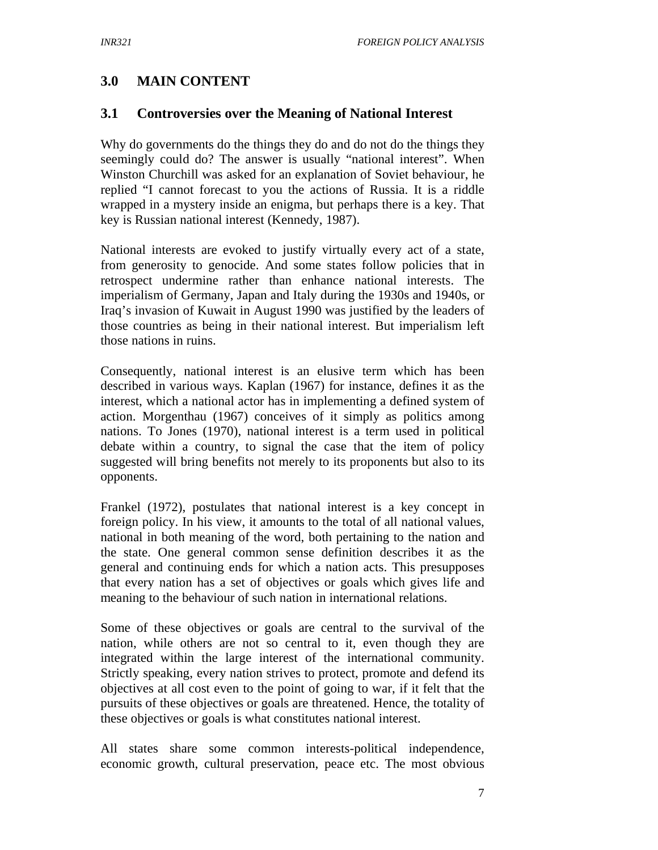## **3.0 MAIN CONTENT**

## **3.1 Controversies over the Meaning of National Interest**

Why do governments do the things they do and do not do the things they seemingly could do? The answer is usually "national interest". When Winston Churchill was asked for an explanation of Soviet behaviour, he replied "I cannot forecast to you the actions of Russia. It is a riddle wrapped in a mystery inside an enigma, but perhaps there is a key. That key is Russian national interest (Kennedy, 1987).

National interests are evoked to justify virtually every act of a state, from generosity to genocide. And some states follow policies that in retrospect undermine rather than enhance national interests. The imperialism of Germany, Japan and Italy during the 1930s and 1940s, or Iraq's invasion of Kuwait in August 1990 was justified by the leaders of those countries as being in their national interest. But imperialism left those nations in ruins.

Consequently, national interest is an elusive term which has been described in various ways. Kaplan (1967) for instance, defines it as the interest, which a national actor has in implementing a defined system of action. Morgenthau (1967) conceives of it simply as politics among nations. To Jones (1970), national interest is a term used in political debate within a country, to signal the case that the item of policy suggested will bring benefits not merely to its proponents but also to its opponents.

Frankel (1972), postulates that national interest is a key concept in foreign policy. In his view, it amounts to the total of all national values, national in both meaning of the word, both pertaining to the nation and the state. One general common sense definition describes it as the general and continuing ends for which a nation acts. This presupposes that every nation has a set of objectives or goals which gives life and meaning to the behaviour of such nation in international relations.

Some of these objectives or goals are central to the survival of the nation, while others are not so central to it, even though they are integrated within the large interest of the international community. Strictly speaking, every nation strives to protect, promote and defend its objectives at all cost even to the point of going to war, if it felt that the pursuits of these objectives or goals are threatened. Hence, the totality of these objectives or goals is what constitutes national interest.

All states share some common interests-political independence, economic growth, cultural preservation, peace etc. The most obvious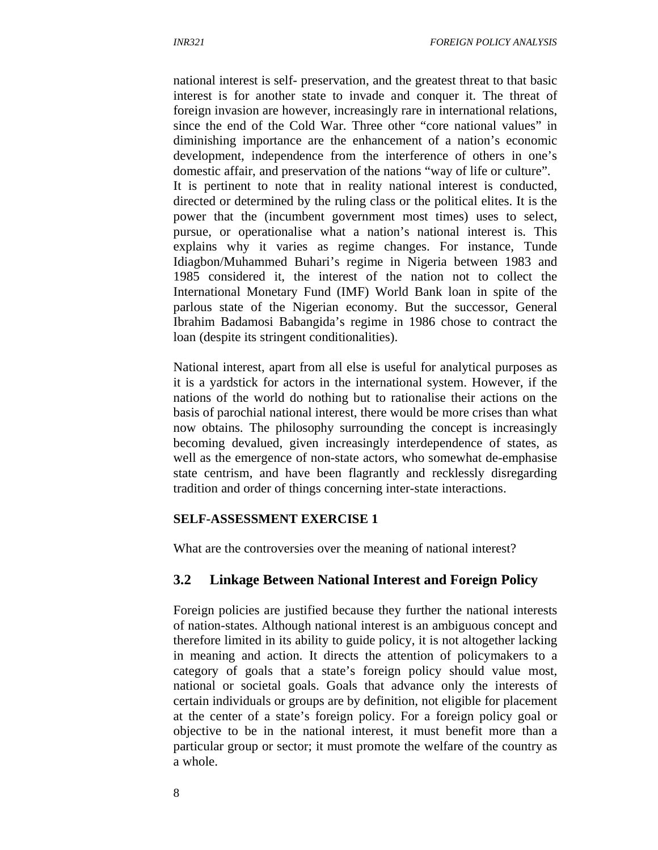national interest is self- preservation, and the greatest threat to that basic interest is for another state to invade and conquer it. The threat of foreign invasion are however, increasingly rare in international relations, since the end of the Cold War. Three other "core national values" in diminishing importance are the enhancement of a nation's economic development, independence from the interference of others in one's domestic affair, and preservation of the nations "way of life or culture". It is pertinent to note that in reality national interest is conducted, directed or determined by the ruling class or the political elites. It is the power that the (incumbent government most times) uses to select, pursue, or operationalise what a nation's national interest is. This explains why it varies as regime changes. For instance, Tunde Idiagbon/Muhammed Buhari's regime in Nigeria between 1983 and 1985 considered it, the interest of the nation not to collect the International Monetary Fund (IMF) World Bank loan in spite of the parlous state of the Nigerian economy. But the successor, General Ibrahim Badamosi Babangida's regime in 1986 chose to contract the loan (despite its stringent conditionalities).

National interest, apart from all else is useful for analytical purposes as it is a yardstick for actors in the international system. However, if the nations of the world do nothing but to rationalise their actions on the basis of parochial national interest, there would be more crises than what now obtains. The philosophy surrounding the concept is increasingly becoming devalued, given increasingly interdependence of states, as well as the emergence of non-state actors, who somewhat de-emphasise state centrism, and have been flagrantly and recklessly disregarding tradition and order of things concerning inter-state interactions.

#### **SELF-ASSESSMENT EXERCISE 1**

What are the controversies over the meaning of national interest?

#### **3.2 Linkage Between National Interest and Foreign Policy**

Foreign policies are justified because they further the national interests of nation-states. Although national interest is an ambiguous concept and therefore limited in its ability to guide policy, it is not altogether lacking in meaning and action. It directs the attention of policymakers to a category of goals that a state's foreign policy should value most, national or societal goals. Goals that advance only the interests of certain individuals or groups are by definition, not eligible for placement at the center of a state's foreign policy. For a foreign policy goal or objective to be in the national interest, it must benefit more than a particular group or sector; it must promote the welfare of the country as a whole.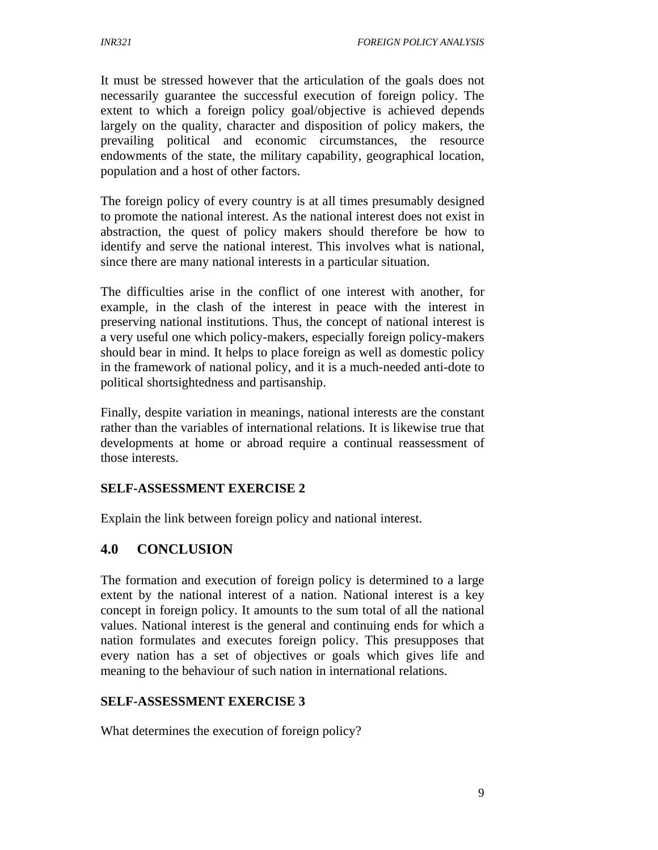It must be stressed however that the articulation of the goals does not necessarily guarantee the successful execution of foreign policy. The extent to which a foreign policy goal/objective is achieved depends largely on the quality, character and disposition of policy makers, the prevailing political and economic circumstances, the resource endowments of the state, the military capability, geographical location, population and a host of other factors.

The foreign policy of every country is at all times presumably designed to promote the national interest. As the national interest does not exist in abstraction, the quest of policy makers should therefore be how to identify and serve the national interest. This involves what is national, since there are many national interests in a particular situation.

The difficulties arise in the conflict of one interest with another, for example, in the clash of the interest in peace with the interest in preserving national institutions. Thus, the concept of national interest is a very useful one which policy-makers, especially foreign policy-makers should bear in mind. It helps to place foreign as well as domestic policy in the framework of national policy, and it is a much-needed anti-dote to political shortsightedness and partisanship.

Finally, despite variation in meanings, national interests are the constant rather than the variables of international relations. It is likewise true that developments at home or abroad require a continual reassessment of those interests.

#### **SELF-ASSESSMENT EXERCISE 2**

Explain the link between foreign policy and national interest.

## **4.0 CONCLUSION**

The formation and execution of foreign policy is determined to a large extent by the national interest of a nation. National interest is a key concept in foreign policy. It amounts to the sum total of all the national values. National interest is the general and continuing ends for which a nation formulates and executes foreign policy. This presupposes that every nation has a set of objectives or goals which gives life and meaning to the behaviour of such nation in international relations.

#### **SELF-ASSESSMENT EXERCISE 3**

What determines the execution of foreign policy?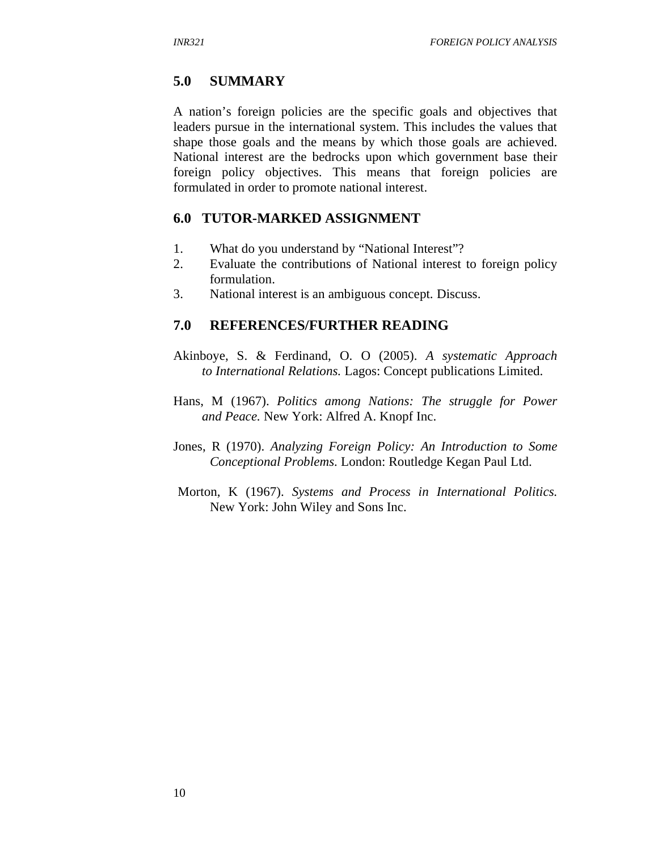## **5.0 SUMMARY**

A nation's foreign policies are the specific goals and objectives that leaders pursue in the international system. This includes the values that shape those goals and the means by which those goals are achieved. National interest are the bedrocks upon which government base their foreign policy objectives. This means that foreign policies are formulated in order to promote national interest.

## **6.0 TUTOR-MARKED ASSIGNMENT**

- 1. What do you understand by "National Interest"?
- 2. Evaluate the contributions of National interest to foreign policy formulation.
- 3. National interest is an ambiguous concept. Discuss.

## **7.0 REFERENCES/FURTHER READING**

- Akinboye, S. & Ferdinand, O. O (2005). *A systematic Approach to International Relations.* Lagos: Concept publications Limited.
- Hans, M (1967). *Politics among Nations: The struggle for Power and Peace.* New York: Alfred A. Knopf Inc.
- Jones, R (1970). *Analyzing Foreign Policy: An Introduction to Some Conceptional Problems.* London: Routledge Kegan Paul Ltd.
- Morton, K (1967). *Systems and Process in International Politics.* New York: John Wiley and Sons Inc.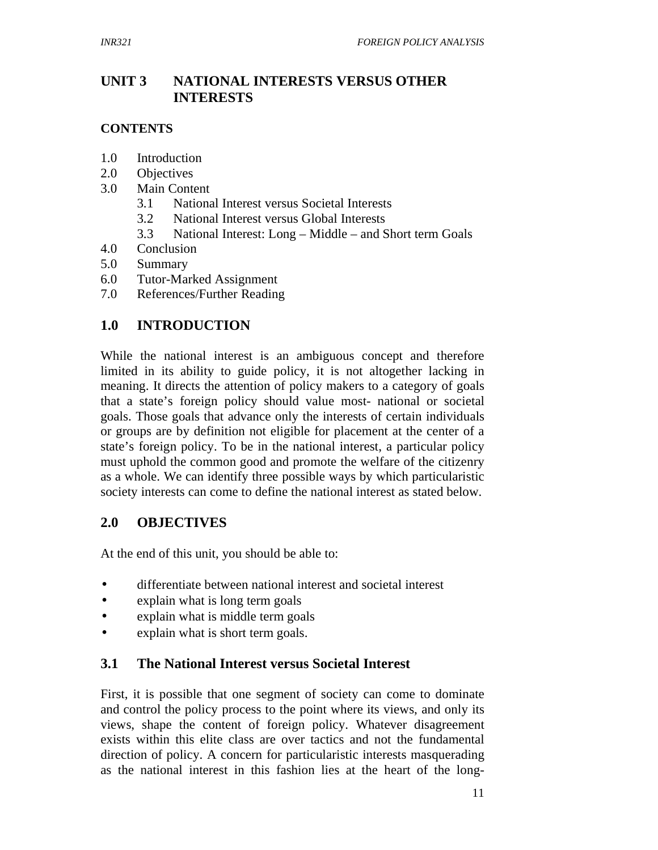## **UNIT 3 NATIONAL INTERESTS VERSUS OTHER INTERESTS**

## **CONTENTS**

- 1.0 Introduction
- 2.0 Objectives
- 3.0 Main Content
	- 3.1 National Interest versus Societal Interests
	- 3.2 National Interest versus Global Interests
	- 3.3 National Interest: Long Middle and Short term Goals
- 4.0 Conclusion
- 5.0 Summary
- 6.0 Tutor-Marked Assignment
- 7.0 References/Further Reading

## **1.0 INTRODUCTION**

While the national interest is an ambiguous concept and therefore limited in its ability to guide policy, it is not altogether lacking in meaning. It directs the attention of policy makers to a category of goals that a state's foreign policy should value most- national or societal goals. Those goals that advance only the interests of certain individuals or groups are by definition not eligible for placement at the center of a state's foreign policy. To be in the national interest, a particular policy must uphold the common good and promote the welfare of the citizenry as a whole. We can identify three possible ways by which particularistic society interests can come to define the national interest as stated below.

## **2.0 OBJECTIVES**

At the end of this unit, you should be able to:

- differentiate between national interest and societal interest
- explain what is long term goals
- explain what is middle term goals
- explain what is short term goals.

## **3.1 The National Interest versus Societal Interest**

First, it is possible that one segment of society can come to dominate and control the policy process to the point where its views, and only its views, shape the content of foreign policy. Whatever disagreement exists within this elite class are over tactics and not the fundamental direction of policy. A concern for particularistic interests masquerading as the national interest in this fashion lies at the heart of the long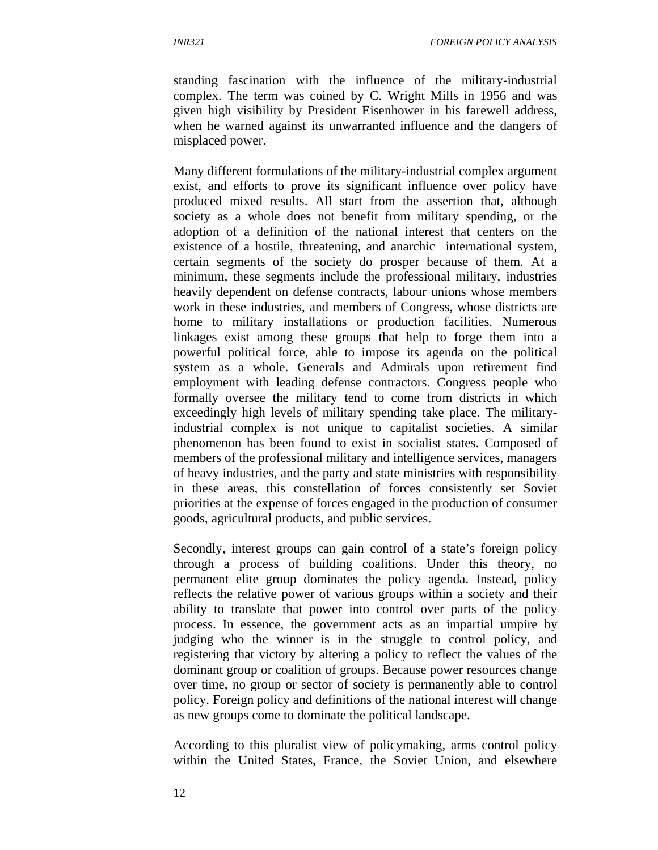standing fascination with the influence of the military-industrial complex. The term was coined by C. Wright Mills in 1956 and was given high visibility by President Eisenhower in his farewell address, when he warned against its unwarranted influence and the dangers of misplaced power.

Many different formulations of the military-industrial complex argument exist, and efforts to prove its significant influence over policy have produced mixed results. All start from the assertion that, although society as a whole does not benefit from military spending, or the adoption of a definition of the national interest that centers on the existence of a hostile, threatening, and anarchic international system, certain segments of the society do prosper because of them. At a minimum, these segments include the professional military, industries heavily dependent on defense contracts, labour unions whose members work in these industries, and members of Congress, whose districts are home to military installations or production facilities. Numerous linkages exist among these groups that help to forge them into a powerful political force, able to impose its agenda on the political system as a whole. Generals and Admirals upon retirement find employment with leading defense contractors. Congress people who formally oversee the military tend to come from districts in which exceedingly high levels of military spending take place. The militaryindustrial complex is not unique to capitalist societies. A similar phenomenon has been found to exist in socialist states. Composed of members of the professional military and intelligence services, managers of heavy industries, and the party and state ministries with responsibility in these areas, this constellation of forces consistently set Soviet priorities at the expense of forces engaged in the production of consumer goods, agricultural products, and public services.

Secondly, interest groups can gain control of a state's foreign policy through a process of building coalitions. Under this theory, no permanent elite group dominates the policy agenda. Instead, policy reflects the relative power of various groups within a society and their ability to translate that power into control over parts of the policy process. In essence, the government acts as an impartial umpire by judging who the winner is in the struggle to control policy, and registering that victory by altering a policy to reflect the values of the dominant group or coalition of groups. Because power resources change over time, no group or sector of society is permanently able to control policy. Foreign policy and definitions of the national interest will change as new groups come to dominate the political landscape.

According to this pluralist view of policymaking, arms control policy within the United States, France, the Soviet Union, and elsewhere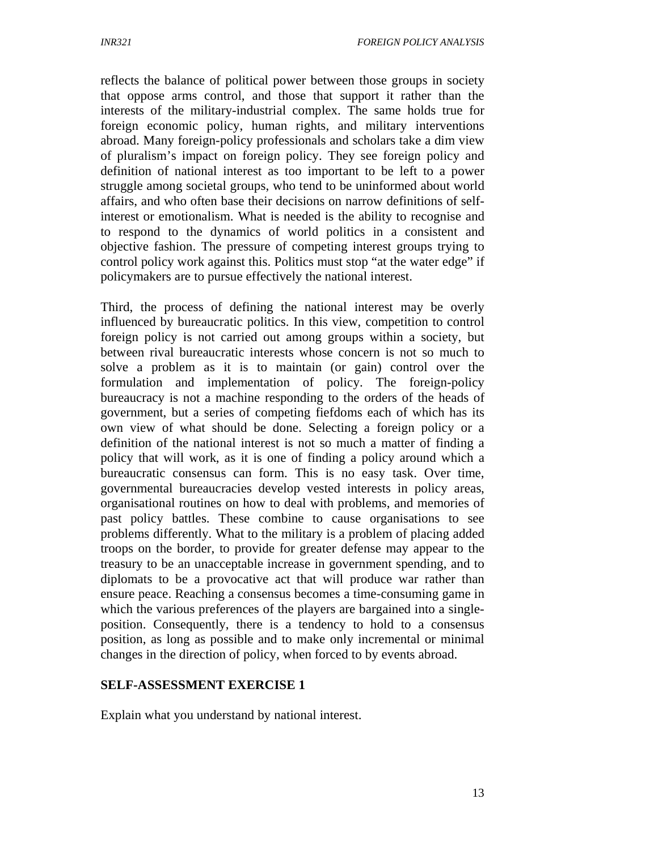reflects the balance of political power between those groups in society that oppose arms control, and those that support it rather than the interests of the military-industrial complex. The same holds true for foreign economic policy, human rights, and military interventions abroad. Many foreign-policy professionals and scholars take a dim view of pluralism's impact on foreign policy. They see foreign policy and definition of national interest as too important to be left to a power struggle among societal groups, who tend to be uninformed about world affairs, and who often base their decisions on narrow definitions of selfinterest or emotionalism. What is needed is the ability to recognise and to respond to the dynamics of world politics in a consistent and objective fashion. The pressure of competing interest groups trying to control policy work against this. Politics must stop "at the water edge" if policymakers are to pursue effectively the national interest.

Third, the process of defining the national interest may be overly influenced by bureaucratic politics. In this view, competition to control foreign policy is not carried out among groups within a society, but between rival bureaucratic interests whose concern is not so much to solve a problem as it is to maintain (or gain) control over the formulation and implementation of policy. The foreign-policy bureaucracy is not a machine responding to the orders of the heads of government, but a series of competing fiefdoms each of which has its own view of what should be done. Selecting a foreign policy or a definition of the national interest is not so much a matter of finding a policy that will work, as it is one of finding a policy around which a bureaucratic consensus can form. This is no easy task. Over time, governmental bureaucracies develop vested interests in policy areas, organisational routines on how to deal with problems, and memories of past policy battles. These combine to cause organisations to see problems differently. What to the military is a problem of placing added troops on the border, to provide for greater defense may appear to the treasury to be an unacceptable increase in government spending, and to diplomats to be a provocative act that will produce war rather than ensure peace. Reaching a consensus becomes a time-consuming game in which the various preferences of the players are bargained into a singleposition. Consequently, there is a tendency to hold to a consensus position, as long as possible and to make only incremental or minimal changes in the direction of policy, when forced to by events abroad.

#### **SELF-ASSESSMENT EXERCISE 1**

Explain what you understand by national interest.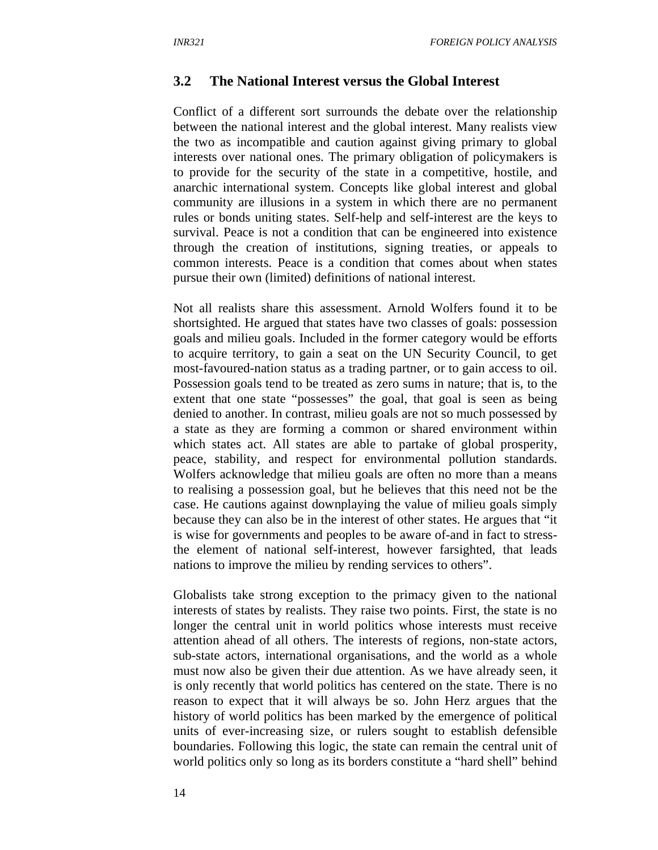#### **3.2 The National Interest versus the Global Interest**

Conflict of a different sort surrounds the debate over the relationship between the national interest and the global interest. Many realists view the two as incompatible and caution against giving primary to global interests over national ones. The primary obligation of policymakers is to provide for the security of the state in a competitive, hostile, and anarchic international system. Concepts like global interest and global community are illusions in a system in which there are no permanent rules or bonds uniting states. Self-help and self-interest are the keys to survival. Peace is not a condition that can be engineered into existence through the creation of institutions, signing treaties, or appeals to common interests. Peace is a condition that comes about when states pursue their own (limited) definitions of national interest.

Not all realists share this assessment. Arnold Wolfers found it to be shortsighted. He argued that states have two classes of goals: possession goals and milieu goals. Included in the former category would be efforts to acquire territory, to gain a seat on the UN Security Council, to get most-favoured-nation status as a trading partner, or to gain access to oil. Possession goals tend to be treated as zero sums in nature; that is, to the extent that one state "possesses" the goal, that goal is seen as being denied to another. In contrast, milieu goals are not so much possessed by a state as they are forming a common or shared environment within which states act. All states are able to partake of global prosperity, peace, stability, and respect for environmental pollution standards. Wolfers acknowledge that milieu goals are often no more than a means to realising a possession goal, but he believes that this need not be the case. He cautions against downplaying the value of milieu goals simply because they can also be in the interest of other states. He argues that "it is wise for governments and peoples to be aware of-and in fact to stressthe element of national self-interest, however farsighted, that leads nations to improve the milieu by rending services to others".

Globalists take strong exception to the primacy given to the national interests of states by realists. They raise two points. First, the state is no longer the central unit in world politics whose interests must receive attention ahead of all others. The interests of regions, non-state actors, sub-state actors, international organisations, and the world as a whole must now also be given their due attention. As we have already seen, it is only recently that world politics has centered on the state. There is no reason to expect that it will always be so. John Herz argues that the history of world politics has been marked by the emergence of political units of ever-increasing size, or rulers sought to establish defensible boundaries. Following this logic, the state can remain the central unit of world politics only so long as its borders constitute a "hard shell" behind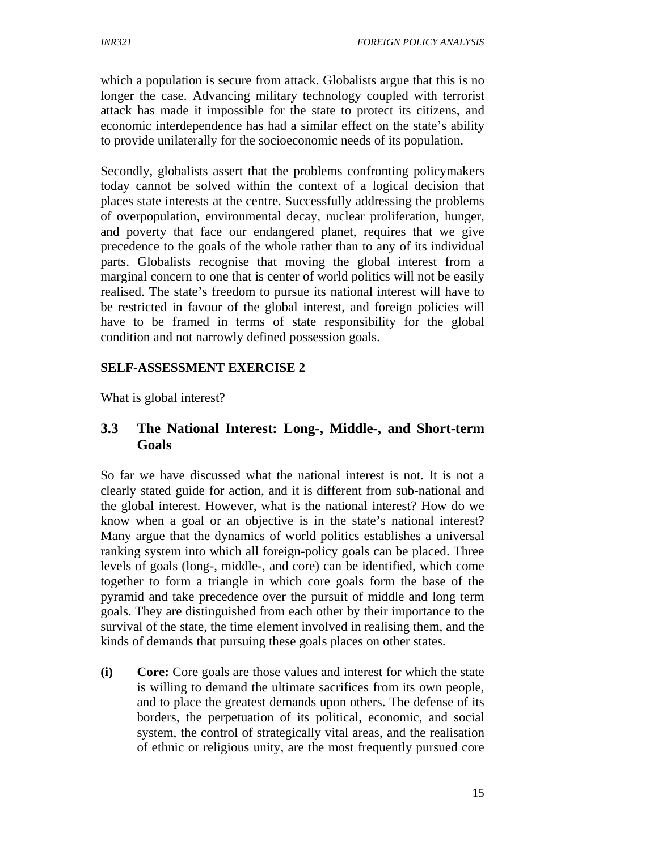which a population is secure from attack. Globalists argue that this is no longer the case. Advancing military technology coupled with terrorist attack has made it impossible for the state to protect its citizens, and economic interdependence has had a similar effect on the state's ability to provide unilaterally for the socioeconomic needs of its population.

Secondly, globalists assert that the problems confronting policymakers today cannot be solved within the context of a logical decision that places state interests at the centre. Successfully addressing the problems of overpopulation, environmental decay, nuclear proliferation, hunger, and poverty that face our endangered planet, requires that we give precedence to the goals of the whole rather than to any of its individual parts. Globalists recognise that moving the global interest from a marginal concern to one that is center of world politics will not be easily realised. The state's freedom to pursue its national interest will have to be restricted in favour of the global interest, and foreign policies will have to be framed in terms of state responsibility for the global condition and not narrowly defined possession goals.

#### **SELF-ASSESSMENT EXERCISE 2**

What is global interest?

## **3.3 The National Interest: Long-, Middle-, and Short-term Goals**

So far we have discussed what the national interest is not. It is not a clearly stated guide for action, and it is different from sub-national and the global interest. However, what is the national interest? How do we know when a goal or an objective is in the state's national interest? Many argue that the dynamics of world politics establishes a universal ranking system into which all foreign-policy goals can be placed. Three levels of goals (long-, middle-, and core) can be identified, which come together to form a triangle in which core goals form the base of the pyramid and take precedence over the pursuit of middle and long term goals. They are distinguished from each other by their importance to the survival of the state, the time element involved in realising them, and the kinds of demands that pursuing these goals places on other states.

**(i) Core:** Core goals are those values and interest for which the state is willing to demand the ultimate sacrifices from its own people, and to place the greatest demands upon others. The defense of its borders, the perpetuation of its political, economic, and social system, the control of strategically vital areas, and the realisation of ethnic or religious unity, are the most frequently pursued core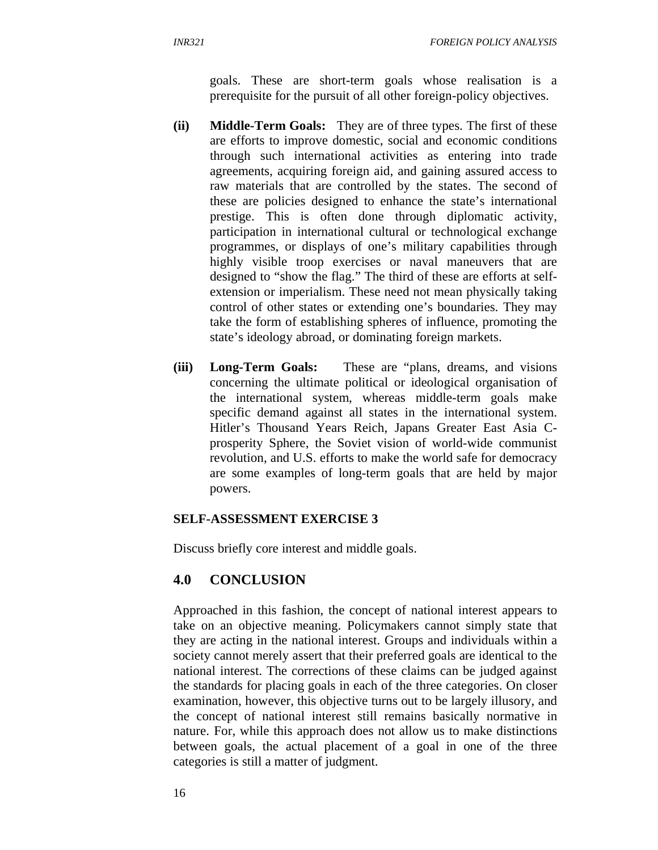goals. These are short-term goals whose realisation is a prerequisite for the pursuit of all other foreign-policy objectives.

- **(ii) Middle-Term Goals:** They are of three types. The first of these are efforts to improve domestic, social and economic conditions through such international activities as entering into trade agreements, acquiring foreign aid, and gaining assured access to raw materials that are controlled by the states. The second of these are policies designed to enhance the state's international prestige. This is often done through diplomatic activity, participation in international cultural or technological exchange programmes, or displays of one's military capabilities through highly visible troop exercises or naval maneuvers that are designed to "show the flag." The third of these are efforts at selfextension or imperialism. These need not mean physically taking control of other states or extending one's boundaries. They may take the form of establishing spheres of influence, promoting the state's ideology abroad, or dominating foreign markets.
- **(iii) Long-Term Goals:** These are "plans, dreams, and visions concerning the ultimate political or ideological organisation of the international system, whereas middle-term goals make specific demand against all states in the international system. Hitler's Thousand Years Reich, Japans Greater East Asia Cprosperity Sphere, the Soviet vision of world-wide communist revolution, and U.S. efforts to make the world safe for democracy are some examples of long-term goals that are held by major powers.

#### **SELF-ASSESSMENT EXERCISE 3**

Discuss briefly core interest and middle goals.

# **4.0 CONCLUSION**

Approached in this fashion, the concept of national interest appears to take on an objective meaning. Policymakers cannot simply state that they are acting in the national interest. Groups and individuals within a society cannot merely assert that their preferred goals are identical to the national interest. The corrections of these claims can be judged against the standards for placing goals in each of the three categories. On closer examination, however, this objective turns out to be largely illusory, and the concept of national interest still remains basically normative in nature. For, while this approach does not allow us to make distinctions between goals, the actual placement of a goal in one of the three categories is still a matter of judgment.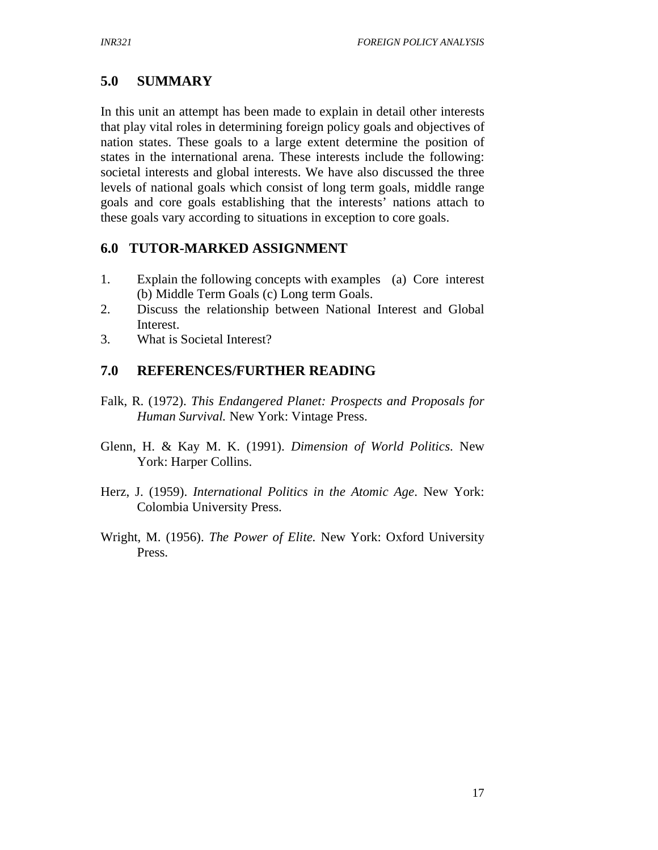# **5.0 SUMMARY**

In this unit an attempt has been made to explain in detail other interests that play vital roles in determining foreign policy goals and objectives of nation states. These goals to a large extent determine the position of states in the international arena. These interests include the following: societal interests and global interests. We have also discussed the three levels of national goals which consist of long term goals, middle range goals and core goals establishing that the interests' nations attach to these goals vary according to situations in exception to core goals.

## **6.0 TUTOR-MARKED ASSIGNMENT**

- 1. Explain the following concepts with examples (a) Core interest (b) Middle Term Goals (c) Long term Goals.
- 2. Discuss the relationship between National Interest and Global Interest.
- 3. What is Societal Interest?

## **7.0 REFERENCES/FURTHER READING**

- Falk, R. (1972). *This Endangered Planet: Prospects and Proposals for Human Survival.* New York: Vintage Press.
- Glenn, H. & Kay M. K. (1991). *Dimension of World Politics*. New York: Harper Collins.
- Herz, J. (1959). *International Politics in the Atomic Age*. New York: Colombia University Press.
- Wright, M. (1956). *The Power of Elite.* New York: Oxford University Press.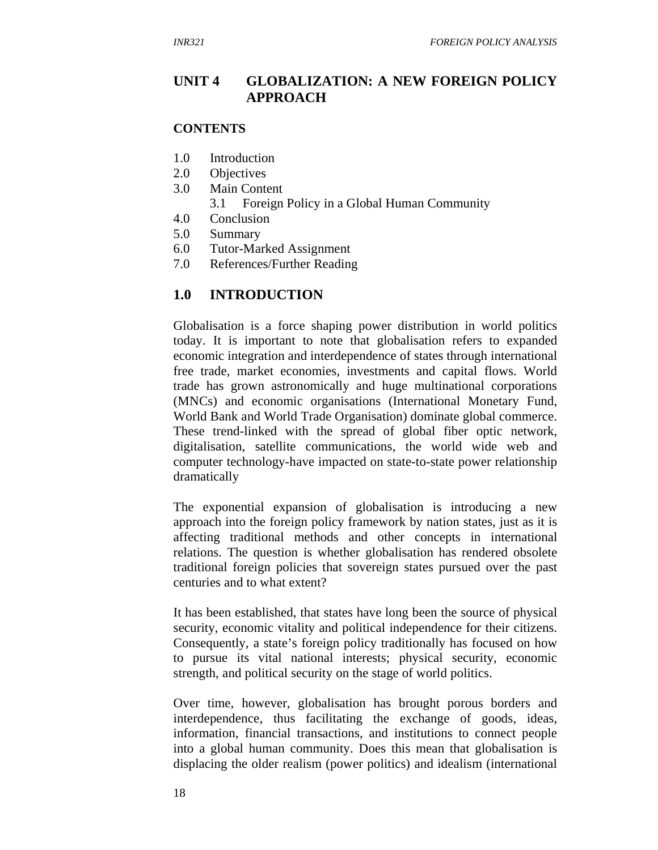## **UNIT 4 GLOBALIZATION: A NEW FOREIGN POLICY APPROACH**

#### **CONTENTS**

- 1.0 Introduction
- 2.0 Objectives
- 3.0 Main Content
	- 3.1 Foreign Policy in a Global Human Community
- 4.0 Conclusion
- 5.0 Summary
- 6.0 Tutor-Marked Assignment
- 7.0 References/Further Reading

#### **1.0 INTRODUCTION**

Globalisation is a force shaping power distribution in world politics today. It is important to note that globalisation refers to expanded economic integration and interdependence of states through international free trade, market economies, investments and capital flows. World trade has grown astronomically and huge multinational corporations (MNCs) and economic organisations (International Monetary Fund, World Bank and World Trade Organisation) dominate global commerce. These trend-linked with the spread of global fiber optic network, digitalisation, satellite communications, the world wide web and computer technology-have impacted on state-to-state power relationship dramatically

The exponential expansion of globalisation is introducing a new approach into the foreign policy framework by nation states, just as it is affecting traditional methods and other concepts in international relations. The question is whether globalisation has rendered obsolete traditional foreign policies that sovereign states pursued over the past centuries and to what extent?

It has been established, that states have long been the source of physical security, economic vitality and political independence for their citizens. Consequently, a state's foreign policy traditionally has focused on how to pursue its vital national interests; physical security, economic strength, and political security on the stage of world politics.

Over time, however, globalisation has brought porous borders and interdependence, thus facilitating the exchange of goods, ideas, information, financial transactions, and institutions to connect people into a global human community. Does this mean that globalisation is displacing the older realism (power politics) and idealism (international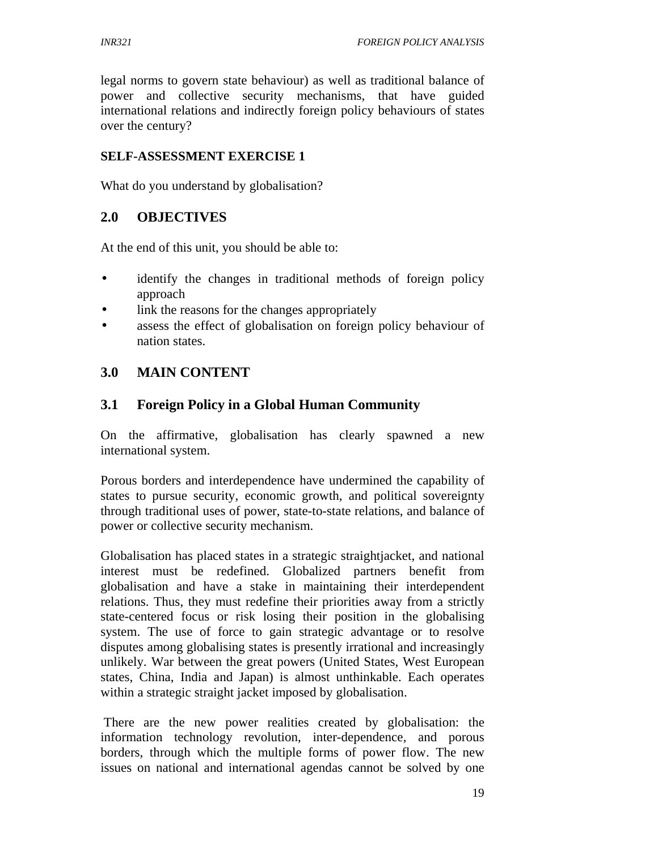legal norms to govern state behaviour) as well as traditional balance of power and collective security mechanisms, that have guided international relations and indirectly foreign policy behaviours of states over the century?

### **SELF-ASSESSMENT EXERCISE 1**

What do you understand by globalisation?

## **2.0 OBJECTIVES**

At the end of this unit, you should be able to:

- identify the changes in traditional methods of foreign policy approach
- link the reasons for the changes appropriately
- assess the effect of globalisation on foreign policy behaviour of nation states.

# **3.0 MAIN CONTENT**

## **3.1 Foreign Policy in a Global Human Community**

On the affirmative, globalisation has clearly spawned a new international system.

Porous borders and interdependence have undermined the capability of states to pursue security, economic growth, and political sovereignty through traditional uses of power, state-to-state relations, and balance of power or collective security mechanism.

Globalisation has placed states in a strategic straightjacket, and national interest must be redefined. Globalized partners benefit from globalisation and have a stake in maintaining their interdependent relations. Thus, they must redefine their priorities away from a strictly state-centered focus or risk losing their position in the globalising system. The use of force to gain strategic advantage or to resolve disputes among globalising states is presently irrational and increasingly unlikely. War between the great powers (United States, West European states, China, India and Japan) is almost unthinkable. Each operates within a strategic straight jacket imposed by globalisation.

 There are the new power realities created by globalisation: the information technology revolution, inter-dependence, and porous borders, through which the multiple forms of power flow. The new issues on national and international agendas cannot be solved by one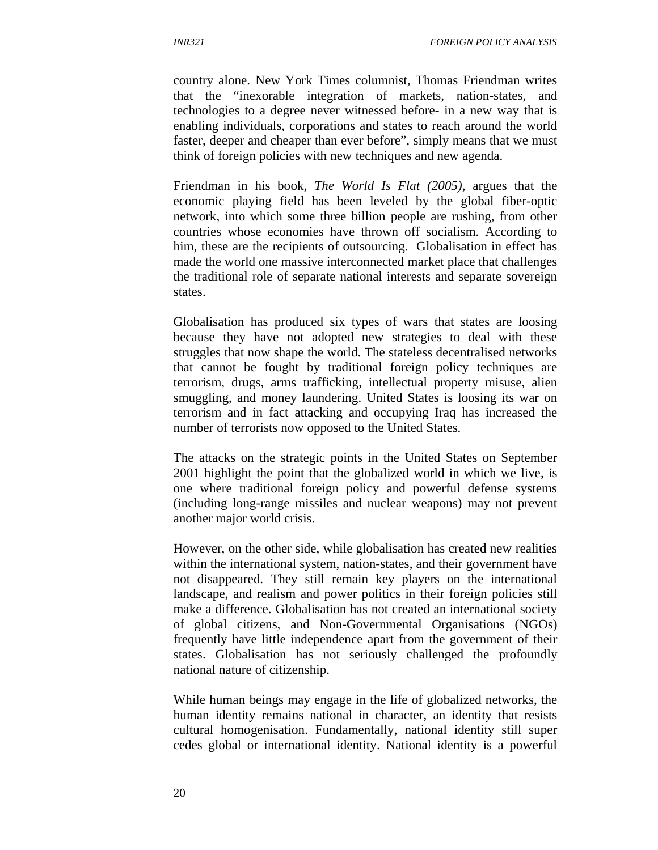country alone. New York Times columnist, Thomas Friendman writes that the "inexorable integration of markets, nation-states, and technologies to a degree never witnessed before- in a new way that is enabling individuals, corporations and states to reach around the world faster, deeper and cheaper than ever before", simply means that we must think of foreign policies with new techniques and new agenda.

Friendman in his book, *The World Is Flat (2005),* argues that the economic playing field has been leveled by the global fiber-optic network, into which some three billion people are rushing, from other countries whose economies have thrown off socialism. According to him, these are the recipients of outsourcing. Globalisation in effect has made the world one massive interconnected market place that challenges the traditional role of separate national interests and separate sovereign states.

Globalisation has produced six types of wars that states are loosing because they have not adopted new strategies to deal with these struggles that now shape the world. The stateless decentralised networks that cannot be fought by traditional foreign policy techniques are terrorism, drugs, arms trafficking, intellectual property misuse, alien smuggling, and money laundering. United States is loosing its war on terrorism and in fact attacking and occupying Iraq has increased the number of terrorists now opposed to the United States.

The attacks on the strategic points in the United States on September 2001 highlight the point that the globalized world in which we live, is one where traditional foreign policy and powerful defense systems (including long-range missiles and nuclear weapons) may not prevent another major world crisis.

However, on the other side, while globalisation has created new realities within the international system, nation-states, and their government have not disappeared. They still remain key players on the international landscape, and realism and power politics in their foreign policies still make a difference. Globalisation has not created an international society of global citizens, and Non-Governmental Organisations (NGOs) frequently have little independence apart from the government of their states. Globalisation has not seriously challenged the profoundly national nature of citizenship.

While human beings may engage in the life of globalized networks, the human identity remains national in character, an identity that resists cultural homogenisation. Fundamentally, national identity still super cedes global or international identity. National identity is a powerful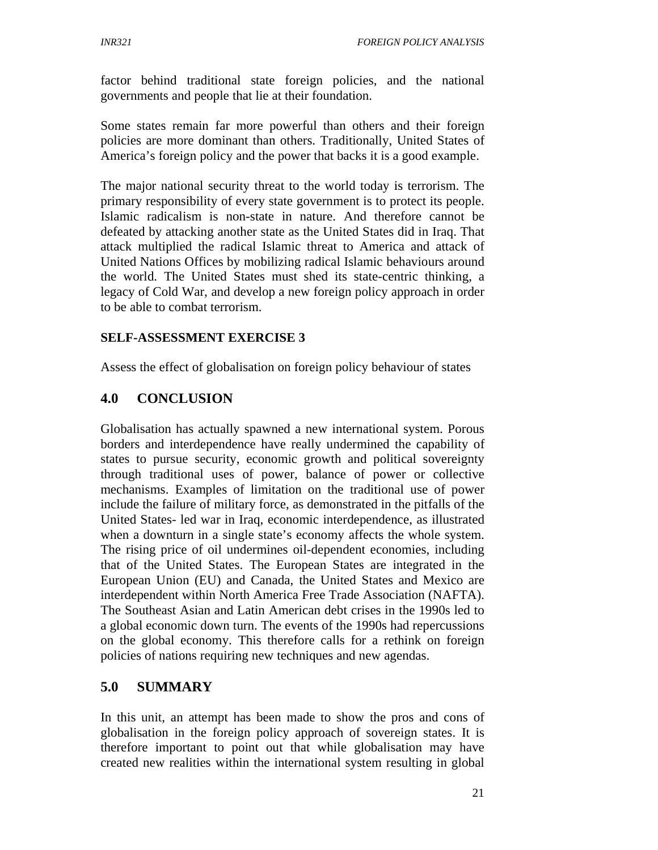factor behind traditional state foreign policies, and the national governments and people that lie at their foundation.

Some states remain far more powerful than others and their foreign policies are more dominant than others. Traditionally, United States of America's foreign policy and the power that backs it is a good example.

The major national security threat to the world today is terrorism. The primary responsibility of every state government is to protect its people. Islamic radicalism is non-state in nature. And therefore cannot be defeated by attacking another state as the United States did in Iraq. That attack multiplied the radical Islamic threat to America and attack of United Nations Offices by mobilizing radical Islamic behaviours around the world. The United States must shed its state-centric thinking, a legacy of Cold War, and develop a new foreign policy approach in order to be able to combat terrorism.

### **SELF-ASSESSMENT EXERCISE 3**

Assess the effect of globalisation on foreign policy behaviour of states

## **4.0 CONCLUSION**

Globalisation has actually spawned a new international system. Porous borders and interdependence have really undermined the capability of states to pursue security, economic growth and political sovereignty through traditional uses of power, balance of power or collective mechanisms. Examples of limitation on the traditional use of power include the failure of military force, as demonstrated in the pitfalls of the United States- led war in Iraq, economic interdependence, as illustrated when a downturn in a single state's economy affects the whole system. The rising price of oil undermines oil-dependent economies, including that of the United States. The European States are integrated in the European Union (EU) and Canada, the United States and Mexico are interdependent within North America Free Trade Association (NAFTA). The Southeast Asian and Latin American debt crises in the 1990s led to a global economic down turn. The events of the 1990s had repercussions on the global economy. This therefore calls for a rethink on foreign policies of nations requiring new techniques and new agendas.

### **5.0 SUMMARY**

In this unit, an attempt has been made to show the pros and cons of globalisation in the foreign policy approach of sovereign states. It is therefore important to point out that while globalisation may have created new realities within the international system resulting in global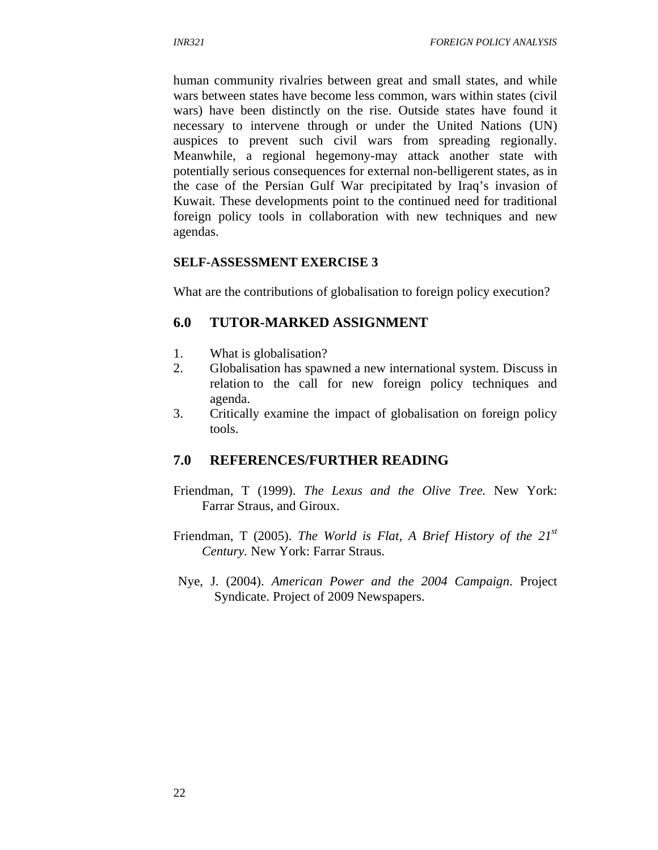human community rivalries between great and small states, and while wars between states have become less common, wars within states (civil wars) have been distinctly on the rise. Outside states have found it necessary to intervene through or under the United Nations (UN) auspices to prevent such civil wars from spreading regionally. Meanwhile, a regional hegemony-may attack another state with potentially serious consequences for external non-belligerent states, as in the case of the Persian Gulf War precipitated by Iraq's invasion of Kuwait. These developments point to the continued need for traditional foreign policy tools in collaboration with new techniques and new agendas.

### **SELF-ASSESSMENT EXERCISE 3**

What are the contributions of globalisation to foreign policy execution?

## **6.0 TUTOR-MARKED ASSIGNMENT**

- 1. What is globalisation?
- 2. Globalisation has spawned a new international system. Discuss in relation to the call for new foreign policy techniques and agenda.
- 3. Critically examine the impact of globalisation on foreign policy tools.

### **7.0 REFERENCES/FURTHER READING**

- Friendman, T (1999). *The Lexus and the Olive Tree.* New York: Farrar Straus, and Giroux.
- Friendman, T (2005). *The World is Flat, A Brief History of the 21st Century.* New York: Farrar Straus.
- Nye, J. (2004). *American Power and the 2004 Campaign*. Project Syndicate. Project of 2009 Newspapers.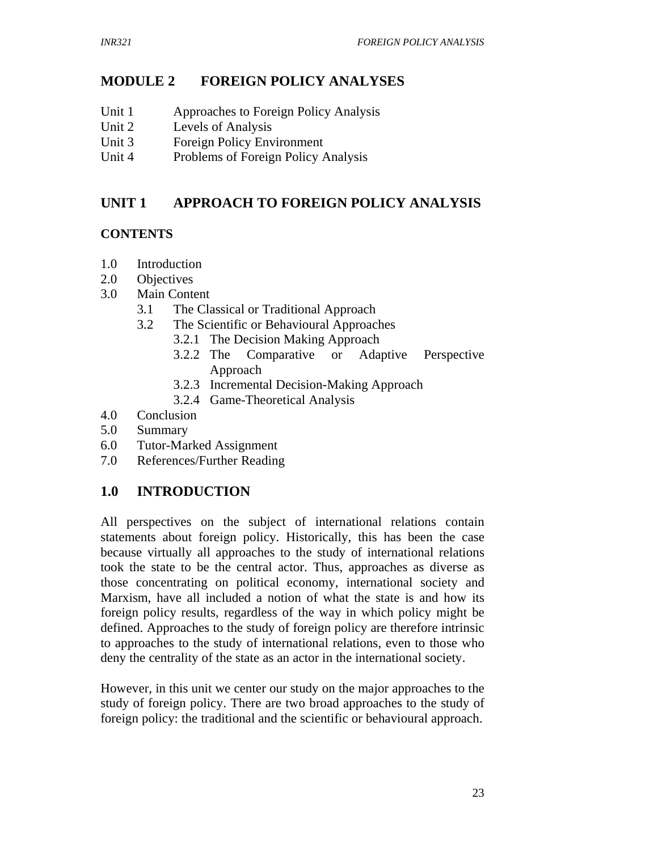# **MODULE 2 FOREIGN POLICY ANALYSES**

- Unit 1 Approaches to Foreign Policy Analysis
- Unit 2 Levels of Analysis
- Unit 3 Foreign Policy Environment
- Unit 4 Problems of Foreign Policy Analysis

## **UNIT 1 APPROACH TO FOREIGN POLICY ANALYSIS**

### **CONTENTS**

- 1.0 Introduction
- 2.0 Objectives
- 3.0 Main Content
	- 3.1 The Classical or Traditional Approach
	- 3.2 The Scientific or Behavioural Approaches
		- 3.2.1 The Decision Making Approach
		- 3.2.2 The Comparative or Adaptive Perspective Approach
		- 3.2.3 Incremental Decision-Making Approach
		- 3.2.4 Game-Theoretical Analysis
- 4.0 Conclusion
- 5.0 Summary
- 6.0 Tutor-Marked Assignment
- 7.0 References/Further Reading

## **1.0 INTRODUCTION**

All perspectives on the subject of international relations contain statements about foreign policy. Historically, this has been the case because virtually all approaches to the study of international relations took the state to be the central actor. Thus, approaches as diverse as those concentrating on political economy, international society and Marxism, have all included a notion of what the state is and how its foreign policy results, regardless of the way in which policy might be defined. Approaches to the study of foreign policy are therefore intrinsic to approaches to the study of international relations, even to those who deny the centrality of the state as an actor in the international society.

However, in this unit we center our study on the major approaches to the study of foreign policy. There are two broad approaches to the study of foreign policy: the traditional and the scientific or behavioural approach.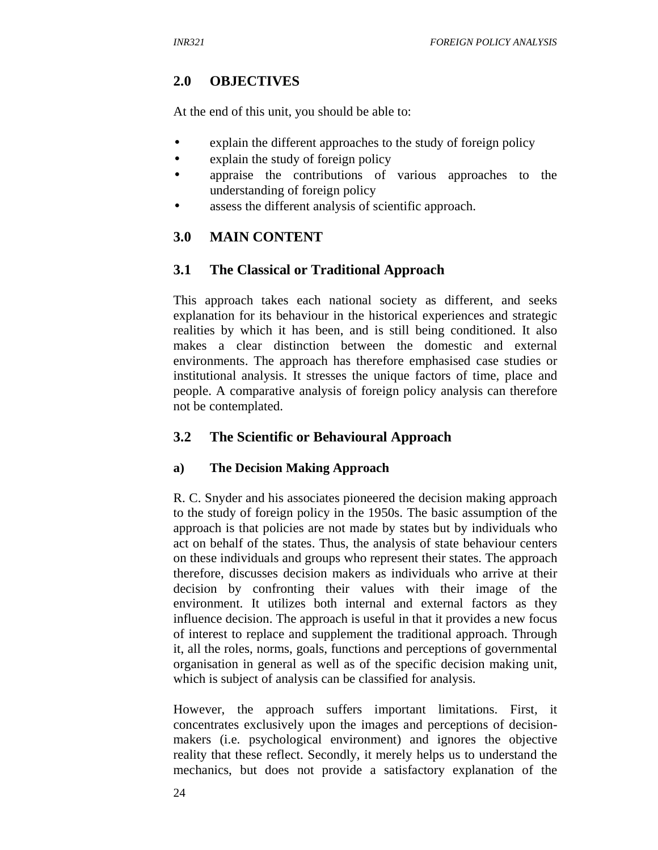# **2.0 OBJECTIVES**

At the end of this unit, you should be able to:

- explain the different approaches to the study of foreign policy
- explain the study of foreign policy
- appraise the contributions of various approaches to the understanding of foreign policy
- assess the different analysis of scientific approach.

## **3.0 MAIN CONTENT**

## **3.1 The Classical or Traditional Approach**

This approach takes each national society as different, and seeks explanation for its behaviour in the historical experiences and strategic realities by which it has been, and is still being conditioned. It also makes a clear distinction between the domestic and external environments. The approach has therefore emphasised case studies or institutional analysis. It stresses the unique factors of time, place and people. A comparative analysis of foreign policy analysis can therefore not be contemplated.

### **3.2 The Scientific or Behavioural Approach**

### **a) The Decision Making Approach**

R. C. Snyder and his associates pioneered the decision making approach to the study of foreign policy in the 1950s. The basic assumption of the approach is that policies are not made by states but by individuals who act on behalf of the states. Thus, the analysis of state behaviour centers on these individuals and groups who represent their states. The approach therefore, discusses decision makers as individuals who arrive at their decision by confronting their values with their image of the environment. It utilizes both internal and external factors as they influence decision. The approach is useful in that it provides a new focus of interest to replace and supplement the traditional approach. Through it, all the roles, norms, goals, functions and perceptions of governmental organisation in general as well as of the specific decision making unit, which is subject of analysis can be classified for analysis.

However, the approach suffers important limitations. First, it concentrates exclusively upon the images and perceptions of decisionmakers (i.e. psychological environment) and ignores the objective reality that these reflect. Secondly, it merely helps us to understand the mechanics, but does not provide a satisfactory explanation of the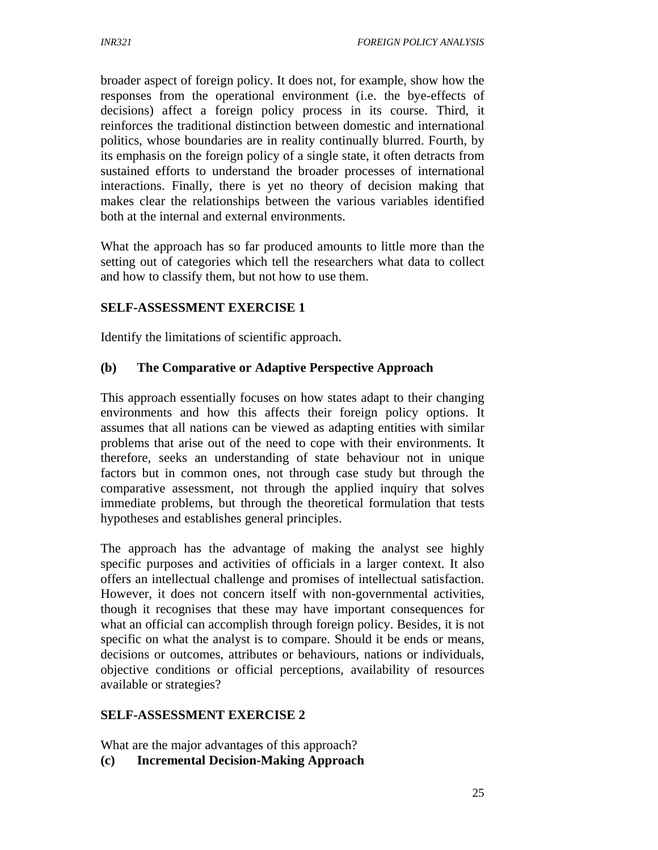broader aspect of foreign policy. It does not, for example, show how the responses from the operational environment (i.e. the bye-effects of decisions) affect a foreign policy process in its course. Third, it reinforces the traditional distinction between domestic and international politics, whose boundaries are in reality continually blurred. Fourth, by its emphasis on the foreign policy of a single state, it often detracts from sustained efforts to understand the broader processes of international interactions. Finally, there is yet no theory of decision making that makes clear the relationships between the various variables identified both at the internal and external environments.

What the approach has so far produced amounts to little more than the setting out of categories which tell the researchers what data to collect and how to classify them, but not how to use them.

### **SELF-ASSESSMENT EXERCISE 1**

Identify the limitations of scientific approach.

### **(b) The Comparative or Adaptive Perspective Approach**

This approach essentially focuses on how states adapt to their changing environments and how this affects their foreign policy options. It assumes that all nations can be viewed as adapting entities with similar problems that arise out of the need to cope with their environments. It therefore, seeks an understanding of state behaviour not in unique factors but in common ones, not through case study but through the comparative assessment, not through the applied inquiry that solves immediate problems, but through the theoretical formulation that tests hypotheses and establishes general principles.

The approach has the advantage of making the analyst see highly specific purposes and activities of officials in a larger context. It also offers an intellectual challenge and promises of intellectual satisfaction. However, it does not concern itself with non-governmental activities, though it recognises that these may have important consequences for what an official can accomplish through foreign policy. Besides, it is not specific on what the analyst is to compare. Should it be ends or means, decisions or outcomes, attributes or behaviours, nations or individuals, objective conditions or official perceptions, availability of resources available or strategies?

### **SELF-ASSESSMENT EXERCISE 2**

What are the major advantages of this approach?

### **(c) Incremental Decision-Making Approach**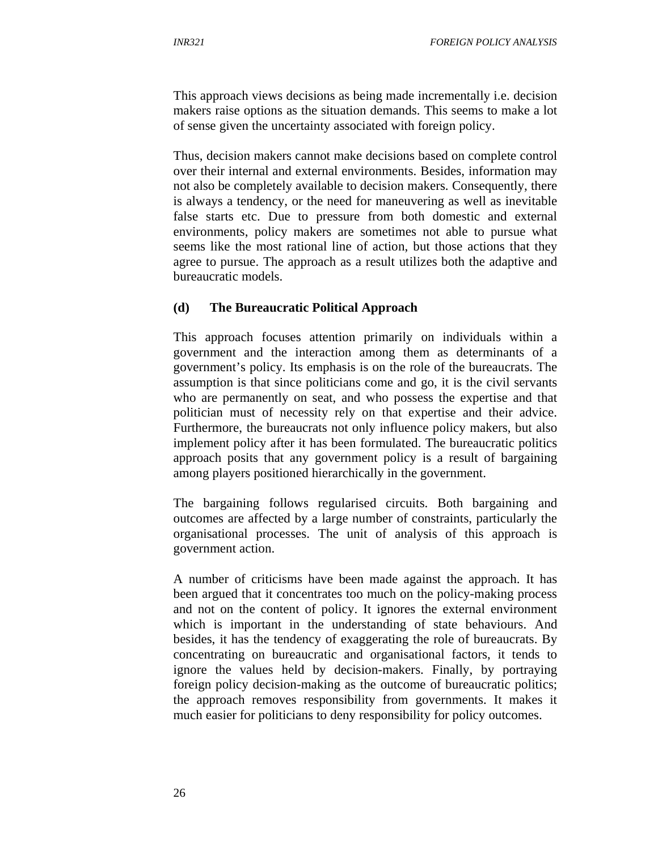This approach views decisions as being made incrementally i.e. decision makers raise options as the situation demands. This seems to make a lot of sense given the uncertainty associated with foreign policy.

Thus, decision makers cannot make decisions based on complete control over their internal and external environments. Besides, information may not also be completely available to decision makers. Consequently, there is always a tendency, or the need for maneuvering as well as inevitable false starts etc. Due to pressure from both domestic and external environments, policy makers are sometimes not able to pursue what seems like the most rational line of action, but those actions that they agree to pursue. The approach as a result utilizes both the adaptive and bureaucratic models.

## **(d) The Bureaucratic Political Approach**

This approach focuses attention primarily on individuals within a government and the interaction among them as determinants of a government's policy. Its emphasis is on the role of the bureaucrats. The assumption is that since politicians come and go, it is the civil servants who are permanently on seat, and who possess the expertise and that politician must of necessity rely on that expertise and their advice. Furthermore, the bureaucrats not only influence policy makers, but also implement policy after it has been formulated. The bureaucratic politics approach posits that any government policy is a result of bargaining among players positioned hierarchically in the government.

The bargaining follows regularised circuits. Both bargaining and outcomes are affected by a large number of constraints, particularly the organisational processes. The unit of analysis of this approach is government action.

A number of criticisms have been made against the approach. It has been argued that it concentrates too much on the policy-making process and not on the content of policy. It ignores the external environment which is important in the understanding of state behaviours. And besides, it has the tendency of exaggerating the role of bureaucrats. By concentrating on bureaucratic and organisational factors, it tends to ignore the values held by decision-makers. Finally, by portraying foreign policy decision-making as the outcome of bureaucratic politics; the approach removes responsibility from governments. It makes it much easier for politicians to deny responsibility for policy outcomes.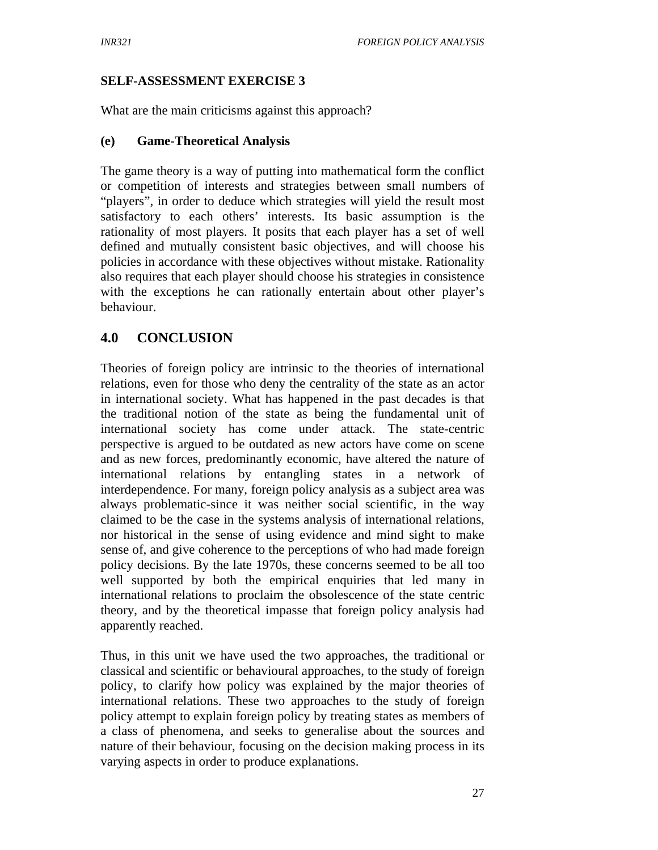## **SELF-ASSESSMENT EXERCISE 3**

What are the main criticisms against this approach?

### **(e) Game-Theoretical Analysis**

The game theory is a way of putting into mathematical form the conflict or competition of interests and strategies between small numbers of "players", in order to deduce which strategies will yield the result most satisfactory to each others' interests. Its basic assumption is the rationality of most players. It posits that each player has a set of well defined and mutually consistent basic objectives, and will choose his policies in accordance with these objectives without mistake. Rationality also requires that each player should choose his strategies in consistence with the exceptions he can rationally entertain about other player's behaviour.

# **4.0 CONCLUSION**

Theories of foreign policy are intrinsic to the theories of international relations, even for those who deny the centrality of the state as an actor in international society. What has happened in the past decades is that the traditional notion of the state as being the fundamental unit of international society has come under attack. The state-centric perspective is argued to be outdated as new actors have come on scene and as new forces, predominantly economic, have altered the nature of international relations by entangling states in a network of interdependence. For many, foreign policy analysis as a subject area was always problematic-since it was neither social scientific, in the way claimed to be the case in the systems analysis of international relations, nor historical in the sense of using evidence and mind sight to make sense of, and give coherence to the perceptions of who had made foreign policy decisions. By the late 1970s, these concerns seemed to be all too well supported by both the empirical enquiries that led many in international relations to proclaim the obsolescence of the state centric theory, and by the theoretical impasse that foreign policy analysis had apparently reached.

Thus, in this unit we have used the two approaches, the traditional or classical and scientific or behavioural approaches, to the study of foreign policy, to clarify how policy was explained by the major theories of international relations. These two approaches to the study of foreign policy attempt to explain foreign policy by treating states as members of a class of phenomena, and seeks to generalise about the sources and nature of their behaviour, focusing on the decision making process in its varying aspects in order to produce explanations.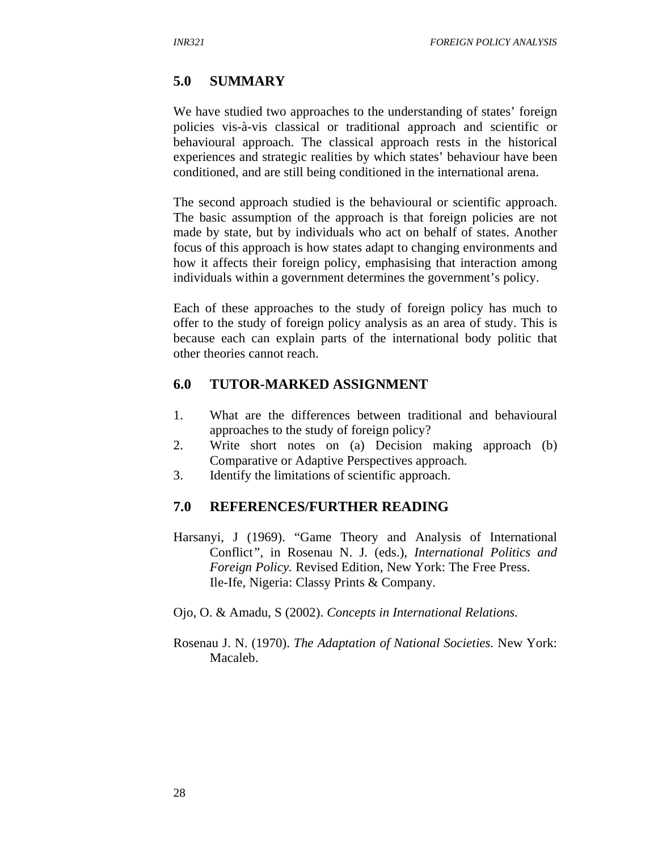# **5.0 SUMMARY**

We have studied two approaches to the understanding of states' foreign policies vis-à-vis classical or traditional approach and scientific or behavioural approach. The classical approach rests in the historical experiences and strategic realities by which states' behaviour have been conditioned, and are still being conditioned in the international arena.

The second approach studied is the behavioural or scientific approach. The basic assumption of the approach is that foreign policies are not made by state, but by individuals who act on behalf of states. Another focus of this approach is how states adapt to changing environments and how it affects their foreign policy, emphasising that interaction among individuals within a government determines the government's policy.

Each of these approaches to the study of foreign policy has much to offer to the study of foreign policy analysis as an area of study. This is because each can explain parts of the international body politic that other theories cannot reach.

# **6.0 TUTOR-MARKED ASSIGNMENT**

- 1. What are the differences between traditional and behavioural approaches to the study of foreign policy?
- 2. Write short notes on (a) Decision making approach (b) Comparative or Adaptive Perspectives approach.
- 3. Identify the limitations of scientific approach.

# **7.0 REFERENCES/FURTHER READING**

Harsanyi, J (1969). "Game Theory and Analysis of International Conflict*",* in Rosenau N. J. (eds.), *International Politics and Foreign Policy.* Revised Edition, New York: The Free Press. Ile-Ife, Nigeria: Classy Prints & Company.

Ojo, O. & Amadu, S (2002). *Concepts in International Relations.*

Rosenau J. N. (1970). *The Adaptation of National Societies.* New York: Macaleb.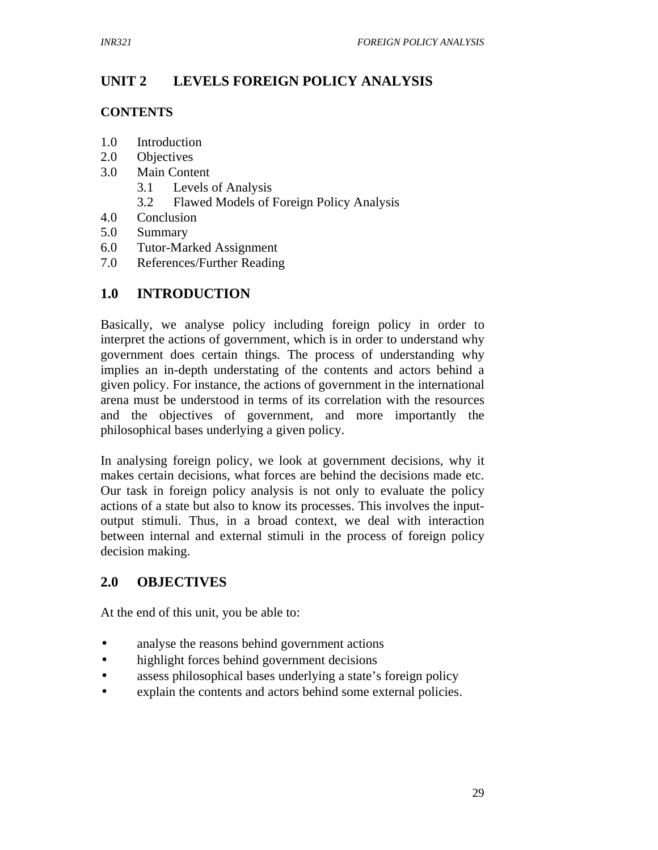# **UNIT 2 LEVELS FOREIGN POLICY ANALYSIS**

### **CONTENTS**

- 1.0 Introduction
- 2.0 Objectives
- 3.0 Main Content
	- 3.1 Levels of Analysis
	- 3.2 Flawed Models of Foreign Policy Analysis
- 4.0 Conclusion
- 5.0 Summary
- 6.0 Tutor-Marked Assignment
- 7.0 References/Further Reading

# **1.0 INTRODUCTION**

Basically, we analyse policy including foreign policy in order to interpret the actions of government, which is in order to understand why government does certain things. The process of understanding why implies an in-depth understating of the contents and actors behind a given policy. For instance, the actions of government in the international arena must be understood in terms of its correlation with the resources and the objectives of government, and more importantly the philosophical bases underlying a given policy.

In analysing foreign policy, we look at government decisions, why it makes certain decisions, what forces are behind the decisions made etc. Our task in foreign policy analysis is not only to evaluate the policy actions of a state but also to know its processes. This involves the inputoutput stimuli. Thus, in a broad context, we deal with interaction between internal and external stimuli in the process of foreign policy decision making.

## **2.0 OBJECTIVES**

At the end of this unit, you be able to:

- analyse the reasons behind government actions
- highlight forces behind government decisions
- assess philosophical bases underlying a state's foreign policy
- explain the contents and actors behind some external policies.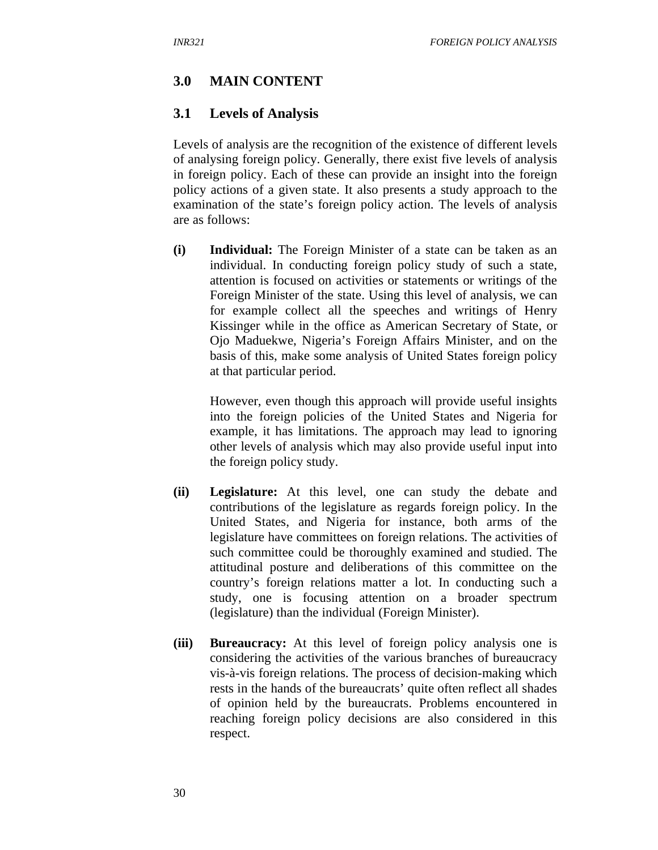# **3.0 MAIN CONTENT**

### **3.1 Levels of Analysis**

Levels of analysis are the recognition of the existence of different levels of analysing foreign policy. Generally, there exist five levels of analysis in foreign policy. Each of these can provide an insight into the foreign policy actions of a given state. It also presents a study approach to the examination of the state's foreign policy action. The levels of analysis are as follows:

**(i) Individual:** The Foreign Minister of a state can be taken as an individual. In conducting foreign policy study of such a state, attention is focused on activities or statements or writings of the Foreign Minister of the state. Using this level of analysis, we can for example collect all the speeches and writings of Henry Kissinger while in the office as American Secretary of State, or Ojo Maduekwe, Nigeria's Foreign Affairs Minister, and on the basis of this, make some analysis of United States foreign policy at that particular period.

 However, even though this approach will provide useful insights into the foreign policies of the United States and Nigeria for example, it has limitations. The approach may lead to ignoring other levels of analysis which may also provide useful input into the foreign policy study.

- **(ii) Legislature:** At this level, one can study the debate and contributions of the legislature as regards foreign policy. In the United States, and Nigeria for instance, both arms of the legislature have committees on foreign relations. The activities of such committee could be thoroughly examined and studied. The attitudinal posture and deliberations of this committee on the country's foreign relations matter a lot. In conducting such a study, one is focusing attention on a broader spectrum (legislature) than the individual (Foreign Minister).
- **(iii) Bureaucracy:** At this level of foreign policy analysis one is considering the activities of the various branches of bureaucracy vis-à-vis foreign relations. The process of decision-making which rests in the hands of the bureaucrats' quite often reflect all shades of opinion held by the bureaucrats. Problems encountered in reaching foreign policy decisions are also considered in this respect.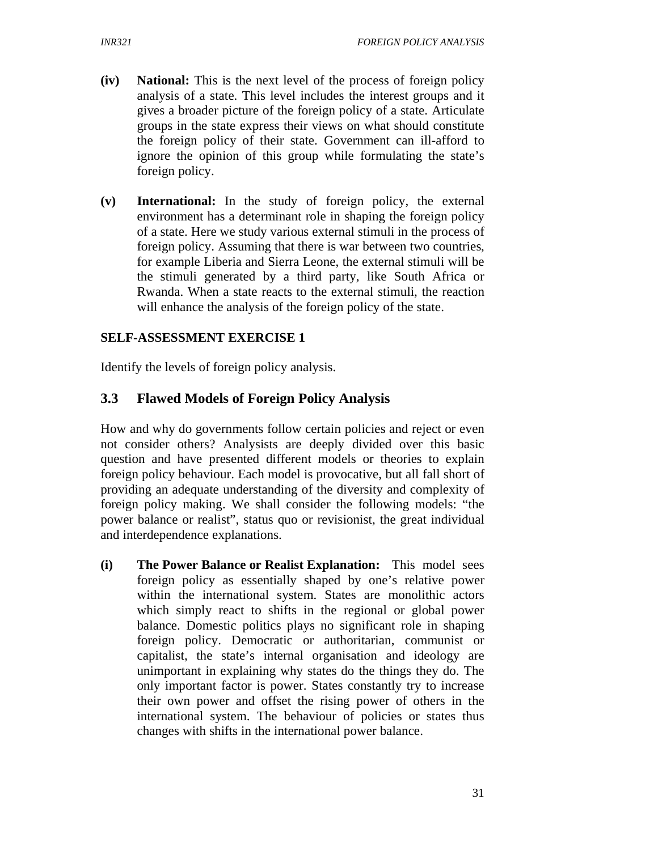- **(iv) National:** This is the next level of the process of foreign policy analysis of a state. This level includes the interest groups and it gives a broader picture of the foreign policy of a state. Articulate groups in the state express their views on what should constitute the foreign policy of their state. Government can ill-afford to ignore the opinion of this group while formulating the state's foreign policy.
- **(v) International:** In the study of foreign policy, the external environment has a determinant role in shaping the foreign policy of a state. Here we study various external stimuli in the process of foreign policy. Assuming that there is war between two countries, for example Liberia and Sierra Leone, the external stimuli will be the stimuli generated by a third party, like South Africa or Rwanda. When a state reacts to the external stimuli, the reaction will enhance the analysis of the foreign policy of the state.

### **SELF-ASSESSMENT EXERCISE 1**

Identify the levels of foreign policy analysis.

# **3.3 Flawed Models of Foreign Policy Analysis**

How and why do governments follow certain policies and reject or even not consider others? Analysists are deeply divided over this basic question and have presented different models or theories to explain foreign policy behaviour. Each model is provocative, but all fall short of providing an adequate understanding of the diversity and complexity of foreign policy making. We shall consider the following models: "the power balance or realist", status quo or revisionist, the great individual and interdependence explanations.

**(i) The Power Balance or Realist Explanation:** This model sees foreign policy as essentially shaped by one's relative power within the international system. States are monolithic actors which simply react to shifts in the regional or global power balance. Domestic politics plays no significant role in shaping foreign policy. Democratic or authoritarian, communist or capitalist, the state's internal organisation and ideology are unimportant in explaining why states do the things they do. The only important factor is power. States constantly try to increase their own power and offset the rising power of others in the international system. The behaviour of policies or states thus changes with shifts in the international power balance.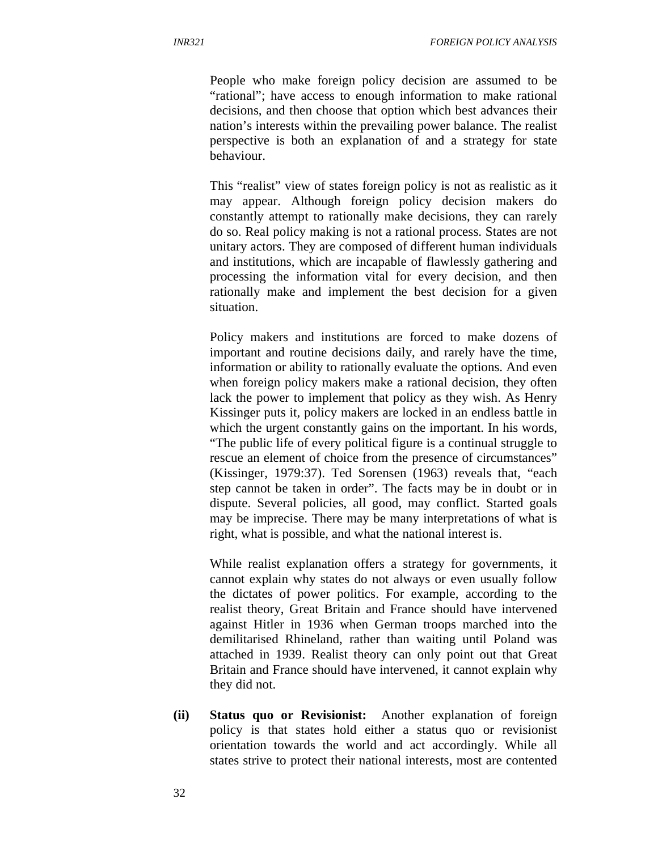People who make foreign policy decision are assumed to be "rational"; have access to enough information to make rational decisions, and then choose that option which best advances their nation's interests within the prevailing power balance. The realist perspective is both an explanation of and a strategy for state behaviour.

This "realist" view of states foreign policy is not as realistic as it may appear. Although foreign policy decision makers do constantly attempt to rationally make decisions, they can rarely do so. Real policy making is not a rational process. States are not unitary actors. They are composed of different human individuals and institutions, which are incapable of flawlessly gathering and processing the information vital for every decision, and then rationally make and implement the best decision for a given situation.

Policy makers and institutions are forced to make dozens of important and routine decisions daily, and rarely have the time, information or ability to rationally evaluate the options. And even when foreign policy makers make a rational decision, they often lack the power to implement that policy as they wish. As Henry Kissinger puts it, policy makers are locked in an endless battle in which the urgent constantly gains on the important. In his words, "The public life of every political figure is a continual struggle to rescue an element of choice from the presence of circumstances" (Kissinger, 1979:37). Ted Sorensen (1963) reveals that, "each step cannot be taken in order". The facts may be in doubt or in dispute. Several policies, all good, may conflict. Started goals may be imprecise. There may be many interpretations of what is right, what is possible, and what the national interest is.

While realist explanation offers a strategy for governments, it cannot explain why states do not always or even usually follow the dictates of power politics. For example, according to the realist theory, Great Britain and France should have intervened against Hitler in 1936 when German troops marched into the demilitarised Rhineland, rather than waiting until Poland was attached in 1939. Realist theory can only point out that Great Britain and France should have intervened, it cannot explain why they did not.

**(ii) Status quo or Revisionist:** Another explanation of foreign policy is that states hold either a status quo or revisionist orientation towards the world and act accordingly. While all states strive to protect their national interests, most are contented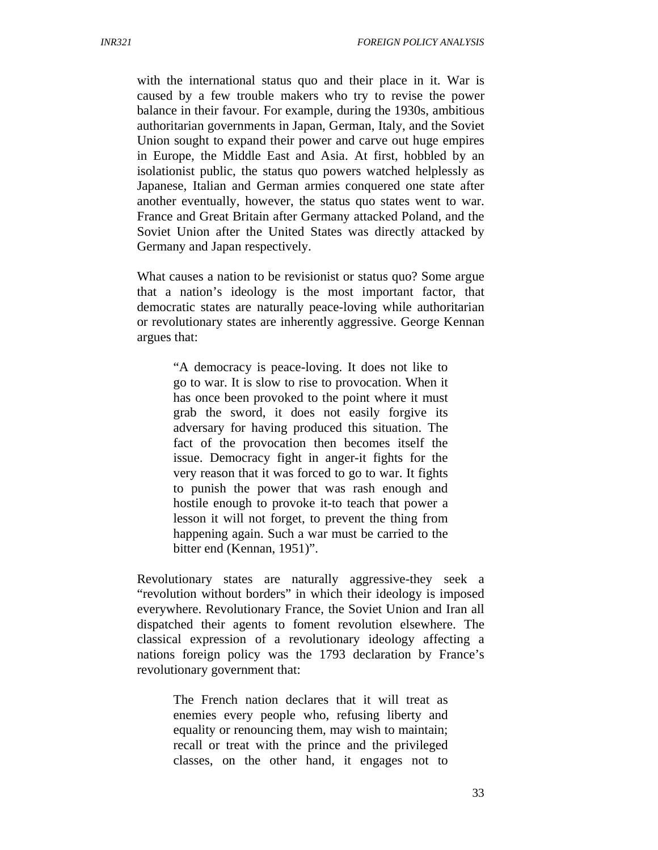with the international status quo and their place in it. War is caused by a few trouble makers who try to revise the power balance in their favour. For example, during the 1930s, ambitious authoritarian governments in Japan, German, Italy, and the Soviet Union sought to expand their power and carve out huge empires in Europe, the Middle East and Asia. At first, hobbled by an isolationist public, the status quo powers watched helplessly as Japanese, Italian and German armies conquered one state after another eventually, however, the status quo states went to war. France and Great Britain after Germany attacked Poland, and the Soviet Union after the United States was directly attacked by Germany and Japan respectively.

What causes a nation to be revisionist or status quo? Some argue that a nation's ideology is the most important factor, that democratic states are naturally peace-loving while authoritarian or revolutionary states are inherently aggressive. George Kennan argues that:

> "A democracy is peace-loving. It does not like to go to war. It is slow to rise to provocation. When it has once been provoked to the point where it must grab the sword, it does not easily forgive its adversary for having produced this situation. The fact of the provocation then becomes itself the issue. Democracy fight in anger-it fights for the very reason that it was forced to go to war. It fights to punish the power that was rash enough and hostile enough to provoke it-to teach that power a lesson it will not forget, to prevent the thing from happening again. Such a war must be carried to the bitter end (Kennan, 1951)".

Revolutionary states are naturally aggressive-they seek a "revolution without borders" in which their ideology is imposed everywhere. Revolutionary France, the Soviet Union and Iran all dispatched their agents to foment revolution elsewhere. The classical expression of a revolutionary ideology affecting a nations foreign policy was the 1793 declaration by France's revolutionary government that:

> The French nation declares that it will treat as enemies every people who, refusing liberty and equality or renouncing them, may wish to maintain; recall or treat with the prince and the privileged classes, on the other hand, it engages not to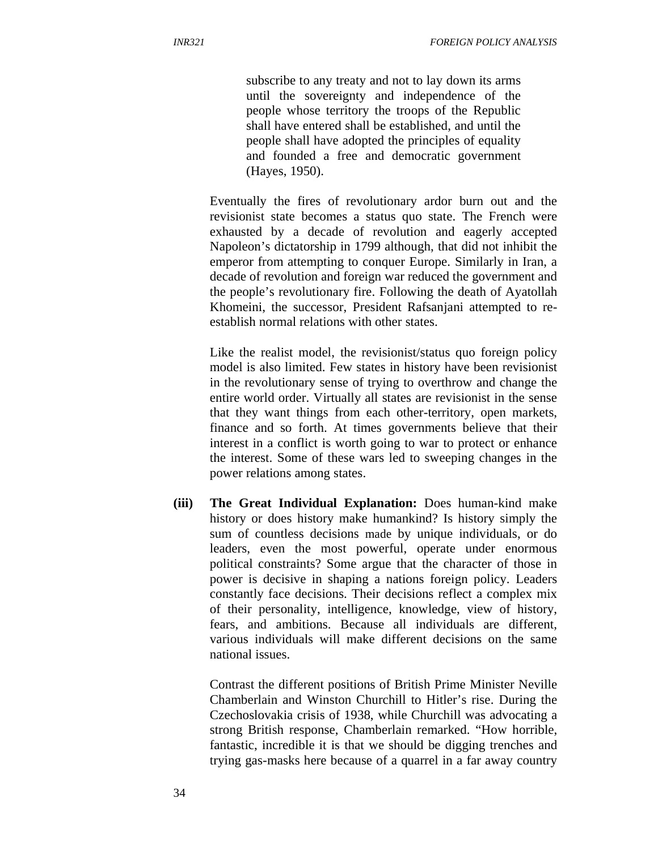subscribe to any treaty and not to lay down its arms until the sovereignty and independence of the people whose territory the troops of the Republic shall have entered shall be established, and until the people shall have adopted the principles of equality and founded a free and democratic government (Hayes, 1950).

Eventually the fires of revolutionary ardor burn out and the revisionist state becomes a status quo state. The French were exhausted by a decade of revolution and eagerly accepted Napoleon's dictatorship in 1799 although, that did not inhibit the emperor from attempting to conquer Europe. Similarly in Iran, a decade of revolution and foreign war reduced the government and the people's revolutionary fire. Following the death of Ayatollah Khomeini, the successor, President Rafsanjani attempted to reestablish normal relations with other states.

Like the realist model, the revisionist/status quo foreign policy model is also limited. Few states in history have been revisionist in the revolutionary sense of trying to overthrow and change the entire world order. Virtually all states are revisionist in the sense that they want things from each other-territory, open markets, finance and so forth. At times governments believe that their interest in a conflict is worth going to war to protect or enhance the interest. Some of these wars led to sweeping changes in the power relations among states.

**(iii) The Great Individual Explanation:** Does human-kind make history or does history make humankind? Is history simply the sum of countless decisions made by unique individuals, or do leaders, even the most powerful, operate under enormous political constraints? Some argue that the character of those in power is decisive in shaping a nations foreign policy. Leaders constantly face decisions. Their decisions reflect a complex mix of their personality, intelligence, knowledge, view of history, fears, and ambitions. Because all individuals are different, various individuals will make different decisions on the same national issues.

Contrast the different positions of British Prime Minister Neville Chamberlain and Winston Churchill to Hitler's rise. During the Czechoslovakia crisis of 1938, while Churchill was advocating a strong British response, Chamberlain remarked. "How horrible, fantastic, incredible it is that we should be digging trenches and trying gas-masks here because of a quarrel in a far away country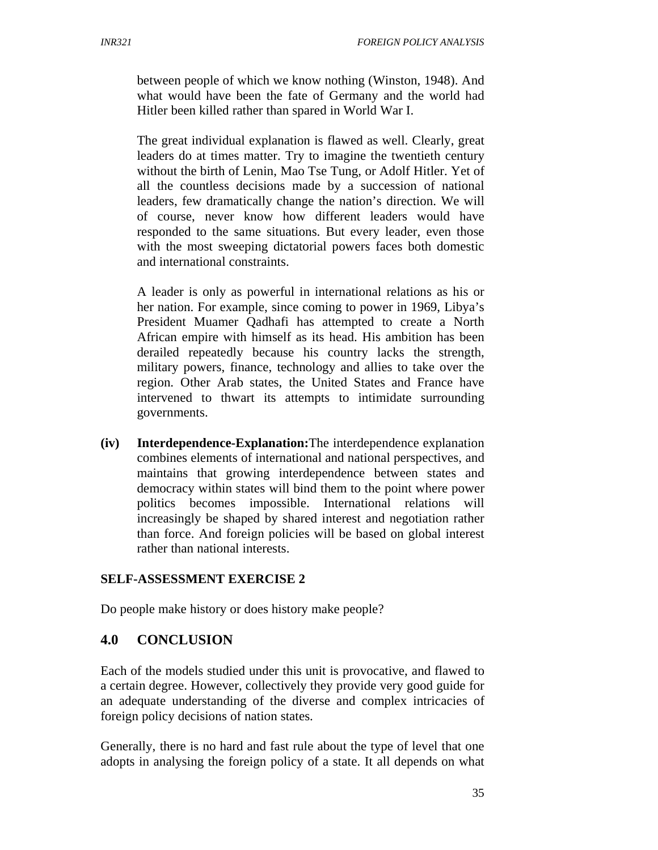between people of which we know nothing (Winston, 1948). And what would have been the fate of Germany and the world had Hitler been killed rather than spared in World War I.

The great individual explanation is flawed as well. Clearly, great leaders do at times matter. Try to imagine the twentieth century without the birth of Lenin, Mao Tse Tung, or Adolf Hitler. Yet of all the countless decisions made by a succession of national leaders, few dramatically change the nation's direction. We will of course, never know how different leaders would have responded to the same situations. But every leader, even those with the most sweeping dictatorial powers faces both domestic and international constraints.

A leader is only as powerful in international relations as his or her nation. For example, since coming to power in 1969, Libya's President Muamer Qadhafi has attempted to create a North African empire with himself as its head. His ambition has been derailed repeatedly because his country lacks the strength, military powers, finance, technology and allies to take over the region. Other Arab states, the United States and France have intervened to thwart its attempts to intimidate surrounding governments.

**(iv) Interdependence-Explanation:**The interdependence explanation combines elements of international and national perspectives, and maintains that growing interdependence between states and democracy within states will bind them to the point where power politics becomes impossible. International relations will increasingly be shaped by shared interest and negotiation rather than force. And foreign policies will be based on global interest rather than national interests.

### **SELF-ASSESSMENT EXERCISE 2**

Do people make history or does history make people?

## **4.0 CONCLUSION**

Each of the models studied under this unit is provocative, and flawed to a certain degree. However, collectively they provide very good guide for an adequate understanding of the diverse and complex intricacies of foreign policy decisions of nation states.

Generally, there is no hard and fast rule about the type of level that one adopts in analysing the foreign policy of a state. It all depends on what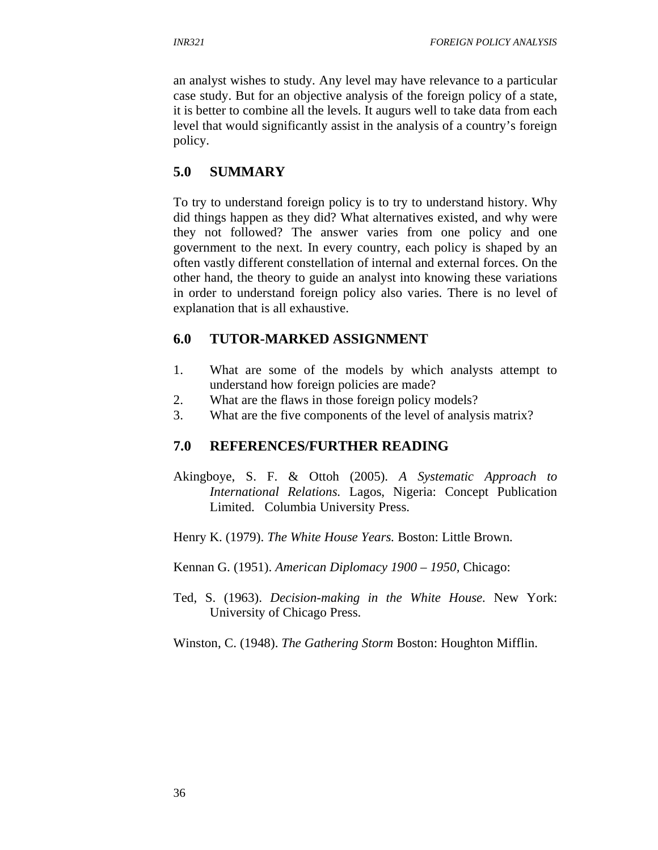an analyst wishes to study. Any level may have relevance to a particular case study. But for an objective analysis of the foreign policy of a state, it is better to combine all the levels. It augurs well to take data from each level that would significantly assist in the analysis of a country's foreign policy.

# **5.0 SUMMARY**

To try to understand foreign policy is to try to understand history. Why did things happen as they did? What alternatives existed, and why were they not followed? The answer varies from one policy and one government to the next. In every country, each policy is shaped by an often vastly different constellation of internal and external forces. On the other hand, the theory to guide an analyst into knowing these variations in order to understand foreign policy also varies. There is no level of explanation that is all exhaustive.

## **6.0 TUTOR-MARKED ASSIGNMENT**

- 1. What are some of the models by which analysts attempt to understand how foreign policies are made?
- 2. What are the flaws in those foreign policy models?
- 3. What are the five components of the level of analysis matrix?

## **7.0 REFERENCES/FURTHER READING**

Akingboye, S. F. & Ottoh (2005). *A Systematic Approach to International Relations.* Lagos, Nigeria: Concept Publication Limited. Columbia University Press.

Henry K. (1979). *The White House Years.* Boston: Little Brown.

- Kennan G. (1951). *American Diplomacy 1900 1950,* Chicago:
- Ted, S. (1963). *Decision-making in the White House.* New York: University of Chicago Press.

Winston, C. (1948). *The Gathering Storm* Boston: Houghton Mifflin.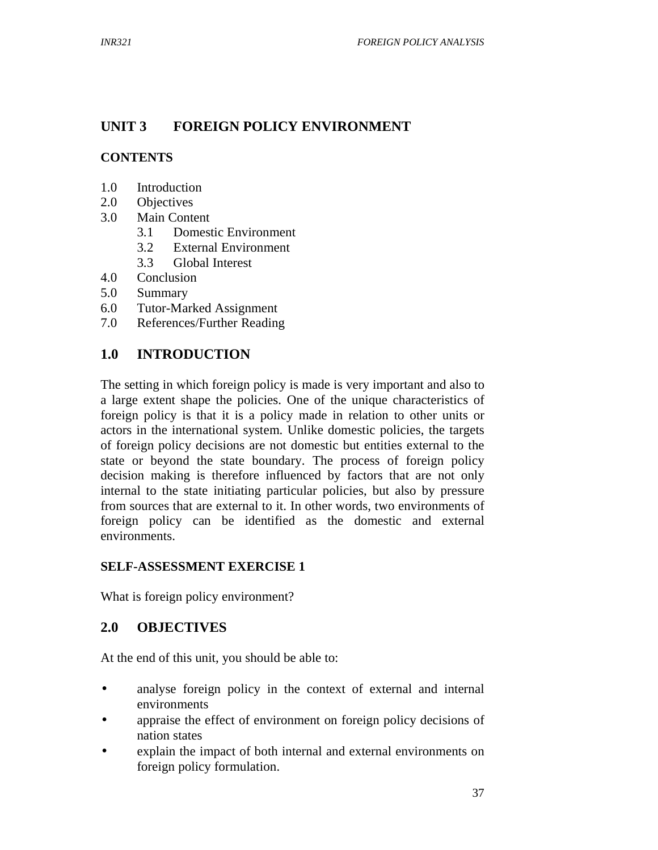# **UNIT 3 FOREIGN POLICY ENVIRONMENT**

## **CONTENTS**

- 1.0 Introduction
- 2.0 Objectives
- 3.0 Main Content
	- 3.1 Domestic Environment
	- 3.2 External Environment
	- 3.3 Global Interest
- 4.0 Conclusion
- 5.0 Summary
- 6.0 Tutor-Marked Assignment
- 7.0 References/Further Reading

# **1.0 INTRODUCTION**

The setting in which foreign policy is made is very important and also to a large extent shape the policies. One of the unique characteristics of foreign policy is that it is a policy made in relation to other units or actors in the international system. Unlike domestic policies, the targets of foreign policy decisions are not domestic but entities external to the state or beyond the state boundary. The process of foreign policy decision making is therefore influenced by factors that are not only internal to the state initiating particular policies, but also by pressure from sources that are external to it. In other words, two environments of foreign policy can be identified as the domestic and external environments.

### **SELF-ASSESSMENT EXERCISE 1**

What is foreign policy environment?

## **2.0 OBJECTIVES**

At the end of this unit, you should be able to:

- analyse foreign policy in the context of external and internal environments
- appraise the effect of environment on foreign policy decisions of nation states
- explain the impact of both internal and external environments on foreign policy formulation.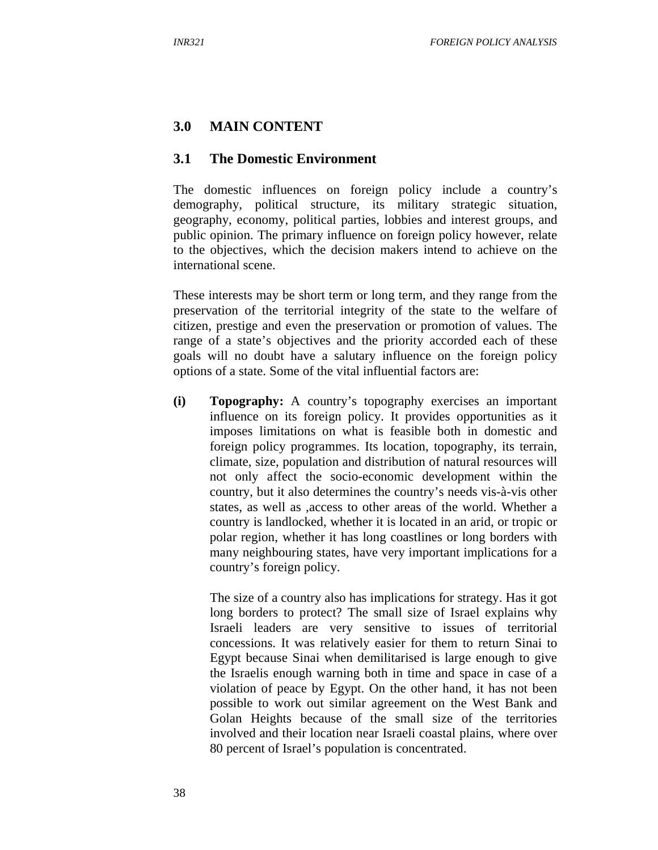## **3.0 MAIN CONTENT**

#### **3.1 The Domestic Environment**

The domestic influences on foreign policy include a country's demography, political structure, its military strategic situation, geography, economy, political parties, lobbies and interest groups, and public opinion. The primary influence on foreign policy however, relate to the objectives, which the decision makers intend to achieve on the international scene.

These interests may be short term or long term, and they range from the preservation of the territorial integrity of the state to the welfare of citizen, prestige and even the preservation or promotion of values. The range of a state's objectives and the priority accorded each of these goals will no doubt have a salutary influence on the foreign policy options of a state. Some of the vital influential factors are:

**(i) Topography:** A country's topography exercises an important influence on its foreign policy. It provides opportunities as it imposes limitations on what is feasible both in domestic and foreign policy programmes. Its location, topography, its terrain, climate, size, population and distribution of natural resources will not only affect the socio-economic development within the country, but it also determines the country's needs vis-à-vis other states, as well as ,access to other areas of the world. Whether a country is landlocked, whether it is located in an arid, or tropic or polar region, whether it has long coastlines or long borders with many neighbouring states, have very important implications for a country's foreign policy.

 The size of a country also has implications for strategy. Has it got long borders to protect? The small size of Israel explains why Israeli leaders are very sensitive to issues of territorial concessions. It was relatively easier for them to return Sinai to Egypt because Sinai when demilitarised is large enough to give the Israelis enough warning both in time and space in case of a violation of peace by Egypt. On the other hand, it has not been possible to work out similar agreement on the West Bank and Golan Heights because of the small size of the territories involved and their location near Israeli coastal plains, where over 80 percent of Israel's population is concentrated.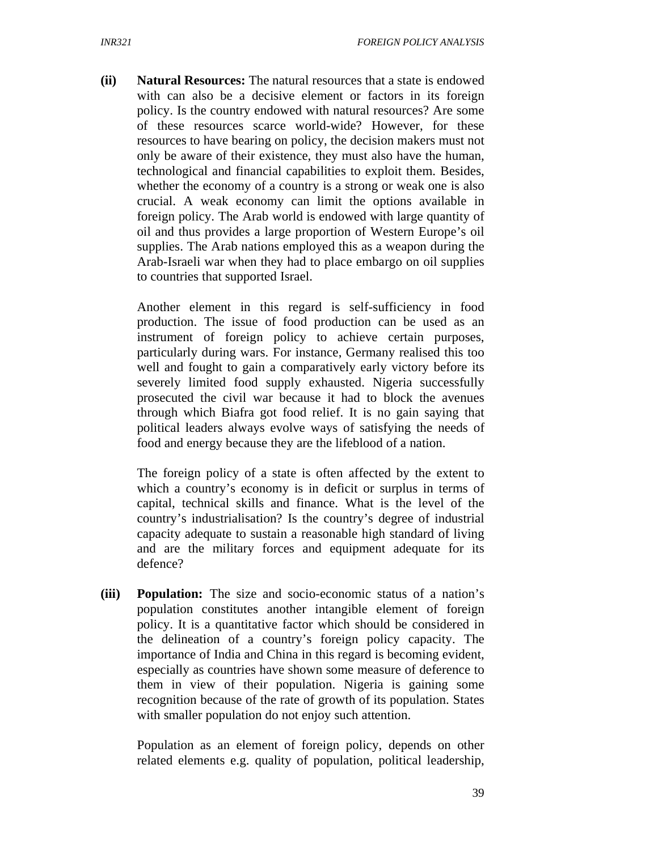- 
- **(ii) Natural Resources:** The natural resources that a state is endowed with can also be a decisive element or factors in its foreign policy. Is the country endowed with natural resources? Are some of these resources scarce world-wide? However, for these resources to have bearing on policy, the decision makers must not only be aware of their existence, they must also have the human, technological and financial capabilities to exploit them. Besides, whether the economy of a country is a strong or weak one is also crucial. A weak economy can limit the options available in foreign policy. The Arab world is endowed with large quantity of oil and thus provides a large proportion of Western Europe's oil supplies. The Arab nations employed this as a weapon during the Arab-Israeli war when they had to place embargo on oil supplies to countries that supported Israel.

 Another element in this regard is self-sufficiency in food production. The issue of food production can be used as an instrument of foreign policy to achieve certain purposes, particularly during wars. For instance, Germany realised this too well and fought to gain a comparatively early victory before its severely limited food supply exhausted. Nigeria successfully prosecuted the civil war because it had to block the avenues through which Biafra got food relief. It is no gain saying that political leaders always evolve ways of satisfying the needs of food and energy because they are the lifeblood of a nation.

 The foreign policy of a state is often affected by the extent to which a country's economy is in deficit or surplus in terms of capital, technical skills and finance. What is the level of the country's industrialisation? Is the country's degree of industrial capacity adequate to sustain a reasonable high standard of living and are the military forces and equipment adequate for its defence?

**(iii) Population:** The size and socio-economic status of a nation's population constitutes another intangible element of foreign policy. It is a quantitative factor which should be considered in the delineation of a country's foreign policy capacity. The importance of India and China in this regard is becoming evident, especially as countries have shown some measure of deference to them in view of their population. Nigeria is gaining some recognition because of the rate of growth of its population. States with smaller population do not enjoy such attention.

 Population as an element of foreign policy, depends on other related elements e.g. quality of population, political leadership,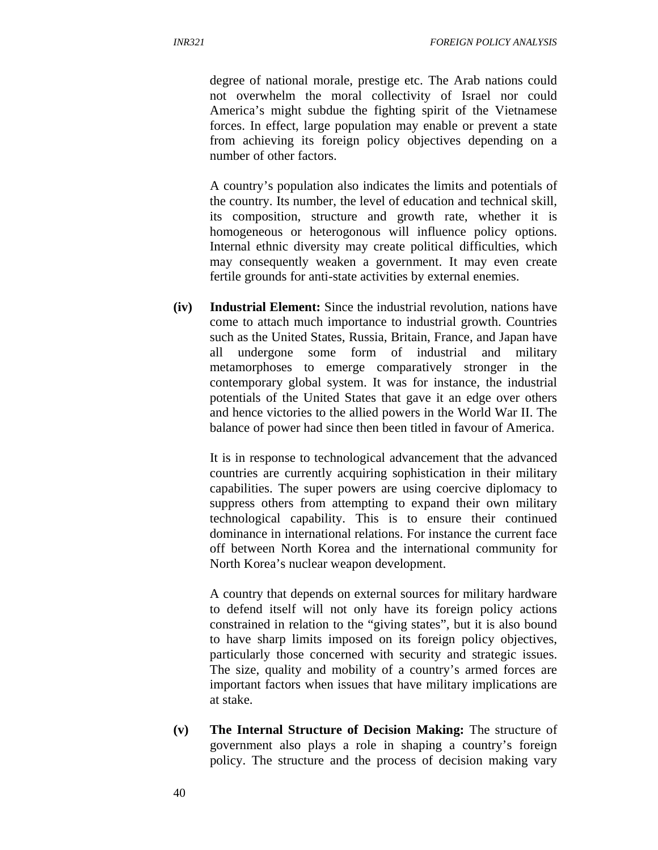degree of national morale, prestige etc. The Arab nations could not overwhelm the moral collectivity of Israel nor could America's might subdue the fighting spirit of the Vietnamese forces. In effect, large population may enable or prevent a state from achieving its foreign policy objectives depending on a number of other factors.

 A country's population also indicates the limits and potentials of the country. Its number, the level of education and technical skill, its composition, structure and growth rate, whether it is homogeneous or heterogonous will influence policy options. Internal ethnic diversity may create political difficulties, which may consequently weaken a government. It may even create fertile grounds for anti-state activities by external enemies.

**(iv) Industrial Element:** Since the industrial revolution, nations have come to attach much importance to industrial growth. Countries such as the United States, Russia, Britain, France, and Japan have all undergone some form of industrial and military metamorphoses to emerge comparatively stronger in the contemporary global system. It was for instance, the industrial potentials of the United States that gave it an edge over others and hence victories to the allied powers in the World War II. The balance of power had since then been titled in favour of America.

 It is in response to technological advancement that the advanced countries are currently acquiring sophistication in their military capabilities. The super powers are using coercive diplomacy to suppress others from attempting to expand their own military technological capability. This is to ensure their continued dominance in international relations. For instance the current face off between North Korea and the international community for North Korea's nuclear weapon development.

 A country that depends on external sources for military hardware to defend itself will not only have its foreign policy actions constrained in relation to the "giving states", but it is also bound to have sharp limits imposed on its foreign policy objectives, particularly those concerned with security and strategic issues. The size, quality and mobility of a country's armed forces are important factors when issues that have military implications are at stake.

**(v) The Internal Structure of Decision Making:** The structure of government also plays a role in shaping a country's foreign policy. The structure and the process of decision making vary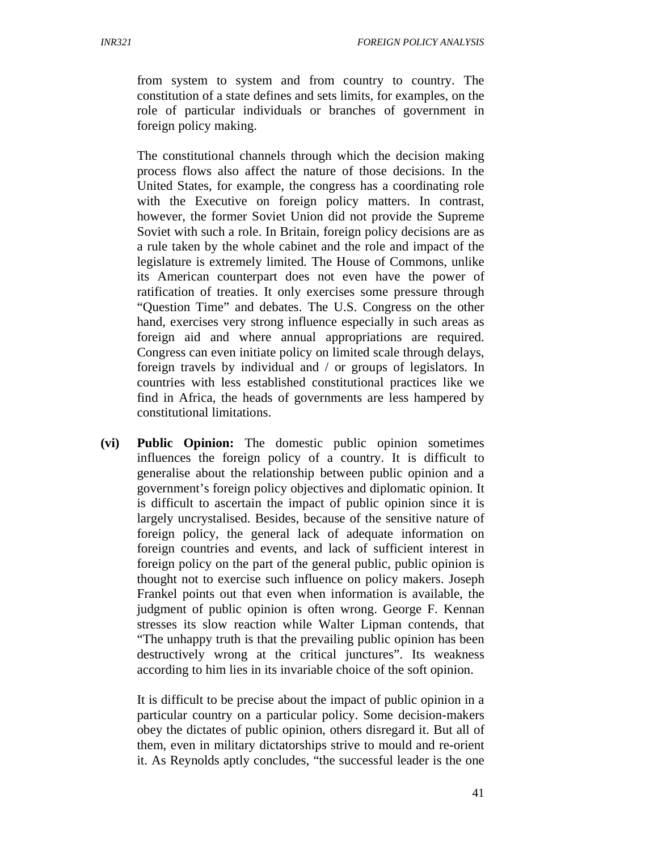*INR321 FOREIGN POLICY ANALYSIS* 

from system to system and from country to country. The constitution of a state defines and sets limits, for examples, on the role of particular individuals or branches of government in foreign policy making.

 The constitutional channels through which the decision making process flows also affect the nature of those decisions. In the United States, for example, the congress has a coordinating role with the Executive on foreign policy matters. In contrast, however, the former Soviet Union did not provide the Supreme Soviet with such a role. In Britain, foreign policy decisions are as a rule taken by the whole cabinet and the role and impact of the legislature is extremely limited. The House of Commons, unlike its American counterpart does not even have the power of ratification of treaties. It only exercises some pressure through "Question Time" and debates. The U.S. Congress on the other hand, exercises very strong influence especially in such areas as foreign aid and where annual appropriations are required. Congress can even initiate policy on limited scale through delays, foreign travels by individual and / or groups of legislators. In countries with less established constitutional practices like we find in Africa, the heads of governments are less hampered by constitutional limitations.

**(vi) Public Opinion:** The domestic public opinion sometimes influences the foreign policy of a country. It is difficult to generalise about the relationship between public opinion and a government's foreign policy objectives and diplomatic opinion. It is difficult to ascertain the impact of public opinion since it is largely uncrystalised. Besides, because of the sensitive nature of foreign policy, the general lack of adequate information on foreign countries and events, and lack of sufficient interest in foreign policy on the part of the general public, public opinion is thought not to exercise such influence on policy makers. Joseph Frankel points out that even when information is available, the judgment of public opinion is often wrong. George F. Kennan stresses its slow reaction while Walter Lipman contends, that "The unhappy truth is that the prevailing public opinion has been destructively wrong at the critical junctures". Its weakness according to him lies in its invariable choice of the soft opinion.

 It is difficult to be precise about the impact of public opinion in a particular country on a particular policy. Some decision-makers obey the dictates of public opinion, others disregard it. But all of them, even in military dictatorships strive to mould and re-orient it. As Reynolds aptly concludes, "the successful leader is the one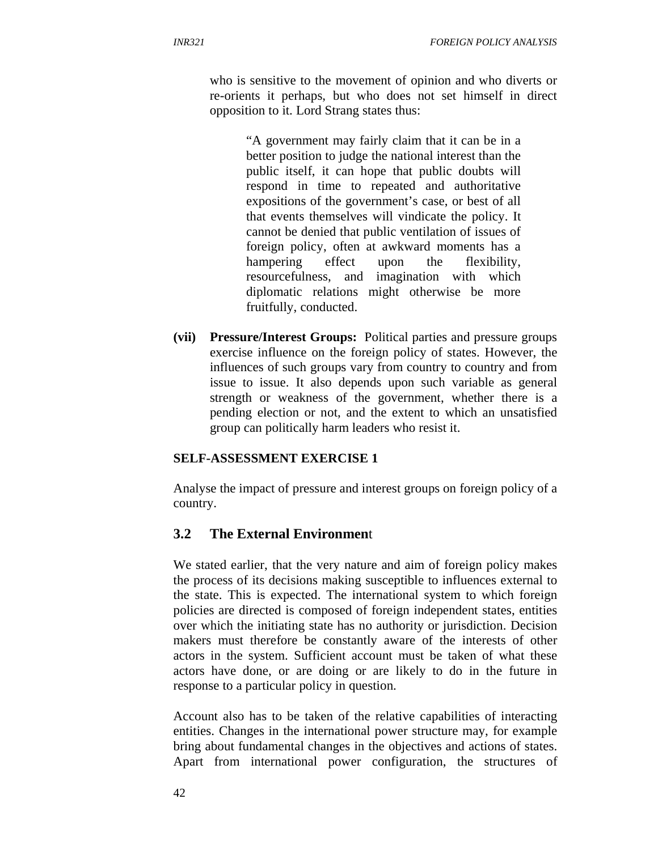who is sensitive to the movement of opinion and who diverts or re-orients it perhaps, but who does not set himself in direct opposition to it. Lord Strang states thus:

> "A government may fairly claim that it can be in a better position to judge the national interest than the public itself, it can hope that public doubts will respond in time to repeated and authoritative expositions of the government's case, or best of all that events themselves will vindicate the policy. It cannot be denied that public ventilation of issues of foreign policy, often at awkward moments has a hampering effect upon the flexibility, resourcefulness, and imagination with which diplomatic relations might otherwise be more fruitfully, conducted.

**(vii) Pressure/Interest Groups:** Political parties and pressure groups exercise influence on the foreign policy of states. However, the influences of such groups vary from country to country and from issue to issue. It also depends upon such variable as general strength or weakness of the government, whether there is a pending election or not, and the extent to which an unsatisfied group can politically harm leaders who resist it.

### **SELF-ASSESSMENT EXERCISE 1**

Analyse the impact of pressure and interest groups on foreign policy of a country.

## **3.2 The External Environmen**t

We stated earlier, that the very nature and aim of foreign policy makes the process of its decisions making susceptible to influences external to the state. This is expected. The international system to which foreign policies are directed is composed of foreign independent states, entities over which the initiating state has no authority or jurisdiction. Decision makers must therefore be constantly aware of the interests of other actors in the system. Sufficient account must be taken of what these actors have done, or are doing or are likely to do in the future in response to a particular policy in question.

Account also has to be taken of the relative capabilities of interacting entities. Changes in the international power structure may, for example bring about fundamental changes in the objectives and actions of states. Apart from international power configuration, the structures of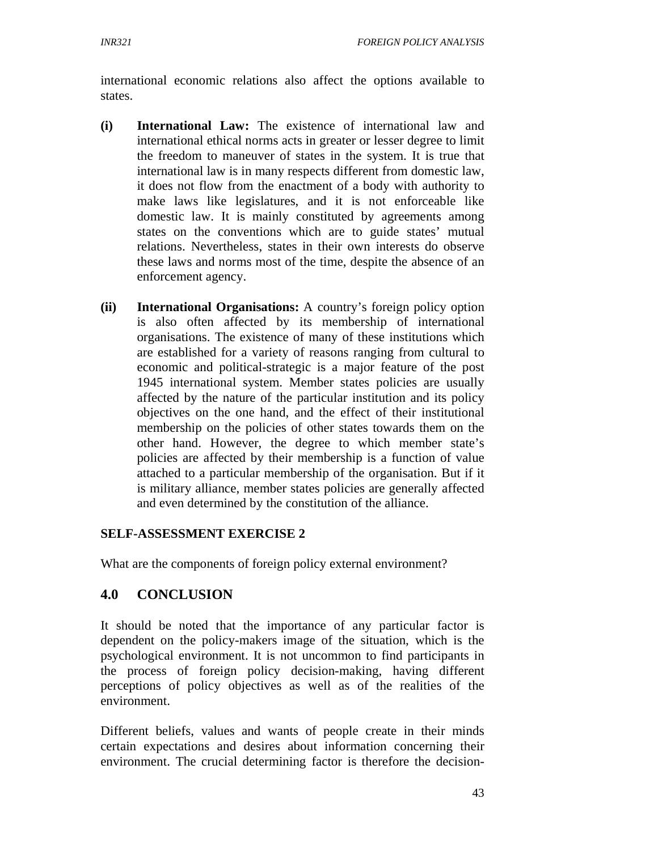international economic relations also affect the options available to states.

- **(i) International Law:** The existence of international law and international ethical norms acts in greater or lesser degree to limit the freedom to maneuver of states in the system. It is true that international law is in many respects different from domestic law, it does not flow from the enactment of a body with authority to make laws like legislatures, and it is not enforceable like domestic law. It is mainly constituted by agreements among states on the conventions which are to guide states' mutual relations. Nevertheless, states in their own interests do observe these laws and norms most of the time, despite the absence of an enforcement agency.
- **(ii) International Organisations:** A country's foreign policy option is also often affected by its membership of international organisations. The existence of many of these institutions which are established for a variety of reasons ranging from cultural to economic and political-strategic is a major feature of the post 1945 international system. Member states policies are usually affected by the nature of the particular institution and its policy objectives on the one hand, and the effect of their institutional membership on the policies of other states towards them on the other hand. However, the degree to which member state's policies are affected by their membership is a function of value attached to a particular membership of the organisation. But if it is military alliance, member states policies are generally affected and even determined by the constitution of the alliance.

## **SELF-ASSESSMENT EXERCISE 2**

What are the components of foreign policy external environment?

## **4.0 CONCLUSION**

It should be noted that the importance of any particular factor is dependent on the policy-makers image of the situation, which is the psychological environment. It is not uncommon to find participants in the process of foreign policy decision-making, having different perceptions of policy objectives as well as of the realities of the environment.

Different beliefs, values and wants of people create in their minds certain expectations and desires about information concerning their environment. The crucial determining factor is therefore the decision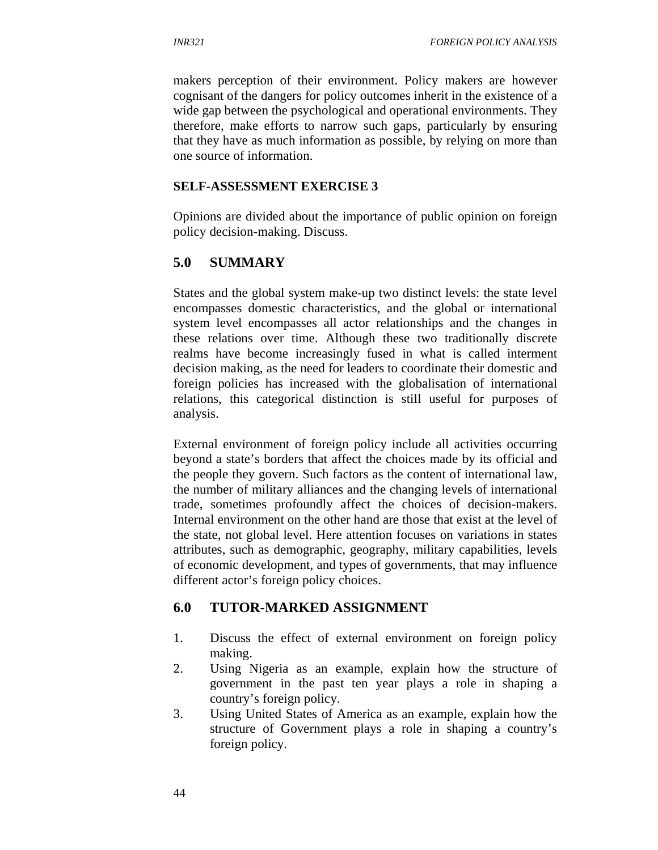makers perception of their environment. Policy makers are however cognisant of the dangers for policy outcomes inherit in the existence of a wide gap between the psychological and operational environments. They therefore, make efforts to narrow such gaps, particularly by ensuring that they have as much information as possible, by relying on more than one source of information.

### **SELF-ASSESSMENT EXERCISE 3**

Opinions are divided about the importance of public opinion on foreign policy decision-making. Discuss.

## **5.0 SUMMARY**

States and the global system make-up two distinct levels: the state level encompasses domestic characteristics, and the global or international system level encompasses all actor relationships and the changes in these relations over time. Although these two traditionally discrete realms have become increasingly fused in what is called interment decision making, as the need for leaders to coordinate their domestic and foreign policies has increased with the globalisation of international relations, this categorical distinction is still useful for purposes of analysis.

External environment of foreign policy include all activities occurring beyond a state's borders that affect the choices made by its official and the people they govern. Such factors as the content of international law, the number of military alliances and the changing levels of international trade, sometimes profoundly affect the choices of decision-makers. Internal environment on the other hand are those that exist at the level of the state, not global level. Here attention focuses on variations in states attributes, such as demographic, geography, military capabilities, levels of economic development, and types of governments, that may influence different actor's foreign policy choices.

### **6.0 TUTOR-MARKED ASSIGNMENT**

- 1. Discuss the effect of external environment on foreign policy making.
- 2. Using Nigeria as an example, explain how the structure of government in the past ten year plays a role in shaping a country's foreign policy.
- 3. Using United States of America as an example, explain how the structure of Government plays a role in shaping a country's foreign policy.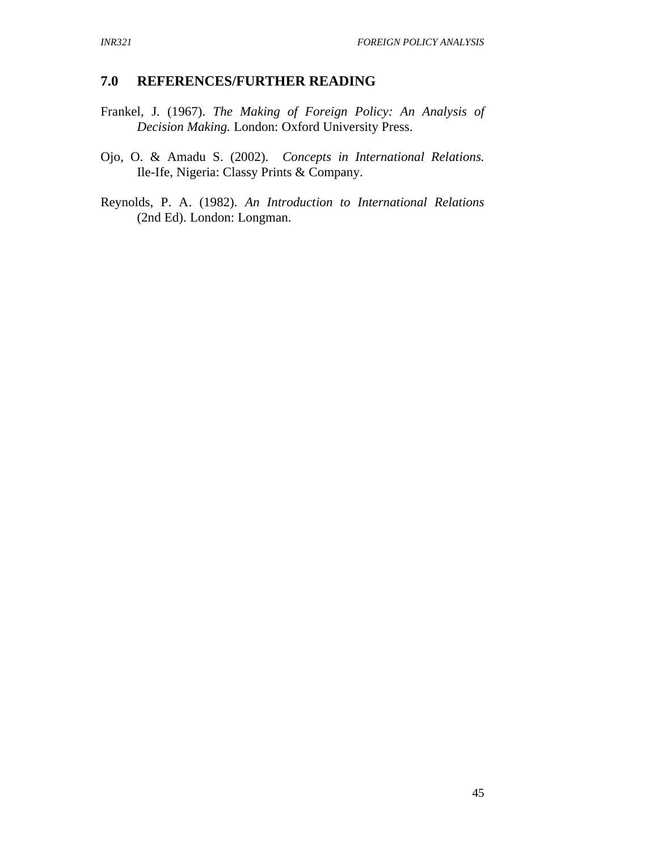### **7.0 REFERENCES/FURTHER READING**

- Frankel, J. (1967). *The Making of Foreign Policy: An Analysis of Decision Making.* London: Oxford University Press.
- Ojo, O. & Amadu S. (2002). *Concepts in International Relations.*  Ile-Ife, Nigeria: Classy Prints & Company.
- Reynolds, P. A. (1982). *An Introduction to International Relations*  (2nd Ed). London: Longman.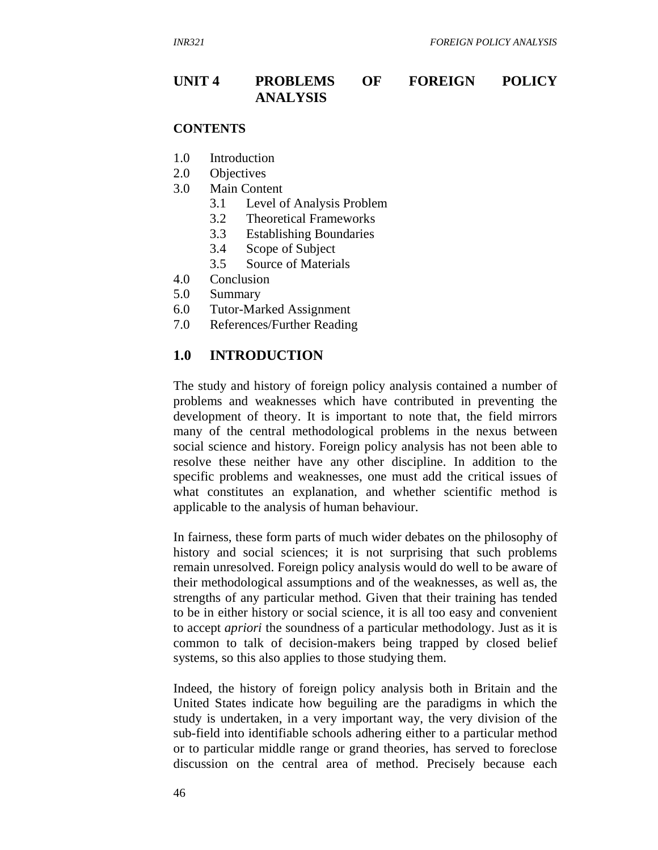### **UNIT 4 PROBLEMS OF FOREIGN POLICY ANALYSIS**

#### **CONTENTS**

- 1.0 Introduction
- 2.0 Objectives
- 3.0 Main Content
	- 3.1 Level of Analysis Problem
	- 3.2 Theoretical Frameworks
	- 3.3 Establishing Boundaries
	- 3.4 Scope of Subject
	- 3.5 Source of Materials
- 4.0 Conclusion
- 5.0 Summary
- 6.0 Tutor-Marked Assignment
- 7.0 References/Further Reading

#### **1.0 INTRODUCTION**

The study and history of foreign policy analysis contained a number of problems and weaknesses which have contributed in preventing the development of theory. It is important to note that, the field mirrors many of the central methodological problems in the nexus between social science and history. Foreign policy analysis has not been able to resolve these neither have any other discipline. In addition to the specific problems and weaknesses, one must add the critical issues of what constitutes an explanation, and whether scientific method is applicable to the analysis of human behaviour.

In fairness, these form parts of much wider debates on the philosophy of history and social sciences; it is not surprising that such problems remain unresolved. Foreign policy analysis would do well to be aware of their methodological assumptions and of the weaknesses, as well as, the strengths of any particular method. Given that their training has tended to be in either history or social science, it is all too easy and convenient to accept *apriori* the soundness of a particular methodology. Just as it is common to talk of decision-makers being trapped by closed belief systems, so this also applies to those studying them.

Indeed, the history of foreign policy analysis both in Britain and the United States indicate how beguiling are the paradigms in which the study is undertaken, in a very important way, the very division of the sub-field into identifiable schools adhering either to a particular method or to particular middle range or grand theories, has served to foreclose discussion on the central area of method. Precisely because each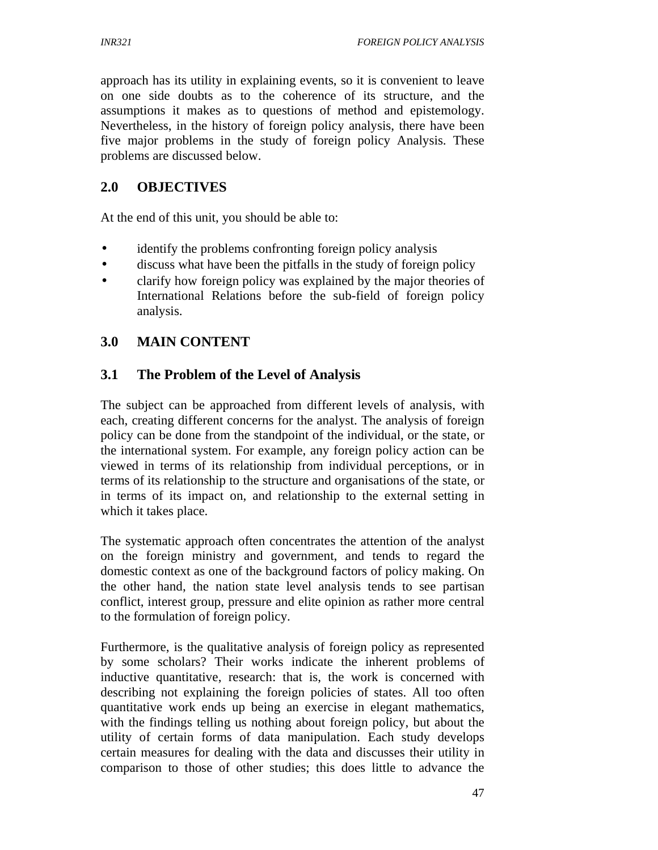approach has its utility in explaining events, so it is convenient to leave on one side doubts as to the coherence of its structure, and the assumptions it makes as to questions of method and epistemology. Nevertheless, in the history of foreign policy analysis, there have been five major problems in the study of foreign policy Analysis. These problems are discussed below.

# **2.0 OBJECTIVES**

At the end of this unit, you should be able to:

- identify the problems confronting foreign policy analysis
- discuss what have been the pitfalls in the study of foreign policy
- clarify how foreign policy was explained by the major theories of International Relations before the sub-field of foreign policy analysis.

# **3.0 MAIN CONTENT**

## **3.1 The Problem of the Level of Analysis**

The subject can be approached from different levels of analysis, with each, creating different concerns for the analyst. The analysis of foreign policy can be done from the standpoint of the individual, or the state, or the international system. For example, any foreign policy action can be viewed in terms of its relationship from individual perceptions, or in terms of its relationship to the structure and organisations of the state, or in terms of its impact on, and relationship to the external setting in which it takes place.

The systematic approach often concentrates the attention of the analyst on the foreign ministry and government, and tends to regard the domestic context as one of the background factors of policy making. On the other hand, the nation state level analysis tends to see partisan conflict, interest group, pressure and elite opinion as rather more central to the formulation of foreign policy.

Furthermore, is the qualitative analysis of foreign policy as represented by some scholars? Their works indicate the inherent problems of inductive quantitative, research: that is, the work is concerned with describing not explaining the foreign policies of states. All too often quantitative work ends up being an exercise in elegant mathematics, with the findings telling us nothing about foreign policy, but about the utility of certain forms of data manipulation. Each study develops certain measures for dealing with the data and discusses their utility in comparison to those of other studies; this does little to advance the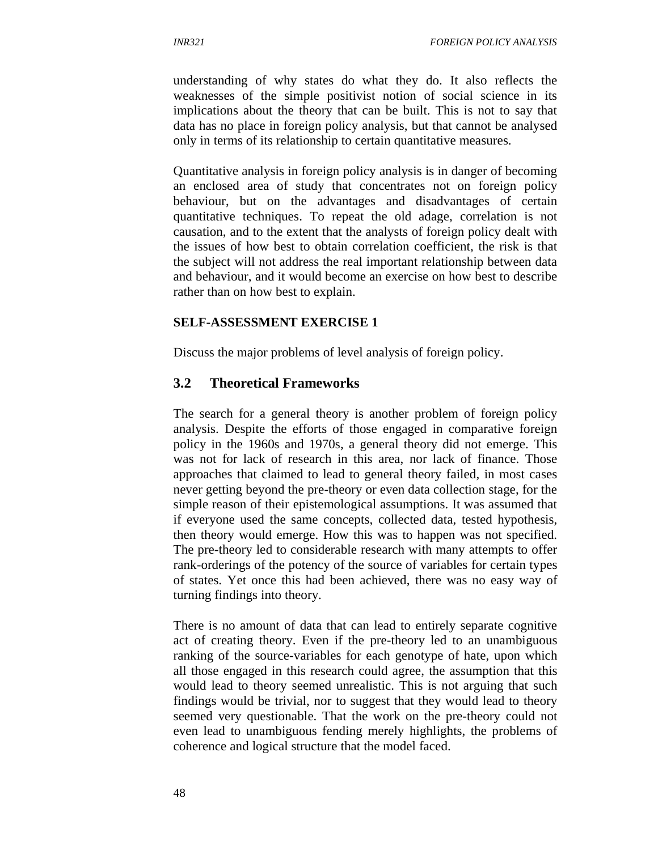understanding of why states do what they do. It also reflects the weaknesses of the simple positivist notion of social science in its implications about the theory that can be built. This is not to say that data has no place in foreign policy analysis, but that cannot be analysed only in terms of its relationship to certain quantitative measures.

Quantitative analysis in foreign policy analysis is in danger of becoming an enclosed area of study that concentrates not on foreign policy behaviour, but on the advantages and disadvantages of certain quantitative techniques. To repeat the old adage, correlation is not causation, and to the extent that the analysts of foreign policy dealt with the issues of how best to obtain correlation coefficient, the risk is that the subject will not address the real important relationship between data and behaviour, and it would become an exercise on how best to describe rather than on how best to explain.

#### **SELF-ASSESSMENT EXERCISE 1**

Discuss the major problems of level analysis of foreign policy.

### **3.2 Theoretical Frameworks**

The search for a general theory is another problem of foreign policy analysis. Despite the efforts of those engaged in comparative foreign policy in the 1960s and 1970s, a general theory did not emerge. This was not for lack of research in this area, nor lack of finance. Those approaches that claimed to lead to general theory failed, in most cases never getting beyond the pre-theory or even data collection stage, for the simple reason of their epistemological assumptions. It was assumed that if everyone used the same concepts, collected data, tested hypothesis, then theory would emerge. How this was to happen was not specified. The pre-theory led to considerable research with many attempts to offer rank-orderings of the potency of the source of variables for certain types of states. Yet once this had been achieved, there was no easy way of turning findings into theory.

There is no amount of data that can lead to entirely separate cognitive act of creating theory. Even if the pre-theory led to an unambiguous ranking of the source-variables for each genotype of hate, upon which all those engaged in this research could agree, the assumption that this would lead to theory seemed unrealistic. This is not arguing that such findings would be trivial, nor to suggest that they would lead to theory seemed very questionable. That the work on the pre-theory could not even lead to unambiguous fending merely highlights, the problems of coherence and logical structure that the model faced.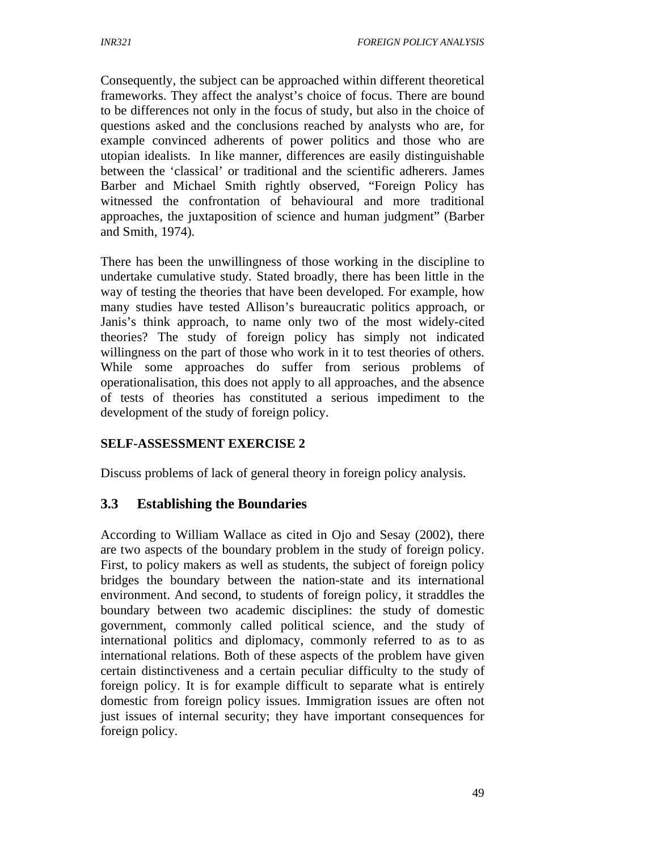Consequently, the subject can be approached within different theoretical frameworks. They affect the analyst's choice of focus. There are bound to be differences not only in the focus of study, but also in the choice of questions asked and the conclusions reached by analysts who are, for example convinced adherents of power politics and those who are utopian idealists. In like manner, differences are easily distinguishable between the 'classical' or traditional and the scientific adherers. James Barber and Michael Smith rightly observed, "Foreign Policy has witnessed the confrontation of behavioural and more traditional approaches, the juxtaposition of science and human judgment" (Barber and Smith, 1974).

There has been the unwillingness of those working in the discipline to undertake cumulative study. Stated broadly, there has been little in the way of testing the theories that have been developed. For example, how many studies have tested Allison's bureaucratic politics approach, or Janis's think approach, to name only two of the most widely-cited theories? The study of foreign policy has simply not indicated willingness on the part of those who work in it to test theories of others. While some approaches do suffer from serious problems of operationalisation, this does not apply to all approaches, and the absence of tests of theories has constituted a serious impediment to the development of the study of foreign policy.

## **SELF-ASSESSMENT EXERCISE 2**

Discuss problems of lack of general theory in foreign policy analysis.

## **3.3 Establishing the Boundaries**

According to William Wallace as cited in Ojo and Sesay (2002), there are two aspects of the boundary problem in the study of foreign policy. First, to policy makers as well as students, the subject of foreign policy bridges the boundary between the nation-state and its international environment. And second, to students of foreign policy, it straddles the boundary between two academic disciplines: the study of domestic government, commonly called political science, and the study of international politics and diplomacy, commonly referred to as to as international relations. Both of these aspects of the problem have given certain distinctiveness and a certain peculiar difficulty to the study of foreign policy. It is for example difficult to separate what is entirely domestic from foreign policy issues. Immigration issues are often not just issues of internal security; they have important consequences for foreign policy.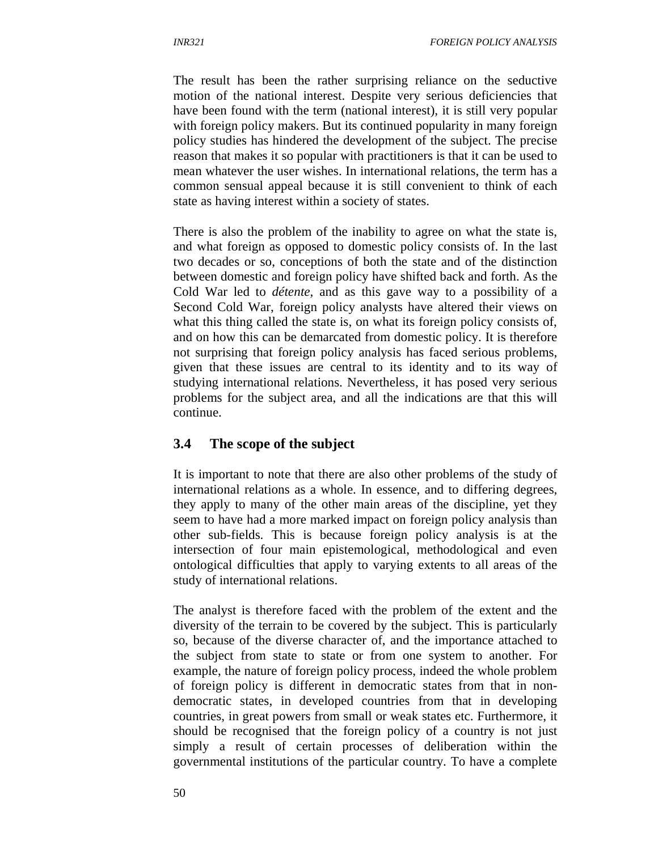The result has been the rather surprising reliance on the seductive motion of the national interest. Despite very serious deficiencies that have been found with the term (national interest), it is still very popular with foreign policy makers. But its continued popularity in many foreign policy studies has hindered the development of the subject. The precise reason that makes it so popular with practitioners is that it can be used to mean whatever the user wishes. In international relations, the term has a common sensual appeal because it is still convenient to think of each state as having interest within a society of states.

There is also the problem of the inability to agree on what the state is, and what foreign as opposed to domestic policy consists of. In the last two decades or so, conceptions of both the state and of the distinction between domestic and foreign policy have shifted back and forth. As the Cold War led to *détente,* and as this gave way to a possibility of a Second Cold War, foreign policy analysts have altered their views on what this thing called the state is, on what its foreign policy consists of, and on how this can be demarcated from domestic policy. It is therefore not surprising that foreign policy analysis has faced serious problems, given that these issues are central to its identity and to its way of studying international relations. Nevertheless, it has posed very serious problems for the subject area, and all the indications are that this will continue.

### **3.4 The scope of the subject**

It is important to note that there are also other problems of the study of international relations as a whole. In essence, and to differing degrees, they apply to many of the other main areas of the discipline, yet they seem to have had a more marked impact on foreign policy analysis than other sub-fields. This is because foreign policy analysis is at the intersection of four main epistemological, methodological and even ontological difficulties that apply to varying extents to all areas of the study of international relations.

The analyst is therefore faced with the problem of the extent and the diversity of the terrain to be covered by the subject. This is particularly so, because of the diverse character of, and the importance attached to the subject from state to state or from one system to another. For example, the nature of foreign policy process, indeed the whole problem of foreign policy is different in democratic states from that in nondemocratic states, in developed countries from that in developing countries, in great powers from small or weak states etc. Furthermore, it should be recognised that the foreign policy of a country is not just simply a result of certain processes of deliberation within the governmental institutions of the particular country. To have a complete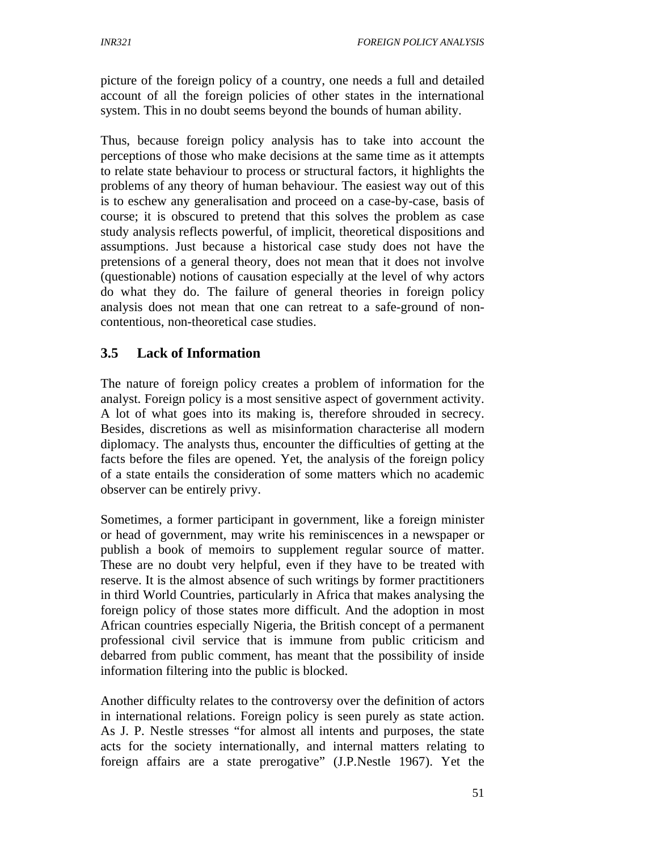picture of the foreign policy of a country, one needs a full and detailed account of all the foreign policies of other states in the international system. This in no doubt seems beyond the bounds of human ability.

Thus, because foreign policy analysis has to take into account the perceptions of those who make decisions at the same time as it attempts to relate state behaviour to process or structural factors, it highlights the problems of any theory of human behaviour. The easiest way out of this is to eschew any generalisation and proceed on a case-by-case, basis of course; it is obscured to pretend that this solves the problem as case study analysis reflects powerful, of implicit, theoretical dispositions and assumptions. Just because a historical case study does not have the pretensions of a general theory, does not mean that it does not involve (questionable) notions of causation especially at the level of why actors do what they do. The failure of general theories in foreign policy analysis does not mean that one can retreat to a safe-ground of noncontentious, non-theoretical case studies.

## **3.5 Lack of Information**

The nature of foreign policy creates a problem of information for the analyst. Foreign policy is a most sensitive aspect of government activity. A lot of what goes into its making is, therefore shrouded in secrecy. Besides, discretions as well as misinformation characterise all modern diplomacy. The analysts thus, encounter the difficulties of getting at the facts before the files are opened. Yet, the analysis of the foreign policy of a state entails the consideration of some matters which no academic observer can be entirely privy.

Sometimes, a former participant in government, like a foreign minister or head of government, may write his reminiscences in a newspaper or publish a book of memoirs to supplement regular source of matter. These are no doubt very helpful, even if they have to be treated with reserve. It is the almost absence of such writings by former practitioners in third World Countries, particularly in Africa that makes analysing the foreign policy of those states more difficult. And the adoption in most African countries especially Nigeria, the British concept of a permanent professional civil service that is immune from public criticism and debarred from public comment, has meant that the possibility of inside information filtering into the public is blocked.

Another difficulty relates to the controversy over the definition of actors in international relations. Foreign policy is seen purely as state action. As J. P. Nestle stresses "for almost all intents and purposes, the state acts for the society internationally, and internal matters relating to foreign affairs are a state prerogative" (J.P.Nestle 1967). Yet the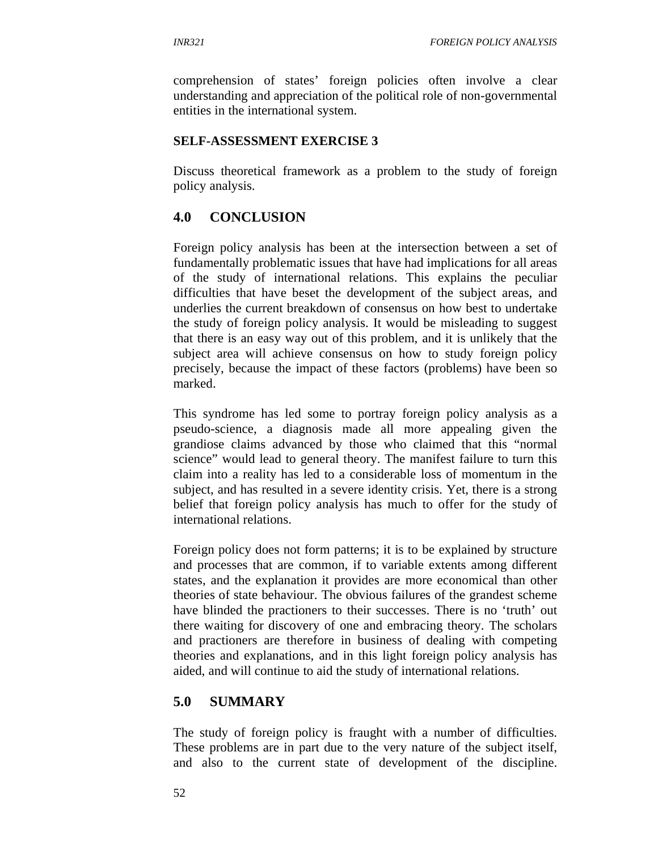comprehension of states' foreign policies often involve a clear understanding and appreciation of the political role of non-governmental entities in the international system.

### **SELF-ASSESSMENT EXERCISE 3**

Discuss theoretical framework as a problem to the study of foreign policy analysis.

# **4.0 CONCLUSION**

Foreign policy analysis has been at the intersection between a set of fundamentally problematic issues that have had implications for all areas of the study of international relations. This explains the peculiar difficulties that have beset the development of the subject areas, and underlies the current breakdown of consensus on how best to undertake the study of foreign policy analysis. It would be misleading to suggest that there is an easy way out of this problem, and it is unlikely that the subject area will achieve consensus on how to study foreign policy precisely, because the impact of these factors (problems) have been so marked.

This syndrome has led some to portray foreign policy analysis as a pseudo-science, a diagnosis made all more appealing given the grandiose claims advanced by those who claimed that this "normal science" would lead to general theory. The manifest failure to turn this claim into a reality has led to a considerable loss of momentum in the subject, and has resulted in a severe identity crisis. Yet, there is a strong belief that foreign policy analysis has much to offer for the study of international relations.

Foreign policy does not form patterns; it is to be explained by structure and processes that are common, if to variable extents among different states, and the explanation it provides are more economical than other theories of state behaviour. The obvious failures of the grandest scheme have blinded the practioners to their successes. There is no 'truth' out there waiting for discovery of one and embracing theory. The scholars and practioners are therefore in business of dealing with competing theories and explanations, and in this light foreign policy analysis has aided, and will continue to aid the study of international relations.

## **5.0 SUMMARY**

The study of foreign policy is fraught with a number of difficulties. These problems are in part due to the very nature of the subject itself, and also to the current state of development of the discipline.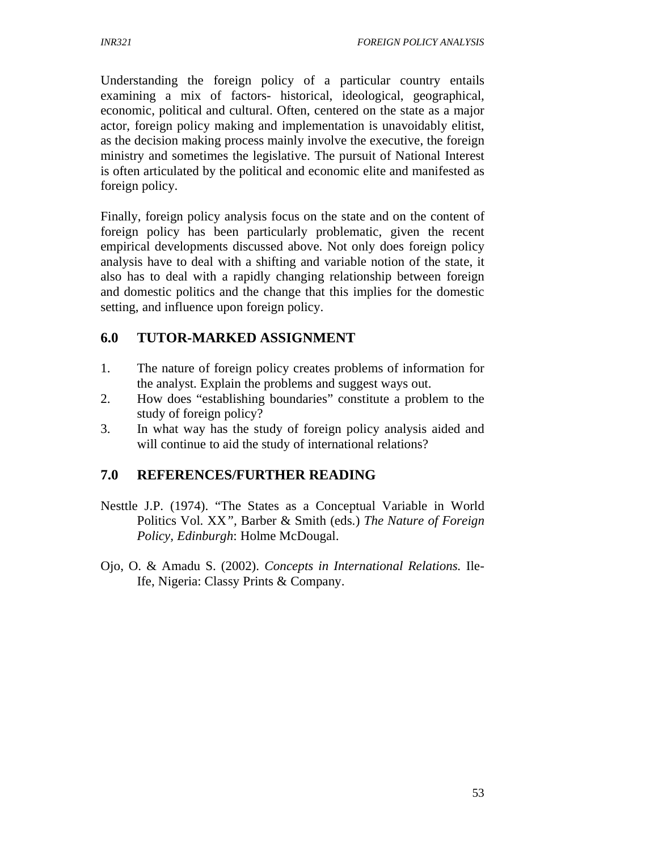Understanding the foreign policy of a particular country entails examining a mix of factors- historical, ideological, geographical, economic, political and cultural. Often, centered on the state as a major actor, foreign policy making and implementation is unavoidably elitist, as the decision making process mainly involve the executive, the foreign ministry and sometimes the legislative. The pursuit of National Interest is often articulated by the political and economic elite and manifested as foreign policy.

Finally, foreign policy analysis focus on the state and on the content of foreign policy has been particularly problematic, given the recent empirical developments discussed above. Not only does foreign policy analysis have to deal with a shifting and variable notion of the state, it also has to deal with a rapidly changing relationship between foreign and domestic politics and the change that this implies for the domestic setting, and influence upon foreign policy.

## **6.0 TUTOR-MARKED ASSIGNMENT**

- 1. The nature of foreign policy creates problems of information for the analyst. Explain the problems and suggest ways out.
- 2. How does "establishing boundaries" constitute a problem to the study of foreign policy?
- 3. In what way has the study of foreign policy analysis aided and will continue to aid the study of international relations?

### **7.0 REFERENCES/FURTHER READING**

- Nesttle J.P. (1974). "The States as a Conceptual Variable in World Politics Vol. XX*",* Barber & Smith (eds.) *The Nature of Foreign Policy, Edinburgh*: Holme McDougal.
- Ojo, O. & Amadu S. (2002). *Concepts in International Relations.* Ile-Ife, Nigeria: Classy Prints & Company.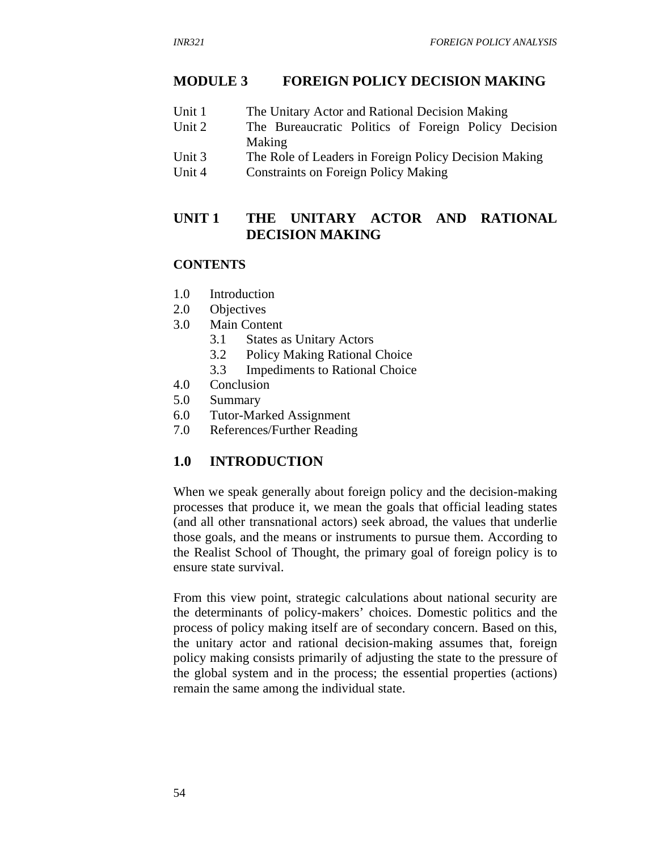### **MODULE 3 FOREIGN POLICY DECISION MAKING**

- Unit 1 The Unitary Actor and Rational Decision Making
- Unit 2 The Bureaucratic Politics of Foreign Policy Decision Making
- Unit 3 The Role of Leaders in Foreign Policy Decision Making
- Unit 4 Constraints on Foreign Policy Making

## **UNIT 1 THE UNITARY ACTOR AND RATIONAL DECISION MAKING**

#### **CONTENTS**

- 1.0 Introduction
- 2.0 Objectives
- 3.0 Main Content
	- 3.1 States as Unitary Actors
	- 3.2 Policy Making Rational Choice
	- 3.3 Impediments to Rational Choice
- 4.0 Conclusion
- 5.0 Summary
- 6.0 Tutor-Marked Assignment
- 7.0 References/Further Reading

## **1.0 INTRODUCTION**

When we speak generally about foreign policy and the decision-making processes that produce it, we mean the goals that official leading states (and all other transnational actors) seek abroad, the values that underlie those goals, and the means or instruments to pursue them. According to the Realist School of Thought, the primary goal of foreign policy is to ensure state survival.

From this view point, strategic calculations about national security are the determinants of policy-makers' choices. Domestic politics and the process of policy making itself are of secondary concern. Based on this, the unitary actor and rational decision-making assumes that, foreign policy making consists primarily of adjusting the state to the pressure of the global system and in the process; the essential properties (actions) remain the same among the individual state.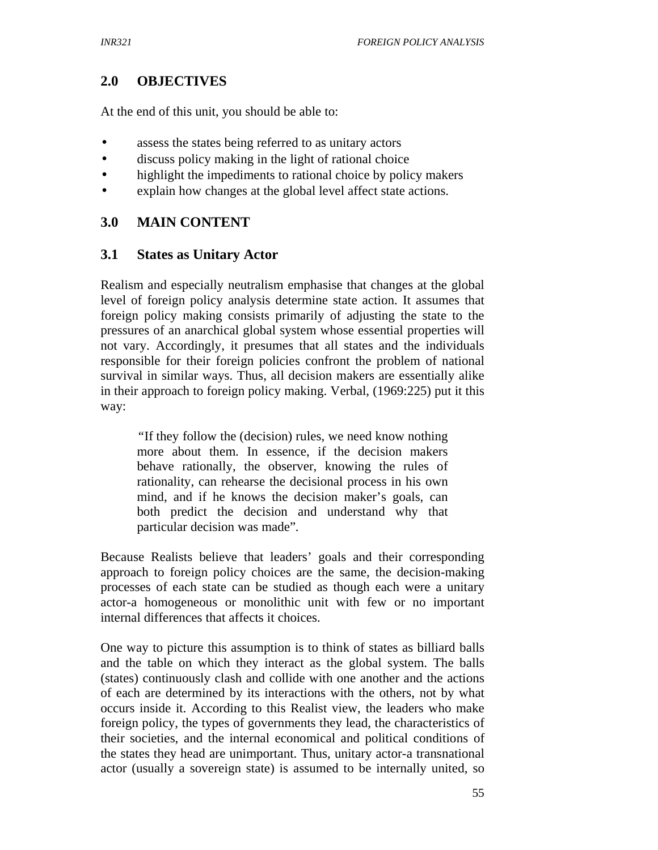# **2.0 OBJECTIVES**

At the end of this unit, you should be able to:

- assess the states being referred to as unitary actors
- discuss policy making in the light of rational choice
- highlight the impediments to rational choice by policy makers
- explain how changes at the global level affect state actions.

# **3.0 MAIN CONTENT**

## **3.1 States as Unitary Actor**

Realism and especially neutralism emphasise that changes at the global level of foreign policy analysis determine state action. It assumes that foreign policy making consists primarily of adjusting the state to the pressures of an anarchical global system whose essential properties will not vary. Accordingly, it presumes that all states and the individuals responsible for their foreign policies confront the problem of national survival in similar ways. Thus, all decision makers are essentially alike in their approach to foreign policy making. Verbal, (1969:225) put it this way:

*"*If they follow the (decision) rules, we need know nothing more about them. In essence, if the decision makers behave rationally, the observer, knowing the rules of rationality, can rehearse the decisional process in his own mind, and if he knows the decision maker's goals, can both predict the decision and understand why that particular decision was made"*.* 

Because Realists believe that leaders' goals and their corresponding approach to foreign policy choices are the same, the decision-making processes of each state can be studied as though each were a unitary actor-a homogeneous or monolithic unit with few or no important internal differences that affects it choices.

One way to picture this assumption is to think of states as billiard balls and the table on which they interact as the global system. The balls (states) continuously clash and collide with one another and the actions of each are determined by its interactions with the others, not by what occurs inside it. According to this Realist view, the leaders who make foreign policy, the types of governments they lead, the characteristics of their societies, and the internal economical and political conditions of the states they head are unimportant. Thus, unitary actor-a transnational actor (usually a sovereign state) is assumed to be internally united, so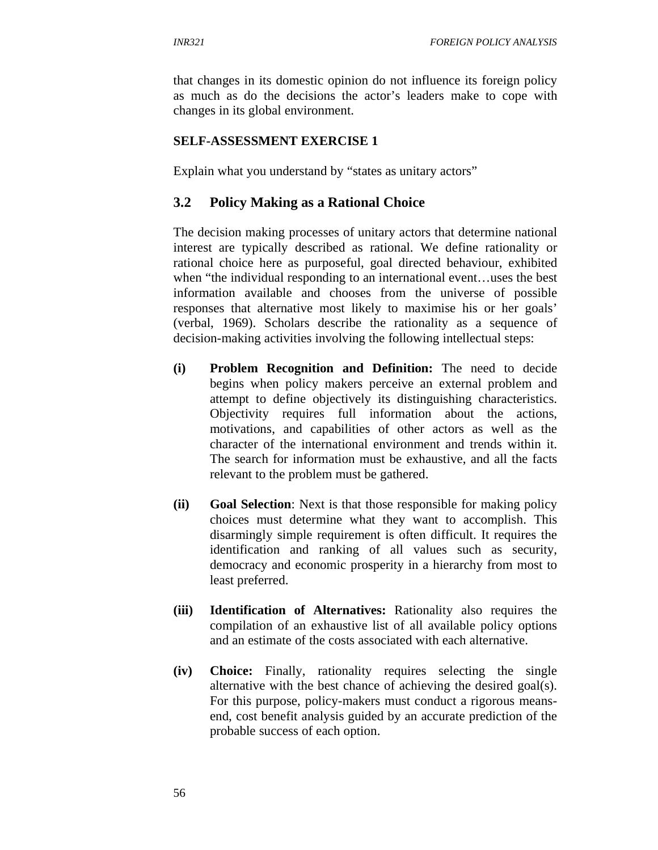that changes in its domestic opinion do not influence its foreign policy as much as do the decisions the actor's leaders make to cope with changes in its global environment.

### **SELF-ASSESSMENT EXERCISE 1**

Explain what you understand by "states as unitary actors"

### **3.2 Policy Making as a Rational Choice**

The decision making processes of unitary actors that determine national interest are typically described as rational. We define rationality or rational choice here as purposeful, goal directed behaviour, exhibited when "the individual responding to an international event…uses the best information available and chooses from the universe of possible responses that alternative most likely to maximise his or her goals' (verbal, 1969). Scholars describe the rationality as a sequence of decision-making activities involving the following intellectual steps:

- **(i) Problem Recognition and Definition:** The need to decide begins when policy makers perceive an external problem and attempt to define objectively its distinguishing characteristics. Objectivity requires full information about the actions, motivations, and capabilities of other actors as well as the character of the international environment and trends within it. The search for information must be exhaustive, and all the facts relevant to the problem must be gathered.
- **(ii) Goal Selection**: Next is that those responsible for making policy choices must determine what they want to accomplish. This disarmingly simple requirement is often difficult. It requires the identification and ranking of all values such as security, democracy and economic prosperity in a hierarchy from most to least preferred.
- **(iii) Identification of Alternatives:** Rationality also requires the compilation of an exhaustive list of all available policy options and an estimate of the costs associated with each alternative.
- **(iv) Choice:** Finally, rationality requires selecting the single alternative with the best chance of achieving the desired goal(s). For this purpose, policy-makers must conduct a rigorous meansend, cost benefit analysis guided by an accurate prediction of the probable success of each option.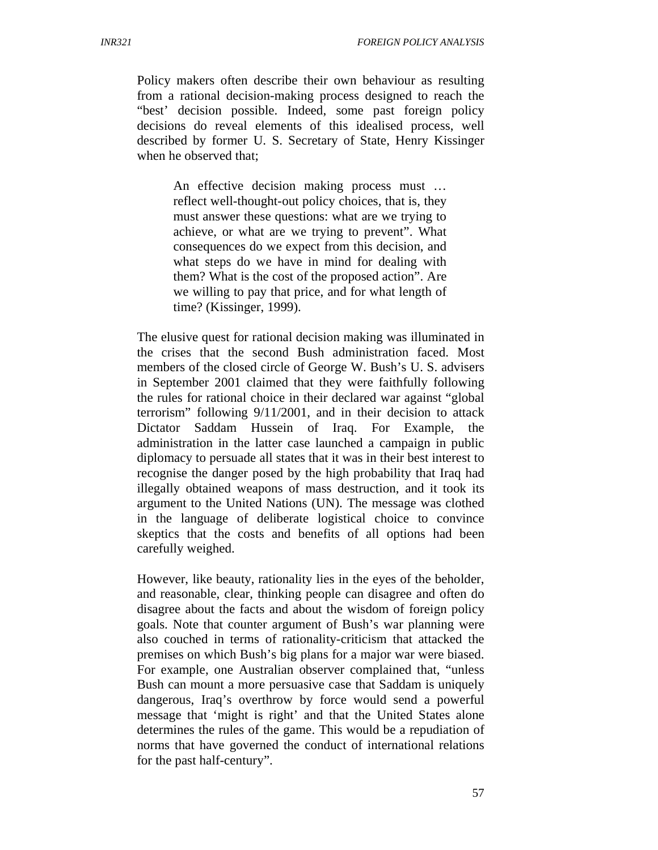Policy makers often describe their own behaviour as resulting from a rational decision-making process designed to reach the "best' decision possible. Indeed, some past foreign policy decisions do reveal elements of this idealised process, well described by former U. S. Secretary of State, Henry Kissinger when he observed that;

> An effective decision making process must … reflect well-thought-out policy choices, that is, they must answer these questions: what are we trying to achieve, or what are we trying to prevent". What consequences do we expect from this decision, and what steps do we have in mind for dealing with them? What is the cost of the proposed action". Are we willing to pay that price, and for what length of time? (Kissinger, 1999).

The elusive quest for rational decision making was illuminated in the crises that the second Bush administration faced. Most members of the closed circle of George W. Bush's U. S. advisers in September 2001 claimed that they were faithfully following the rules for rational choice in their declared war against "global terrorism" following 9/11/2001, and in their decision to attack Dictator Saddam Hussein of Iraq. For Example, the administration in the latter case launched a campaign in public diplomacy to persuade all states that it was in their best interest to recognise the danger posed by the high probability that Iraq had illegally obtained weapons of mass destruction, and it took its argument to the United Nations (UN). The message was clothed in the language of deliberate logistical choice to convince skeptics that the costs and benefits of all options had been carefully weighed.

However, like beauty, rationality lies in the eyes of the beholder, and reasonable, clear, thinking people can disagree and often do disagree about the facts and about the wisdom of foreign policy goals. Note that counter argument of Bush's war planning were also couched in terms of rationality-criticism that attacked the premises on which Bush's big plans for a major war were biased. For example, one Australian observer complained that, "unless Bush can mount a more persuasive case that Saddam is uniquely dangerous, Iraq's overthrow by force would send a powerful message that 'might is right' and that the United States alone determines the rules of the game. This would be a repudiation of norms that have governed the conduct of international relations for the past half-century".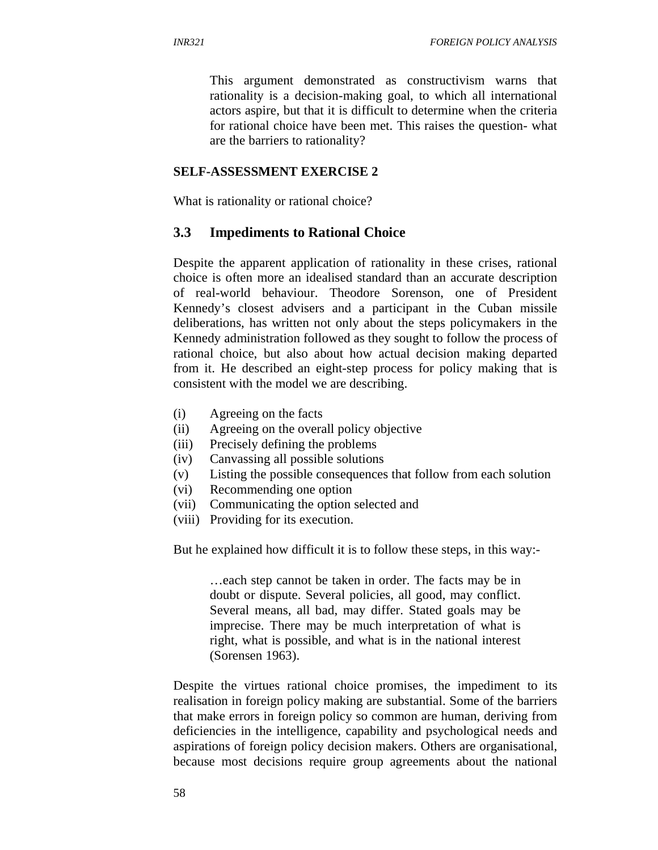This argument demonstrated as constructivism warns that rationality is a decision-making goal, to which all international actors aspire, but that it is difficult to determine when the criteria for rational choice have been met. This raises the question- what are the barriers to rationality?

#### **SELF-ASSESSMENT EXERCISE 2**

What is rationality or rational choice?

#### **3.3 Impediments to Rational Choice**

Despite the apparent application of rationality in these crises, rational choice is often more an idealised standard than an accurate description of real-world behaviour. Theodore Sorenson, one of President Kennedy's closest advisers and a participant in the Cuban missile deliberations, has written not only about the steps policymakers in the Kennedy administration followed as they sought to follow the process of rational choice, but also about how actual decision making departed from it. He described an eight-step process for policy making that is consistent with the model we are describing.

- (i) Agreeing on the facts
- (ii) Agreeing on the overall policy objective
- (iii) Precisely defining the problems
- (iv) Canvassing all possible solutions
- (v) Listing the possible consequences that follow from each solution
- (vi) Recommending one option
- (vii) Communicating the option selected and
- (viii) Providing for its execution.

But he explained how difficult it is to follow these steps, in this way:-

…each step cannot be taken in order. The facts may be in doubt or dispute. Several policies, all good, may conflict. Several means, all bad, may differ. Stated goals may be imprecise. There may be much interpretation of what is right, what is possible, and what is in the national interest (Sorensen 1963).

Despite the virtues rational choice promises, the impediment to its realisation in foreign policy making are substantial. Some of the barriers that make errors in foreign policy so common are human, deriving from deficiencies in the intelligence, capability and psychological needs and aspirations of foreign policy decision makers. Others are organisational, because most decisions require group agreements about the national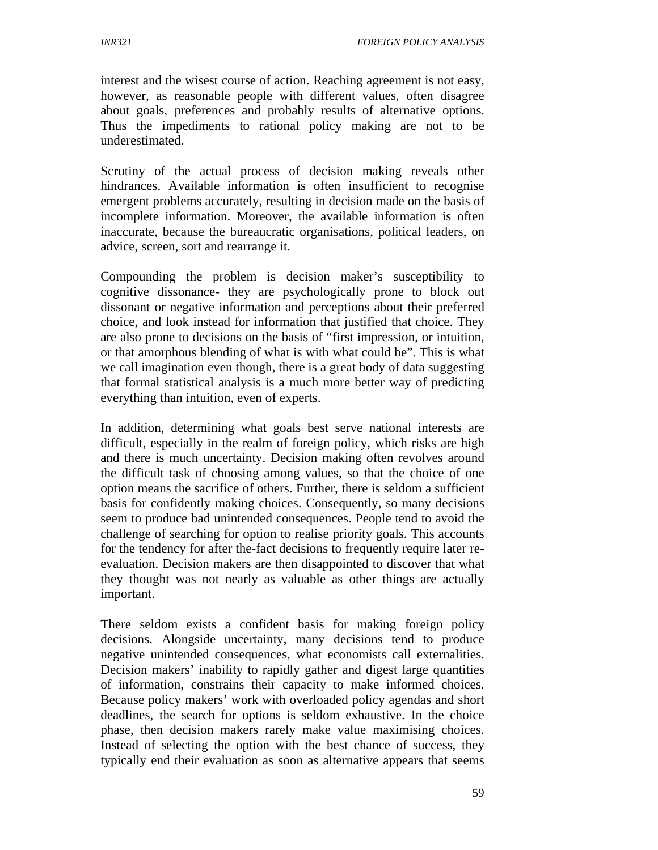interest and the wisest course of action. Reaching agreement is not easy, however, as reasonable people with different values, often disagree about goals, preferences and probably results of alternative options. Thus the impediments to rational policy making are not to be underestimated.

Scrutiny of the actual process of decision making reveals other hindrances. Available information is often insufficient to recognise emergent problems accurately, resulting in decision made on the basis of incomplete information. Moreover, the available information is often inaccurate, because the bureaucratic organisations, political leaders, on advice, screen, sort and rearrange it.

Compounding the problem is decision maker's susceptibility to cognitive dissonance- they are psychologically prone to block out dissonant or negative information and perceptions about their preferred choice, and look instead for information that justified that choice. They are also prone to decisions on the basis of "first impression, or intuition, or that amorphous blending of what is with what could be". This is what we call imagination even though, there is a great body of data suggesting that formal statistical analysis is a much more better way of predicting everything than intuition, even of experts.

In addition, determining what goals best serve national interests are difficult, especially in the realm of foreign policy, which risks are high and there is much uncertainty. Decision making often revolves around the difficult task of choosing among values, so that the choice of one option means the sacrifice of others. Further, there is seldom a sufficient basis for confidently making choices. Consequently, so many decisions seem to produce bad unintended consequences. People tend to avoid the challenge of searching for option to realise priority goals. This accounts for the tendency for after the-fact decisions to frequently require later reevaluation. Decision makers are then disappointed to discover that what they thought was not nearly as valuable as other things are actually important.

There seldom exists a confident basis for making foreign policy decisions. Alongside uncertainty, many decisions tend to produce negative unintended consequences, what economists call externalities. Decision makers' inability to rapidly gather and digest large quantities of information, constrains their capacity to make informed choices. Because policy makers' work with overloaded policy agendas and short deadlines, the search for options is seldom exhaustive. In the choice phase, then decision makers rarely make value maximising choices. Instead of selecting the option with the best chance of success, they typically end their evaluation as soon as alternative appears that seems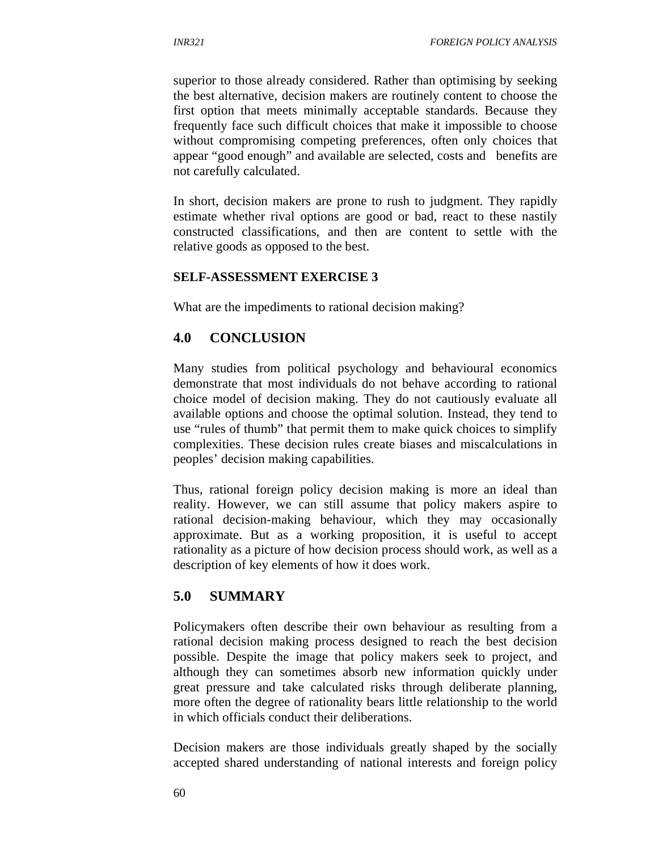superior to those already considered. Rather than optimising by seeking the best alternative, decision makers are routinely content to choose the first option that meets minimally acceptable standards. Because they frequently face such difficult choices that make it impossible to choose without compromising competing preferences, often only choices that appear "good enough" and available are selected, costs and benefits are not carefully calculated.

In short, decision makers are prone to rush to judgment. They rapidly estimate whether rival options are good or bad, react to these nastily constructed classifications, and then are content to settle with the relative goods as opposed to the best.

#### **SELF-ASSESSMENT EXERCISE 3**

What are the impediments to rational decision making?

### **4.0 CONCLUSION**

Many studies from political psychology and behavioural economics demonstrate that most individuals do not behave according to rational choice model of decision making. They do not cautiously evaluate all available options and choose the optimal solution. Instead, they tend to use "rules of thumb" that permit them to make quick choices to simplify complexities. These decision rules create biases and miscalculations in peoples' decision making capabilities.

Thus, rational foreign policy decision making is more an ideal than reality. However, we can still assume that policy makers aspire to rational decision-making behaviour, which they may occasionally approximate. But as a working proposition, it is useful to accept rationality as a picture of how decision process should work, as well as a description of key elements of how it does work.

#### **5.0 SUMMARY**

Policymakers often describe their own behaviour as resulting from a rational decision making process designed to reach the best decision possible. Despite the image that policy makers seek to project, and although they can sometimes absorb new information quickly under great pressure and take calculated risks through deliberate planning, more often the degree of rationality bears little relationship to the world in which officials conduct their deliberations.

Decision makers are those individuals greatly shaped by the socially accepted shared understanding of national interests and foreign policy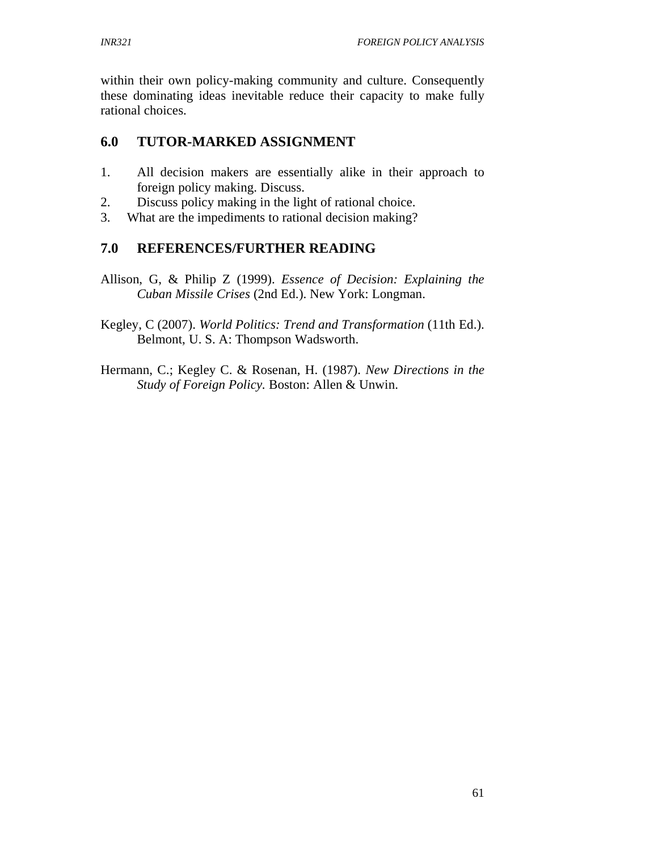within their own policy-making community and culture. Consequently these dominating ideas inevitable reduce their capacity to make fully rational choices.

## **6.0 TUTOR-MARKED ASSIGNMENT**

- 1. All decision makers are essentially alike in their approach to foreign policy making. Discuss.
- 2. Discuss policy making in the light of rational choice.
- 3. What are the impediments to rational decision making?

## **7.0 REFERENCES/FURTHER READING**

- Allison, G, & Philip Z (1999). *Essence of Decision: Explaining the Cuban Missile Crises* (2nd Ed.). New York: Longman.
- Kegley, C (2007). *World Politics: Trend and Transformation* (11th Ed.). Belmont, U. S. A: Thompson Wadsworth.
- Hermann, C.; Kegley C. & Rosenan, H. (1987). *New Directions in the Study of Foreign Policy.* Boston: Allen & Unwin.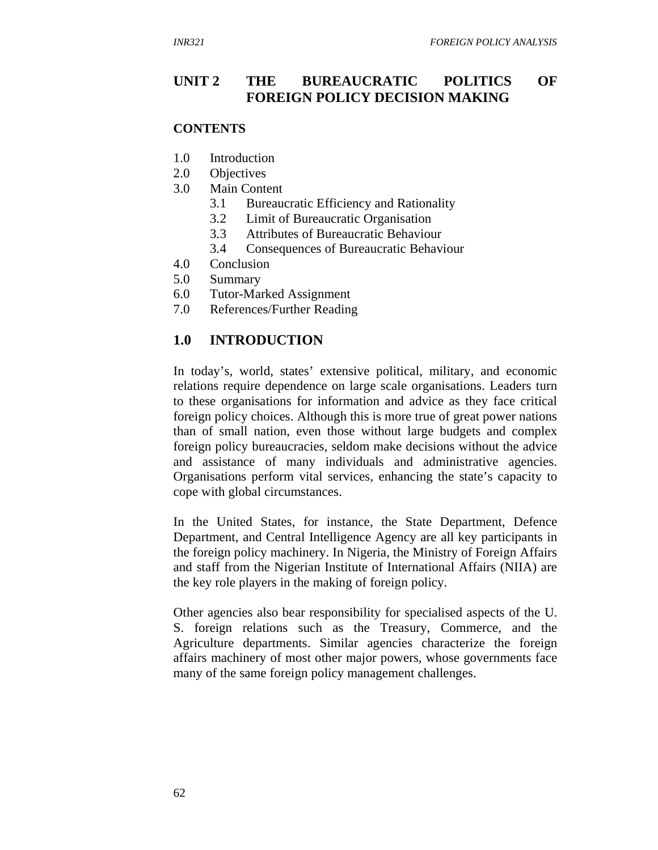## **UNIT 2 THE BUREAUCRATIC POLITICS OF FOREIGN POLICY DECISION MAKING**

#### **CONTENTS**

- 1.0 Introduction
- 2.0 Objectives
- 3.0 Main Content
	- 3.1 Bureaucratic Efficiency and Rationality
	- 3.2 Limit of Bureaucratic Organisation
	- 3.3 Attributes of Bureaucratic Behaviour
	- 3.4 Consequences of Bureaucratic Behaviour
- 4.0 Conclusion
- 5.0 Summary
- 6.0 Tutor-Marked Assignment
- 7.0 References/Further Reading

### **1.0 INTRODUCTION**

In today's, world, states' extensive political, military, and economic relations require dependence on large scale organisations. Leaders turn to these organisations for information and advice as they face critical foreign policy choices. Although this is more true of great power nations than of small nation, even those without large budgets and complex foreign policy bureaucracies, seldom make decisions without the advice and assistance of many individuals and administrative agencies. Organisations perform vital services, enhancing the state's capacity to cope with global circumstances.

In the United States, for instance, the State Department, Defence Department, and Central Intelligence Agency are all key participants in the foreign policy machinery. In Nigeria, the Ministry of Foreign Affairs and staff from the Nigerian Institute of International Affairs (NIIA) are the key role players in the making of foreign policy.

Other agencies also bear responsibility for specialised aspects of the U. S. foreign relations such as the Treasury, Commerce, and the Agriculture departments. Similar agencies characterize the foreign affairs machinery of most other major powers, whose governments face many of the same foreign policy management challenges.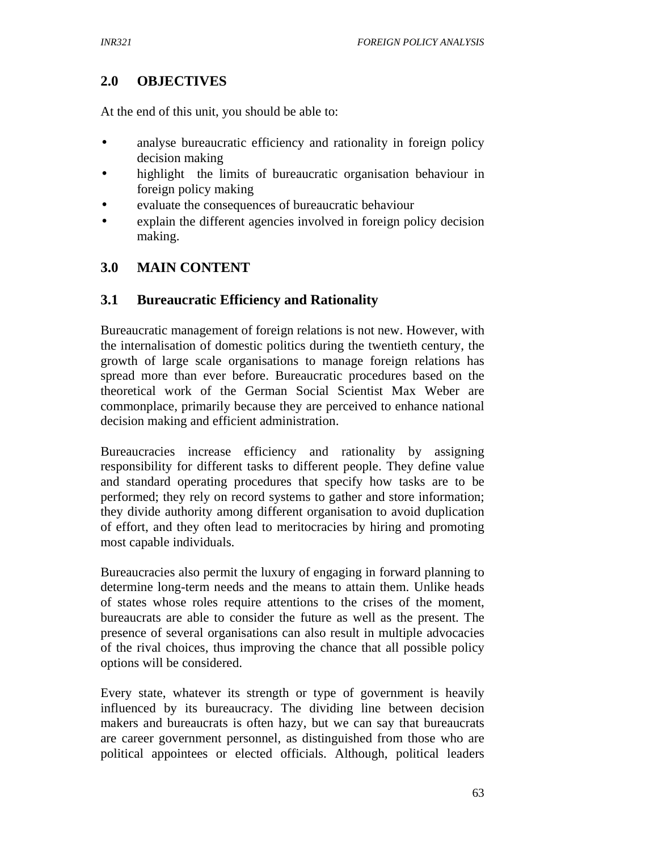# **2.0 OBJECTIVES**

At the end of this unit, you should be able to:

- analyse bureaucratic efficiency and rationality in foreign policy decision making
- highlight the limits of bureaucratic organisation behaviour in foreign policy making
- evaluate the consequences of bureaucratic behaviour
- explain the different agencies involved in foreign policy decision making.

# **3.0 MAIN CONTENT**

# **3.1 Bureaucratic Efficiency and Rationality**

Bureaucratic management of foreign relations is not new. However, with the internalisation of domestic politics during the twentieth century, the growth of large scale organisations to manage foreign relations has spread more than ever before. Bureaucratic procedures based on the theoretical work of the German Social Scientist Max Weber are commonplace, primarily because they are perceived to enhance national decision making and efficient administration.

Bureaucracies increase efficiency and rationality by assigning responsibility for different tasks to different people. They define value and standard operating procedures that specify how tasks are to be performed; they rely on record systems to gather and store information; they divide authority among different organisation to avoid duplication of effort, and they often lead to meritocracies by hiring and promoting most capable individuals.

Bureaucracies also permit the luxury of engaging in forward planning to determine long-term needs and the means to attain them. Unlike heads of states whose roles require attentions to the crises of the moment, bureaucrats are able to consider the future as well as the present. The presence of several organisations can also result in multiple advocacies of the rival choices, thus improving the chance that all possible policy options will be considered.

Every state, whatever its strength or type of government is heavily influenced by its bureaucracy. The dividing line between decision makers and bureaucrats is often hazy, but we can say that bureaucrats are career government personnel, as distinguished from those who are political appointees or elected officials. Although, political leaders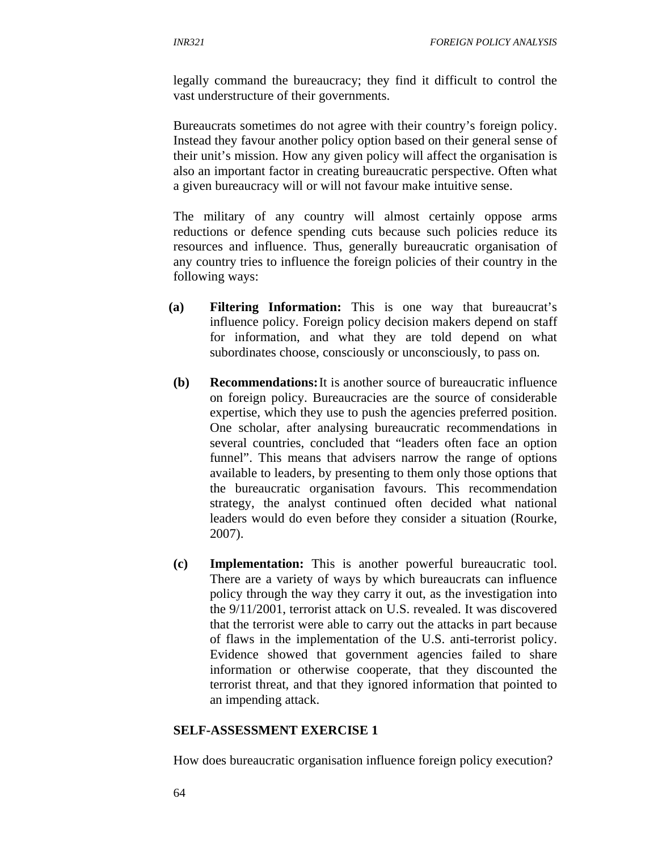legally command the bureaucracy; they find it difficult to control the vast understructure of their governments.

Bureaucrats sometimes do not agree with their country's foreign policy. Instead they favour another policy option based on their general sense of their unit's mission. How any given policy will affect the organisation is also an important factor in creating bureaucratic perspective. Often what a given bureaucracy will or will not favour make intuitive sense.

The military of any country will almost certainly oppose arms reductions or defence spending cuts because such policies reduce its resources and influence. Thus, generally bureaucratic organisation of any country tries to influence the foreign policies of their country in the following ways:

- **(a) Filtering Information:** This is one way that bureaucrat's influence policy. Foreign policy decision makers depend on staff for information, and what they are told depend on what subordinates choose, consciously or unconsciously, to pass on.
- **(b) Recommendations:** It is another source of bureaucratic influence on foreign policy. Bureaucracies are the source of considerable expertise, which they use to push the agencies preferred position. One scholar, after analysing bureaucratic recommendations in several countries, concluded that "leaders often face an option funnel". This means that advisers narrow the range of options available to leaders, by presenting to them only those options that the bureaucratic organisation favours. This recommendation strategy, the analyst continued often decided what national leaders would do even before they consider a situation (Rourke, 2007).
- **(c) Implementation:** This is another powerful bureaucratic tool. There are a variety of ways by which bureaucrats can influence policy through the way they carry it out, as the investigation into the 9/11/2001, terrorist attack on U.S. revealed. It was discovered that the terrorist were able to carry out the attacks in part because of flaws in the implementation of the U.S. anti-terrorist policy. Evidence showed that government agencies failed to share information or otherwise cooperate, that they discounted the terrorist threat, and that they ignored information that pointed to an impending attack.

#### **SELF-ASSESSMENT EXERCISE 1**

How does bureaucratic organisation influence foreign policy execution?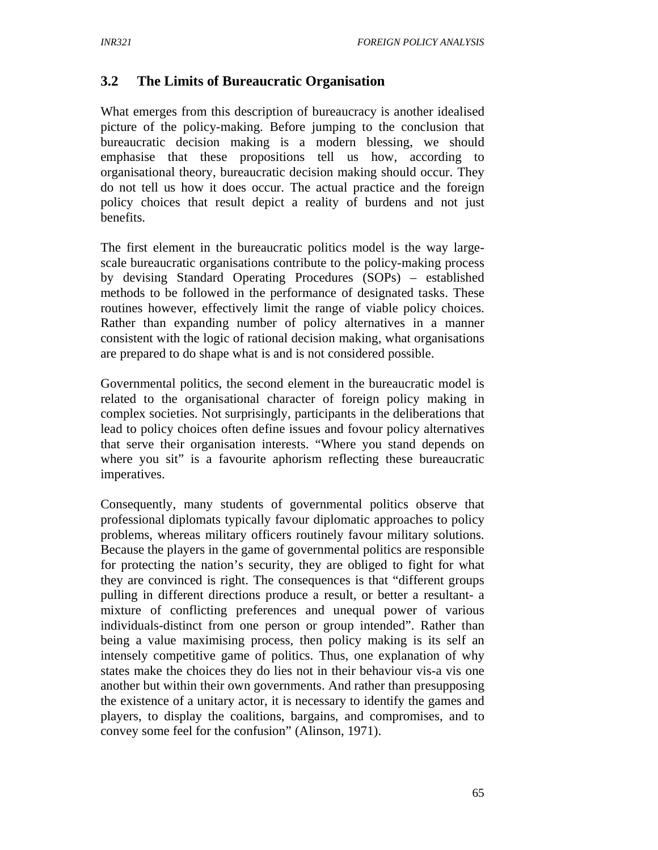### **3.2 The Limits of Bureaucratic Organisation**

What emerges from this description of bureaucracy is another idealised picture of the policy-making. Before jumping to the conclusion that bureaucratic decision making is a modern blessing, we should emphasise that these propositions tell us how, according to organisational theory, bureaucratic decision making should occur. They do not tell us how it does occur. The actual practice and the foreign policy choices that result depict a reality of burdens and not just benefits.

The first element in the bureaucratic politics model is the way largescale bureaucratic organisations contribute to the policy-making process by devising Standard Operating Procedures (SOPs) – established methods to be followed in the performance of designated tasks. These routines however, effectively limit the range of viable policy choices. Rather than expanding number of policy alternatives in a manner consistent with the logic of rational decision making, what organisations are prepared to do shape what is and is not considered possible.

Governmental politics, the second element in the bureaucratic model is related to the organisational character of foreign policy making in complex societies. Not surprisingly, participants in the deliberations that lead to policy choices often define issues and fovour policy alternatives that serve their organisation interests. "Where you stand depends on where you sit" is a favourite aphorism reflecting these bureaucratic imperatives.

Consequently, many students of governmental politics observe that professional diplomats typically favour diplomatic approaches to policy problems, whereas military officers routinely favour military solutions. Because the players in the game of governmental politics are responsible for protecting the nation's security, they are obliged to fight for what they are convinced is right. The consequences is that "different groups pulling in different directions produce a result, or better a resultant- a mixture of conflicting preferences and unequal power of various individuals-distinct from one person or group intended". Rather than being a value maximising process, then policy making is its self an intensely competitive game of politics. Thus, one explanation of why states make the choices they do lies not in their behaviour vis-a vis one another but within their own governments. And rather than presupposing the existence of a unitary actor, it is necessary to identify the games and players, to display the coalitions, bargains, and compromises, and to convey some feel for the confusion" (Alinson, 1971).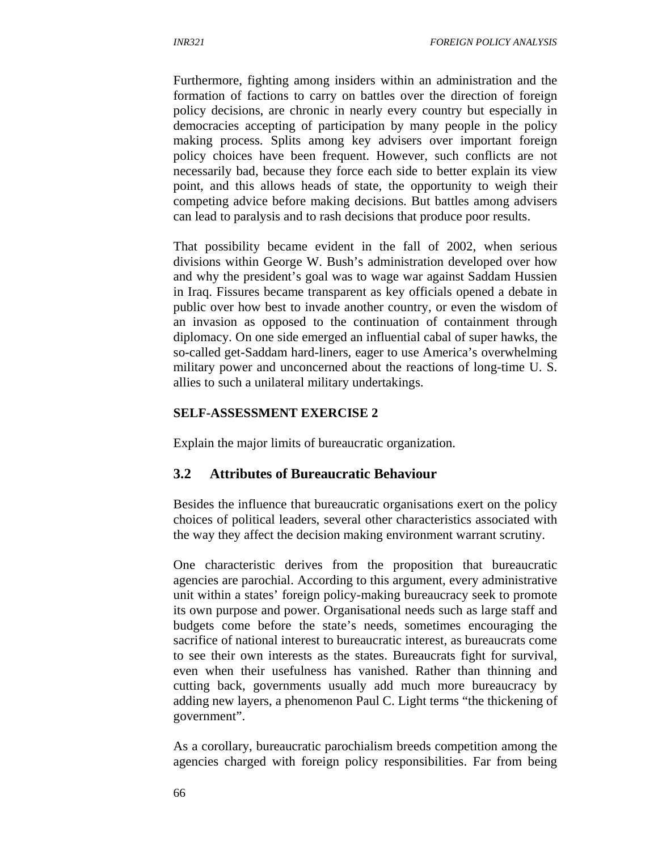Furthermore, fighting among insiders within an administration and the formation of factions to carry on battles over the direction of foreign policy decisions, are chronic in nearly every country but especially in democracies accepting of participation by many people in the policy making process. Splits among key advisers over important foreign policy choices have been frequent. However, such conflicts are not necessarily bad, because they force each side to better explain its view point, and this allows heads of state, the opportunity to weigh their competing advice before making decisions. But battles among advisers can lead to paralysis and to rash decisions that produce poor results.

That possibility became evident in the fall of 2002, when serious divisions within George W. Bush's administration developed over how and why the president's goal was to wage war against Saddam Hussien in Iraq. Fissures became transparent as key officials opened a debate in public over how best to invade another country, or even the wisdom of an invasion as opposed to the continuation of containment through diplomacy. On one side emerged an influential cabal of super hawks, the so-called get-Saddam hard-liners, eager to use America's overwhelming military power and unconcerned about the reactions of long-time U. S. allies to such a unilateral military undertakings.

#### **SELF-ASSESSMENT EXERCISE 2**

Explain the major limits of bureaucratic organization.

#### **3.2 Attributes of Bureaucratic Behaviour**

Besides the influence that bureaucratic organisations exert on the policy choices of political leaders, several other characteristics associated with the way they affect the decision making environment warrant scrutiny.

One characteristic derives from the proposition that bureaucratic agencies are parochial. According to this argument, every administrative unit within a states' foreign policy-making bureaucracy seek to promote its own purpose and power. Organisational needs such as large staff and budgets come before the state's needs, sometimes encouraging the sacrifice of national interest to bureaucratic interest, as bureaucrats come to see their own interests as the states. Bureaucrats fight for survival, even when their usefulness has vanished. Rather than thinning and cutting back, governments usually add much more bureaucracy by adding new layers, a phenomenon Paul C. Light terms "the thickening of government".

As a corollary, bureaucratic parochialism breeds competition among the agencies charged with foreign policy responsibilities. Far from being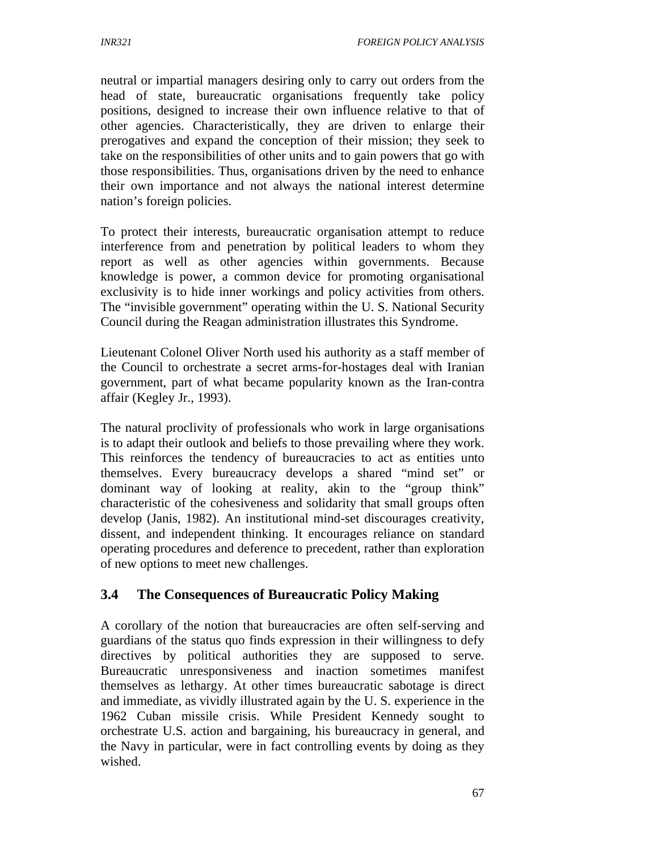neutral or impartial managers desiring only to carry out orders from the head of state, bureaucratic organisations frequently take policy positions, designed to increase their own influence relative to that of other agencies. Characteristically, they are driven to enlarge their prerogatives and expand the conception of their mission; they seek to take on the responsibilities of other units and to gain powers that go with those responsibilities. Thus, organisations driven by the need to enhance their own importance and not always the national interest determine nation's foreign policies.

To protect their interests, bureaucratic organisation attempt to reduce interference from and penetration by political leaders to whom they report as well as other agencies within governments. Because knowledge is power, a common device for promoting organisational exclusivity is to hide inner workings and policy activities from others. The "invisible government" operating within the U. S. National Security Council during the Reagan administration illustrates this Syndrome.

Lieutenant Colonel Oliver North used his authority as a staff member of the Council to orchestrate a secret arms-for-hostages deal with Iranian government, part of what became popularity known as the Iran-contra affair (Kegley Jr., 1993).

The natural proclivity of professionals who work in large organisations is to adapt their outlook and beliefs to those prevailing where they work. This reinforces the tendency of bureaucracies to act as entities unto themselves. Every bureaucracy develops a shared "mind set" or dominant way of looking at reality, akin to the "group think" characteristic of the cohesiveness and solidarity that small groups often develop (Janis, 1982). An institutional mind-set discourages creativity, dissent, and independent thinking. It encourages reliance on standard operating procedures and deference to precedent, rather than exploration of new options to meet new challenges.

## **3.4 The Consequences of Bureaucratic Policy Making**

A corollary of the notion that bureaucracies are often self-serving and guardians of the status quo finds expression in their willingness to defy directives by political authorities they are supposed to serve. Bureaucratic unresponsiveness and inaction sometimes manifest themselves as lethargy. At other times bureaucratic sabotage is direct and immediate, as vividly illustrated again by the U. S. experience in the 1962 Cuban missile crisis. While President Kennedy sought to orchestrate U.S. action and bargaining, his bureaucracy in general, and the Navy in particular, were in fact controlling events by doing as they wished.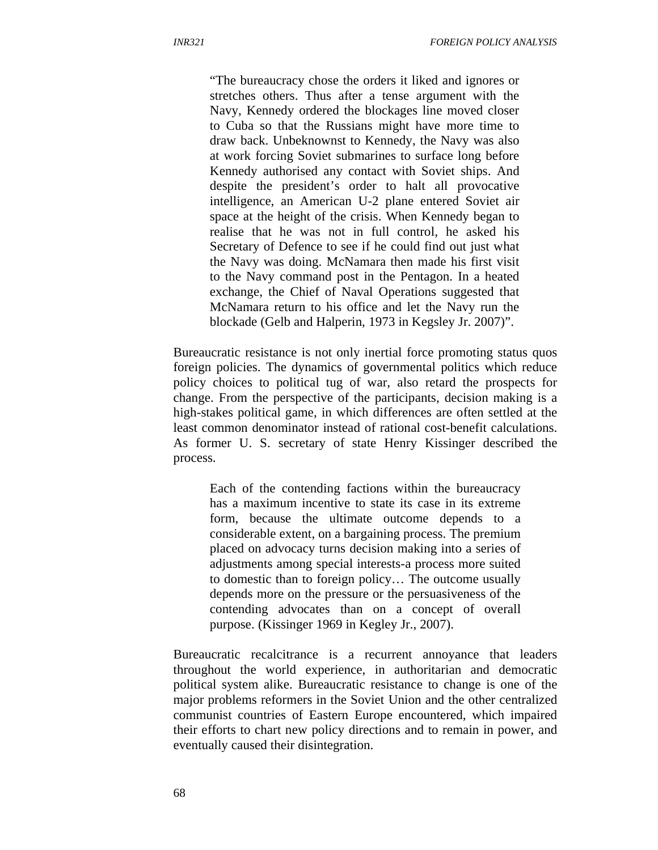"The bureaucracy chose the orders it liked and ignores or stretches others. Thus after a tense argument with the Navy, Kennedy ordered the blockages line moved closer to Cuba so that the Russians might have more time to draw back. Unbeknownst to Kennedy, the Navy was also at work forcing Soviet submarines to surface long before Kennedy authorised any contact with Soviet ships. And despite the president's order to halt all provocative intelligence, an American U-2 plane entered Soviet air space at the height of the crisis. When Kennedy began to realise that he was not in full control, he asked his Secretary of Defence to see if he could find out just what the Navy was doing. McNamara then made his first visit to the Navy command post in the Pentagon. In a heated exchange, the Chief of Naval Operations suggested that McNamara return to his office and let the Navy run the blockade (Gelb and Halperin, 1973 in Kegsley Jr. 2007)".

Bureaucratic resistance is not only inertial force promoting status quos foreign policies. The dynamics of governmental politics which reduce policy choices to political tug of war, also retard the prospects for change. From the perspective of the participants, decision making is a high-stakes political game, in which differences are often settled at the least common denominator instead of rational cost-benefit calculations. As former U. S. secretary of state Henry Kissinger described the process.

 Each of the contending factions within the bureaucracy has a maximum incentive to state its case in its extreme form, because the ultimate outcome depends to a considerable extent, on a bargaining process. The premium placed on advocacy turns decision making into a series of adjustments among special interests-a process more suited to domestic than to foreign policy… The outcome usually depends more on the pressure or the persuasiveness of the contending advocates than on a concept of overall purpose. (Kissinger 1969 in Kegley Jr., 2007).

Bureaucratic recalcitrance is a recurrent annoyance that leaders throughout the world experience, in authoritarian and democratic political system alike. Bureaucratic resistance to change is one of the major problems reformers in the Soviet Union and the other centralized communist countries of Eastern Europe encountered, which impaired their efforts to chart new policy directions and to remain in power, and eventually caused their disintegration.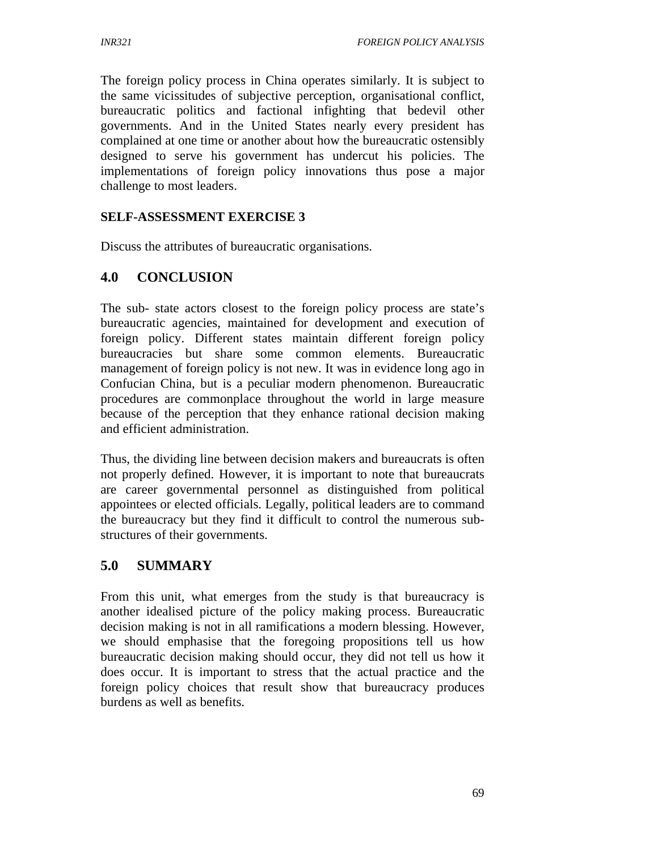The foreign policy process in China operates similarly. It is subject to the same vicissitudes of subjective perception, organisational conflict, bureaucratic politics and factional infighting that bedevil other governments. And in the United States nearly every president has complained at one time or another about how the bureaucratic ostensibly designed to serve his government has undercut his policies. The implementations of foreign policy innovations thus pose a major challenge to most leaders.

#### **SELF-ASSESSMENT EXERCISE 3**

Discuss the attributes of bureaucratic organisations.

### **4.0 CONCLUSION**

The sub- state actors closest to the foreign policy process are state's bureaucratic agencies, maintained for development and execution of foreign policy. Different states maintain different foreign policy bureaucracies but share some common elements. Bureaucratic management of foreign policy is not new. It was in evidence long ago in Confucian China, but is a peculiar modern phenomenon. Bureaucratic procedures are commonplace throughout the world in large measure because of the perception that they enhance rational decision making and efficient administration.

Thus, the dividing line between decision makers and bureaucrats is often not properly defined. However, it is important to note that bureaucrats are career governmental personnel as distinguished from political appointees or elected officials. Legally, political leaders are to command the bureaucracy but they find it difficult to control the numerous substructures of their governments.

## **5.0 SUMMARY**

From this unit, what emerges from the study is that bureaucracy is another idealised picture of the policy making process. Bureaucratic decision making is not in all ramifications a modern blessing. However, we should emphasise that the foregoing propositions tell us how bureaucratic decision making should occur, they did not tell us how it does occur. It is important to stress that the actual practice and the foreign policy choices that result show that bureaucracy produces burdens as well as benefits.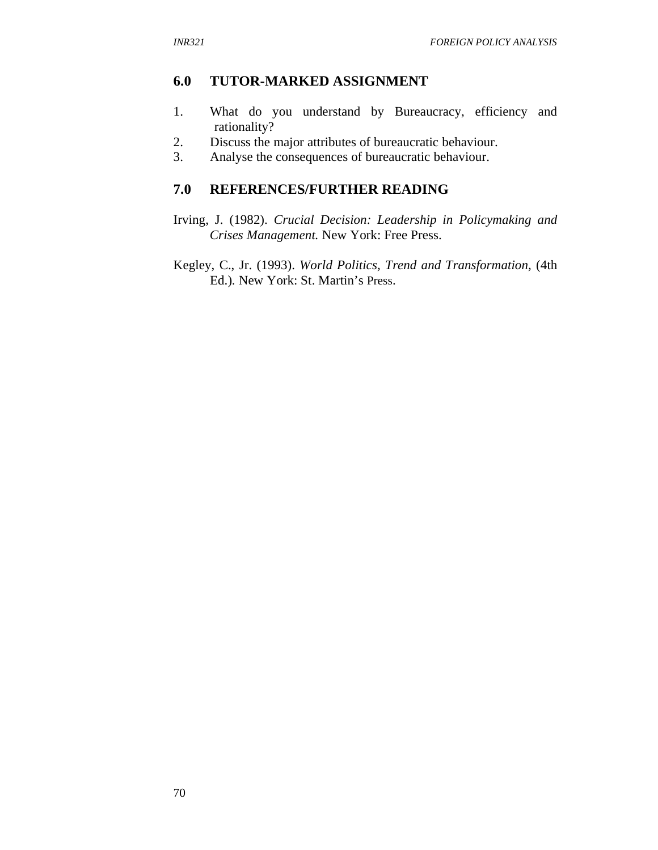#### **6.0 TUTOR-MARKED ASSIGNMENT**

- 1. What do you understand by Bureaucracy, efficiency and rationality?
- 2. Discuss the major attributes of bureaucratic behaviour.
- 3. Analyse the consequences of bureaucratic behaviour.

#### **7.0 REFERENCES/FURTHER READING**

- Irving, J. (1982). *Crucial Decision: Leadership in Policymaking and Crises Management.* New York: Free Press.
- Kegley, C., Jr. (1993). *World Politics, Trend and Transformation,* (4th Ed.)*.* New York: St. Martin's Press.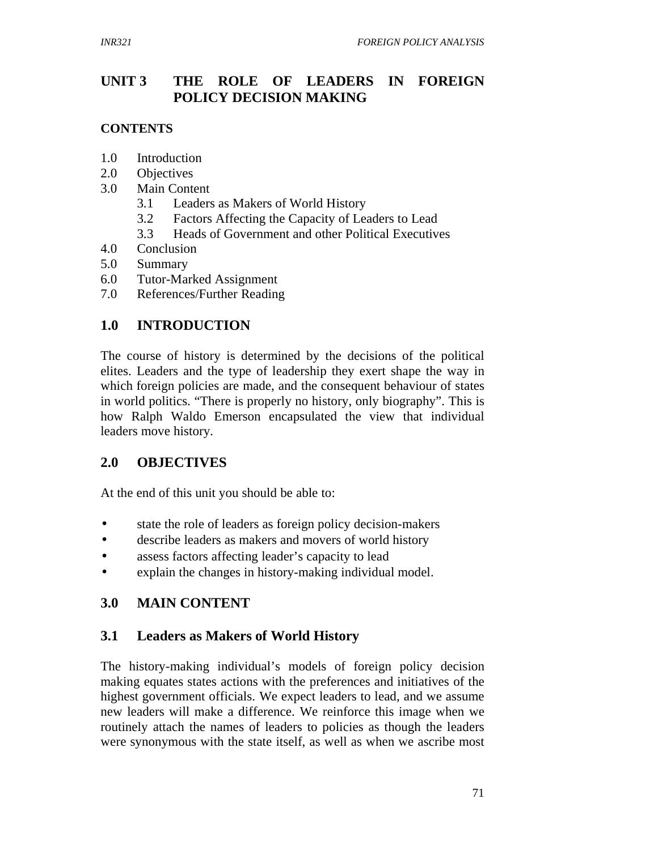## **UNIT 3 THE ROLE OF LEADERS IN FOREIGN POLICY DECISION MAKING**

#### **CONTENTS**

- 1.0 Introduction
- 2.0 Objectives
- 3.0 Main Content
	- 3.1 Leaders as Makers of World History
	- 3.2 Factors Affecting the Capacity of Leaders to Lead
	- 3.3 Heads of Government and other Political Executives
- 4.0 Conclusion
- 5.0 Summary
- 6.0 Tutor-Marked Assignment
- 7.0 References/Further Reading

## **1.0 INTRODUCTION**

The course of history is determined by the decisions of the political elites. Leaders and the type of leadership they exert shape the way in which foreign policies are made, and the consequent behaviour of states in world politics. "There is properly no history, only biography". This is how Ralph Waldo Emerson encapsulated the view that individual leaders move history.

## **2.0 OBJECTIVES**

At the end of this unit you should be able to:

- state the role of leaders as foreign policy decision-makers
- describe leaders as makers and movers of world history
- assess factors affecting leader's capacity to lead
- explain the changes in history-making individual model.

# **3.0 MAIN CONTENT**

## **3.1 Leaders as Makers of World History**

The history-making individual's models of foreign policy decision making equates states actions with the preferences and initiatives of the highest government officials. We expect leaders to lead, and we assume new leaders will make a difference. We reinforce this image when we routinely attach the names of leaders to policies as though the leaders were synonymous with the state itself, as well as when we ascribe most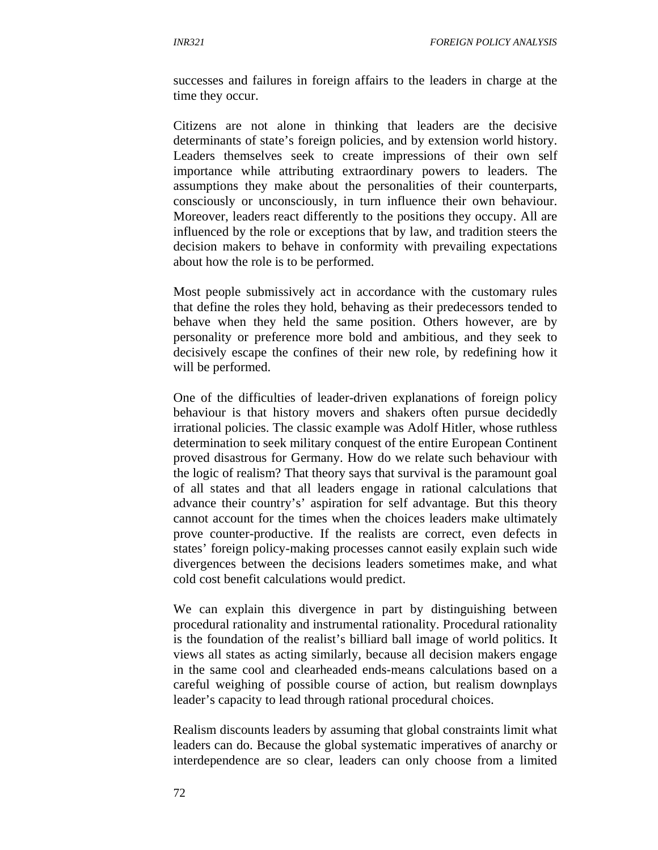successes and failures in foreign affairs to the leaders in charge at the time they occur.

Citizens are not alone in thinking that leaders are the decisive determinants of state's foreign policies, and by extension world history. Leaders themselves seek to create impressions of their own self importance while attributing extraordinary powers to leaders. The assumptions they make about the personalities of their counterparts, consciously or unconsciously, in turn influence their own behaviour. Moreover, leaders react differently to the positions they occupy. All are influenced by the role or exceptions that by law, and tradition steers the decision makers to behave in conformity with prevailing expectations about how the role is to be performed.

Most people submissively act in accordance with the customary rules that define the roles they hold, behaving as their predecessors tended to behave when they held the same position. Others however, are by personality or preference more bold and ambitious, and they seek to decisively escape the confines of their new role, by redefining how it will be performed.

One of the difficulties of leader-driven explanations of foreign policy behaviour is that history movers and shakers often pursue decidedly irrational policies. The classic example was Adolf Hitler, whose ruthless determination to seek military conquest of the entire European Continent proved disastrous for Germany. How do we relate such behaviour with the logic of realism? That theory says that survival is the paramount goal of all states and that all leaders engage in rational calculations that advance their country's' aspiration for self advantage. But this theory cannot account for the times when the choices leaders make ultimately prove counter-productive. If the realists are correct, even defects in states' foreign policy-making processes cannot easily explain such wide divergences between the decisions leaders sometimes make, and what cold cost benefit calculations would predict.

We can explain this divergence in part by distinguishing between procedural rationality and instrumental rationality. Procedural rationality is the foundation of the realist's billiard ball image of world politics. It views all states as acting similarly, because all decision makers engage in the same cool and clearheaded ends-means calculations based on a careful weighing of possible course of action, but realism downplays leader's capacity to lead through rational procedural choices.

Realism discounts leaders by assuming that global constraints limit what leaders can do. Because the global systematic imperatives of anarchy or interdependence are so clear, leaders can only choose from a limited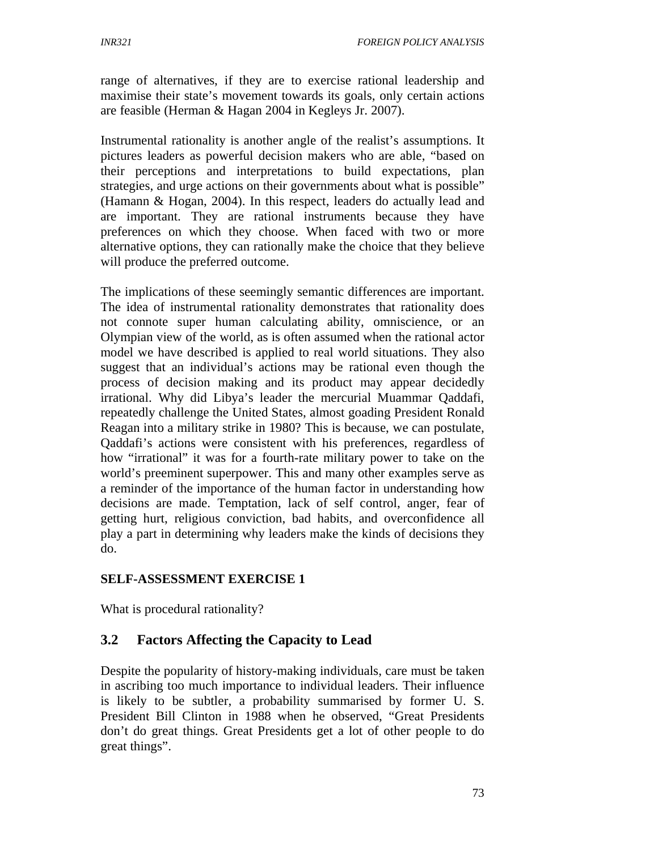*INR321 FOREIGN POLICY ANALYSIS* 

range of alternatives, if they are to exercise rational leadership and maximise their state's movement towards its goals, only certain actions are feasible (Herman & Hagan 2004 in Kegleys Jr. 2007).

Instrumental rationality is another angle of the realist's assumptions. It pictures leaders as powerful decision makers who are able, "based on their perceptions and interpretations to build expectations, plan strategies, and urge actions on their governments about what is possible" (Hamann & Hogan, 2004). In this respect, leaders do actually lead and are important. They are rational instruments because they have preferences on which they choose. When faced with two or more alternative options, they can rationally make the choice that they believe will produce the preferred outcome.

The implications of these seemingly semantic differences are important. The idea of instrumental rationality demonstrates that rationality does not connote super human calculating ability, omniscience, or an Olympian view of the world, as is often assumed when the rational actor model we have described is applied to real world situations. They also suggest that an individual's actions may be rational even though the process of decision making and its product may appear decidedly irrational. Why did Libya's leader the mercurial Muammar Qaddafi, repeatedly challenge the United States, almost goading President Ronald Reagan into a military strike in 1980? This is because, we can postulate, Qaddafi's actions were consistent with his preferences, regardless of how "irrational" it was for a fourth-rate military power to take on the world's preeminent superpower. This and many other examples serve as a reminder of the importance of the human factor in understanding how decisions are made. Temptation, lack of self control, anger, fear of getting hurt, religious conviction, bad habits, and overconfidence all play a part in determining why leaders make the kinds of decisions they do.

## **SELF-ASSESSMENT EXERCISE 1**

What is procedural rationality?

## **3.2 Factors Affecting the Capacity to Lead**

Despite the popularity of history-making individuals, care must be taken in ascribing too much importance to individual leaders. Their influence is likely to be subtler, a probability summarised by former U. S. President Bill Clinton in 1988 when he observed, "Great Presidents don't do great things. Great Presidents get a lot of other people to do great things".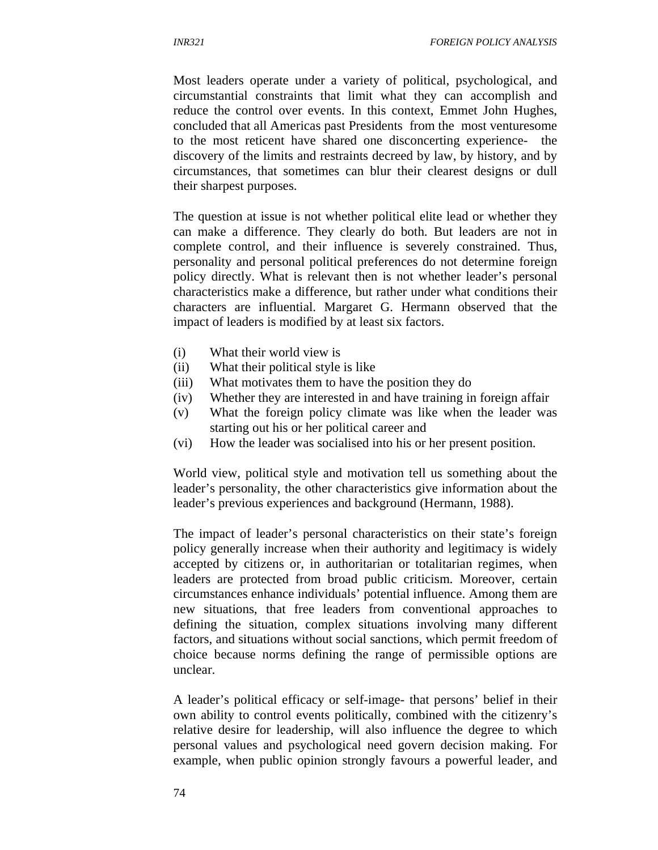Most leaders operate under a variety of political, psychological, and circumstantial constraints that limit what they can accomplish and reduce the control over events. In this context, Emmet John Hughes, concluded that all Americas past Presidents from the most venturesome to the most reticent have shared one disconcerting experience- the discovery of the limits and restraints decreed by law, by history, and by circumstances, that sometimes can blur their clearest designs or dull their sharpest purposes.

The question at issue is not whether political elite lead or whether they can make a difference. They clearly do both. But leaders are not in complete control, and their influence is severely constrained. Thus, personality and personal political preferences do not determine foreign policy directly. What is relevant then is not whether leader's personal characteristics make a difference, but rather under what conditions their characters are influential. Margaret G. Hermann observed that the impact of leaders is modified by at least six factors.

- (i) What their world view is
- (ii) What their political style is like
- (iii) What motivates them to have the position they do
- (iv) Whether they are interested in and have training in foreign affair
- (v) What the foreign policy climate was like when the leader was starting out his or her political career and
- (vi) How the leader was socialised into his or her present position.

World view, political style and motivation tell us something about the leader's personality, the other characteristics give information about the leader's previous experiences and background (Hermann, 1988).

The impact of leader's personal characteristics on their state's foreign policy generally increase when their authority and legitimacy is widely accepted by citizens or, in authoritarian or totalitarian regimes, when leaders are protected from broad public criticism. Moreover, certain circumstances enhance individuals' potential influence. Among them are new situations, that free leaders from conventional approaches to defining the situation, complex situations involving many different factors, and situations without social sanctions, which permit freedom of choice because norms defining the range of permissible options are unclear.

A leader's political efficacy or self-image- that persons' belief in their own ability to control events politically, combined with the citizenry's relative desire for leadership, will also influence the degree to which personal values and psychological need govern decision making. For example, when public opinion strongly favours a powerful leader, and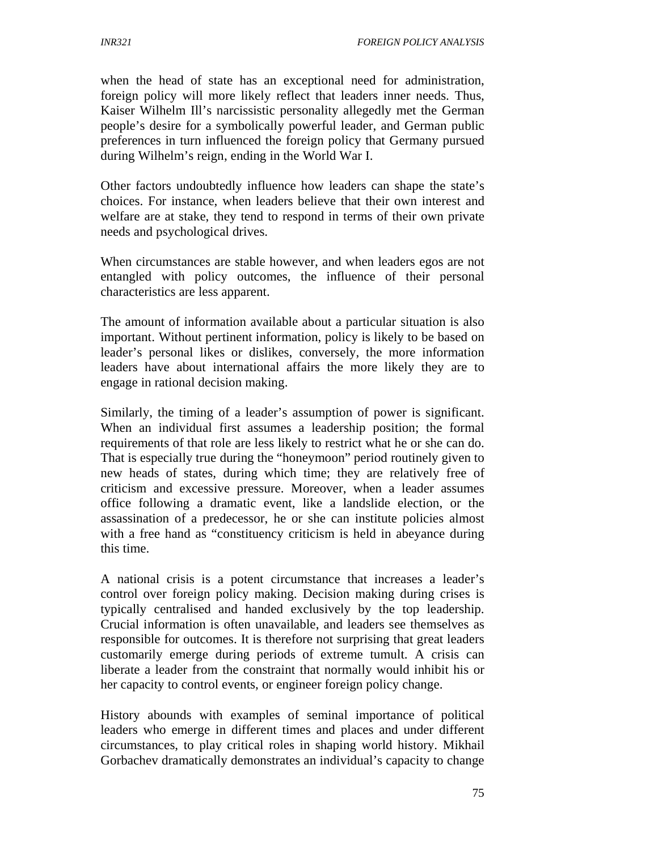when the head of state has an exceptional need for administration, foreign policy will more likely reflect that leaders inner needs. Thus, Kaiser Wilhelm Ill's narcissistic personality allegedly met the German people's desire for a symbolically powerful leader, and German public preferences in turn influenced the foreign policy that Germany pursued during Wilhelm's reign, ending in the World War I.

Other factors undoubtedly influence how leaders can shape the state's choices. For instance, when leaders believe that their own interest and welfare are at stake, they tend to respond in terms of their own private needs and psychological drives.

When circumstances are stable however, and when leaders egos are not entangled with policy outcomes, the influence of their personal characteristics are less apparent.

The amount of information available about a particular situation is also important. Without pertinent information, policy is likely to be based on leader's personal likes or dislikes, conversely, the more information leaders have about international affairs the more likely they are to engage in rational decision making.

Similarly, the timing of a leader's assumption of power is significant. When an individual first assumes a leadership position; the formal requirements of that role are less likely to restrict what he or she can do. That is especially true during the "honeymoon" period routinely given to new heads of states, during which time; they are relatively free of criticism and excessive pressure. Moreover, when a leader assumes office following a dramatic event, like a landslide election, or the assassination of a predecessor, he or she can institute policies almost with a free hand as "constituency criticism is held in abeyance during this time.

A national crisis is a potent circumstance that increases a leader's control over foreign policy making. Decision making during crises is typically centralised and handed exclusively by the top leadership. Crucial information is often unavailable, and leaders see themselves as responsible for outcomes. It is therefore not surprising that great leaders customarily emerge during periods of extreme tumult. A crisis can liberate a leader from the constraint that normally would inhibit his or her capacity to control events, or engineer foreign policy change.

History abounds with examples of seminal importance of political leaders who emerge in different times and places and under different circumstances, to play critical roles in shaping world history. Mikhail Gorbachev dramatically demonstrates an individual's capacity to change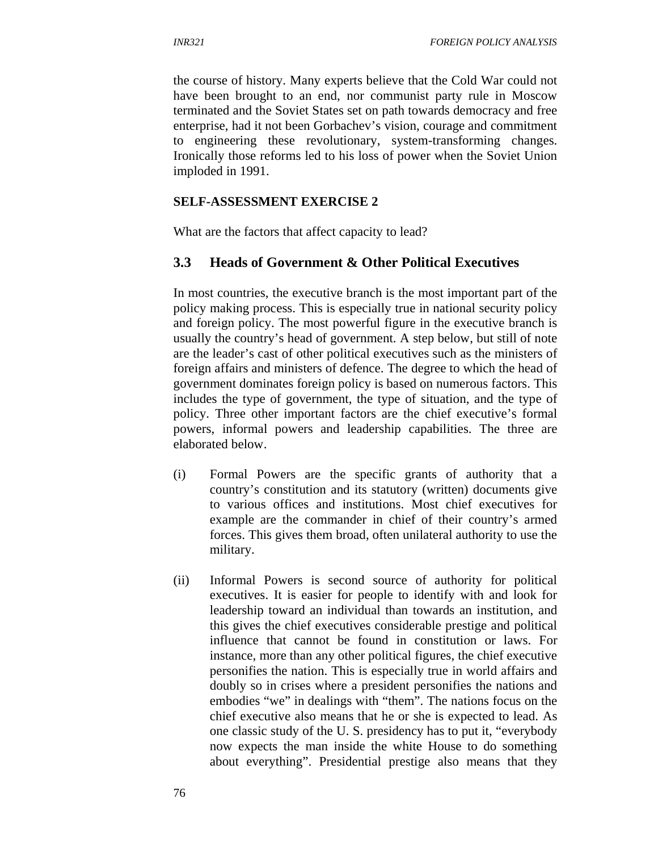the course of history. Many experts believe that the Cold War could not have been brought to an end, nor communist party rule in Moscow terminated and the Soviet States set on path towards democracy and free enterprise, had it not been Gorbachev's vision, courage and commitment to engineering these revolutionary, system-transforming changes. Ironically those reforms led to his loss of power when the Soviet Union imploded in 1991.

#### **SELF-ASSESSMENT EXERCISE 2**

What are the factors that affect capacity to lead?

#### **3.3 Heads of Government & Other Political Executives**

In most countries, the executive branch is the most important part of the policy making process. This is especially true in national security policy and foreign policy. The most powerful figure in the executive branch is usually the country's head of government. A step below, but still of note are the leader's cast of other political executives such as the ministers of foreign affairs and ministers of defence. The degree to which the head of government dominates foreign policy is based on numerous factors. This includes the type of government, the type of situation, and the type of policy. Three other important factors are the chief executive's formal powers, informal powers and leadership capabilities. The three are elaborated below.

- (i) Formal Powers are the specific grants of authority that a country's constitution and its statutory (written) documents give to various offices and institutions. Most chief executives for example are the commander in chief of their country's armed forces. This gives them broad, often unilateral authority to use the military.
- (ii) Informal Powers is second source of authority for political executives. It is easier for people to identify with and look for leadership toward an individual than towards an institution, and this gives the chief executives considerable prestige and political influence that cannot be found in constitution or laws. For instance, more than any other political figures, the chief executive personifies the nation. This is especially true in world affairs and doubly so in crises where a president personifies the nations and embodies "we" in dealings with "them". The nations focus on the chief executive also means that he or she is expected to lead. As one classic study of the U. S. presidency has to put it, "everybody now expects the man inside the white House to do something about everything". Presidential prestige also means that they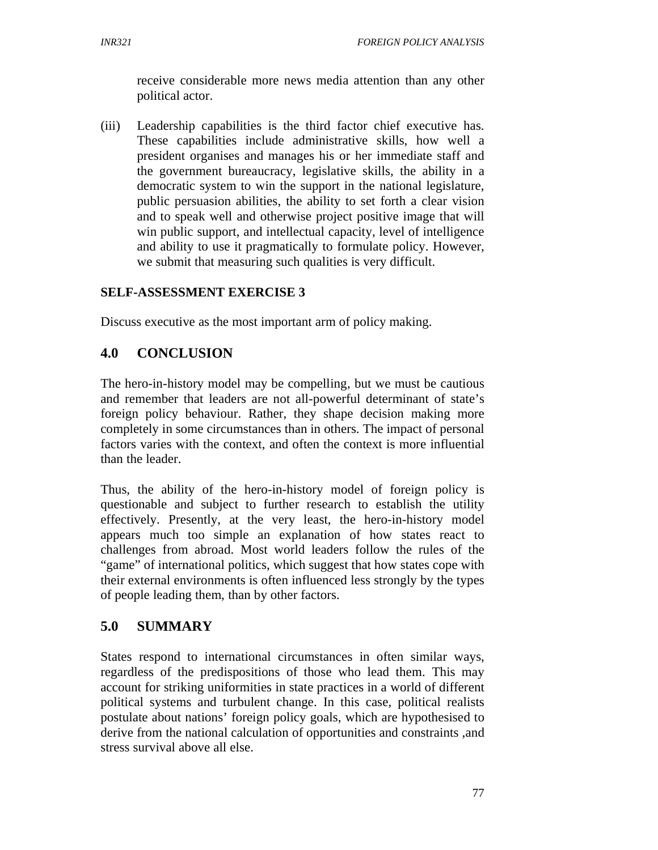receive considerable more news media attention than any other political actor.

(iii) Leadership capabilities is the third factor chief executive has. These capabilities include administrative skills, how well a president organises and manages his or her immediate staff and the government bureaucracy, legislative skills, the ability in a democratic system to win the support in the national legislature, public persuasion abilities, the ability to set forth a clear vision and to speak well and otherwise project positive image that will win public support, and intellectual capacity, level of intelligence and ability to use it pragmatically to formulate policy. However, we submit that measuring such qualities is very difficult.

### **SELF-ASSESSMENT EXERCISE 3**

Discuss executive as the most important arm of policy making.

## **4.0 CONCLUSION**

The hero-in-history model may be compelling, but we must be cautious and remember that leaders are not all-powerful determinant of state's foreign policy behaviour. Rather, they shape decision making more completely in some circumstances than in others. The impact of personal factors varies with the context, and often the context is more influential than the leader.

Thus, the ability of the hero-in-history model of foreign policy is questionable and subject to further research to establish the utility effectively. Presently, at the very least, the hero-in-history model appears much too simple an explanation of how states react to challenges from abroad. Most world leaders follow the rules of the "game" of international politics, which suggest that how states cope with their external environments is often influenced less strongly by the types of people leading them, than by other factors.

## **5.0 SUMMARY**

States respond to international circumstances in often similar ways, regardless of the predispositions of those who lead them. This may account for striking uniformities in state practices in a world of different political systems and turbulent change. In this case, political realists postulate about nations' foreign policy goals, which are hypothesised to derive from the national calculation of opportunities and constraints ,and stress survival above all else.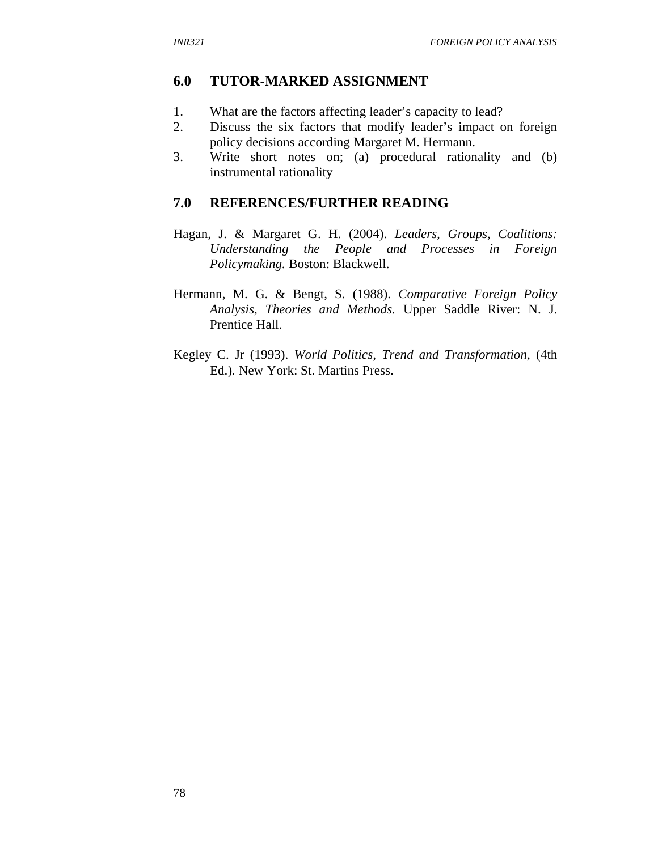## **6.0 TUTOR-MARKED ASSIGNMENT**

- 1. What are the factors affecting leader's capacity to lead?
- 2. Discuss the six factors that modify leader's impact on foreign policy decisions according Margaret M. Hermann.
- 3. Write short notes on; (a) procedural rationality and (b) instrumental rationality

### **7.0 REFERENCES/FURTHER READING**

- Hagan, J. & Margaret G. H. (2004). *Leaders, Groups, Coalitions: Understanding the People and Processes in Foreign Policymaking.* Boston: Blackwell.
- Hermann, M. G. & Bengt, S. (1988). *Comparative Foreign Policy Analysis, Theories and Methods.* Upper Saddle River: N. J. Prentice Hall.
- Kegley C. Jr (1993). *World Politics, Trend and Transformation,* (4th Ed.)*.* New York: St. Martins Press.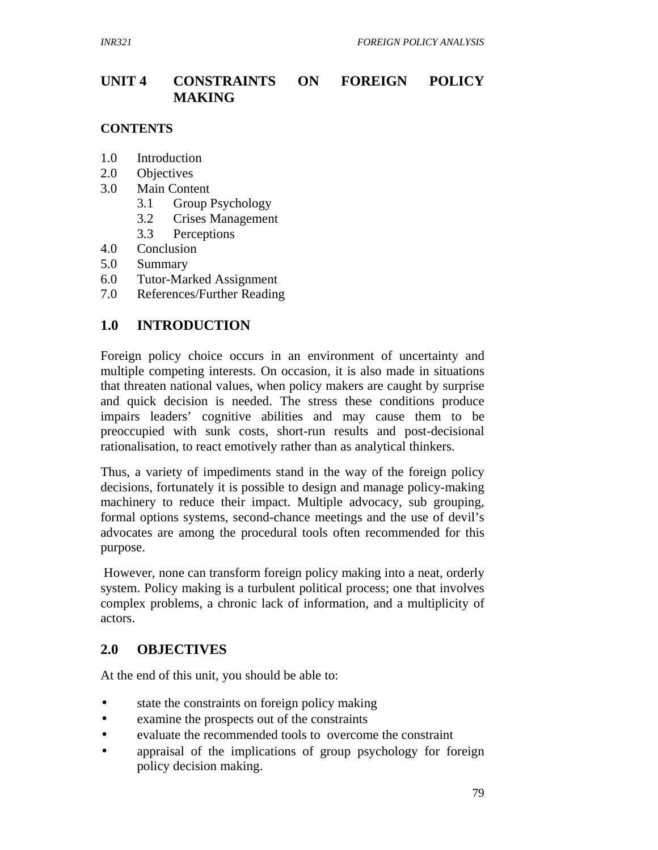## **UNIT 4 CONSTRAINTS ON FOREIGN POLICY MAKING**

#### **CONTENTS**

- 1.0 Introduction
- 2.0 Objectives
- 3.0 Main Content
	- 3.1 Group Psychology
	- 3.2 Crises Management
	- 3.3 Perceptions
- 4.0 Conclusion
- 5.0 Summary
- 6.0 Tutor-Marked Assignment
- 7.0 References/Further Reading

## **1.0 INTRODUCTION**

Foreign policy choice occurs in an environment of uncertainty and multiple competing interests. On occasion, it is also made in situations that threaten national values, when policy makers are caught by surprise and quick decision is needed. The stress these conditions produce impairs leaders' cognitive abilities and may cause them to be preoccupied with sunk costs, short-run results and post-decisional rationalisation, to react emotively rather than as analytical thinkers.

Thus, a variety of impediments stand in the way of the foreign policy decisions, fortunately it is possible to design and manage policy-making machinery to reduce their impact. Multiple advocacy, sub grouping, formal options systems, second-chance meetings and the use of devil's advocates are among the procedural tools often recommended for this purpose.

 However, none can transform foreign policy making into a neat, orderly system. Policy making is a turbulent political process; one that involves complex problems, a chronic lack of information, and a multiplicity of actors.

## **2.0 OBJECTIVES**

At the end of this unit, you should be able to:

- state the constraints on foreign policy making
- examine the prospects out of the constraints
- evaluate the recommended tools to overcome the constraint
- appraisal of the implications of group psychology for foreign policy decision making.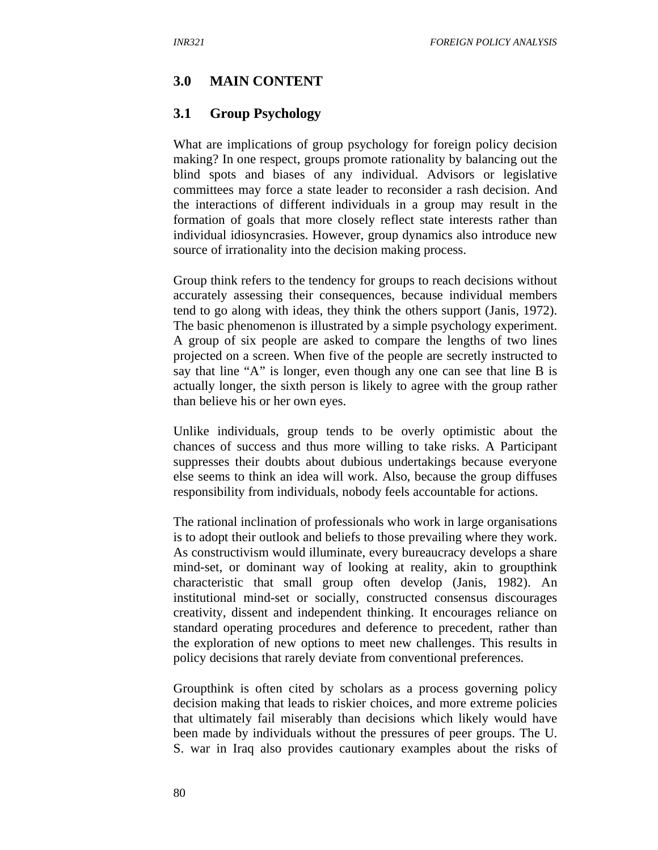#### **3.0 MAIN CONTENT**

#### **3.1 Group Psychology**

What are implications of group psychology for foreign policy decision making? In one respect, groups promote rationality by balancing out the blind spots and biases of any individual. Advisors or legislative committees may force a state leader to reconsider a rash decision. And the interactions of different individuals in a group may result in the formation of goals that more closely reflect state interests rather than individual idiosyncrasies. However, group dynamics also introduce new source of irrationality into the decision making process.

Group think refers to the tendency for groups to reach decisions without accurately assessing their consequences, because individual members tend to go along with ideas, they think the others support (Janis, 1972). The basic phenomenon is illustrated by a simple psychology experiment. A group of six people are asked to compare the lengths of two lines projected on a screen. When five of the people are secretly instructed to say that line "A" is longer, even though any one can see that line B is actually longer, the sixth person is likely to agree with the group rather than believe his or her own eyes.

Unlike individuals, group tends to be overly optimistic about the chances of success and thus more willing to take risks. A Participant suppresses their doubts about dubious undertakings because everyone else seems to think an idea will work. Also, because the group diffuses responsibility from individuals, nobody feels accountable for actions.

The rational inclination of professionals who work in large organisations is to adopt their outlook and beliefs to those prevailing where they work. As constructivism would illuminate, every bureaucracy develops a share mind-set, or dominant way of looking at reality, akin to groupthink characteristic that small group often develop (Janis, 1982). An institutional mind-set or socially, constructed consensus discourages creativity, dissent and independent thinking. It encourages reliance on standard operating procedures and deference to precedent, rather than the exploration of new options to meet new challenges. This results in policy decisions that rarely deviate from conventional preferences.

Groupthink is often cited by scholars as a process governing policy decision making that leads to riskier choices, and more extreme policies that ultimately fail miserably than decisions which likely would have been made by individuals without the pressures of peer groups. The U. S. war in Iraq also provides cautionary examples about the risks of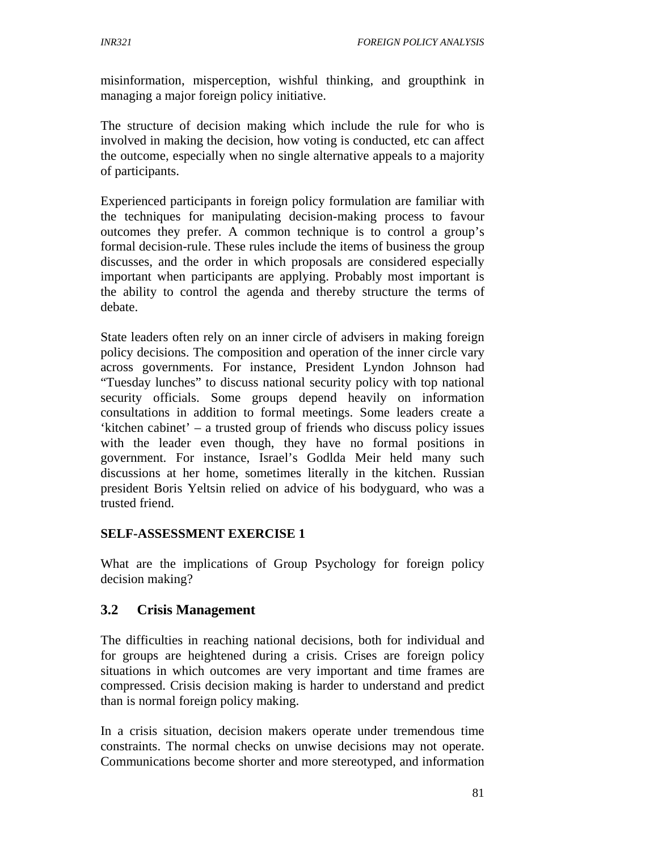misinformation, misperception, wishful thinking, and groupthink in managing a major foreign policy initiative.

The structure of decision making which include the rule for who is involved in making the decision, how voting is conducted, etc can affect the outcome, especially when no single alternative appeals to a majority of participants.

Experienced participants in foreign policy formulation are familiar with the techniques for manipulating decision-making process to favour outcomes they prefer. A common technique is to control a group's formal decision-rule. These rules include the items of business the group discusses, and the order in which proposals are considered especially important when participants are applying. Probably most important is the ability to control the agenda and thereby structure the terms of debate.

State leaders often rely on an inner circle of advisers in making foreign policy decisions. The composition and operation of the inner circle vary across governments. For instance, President Lyndon Johnson had "Tuesday lunches" to discuss national security policy with top national security officials. Some groups depend heavily on information consultations in addition to formal meetings. Some leaders create a 'kitchen cabinet' – a trusted group of friends who discuss policy issues with the leader even though, they have no formal positions in government. For instance, Israel's Godlda Meir held many such discussions at her home, sometimes literally in the kitchen. Russian president Boris Yeltsin relied on advice of his bodyguard, who was a trusted friend.

#### **SELF-ASSESSMENT EXERCISE 1**

What are the implications of Group Psychology for foreign policy decision making?

## **3.2 Crisis Management**

The difficulties in reaching national decisions, both for individual and for groups are heightened during a crisis. Crises are foreign policy situations in which outcomes are very important and time frames are compressed. Crisis decision making is harder to understand and predict than is normal foreign policy making.

In a crisis situation, decision makers operate under tremendous time constraints. The normal checks on unwise decisions may not operate. Communications become shorter and more stereotyped, and information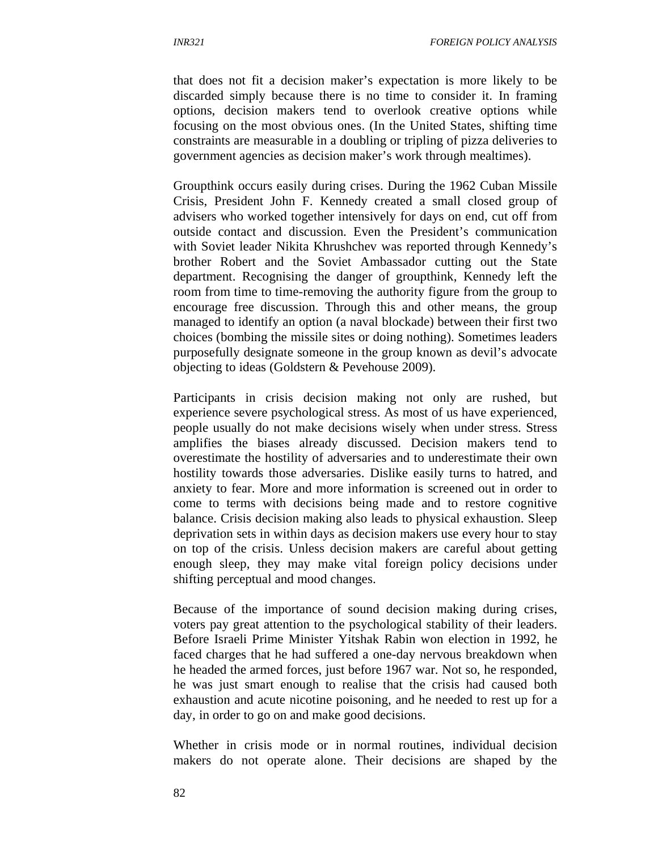that does not fit a decision maker's expectation is more likely to be discarded simply because there is no time to consider it. In framing options, decision makers tend to overlook creative options while focusing on the most obvious ones. (In the United States, shifting time constraints are measurable in a doubling or tripling of pizza deliveries to government agencies as decision maker's work through mealtimes).

Groupthink occurs easily during crises. During the 1962 Cuban Missile Crisis, President John F. Kennedy created a small closed group of advisers who worked together intensively for days on end, cut off from outside contact and discussion. Even the President's communication with Soviet leader Nikita Khrushchev was reported through Kennedy's brother Robert and the Soviet Ambassador cutting out the State department. Recognising the danger of groupthink, Kennedy left the room from time to time-removing the authority figure from the group to encourage free discussion. Through this and other means, the group managed to identify an option (a naval blockade) between their first two choices (bombing the missile sites or doing nothing). Sometimes leaders purposefully designate someone in the group known as devil's advocate objecting to ideas (Goldstern & Pevehouse 2009).

Participants in crisis decision making not only are rushed, but experience severe psychological stress. As most of us have experienced, people usually do not make decisions wisely when under stress. Stress amplifies the biases already discussed. Decision makers tend to overestimate the hostility of adversaries and to underestimate their own hostility towards those adversaries. Dislike easily turns to hatred, and anxiety to fear. More and more information is screened out in order to come to terms with decisions being made and to restore cognitive balance. Crisis decision making also leads to physical exhaustion. Sleep deprivation sets in within days as decision makers use every hour to stay on top of the crisis. Unless decision makers are careful about getting enough sleep, they may make vital foreign policy decisions under shifting perceptual and mood changes.

Because of the importance of sound decision making during crises, voters pay great attention to the psychological stability of their leaders. Before Israeli Prime Minister Yitshak Rabin won election in 1992, he faced charges that he had suffered a one-day nervous breakdown when he headed the armed forces, just before 1967 war. Not so, he responded, he was just smart enough to realise that the crisis had caused both exhaustion and acute nicotine poisoning, and he needed to rest up for a day, in order to go on and make good decisions.

Whether in crisis mode or in normal routines, individual decision makers do not operate alone. Their decisions are shaped by the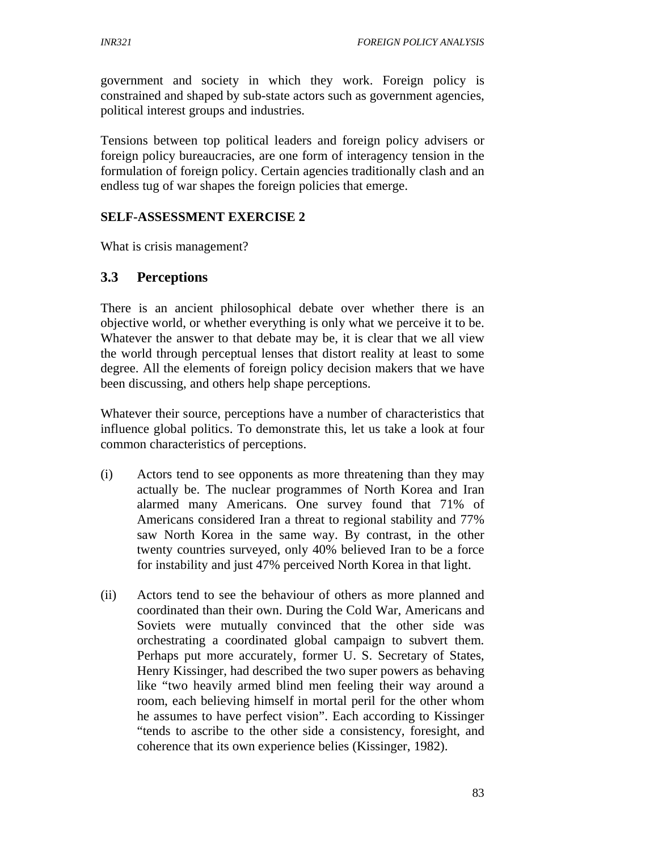government and society in which they work. Foreign policy is constrained and shaped by sub-state actors such as government agencies, political interest groups and industries.

Tensions between top political leaders and foreign policy advisers or foreign policy bureaucracies, are one form of interagency tension in the formulation of foreign policy. Certain agencies traditionally clash and an endless tug of war shapes the foreign policies that emerge.

#### **SELF-ASSESSMENT EXERCISE 2**

What is crisis management?

### **3.3 Perceptions**

There is an ancient philosophical debate over whether there is an objective world, or whether everything is only what we perceive it to be. Whatever the answer to that debate may be, it is clear that we all view the world through perceptual lenses that distort reality at least to some degree. All the elements of foreign policy decision makers that we have been discussing, and others help shape perceptions.

Whatever their source, perceptions have a number of characteristics that influence global politics. To demonstrate this, let us take a look at four common characteristics of perceptions.

- (i) Actors tend to see opponents as more threatening than they may actually be. The nuclear programmes of North Korea and Iran alarmed many Americans. One survey found that 71% of Americans considered Iran a threat to regional stability and 77% saw North Korea in the same way. By contrast, in the other twenty countries surveyed, only 40% believed Iran to be a force for instability and just 47% perceived North Korea in that light.
- (ii) Actors tend to see the behaviour of others as more planned and coordinated than their own. During the Cold War, Americans and Soviets were mutually convinced that the other side was orchestrating a coordinated global campaign to subvert them. Perhaps put more accurately, former U. S. Secretary of States, Henry Kissinger, had described the two super powers as behaving like "two heavily armed blind men feeling their way around a room, each believing himself in mortal peril for the other whom he assumes to have perfect vision". Each according to Kissinger "tends to ascribe to the other side a consistency, foresight, and coherence that its own experience belies (Kissinger, 1982).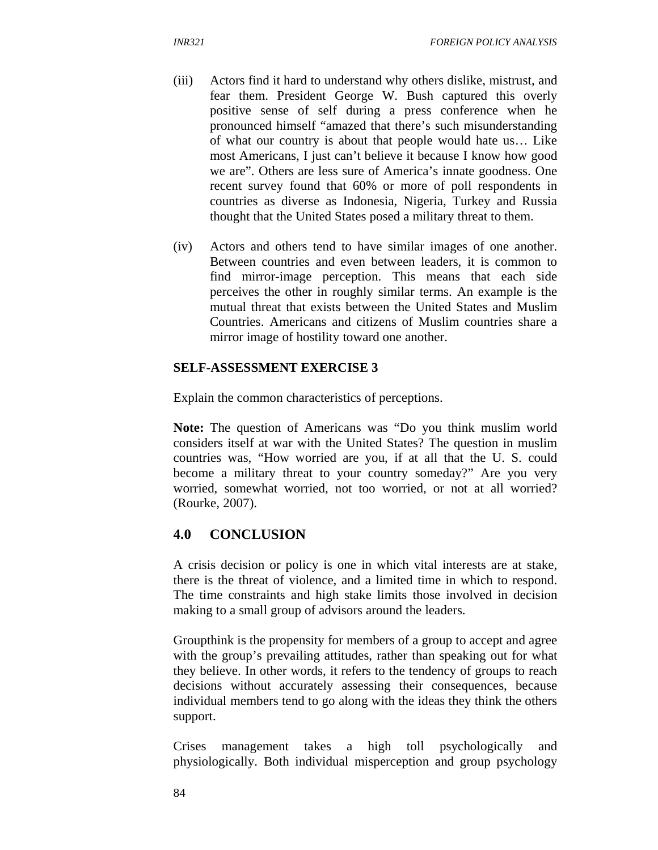- (iii) Actors find it hard to understand why others dislike, mistrust, and fear them. President George W. Bush captured this overly positive sense of self during a press conference when he pronounced himself "amazed that there's such misunderstanding of what our country is about that people would hate us… Like most Americans, I just can't believe it because I know how good we are". Others are less sure of America's innate goodness. One recent survey found that 60% or more of poll respondents in countries as diverse as Indonesia, Nigeria, Turkey and Russia thought that the United States posed a military threat to them.
- (iv) Actors and others tend to have similar images of one another. Between countries and even between leaders, it is common to find mirror-image perception. This means that each side perceives the other in roughly similar terms. An example is the mutual threat that exists between the United States and Muslim Countries. Americans and citizens of Muslim countries share a mirror image of hostility toward one another.

#### **SELF-ASSESSMENT EXERCISE 3**

Explain the common characteristics of perceptions.

**Note:** The question of Americans was "Do you think muslim world considers itself at war with the United States? The question in muslim countries was, "How worried are you, if at all that the U. S. could become a military threat to your country someday?" Are you very worried, somewhat worried, not too worried, or not at all worried? (Rourke, 2007).

#### **4.0 CONCLUSION**

A crisis decision or policy is one in which vital interests are at stake, there is the threat of violence, and a limited time in which to respond. The time constraints and high stake limits those involved in decision making to a small group of advisors around the leaders.

Groupthink is the propensity for members of a group to accept and agree with the group's prevailing attitudes, rather than speaking out for what they believe. In other words, it refers to the tendency of groups to reach decisions without accurately assessing their consequences, because individual members tend to go along with the ideas they think the others support.

Crises management takes a high toll psychologically and physiologically. Both individual misperception and group psychology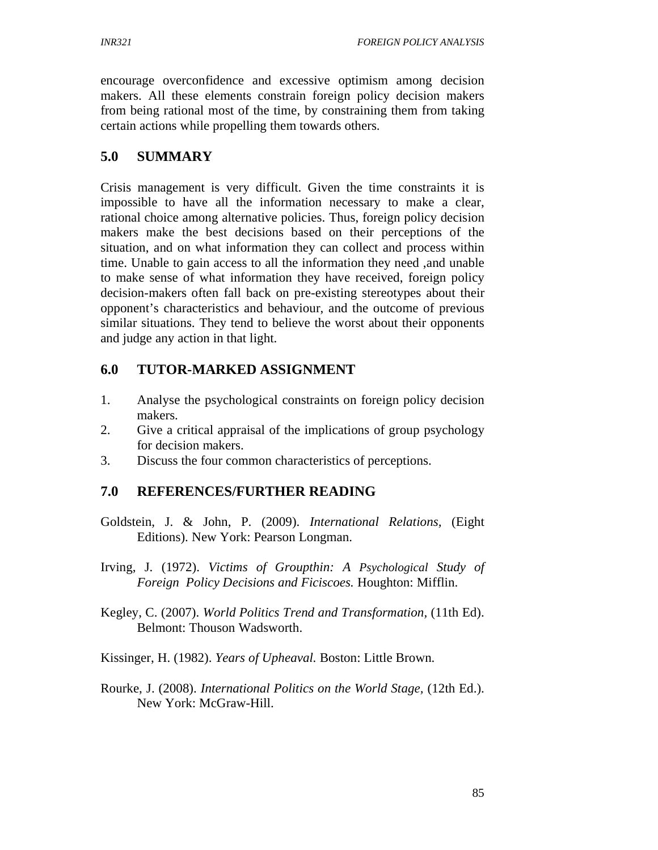encourage overconfidence and excessive optimism among decision makers. All these elements constrain foreign policy decision makers from being rational most of the time, by constraining them from taking certain actions while propelling them towards others.

## **5.0 SUMMARY**

Crisis management is very difficult. Given the time constraints it is impossible to have all the information necessary to make a clear, rational choice among alternative policies. Thus, foreign policy decision makers make the best decisions based on their perceptions of the situation, and on what information they can collect and process within time. Unable to gain access to all the information they need ,and unable to make sense of what information they have received, foreign policy decision-makers often fall back on pre-existing stereotypes about their opponent's characteristics and behaviour, and the outcome of previous similar situations. They tend to believe the worst about their opponents and judge any action in that light.

### **6.0 TUTOR-MARKED ASSIGNMENT**

- 1. Analyse the psychological constraints on foreign policy decision makers.
- 2. Give a critical appraisal of the implications of group psychology for decision makers.
- 3. Discuss the four common characteristics of perceptions.

## **7.0 REFERENCES/FURTHER READING**

- Goldstein, J. & John, P. (2009). *International Relations,* (Eight Editions). New York: Pearson Longman.
- Irving, J. (1972). *Victims of Groupthin: A Psychological Study of Foreign Policy Decisions and Ficiscoes.* Houghton: Mifflin.
- Kegley, C. (2007). *World Politics Trend and Transformation,* (11th Ed). Belmont: Thouson Wadsworth.

Kissinger, H. (1982). *Years of Upheaval.* Boston: Little Brown.

Rourke, J. (2008). *International Politics on the World Stage,* (12th Ed.). New York: McGraw-Hill.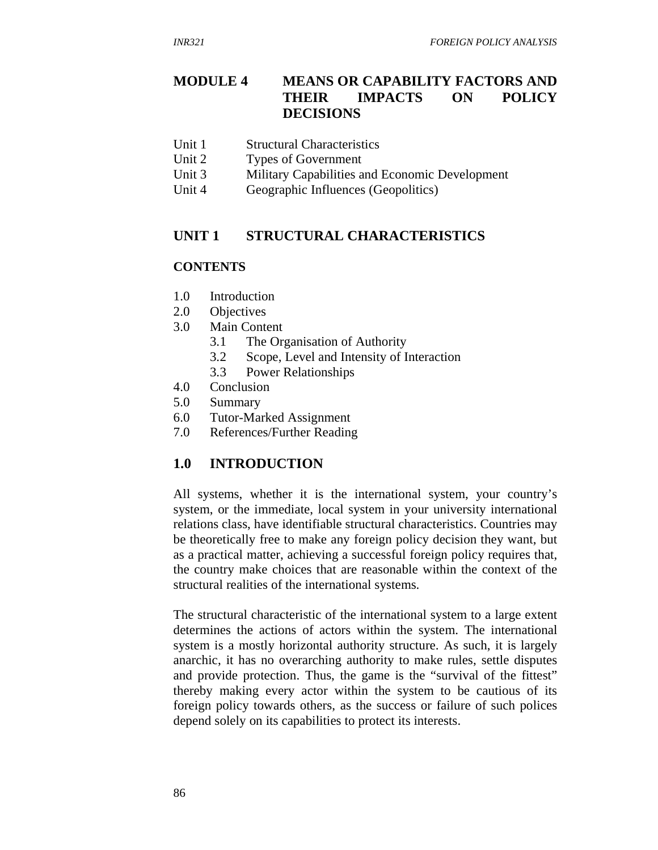## **MODULE 4 MEANS OR CAPABILITY FACTORS AND THEIR IMPACTS ON POLICY DECISIONS**

- Unit 1 **Structural Characteristics**
- Unit 2 Types of Government
- Unit 3 Military Capabilities and Economic Development
- Unit 4 Geographic Influences (Geopolitics)

### **UNIT 1 STRUCTURAL CHARACTERISTICS**

#### **CONTENTS**

- 1.0 Introduction
- 2.0 Objectives
- 3.0 Main Content
	- 3.1 The Organisation of Authority
	- 3.2 Scope, Level and Intensity of Interaction
	- 3.3 Power Relationships
- 4.0 Conclusion
- 5.0 Summary
- 6.0 Tutor-Marked Assignment
- 7.0 References/Further Reading

#### **1.0 INTRODUCTION**

All systems, whether it is the international system, your country's system, or the immediate, local system in your university international relations class, have identifiable structural characteristics. Countries may be theoretically free to make any foreign policy decision they want, but as a practical matter, achieving a successful foreign policy requires that, the country make choices that are reasonable within the context of the structural realities of the international systems.

The structural characteristic of the international system to a large extent determines the actions of actors within the system. The international system is a mostly horizontal authority structure. As such, it is largely anarchic, it has no overarching authority to make rules, settle disputes and provide protection. Thus, the game is the "survival of the fittest" thereby making every actor within the system to be cautious of its foreign policy towards others, as the success or failure of such polices depend solely on its capabilities to protect its interests.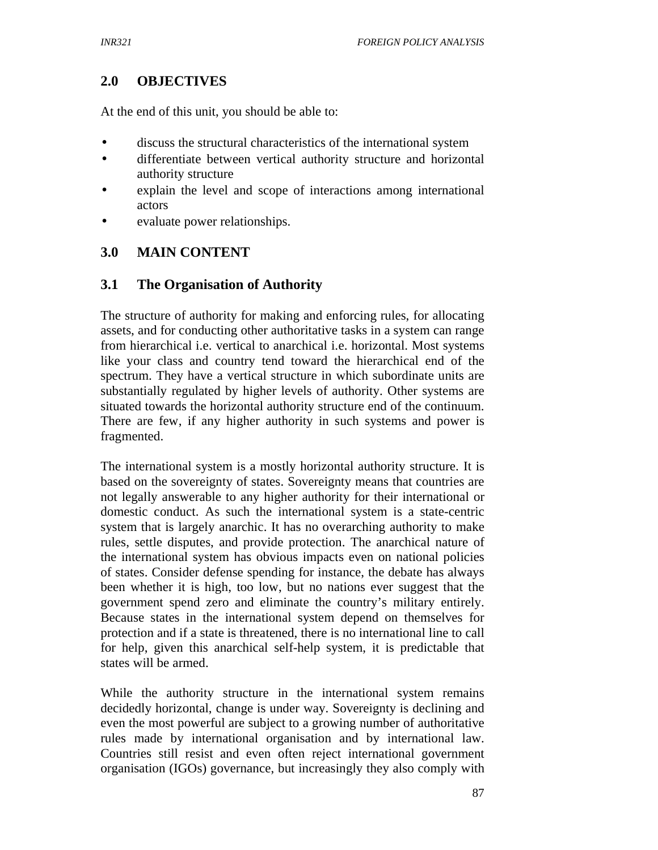# **2.0 OBJECTIVES**

At the end of this unit, you should be able to:

- discuss the structural characteristics of the international system
- differentiate between vertical authority structure and horizontal authority structure
- explain the level and scope of interactions among international actors
- evaluate power relationships.

# **3.0 MAIN CONTENT**

## **3.1 The Organisation of Authority**

The structure of authority for making and enforcing rules, for allocating assets, and for conducting other authoritative tasks in a system can range from hierarchical i.e. vertical to anarchical i.e. horizontal. Most systems like your class and country tend toward the hierarchical end of the spectrum. They have a vertical structure in which subordinate units are substantially regulated by higher levels of authority. Other systems are situated towards the horizontal authority structure end of the continuum. There are few, if any higher authority in such systems and power is fragmented.

The international system is a mostly horizontal authority structure. It is based on the sovereignty of states. Sovereignty means that countries are not legally answerable to any higher authority for their international or domestic conduct. As such the international system is a state-centric system that is largely anarchic. It has no overarching authority to make rules, settle disputes, and provide protection. The anarchical nature of the international system has obvious impacts even on national policies of states. Consider defense spending for instance, the debate has always been whether it is high, too low, but no nations ever suggest that the government spend zero and eliminate the country's military entirely. Because states in the international system depend on themselves for protection and if a state is threatened, there is no international line to call for help, given this anarchical self-help system, it is predictable that states will be armed.

While the authority structure in the international system remains decidedly horizontal, change is under way. Sovereignty is declining and even the most powerful are subject to a growing number of authoritative rules made by international organisation and by international law. Countries still resist and even often reject international government organisation (IGOs) governance, but increasingly they also comply with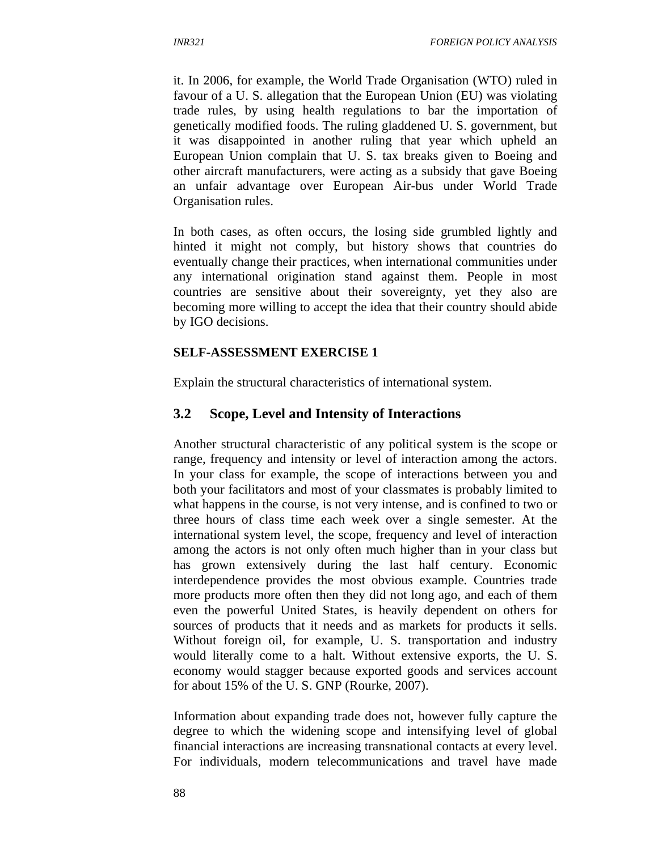it. In 2006, for example, the World Trade Organisation (WTO) ruled in favour of a U. S. allegation that the European Union (EU) was violating trade rules, by using health regulations to bar the importation of genetically modified foods. The ruling gladdened U. S. government, but it was disappointed in another ruling that year which upheld an European Union complain that U. S. tax breaks given to Boeing and other aircraft manufacturers, were acting as a subsidy that gave Boeing an unfair advantage over European Air-bus under World Trade Organisation rules.

In both cases, as often occurs, the losing side grumbled lightly and hinted it might not comply, but history shows that countries do eventually change their practices, when international communities under any international origination stand against them. People in most countries are sensitive about their sovereignty, yet they also are becoming more willing to accept the idea that their country should abide by IGO decisions.

#### **SELF-ASSESSMENT EXERCISE 1**

Explain the structural characteristics of international system.

### **3.2 Scope, Level and Intensity of Interactions**

Another structural characteristic of any political system is the scope or range, frequency and intensity or level of interaction among the actors. In your class for example, the scope of interactions between you and both your facilitators and most of your classmates is probably limited to what happens in the course, is not very intense, and is confined to two or three hours of class time each week over a single semester. At the international system level, the scope, frequency and level of interaction among the actors is not only often much higher than in your class but has grown extensively during the last half century. Economic interdependence provides the most obvious example. Countries trade more products more often then they did not long ago, and each of them even the powerful United States, is heavily dependent on others for sources of products that it needs and as markets for products it sells. Without foreign oil, for example, U. S. transportation and industry would literally come to a halt. Without extensive exports, the U. S. economy would stagger because exported goods and services account for about 15% of the U. S. GNP (Rourke, 2007).

Information about expanding trade does not, however fully capture the degree to which the widening scope and intensifying level of global financial interactions are increasing transnational contacts at every level. For individuals, modern telecommunications and travel have made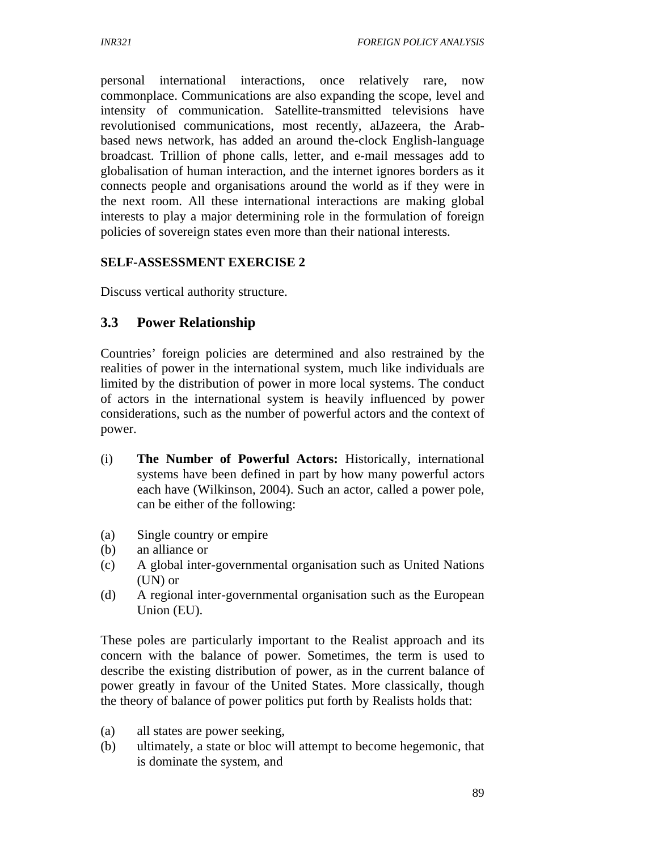personal international interactions, once relatively rare, now commonplace. Communications are also expanding the scope, level and intensity of communication. Satellite-transmitted televisions have revolutionised communications, most recently, alJazeera, the Arabbased news network, has added an around the-clock English-language broadcast. Trillion of phone calls, letter, and e-mail messages add to globalisation of human interaction, and the internet ignores borders as it connects people and organisations around the world as if they were in the next room. All these international interactions are making global interests to play a major determining role in the formulation of foreign policies of sovereign states even more than their national interests.

#### **SELF-ASSESSMENT EXERCISE 2**

Discuss vertical authority structure.

### **3.3 Power Relationship**

Countries' foreign policies are determined and also restrained by the realities of power in the international system, much like individuals are limited by the distribution of power in more local systems. The conduct of actors in the international system is heavily influenced by power considerations, such as the number of powerful actors and the context of power.

- (i) **The Number of Powerful Actors:** Historically, international systems have been defined in part by how many powerful actors each have (Wilkinson, 2004). Such an actor, called a power pole, can be either of the following:
- (a) Single country or empire
- (b) an alliance or
- (c) A global inter-governmental organisation such as United Nations (UN) or
- (d) A regional inter-governmental organisation such as the European Union (EU).

These poles are particularly important to the Realist approach and its concern with the balance of power. Sometimes, the term is used to describe the existing distribution of power, as in the current balance of power greatly in favour of the United States. More classically, though the theory of balance of power politics put forth by Realists holds that:

- (a) all states are power seeking,
- (b) ultimately, a state or bloc will attempt to become hegemonic, that is dominate the system, and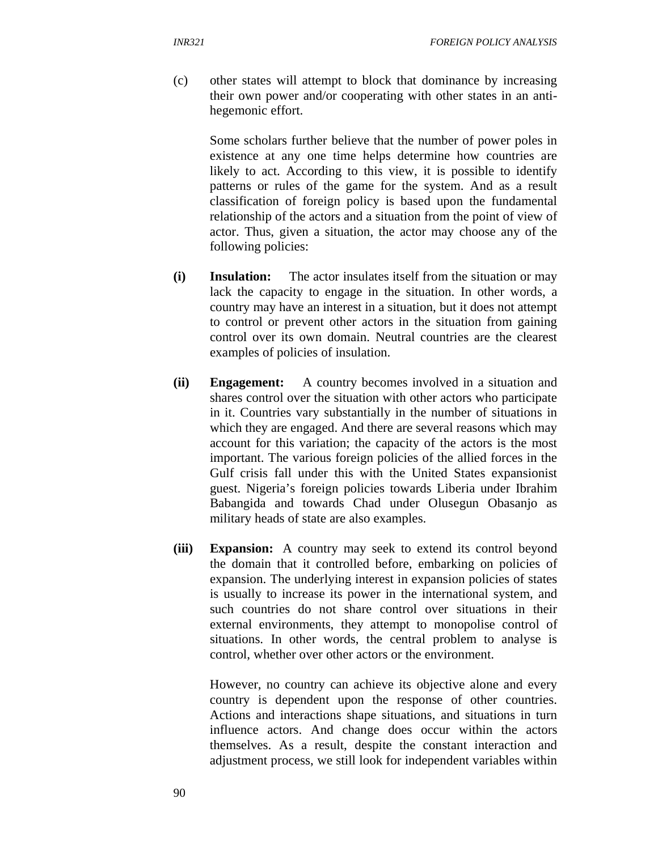(c) other states will attempt to block that dominance by increasing their own power and/or cooperating with other states in an antihegemonic effort.

Some scholars further believe that the number of power poles in existence at any one time helps determine how countries are likely to act. According to this view, it is possible to identify patterns or rules of the game for the system. And as a result classification of foreign policy is based upon the fundamental relationship of the actors and a situation from the point of view of actor. Thus, given a situation, the actor may choose any of the following policies:

- **(i) Insulation:** The actor insulates itself from the situation or may lack the capacity to engage in the situation. In other words, a country may have an interest in a situation, but it does not attempt to control or prevent other actors in the situation from gaining control over its own domain. Neutral countries are the clearest examples of policies of insulation.
- **(ii) Engagement:** A country becomes involved in a situation and shares control over the situation with other actors who participate in it. Countries vary substantially in the number of situations in which they are engaged. And there are several reasons which may account for this variation; the capacity of the actors is the most important. The various foreign policies of the allied forces in the Gulf crisis fall under this with the United States expansionist guest. Nigeria's foreign policies towards Liberia under Ibrahim Babangida and towards Chad under Olusegun Obasanjo as military heads of state are also examples.
- **(iii) Expansion:** A country may seek to extend its control beyond the domain that it controlled before, embarking on policies of expansion. The underlying interest in expansion policies of states is usually to increase its power in the international system, and such countries do not share control over situations in their external environments, they attempt to monopolise control of situations. In other words, the central problem to analyse is control, whether over other actors or the environment.

However, no country can achieve its objective alone and every country is dependent upon the response of other countries. Actions and interactions shape situations, and situations in turn influence actors. And change does occur within the actors themselves. As a result, despite the constant interaction and adjustment process, we still look for independent variables within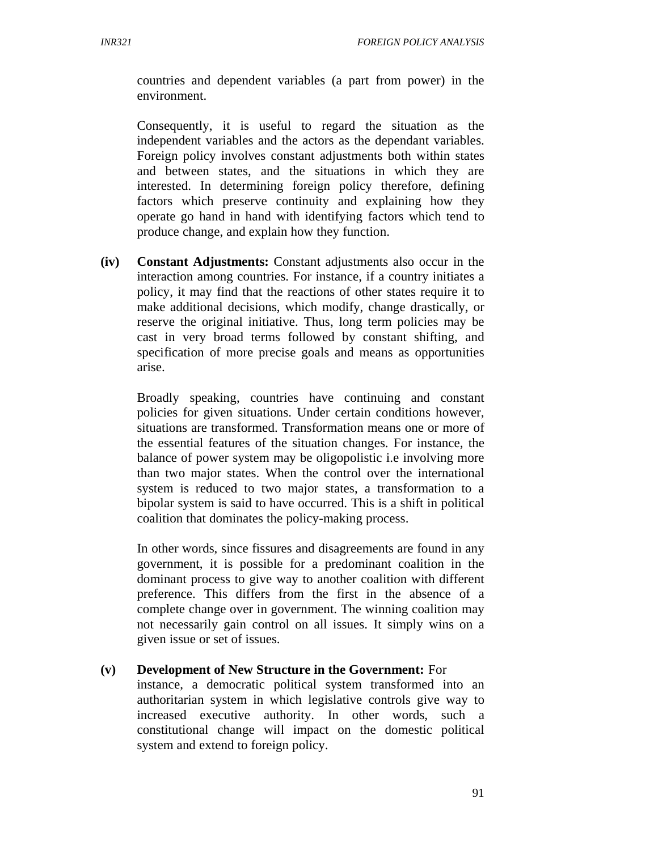countries and dependent variables (a part from power) in the environment.

Consequently, it is useful to regard the situation as the independent variables and the actors as the dependant variables. Foreign policy involves constant adjustments both within states and between states, and the situations in which they are interested. In determining foreign policy therefore, defining factors which preserve continuity and explaining how they operate go hand in hand with identifying factors which tend to produce change, and explain how they function.

**(iv) Constant Adjustments:** Constant adjustments also occur in the interaction among countries. For instance, if a country initiates a policy, it may find that the reactions of other states require it to make additional decisions, which modify, change drastically, or reserve the original initiative. Thus, long term policies may be cast in very broad terms followed by constant shifting, and specification of more precise goals and means as opportunities arise.

Broadly speaking, countries have continuing and constant policies for given situations. Under certain conditions however, situations are transformed. Transformation means one or more of the essential features of the situation changes. For instance, the balance of power system may be oligopolistic i.e involving more than two major states. When the control over the international system is reduced to two major states, a transformation to a bipolar system is said to have occurred. This is a shift in political coalition that dominates the policy-making process.

In other words, since fissures and disagreements are found in any government, it is possible for a predominant coalition in the dominant process to give way to another coalition with different preference. This differs from the first in the absence of a complete change over in government. The winning coalition may not necessarily gain control on all issues. It simply wins on a given issue or set of issues.

#### **(v) Development of New Structure in the Government:** For

instance, a democratic political system transformed into an authoritarian system in which legislative controls give way to increased executive authority. In other words, such a constitutional change will impact on the domestic political system and extend to foreign policy.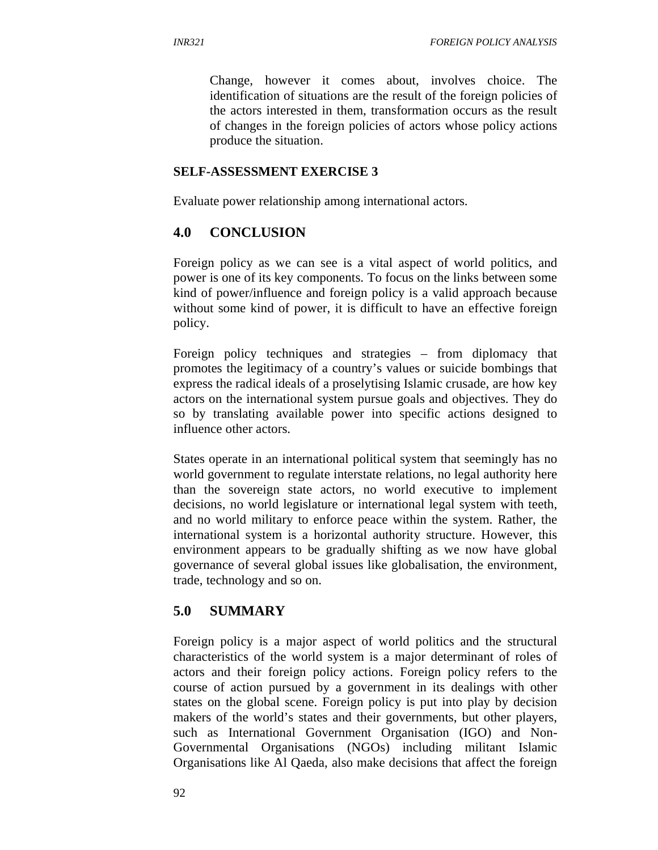Change, however it comes about, involves choice. The identification of situations are the result of the foreign policies of the actors interested in them, transformation occurs as the result of changes in the foreign policies of actors whose policy actions produce the situation.

#### **SELF-ASSESSMENT EXERCISE 3**

Evaluate power relationship among international actors.

## **4.0 CONCLUSION**

Foreign policy as we can see is a vital aspect of world politics, and power is one of its key components. To focus on the links between some kind of power/influence and foreign policy is a valid approach because without some kind of power, it is difficult to have an effective foreign policy.

Foreign policy techniques and strategies – from diplomacy that promotes the legitimacy of a country's values or suicide bombings that express the radical ideals of a proselytising Islamic crusade, are how key actors on the international system pursue goals and objectives. They do so by translating available power into specific actions designed to influence other actors.

States operate in an international political system that seemingly has no world government to regulate interstate relations, no legal authority here than the sovereign state actors, no world executive to implement decisions, no world legislature or international legal system with teeth, and no world military to enforce peace within the system. Rather, the international system is a horizontal authority structure. However, this environment appears to be gradually shifting as we now have global governance of several global issues like globalisation, the environment, trade, technology and so on.

## **5.0 SUMMARY**

Foreign policy is a major aspect of world politics and the structural characteristics of the world system is a major determinant of roles of actors and their foreign policy actions. Foreign policy refers to the course of action pursued by a government in its dealings with other states on the global scene. Foreign policy is put into play by decision makers of the world's states and their governments, but other players, such as International Government Organisation (IGO) and Non-Governmental Organisations (NGOs) including militant Islamic Organisations like Al Qaeda, also make decisions that affect the foreign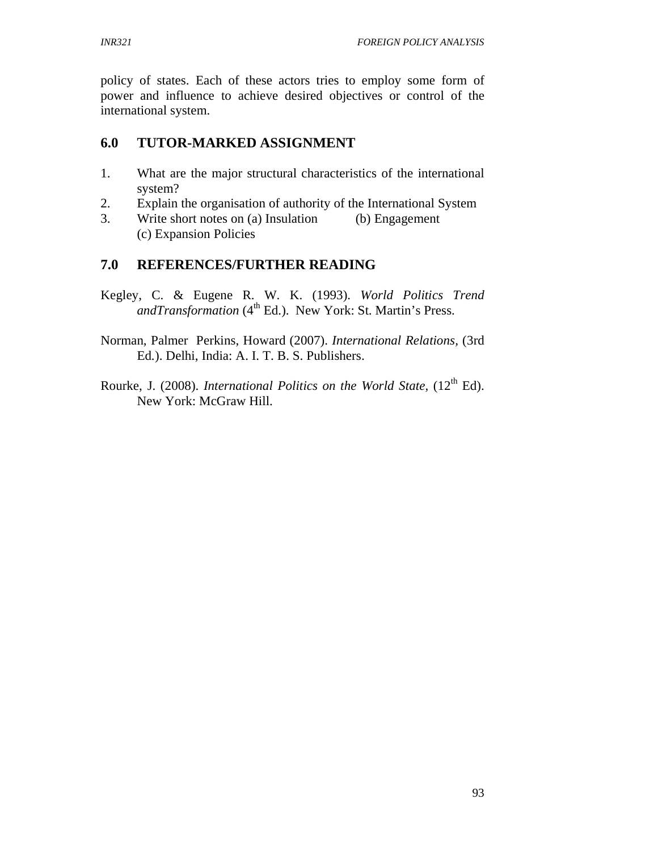policy of states. Each of these actors tries to employ some form of power and influence to achieve desired objectives or control of the international system.

## **6.0 TUTOR-MARKED ASSIGNMENT**

- 1. What are the major structural characteristics of the international system?
- 2. Explain the organisation of authority of the International System
- 3. Write short notes on (a) Insulation (b) Engagement (c) Expansion Policies

# **7.0 REFERENCES/FURTHER READING**

- Kegley, C. & Eugene R. W. K. (1993). *World Politics Trend andTransformation* (4<sup>th</sup> Ed.). New York: St. Martin's Press.
- Norman, Palmer Perkins, Howard (2007). *International Relations,* (3rd Ed*.*). Delhi, India: A. I. T. B. S. Publishers.
- Rourke, J. (2008). *International Politics on the World State*, (12<sup>th</sup> Ed). New York: McGraw Hill.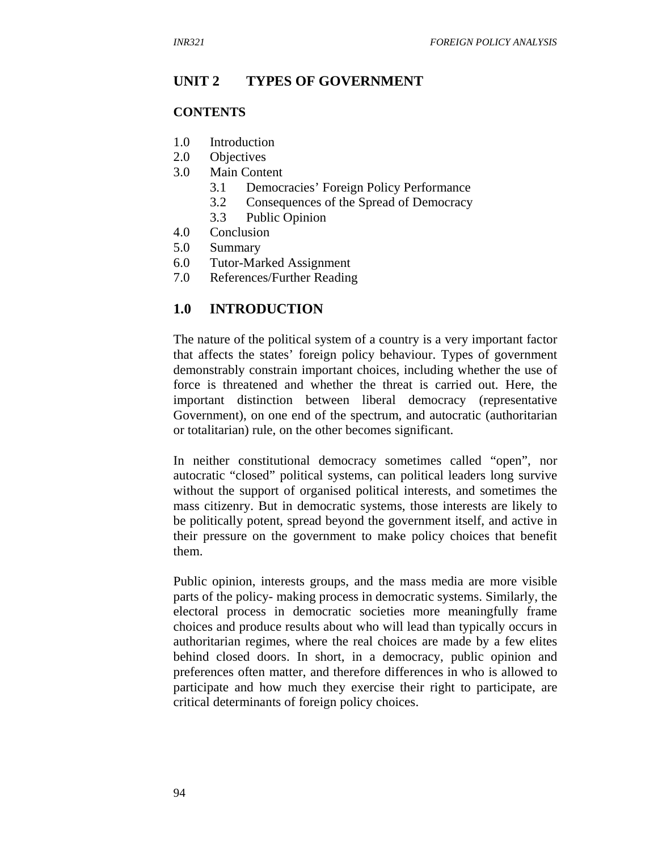#### **UNIT 2 TYPES OF GOVERNMENT**

#### **CONTENTS**

- 1.0 Introduction
- 2.0 Objectives
- 3.0 Main Content
	- 3.1 Democracies' Foreign Policy Performance
	- 3.2 Consequences of the Spread of Democracy
	- 3.3 Public Opinion
- 4.0 Conclusion
- 5.0 Summary
- 6.0 Tutor-Marked Assignment
- 7.0 References/Further Reading

## **1.0 INTRODUCTION**

The nature of the political system of a country is a very important factor that affects the states' foreign policy behaviour. Types of government demonstrably constrain important choices, including whether the use of force is threatened and whether the threat is carried out. Here, the important distinction between liberal democracy (representative Government), on one end of the spectrum, and autocratic (authoritarian or totalitarian) rule, on the other becomes significant.

In neither constitutional democracy sometimes called "open", nor autocratic "closed" political systems, can political leaders long survive without the support of organised political interests, and sometimes the mass citizenry. But in democratic systems, those interests are likely to be politically potent, spread beyond the government itself, and active in their pressure on the government to make policy choices that benefit them.

Public opinion, interests groups, and the mass media are more visible parts of the policy- making process in democratic systems. Similarly, the electoral process in democratic societies more meaningfully frame choices and produce results about who will lead than typically occurs in authoritarian regimes, where the real choices are made by a few elites behind closed doors. In short, in a democracy, public opinion and preferences often matter, and therefore differences in who is allowed to participate and how much they exercise their right to participate, are critical determinants of foreign policy choices.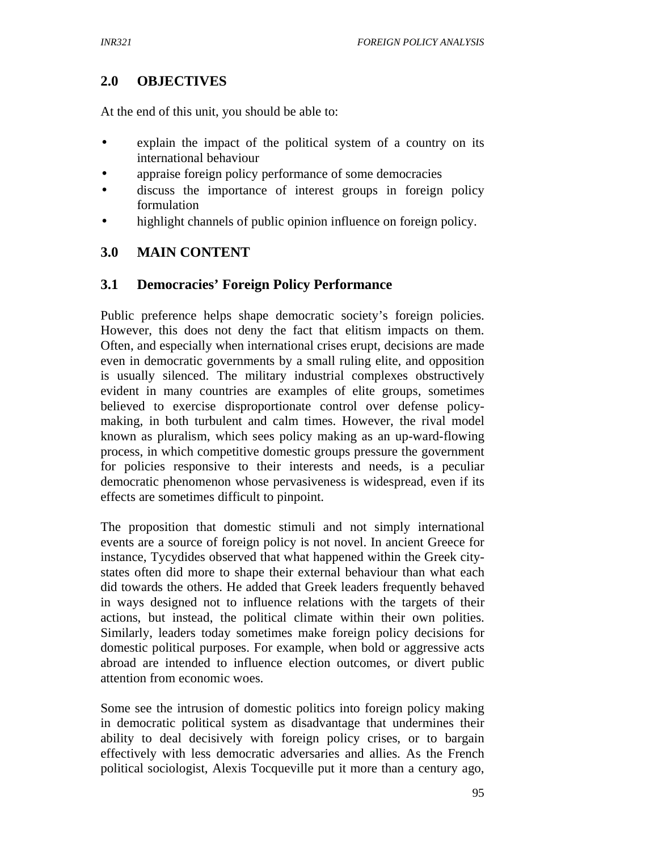# **2.0 OBJECTIVES**

At the end of this unit, you should be able to:

- explain the impact of the political system of a country on its international behaviour
- appraise foreign policy performance of some democracies
- discuss the importance of interest groups in foreign policy formulation
- highlight channels of public opinion influence on foreign policy.

# **3.0 MAIN CONTENT**

## **3.1 Democracies' Foreign Policy Performance**

Public preference helps shape democratic society's foreign policies. However, this does not deny the fact that elitism impacts on them. Often, and especially when international crises erupt, decisions are made even in democratic governments by a small ruling elite, and opposition is usually silenced. The military industrial complexes obstructively evident in many countries are examples of elite groups, sometimes believed to exercise disproportionate control over defense policymaking, in both turbulent and calm times. However, the rival model known as pluralism, which sees policy making as an up-ward-flowing process, in which competitive domestic groups pressure the government for policies responsive to their interests and needs, is a peculiar democratic phenomenon whose pervasiveness is widespread, even if its effects are sometimes difficult to pinpoint.

The proposition that domestic stimuli and not simply international events are a source of foreign policy is not novel. In ancient Greece for instance, Tycydides observed that what happened within the Greek citystates often did more to shape their external behaviour than what each did towards the others. He added that Greek leaders frequently behaved in ways designed not to influence relations with the targets of their actions, but instead, the political climate within their own polities. Similarly, leaders today sometimes make foreign policy decisions for domestic political purposes. For example, when bold or aggressive acts abroad are intended to influence election outcomes, or divert public attention from economic woes.

Some see the intrusion of domestic politics into foreign policy making in democratic political system as disadvantage that undermines their ability to deal decisively with foreign policy crises, or to bargain effectively with less democratic adversaries and allies. As the French political sociologist, Alexis Tocqueville put it more than a century ago,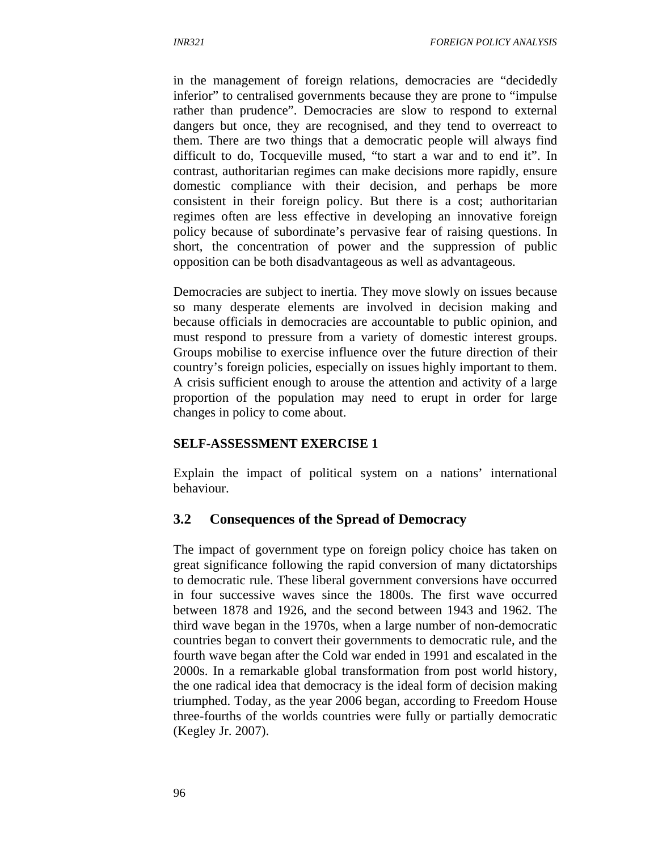in the management of foreign relations, democracies are "decidedly inferior" to centralised governments because they are prone to "impulse rather than prudence". Democracies are slow to respond to external dangers but once, they are recognised, and they tend to overreact to them. There are two things that a democratic people will always find difficult to do, Tocqueville mused, "to start a war and to end it". In contrast, authoritarian regimes can make decisions more rapidly, ensure domestic compliance with their decision, and perhaps be more consistent in their foreign policy. But there is a cost; authoritarian regimes often are less effective in developing an innovative foreign policy because of subordinate's pervasive fear of raising questions. In short, the concentration of power and the suppression of public opposition can be both disadvantageous as well as advantageous.

Democracies are subject to inertia. They move slowly on issues because so many desperate elements are involved in decision making and because officials in democracies are accountable to public opinion, and must respond to pressure from a variety of domestic interest groups. Groups mobilise to exercise influence over the future direction of their country's foreign policies, especially on issues highly important to them. A crisis sufficient enough to arouse the attention and activity of a large proportion of the population may need to erupt in order for large changes in policy to come about.

## **SELF-ASSESSMENT EXERCISE 1**

Explain the impact of political system on a nations' international behaviour.

## **3.2 Consequences of the Spread of Democracy**

The impact of government type on foreign policy choice has taken on great significance following the rapid conversion of many dictatorships to democratic rule. These liberal government conversions have occurred in four successive waves since the 1800s. The first wave occurred between 1878 and 1926, and the second between 1943 and 1962. The third wave began in the 1970s, when a large number of non-democratic countries began to convert their governments to democratic rule, and the fourth wave began after the Cold war ended in 1991 and escalated in the 2000s. In a remarkable global transformation from post world history, the one radical idea that democracy is the ideal form of decision making triumphed. Today, as the year 2006 began, according to Freedom House three-fourths of the worlds countries were fully or partially democratic (Kegley Jr. 2007).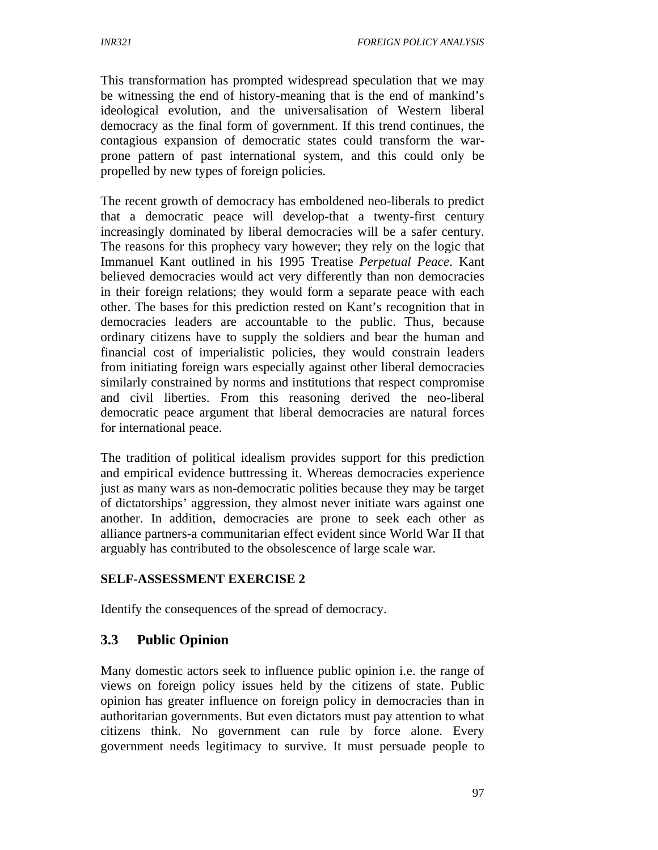This transformation has prompted widespread speculation that we may be witnessing the end of history-meaning that is the end of mankind's ideological evolution, and the universalisation of Western liberal democracy as the final form of government. If this trend continues, the contagious expansion of democratic states could transform the warprone pattern of past international system, and this could only be propelled by new types of foreign policies.

The recent growth of democracy has emboldened neo-liberals to predict that a democratic peace will develop-that a twenty-first century increasingly dominated by liberal democracies will be a safer century. The reasons for this prophecy vary however; they rely on the logic that Immanuel Kant outlined in his 1995 Treatise *Perpetual Peace*. Kant believed democracies would act very differently than non democracies in their foreign relations; they would form a separate peace with each other. The bases for this prediction rested on Kant's recognition that in democracies leaders are accountable to the public. Thus, because ordinary citizens have to supply the soldiers and bear the human and financial cost of imperialistic policies, they would constrain leaders from initiating foreign wars especially against other liberal democracies similarly constrained by norms and institutions that respect compromise and civil liberties. From this reasoning derived the neo-liberal democratic peace argument that liberal democracies are natural forces for international peace.

The tradition of political idealism provides support for this prediction and empirical evidence buttressing it. Whereas democracies experience just as many wars as non-democratic polities because they may be target of dictatorships' aggression, they almost never initiate wars against one another. In addition, democracies are prone to seek each other as alliance partners-a communitarian effect evident since World War II that arguably has contributed to the obsolescence of large scale war.

## **SELF-ASSESSMENT EXERCISE 2**

Identify the consequences of the spread of democracy.

## **3.3 Public Opinion**

Many domestic actors seek to influence public opinion i.e. the range of views on foreign policy issues held by the citizens of state. Public opinion has greater influence on foreign policy in democracies than in authoritarian governments. But even dictators must pay attention to what citizens think. No government can rule by force alone. Every government needs legitimacy to survive. It must persuade people to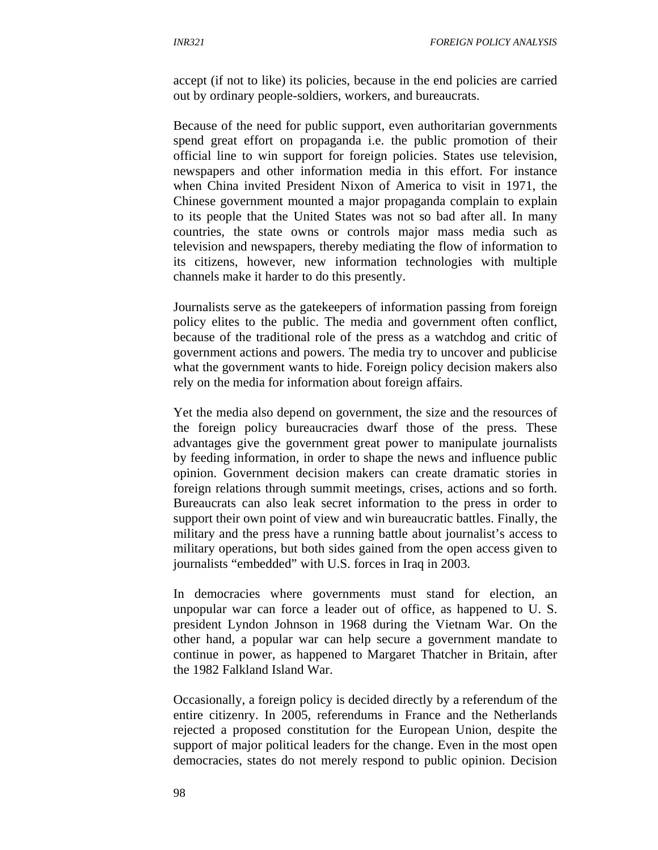accept (if not to like) its policies, because in the end policies are carried out by ordinary people-soldiers, workers, and bureaucrats.

Because of the need for public support, even authoritarian governments spend great effort on propaganda i.e. the public promotion of their official line to win support for foreign policies. States use television, newspapers and other information media in this effort. For instance when China invited President Nixon of America to visit in 1971, the Chinese government mounted a major propaganda complain to explain to its people that the United States was not so bad after all. In many countries, the state owns or controls major mass media such as television and newspapers, thereby mediating the flow of information to its citizens, however, new information technologies with multiple channels make it harder to do this presently.

Journalists serve as the gatekeepers of information passing from foreign policy elites to the public. The media and government often conflict, because of the traditional role of the press as a watchdog and critic of government actions and powers. The media try to uncover and publicise what the government wants to hide. Foreign policy decision makers also rely on the media for information about foreign affairs.

Yet the media also depend on government, the size and the resources of the foreign policy bureaucracies dwarf those of the press. These advantages give the government great power to manipulate journalists by feeding information, in order to shape the news and influence public opinion. Government decision makers can create dramatic stories in foreign relations through summit meetings, crises, actions and so forth. Bureaucrats can also leak secret information to the press in order to support their own point of view and win bureaucratic battles. Finally, the military and the press have a running battle about journalist's access to military operations, but both sides gained from the open access given to journalists "embedded" with U.S. forces in Iraq in 2003.

In democracies where governments must stand for election, an unpopular war can force a leader out of office, as happened to U. S. president Lyndon Johnson in 1968 during the Vietnam War. On the other hand, a popular war can help secure a government mandate to continue in power, as happened to Margaret Thatcher in Britain, after the 1982 Falkland Island War.

Occasionally, a foreign policy is decided directly by a referendum of the entire citizenry. In 2005, referendums in France and the Netherlands rejected a proposed constitution for the European Union, despite the support of major political leaders for the change. Even in the most open democracies, states do not merely respond to public opinion. Decision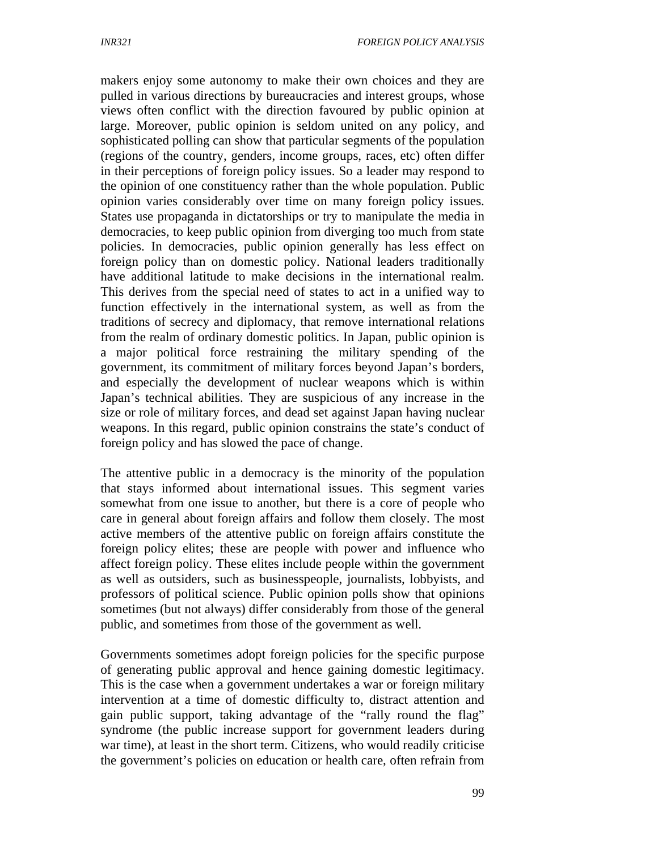makers enjoy some autonomy to make their own choices and they are pulled in various directions by bureaucracies and interest groups, whose views often conflict with the direction favoured by public opinion at large. Moreover, public opinion is seldom united on any policy, and sophisticated polling can show that particular segments of the population (regions of the country, genders, income groups, races, etc) often differ in their perceptions of foreign policy issues. So a leader may respond to the opinion of one constituency rather than the whole population. Public opinion varies considerably over time on many foreign policy issues. States use propaganda in dictatorships or try to manipulate the media in democracies, to keep public opinion from diverging too much from state policies. In democracies, public opinion generally has less effect on foreign policy than on domestic policy. National leaders traditionally have additional latitude to make decisions in the international realm. This derives from the special need of states to act in a unified way to function effectively in the international system, as well as from the traditions of secrecy and diplomacy, that remove international relations from the realm of ordinary domestic politics. In Japan, public opinion is a major political force restraining the military spending of the government, its commitment of military forces beyond Japan's borders, and especially the development of nuclear weapons which is within Japan's technical abilities. They are suspicious of any increase in the size or role of military forces, and dead set against Japan having nuclear weapons. In this regard, public opinion constrains the state's conduct of foreign policy and has slowed the pace of change.

The attentive public in a democracy is the minority of the population that stays informed about international issues. This segment varies somewhat from one issue to another, but there is a core of people who care in general about foreign affairs and follow them closely. The most active members of the attentive public on foreign affairs constitute the foreign policy elites; these are people with power and influence who affect foreign policy. These elites include people within the government as well as outsiders, such as businesspeople, journalists, lobbyists, and professors of political science. Public opinion polls show that opinions sometimes (but not always) differ considerably from those of the general public, and sometimes from those of the government as well.

Governments sometimes adopt foreign policies for the specific purpose of generating public approval and hence gaining domestic legitimacy. This is the case when a government undertakes a war or foreign military intervention at a time of domestic difficulty to, distract attention and gain public support, taking advantage of the "rally round the flag" syndrome (the public increase support for government leaders during war time), at least in the short term. Citizens, who would readily criticise the government's policies on education or health care, often refrain from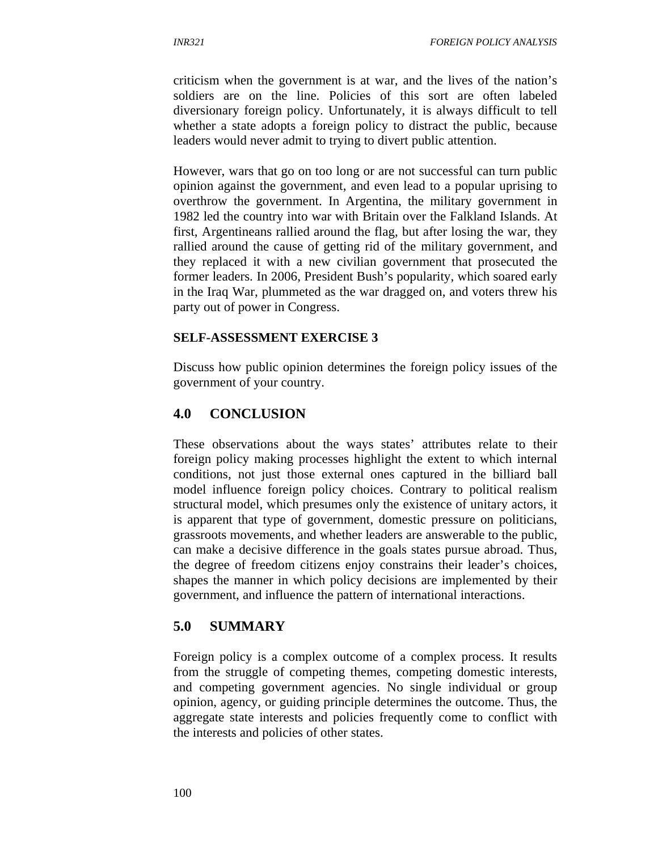criticism when the government is at war, and the lives of the nation's soldiers are on the line. Policies of this sort are often labeled diversionary foreign policy. Unfortunately, it is always difficult to tell whether a state adopts a foreign policy to distract the public, because leaders would never admit to trying to divert public attention.

However, wars that go on too long or are not successful can turn public opinion against the government, and even lead to a popular uprising to overthrow the government. In Argentina, the military government in 1982 led the country into war with Britain over the Falkland Islands. At first, Argentineans rallied around the flag, but after losing the war, they rallied around the cause of getting rid of the military government, and they replaced it with a new civilian government that prosecuted the former leaders. In 2006, President Bush's popularity, which soared early in the Iraq War, plummeted as the war dragged on, and voters threw his party out of power in Congress.

#### **SELF-ASSESSMENT EXERCISE 3**

Discuss how public opinion determines the foreign policy issues of the government of your country.

## **4.0 CONCLUSION**

These observations about the ways states' attributes relate to their foreign policy making processes highlight the extent to which internal conditions, not just those external ones captured in the billiard ball model influence foreign policy choices. Contrary to political realism structural model, which presumes only the existence of unitary actors, it is apparent that type of government, domestic pressure on politicians, grassroots movements, and whether leaders are answerable to the public, can make a decisive difference in the goals states pursue abroad. Thus, the degree of freedom citizens enjoy constrains their leader's choices, shapes the manner in which policy decisions are implemented by their government, and influence the pattern of international interactions.

## **5.0 SUMMARY**

Foreign policy is a complex outcome of a complex process. It results from the struggle of competing themes, competing domestic interests, and competing government agencies. No single individual or group opinion, agency, or guiding principle determines the outcome. Thus, the aggregate state interests and policies frequently come to conflict with the interests and policies of other states.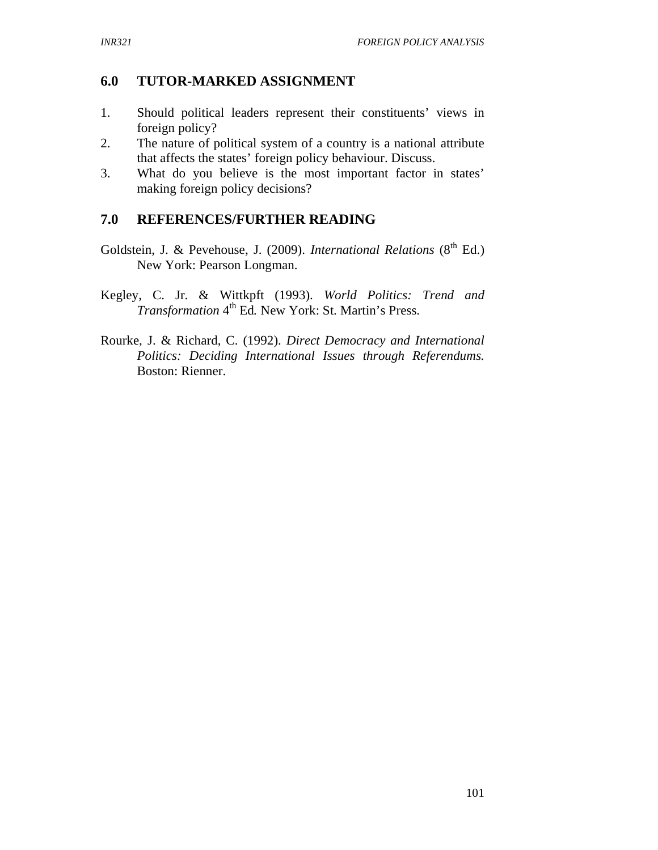## **6.0 TUTOR-MARKED ASSIGNMENT**

- 1. Should political leaders represent their constituents' views in foreign policy?
- 2. The nature of political system of a country is a national attribute that affects the states' foreign policy behaviour. Discuss.
- 3. What do you believe is the most important factor in states' making foreign policy decisions?

## **7.0 REFERENCES/FURTHER READING**

- Goldstein, J. & Pevehouse, J. (2009). *International Relations* (8<sup>th</sup> Ed.) New York: Pearson Longman.
- Kegley, C. Jr. & Wittkpft (1993). *World Politics: Trend and Transformation* 4 th Ed*.* New York: St. Martin's Press.
- Rourke, J. & Richard, C. (1992). *Direct Democracy and International Politics: Deciding International Issues through Referendums.* Boston: Rienner.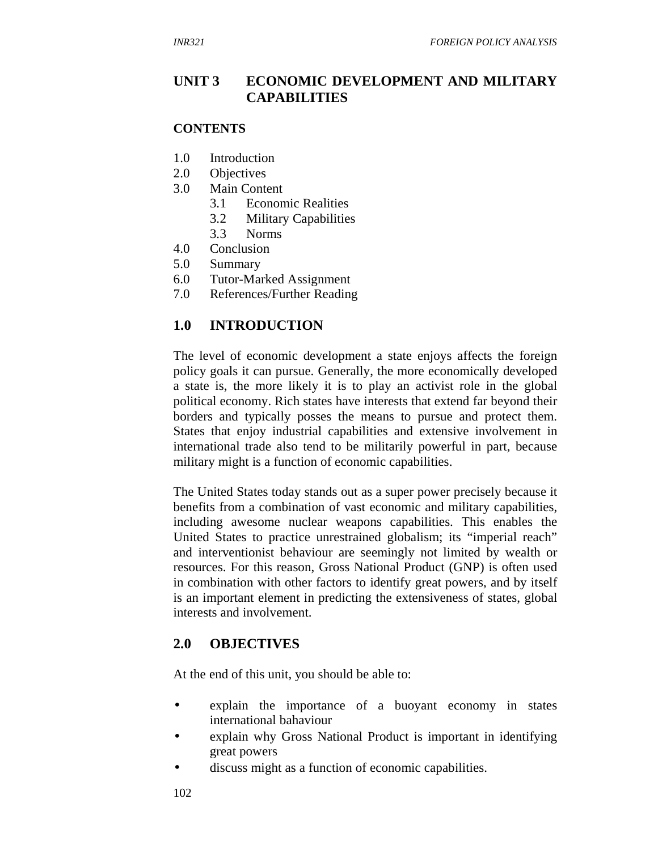## **UNIT 3 ECONOMIC DEVELOPMENT AND MILITARY CAPABILITIES**

#### **CONTENTS**

- 1.0 Introduction
- 2.0 Objectives
- 3.0 Main Content
	- 3.1 Economic Realities
	- 3.2 Military Capabilities
	- 3.3 Norms
- 4.0 Conclusion
- 5.0 Summary
- 6.0 Tutor-Marked Assignment
- 7.0 References/Further Reading

## **1.0 INTRODUCTION**

The level of economic development a state enjoys affects the foreign policy goals it can pursue. Generally, the more economically developed a state is, the more likely it is to play an activist role in the global political economy. Rich states have interests that extend far beyond their borders and typically posses the means to pursue and protect them. States that enjoy industrial capabilities and extensive involvement in international trade also tend to be militarily powerful in part, because military might is a function of economic capabilities.

The United States today stands out as a super power precisely because it benefits from a combination of vast economic and military capabilities, including awesome nuclear weapons capabilities. This enables the United States to practice unrestrained globalism; its "imperial reach" and interventionist behaviour are seemingly not limited by wealth or resources. For this reason, Gross National Product (GNP) is often used in combination with other factors to identify great powers, and by itself is an important element in predicting the extensiveness of states, global interests and involvement.

## **2.0 OBJECTIVES**

At the end of this unit, you should be able to:

- explain the importance of a buoyant economy in states international bahaviour
- explain why Gross National Product is important in identifying great powers
- discuss might as a function of economic capabilities.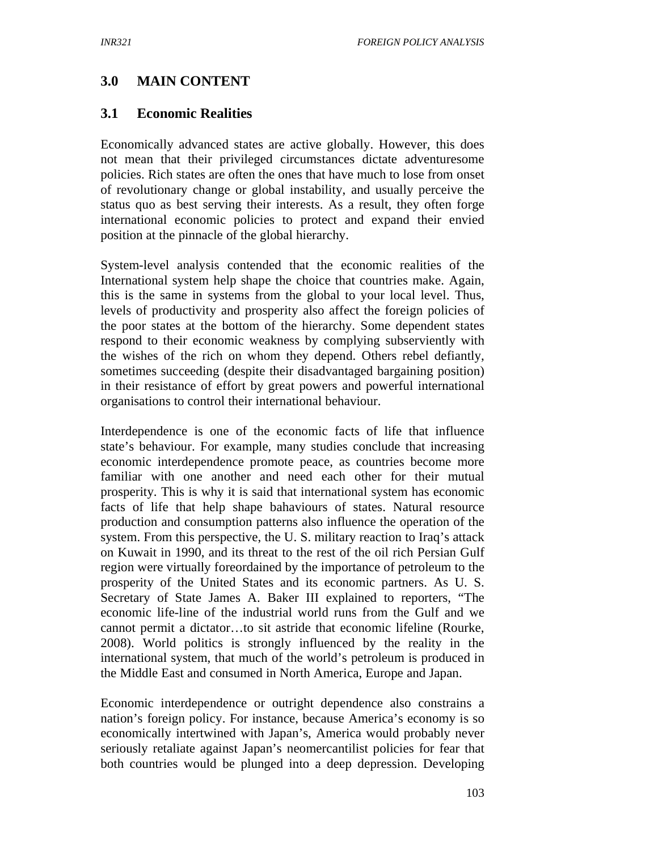## **3.0 MAIN CONTENT**

#### **3.1 Economic Realities**

Economically advanced states are active globally. However, this does not mean that their privileged circumstances dictate adventuresome policies. Rich states are often the ones that have much to lose from onset of revolutionary change or global instability, and usually perceive the status quo as best serving their interests. As a result, they often forge international economic policies to protect and expand their envied position at the pinnacle of the global hierarchy.

System-level analysis contended that the economic realities of the International system help shape the choice that countries make. Again, this is the same in systems from the global to your local level. Thus, levels of productivity and prosperity also affect the foreign policies of the poor states at the bottom of the hierarchy. Some dependent states respond to their economic weakness by complying subserviently with the wishes of the rich on whom they depend. Others rebel defiantly, sometimes succeeding (despite their disadvantaged bargaining position) in their resistance of effort by great powers and powerful international organisations to control their international behaviour.

Interdependence is one of the economic facts of life that influence state's behaviour. For example, many studies conclude that increasing economic interdependence promote peace, as countries become more familiar with one another and need each other for their mutual prosperity. This is why it is said that international system has economic facts of life that help shape bahaviours of states. Natural resource production and consumption patterns also influence the operation of the system. From this perspective, the U. S. military reaction to Iraq's attack on Kuwait in 1990, and its threat to the rest of the oil rich Persian Gulf region were virtually foreordained by the importance of petroleum to the prosperity of the United States and its economic partners. As U. S. Secretary of State James A. Baker III explained to reporters, "The economic life-line of the industrial world runs from the Gulf and we cannot permit a dictator…to sit astride that economic lifeline (Rourke, 2008). World politics is strongly influenced by the reality in the international system, that much of the world's petroleum is produced in the Middle East and consumed in North America, Europe and Japan.

Economic interdependence or outright dependence also constrains a nation's foreign policy. For instance, because America's economy is so economically intertwined with Japan's, America would probably never seriously retaliate against Japan's neomercantilist policies for fear that both countries would be plunged into a deep depression. Developing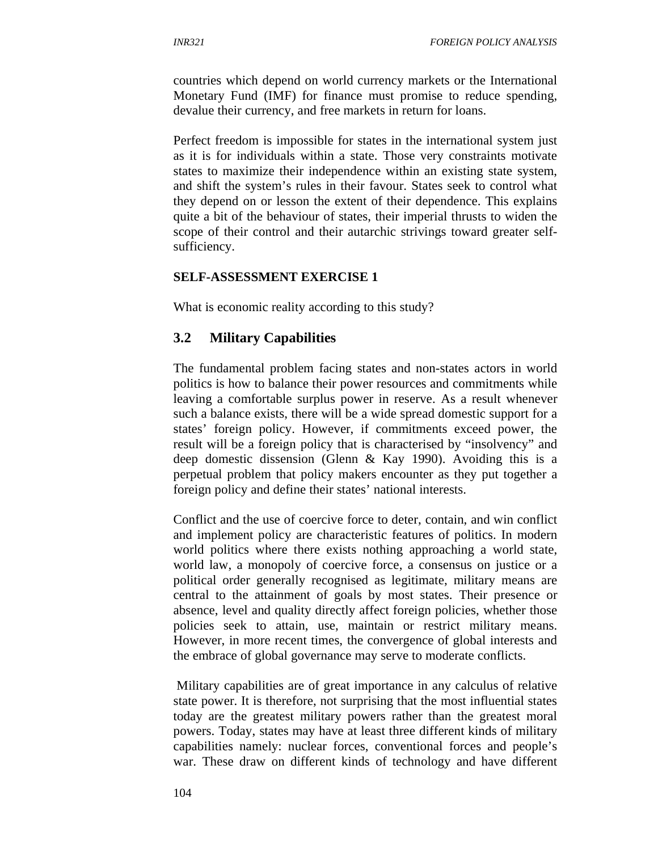countries which depend on world currency markets or the International Monetary Fund (IMF) for finance must promise to reduce spending, devalue their currency, and free markets in return for loans.

Perfect freedom is impossible for states in the international system just as it is for individuals within a state. Those very constraints motivate states to maximize their independence within an existing state system, and shift the system's rules in their favour. States seek to control what they depend on or lesson the extent of their dependence. This explains quite a bit of the behaviour of states, their imperial thrusts to widen the scope of their control and their autarchic strivings toward greater selfsufficiency.

#### **SELF-ASSESSMENT EXERCISE 1**

What is economic reality according to this study?

#### **3.2 Military Capabilities**

The fundamental problem facing states and non-states actors in world politics is how to balance their power resources and commitments while leaving a comfortable surplus power in reserve. As a result whenever such a balance exists, there will be a wide spread domestic support for a states' foreign policy. However, if commitments exceed power, the result will be a foreign policy that is characterised by "insolvency" and deep domestic dissension (Glenn & Kay 1990). Avoiding this is a perpetual problem that policy makers encounter as they put together a foreign policy and define their states' national interests.

Conflict and the use of coercive force to deter, contain, and win conflict and implement policy are characteristic features of politics. In modern world politics where there exists nothing approaching a world state, world law, a monopoly of coercive force, a consensus on justice or a political order generally recognised as legitimate, military means are central to the attainment of goals by most states. Their presence or absence, level and quality directly affect foreign policies, whether those policies seek to attain, use, maintain or restrict military means. However, in more recent times, the convergence of global interests and the embrace of global governance may serve to moderate conflicts.

 Military capabilities are of great importance in any calculus of relative state power. It is therefore, not surprising that the most influential states today are the greatest military powers rather than the greatest moral powers. Today, states may have at least three different kinds of military capabilities namely: nuclear forces, conventional forces and people's war. These draw on different kinds of technology and have different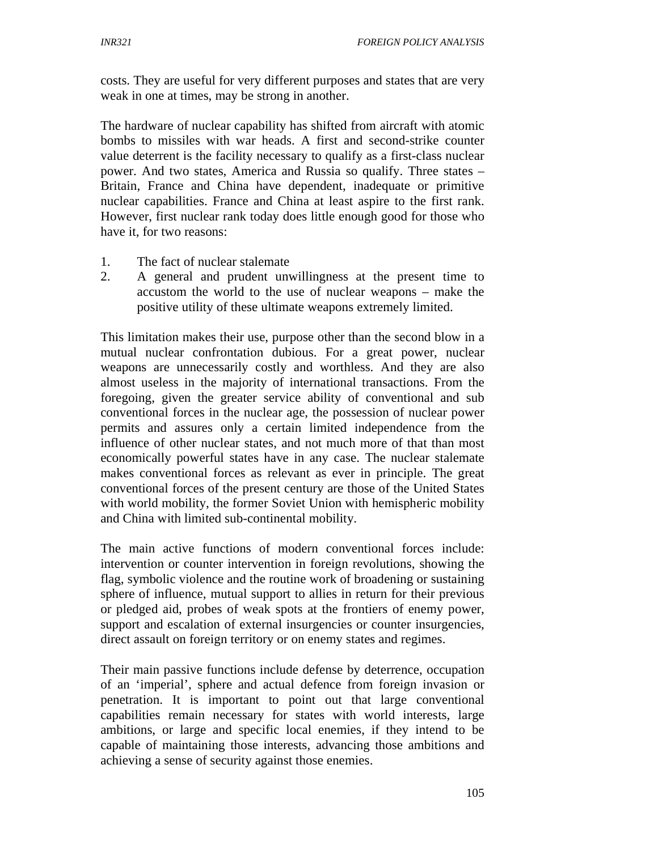costs. They are useful for very different purposes and states that are very weak in one at times, may be strong in another.

The hardware of nuclear capability has shifted from aircraft with atomic bombs to missiles with war heads. A first and second-strike counter value deterrent is the facility necessary to qualify as a first-class nuclear power. And two states, America and Russia so qualify. Three states – Britain, France and China have dependent, inadequate or primitive nuclear capabilities. France and China at least aspire to the first rank. However, first nuclear rank today does little enough good for those who have it, for two reasons:

- 1. The fact of nuclear stalemate
- 2. A general and prudent unwillingness at the present time to accustom the world to the use of nuclear weapons – make the positive utility of these ultimate weapons extremely limited.

This limitation makes their use, purpose other than the second blow in a mutual nuclear confrontation dubious. For a great power, nuclear weapons are unnecessarily costly and worthless. And they are also almost useless in the majority of international transactions. From the foregoing, given the greater service ability of conventional and sub conventional forces in the nuclear age, the possession of nuclear power permits and assures only a certain limited independence from the influence of other nuclear states, and not much more of that than most economically powerful states have in any case. The nuclear stalemate makes conventional forces as relevant as ever in principle. The great conventional forces of the present century are those of the United States with world mobility, the former Soviet Union with hemispheric mobility and China with limited sub-continental mobility.

The main active functions of modern conventional forces include: intervention or counter intervention in foreign revolutions, showing the flag, symbolic violence and the routine work of broadening or sustaining sphere of influence, mutual support to allies in return for their previous or pledged aid, probes of weak spots at the frontiers of enemy power, support and escalation of external insurgencies or counter insurgencies, direct assault on foreign territory or on enemy states and regimes.

Their main passive functions include defense by deterrence, occupation of an 'imperial', sphere and actual defence from foreign invasion or penetration. It is important to point out that large conventional capabilities remain necessary for states with world interests, large ambitions, or large and specific local enemies, if they intend to be capable of maintaining those interests, advancing those ambitions and achieving a sense of security against those enemies.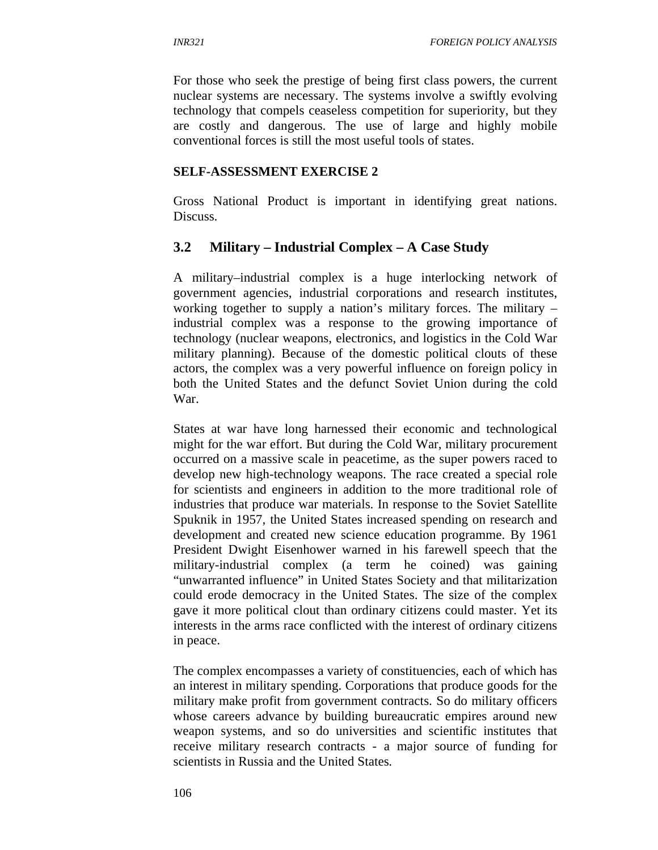For those who seek the prestige of being first class powers, the current nuclear systems are necessary. The systems involve a swiftly evolving technology that compels ceaseless competition for superiority, but they are costly and dangerous. The use of large and highly mobile conventional forces is still the most useful tools of states.

#### **SELF-ASSESSMENT EXERCISE 2**

Gross National Product is important in identifying great nations. Discuss.

## **3.2 Military – Industrial Complex – A Case Study**

A military–industrial complex is a huge interlocking network of government agencies, industrial corporations and research institutes, working together to supply a nation's military forces. The military – industrial complex was a response to the growing importance of technology (nuclear weapons, electronics, and logistics in the Cold War military planning). Because of the domestic political clouts of these actors, the complex was a very powerful influence on foreign policy in both the United States and the defunct Soviet Union during the cold War.

States at war have long harnessed their economic and technological might for the war effort. But during the Cold War, military procurement occurred on a massive scale in peacetime, as the super powers raced to develop new high-technology weapons. The race created a special role for scientists and engineers in addition to the more traditional role of industries that produce war materials. In response to the Soviet Satellite Spuknik in 1957, the United States increased spending on research and development and created new science education programme. By 1961 President Dwight Eisenhower warned in his farewell speech that the military-industrial complex (a term he coined) was gaining "unwarranted influence" in United States Society and that militarization could erode democracy in the United States. The size of the complex gave it more political clout than ordinary citizens could master. Yet its interests in the arms race conflicted with the interest of ordinary citizens in peace.

The complex encompasses a variety of constituencies, each of which has an interest in military spending. Corporations that produce goods for the military make profit from government contracts. So do military officers whose careers advance by building bureaucratic empires around new weapon systems, and so do universities and scientific institutes that receive military research contracts - a major source of funding for scientists in Russia and the United States.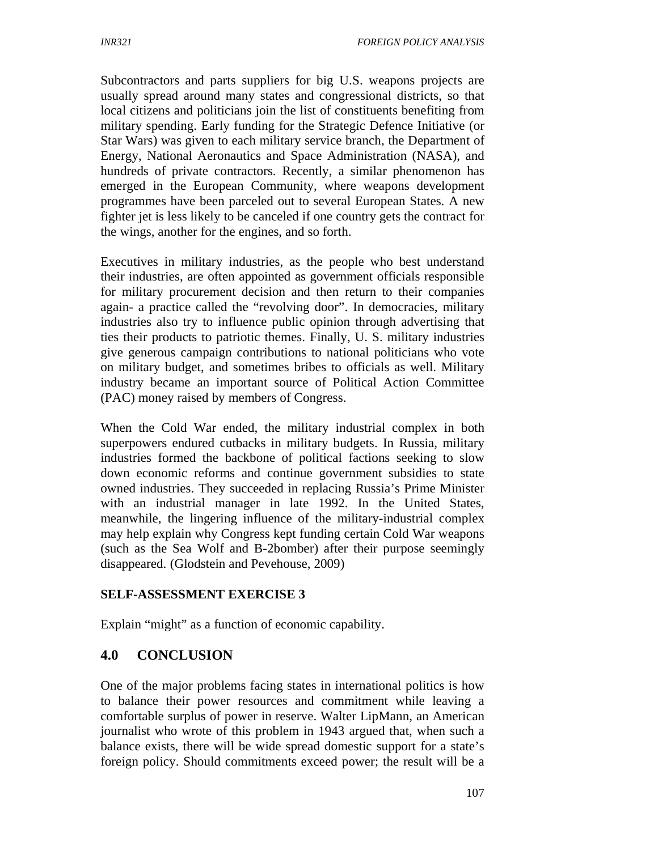Subcontractors and parts suppliers for big U.S. weapons projects are usually spread around many states and congressional districts, so that local citizens and politicians join the list of constituents benefiting from military spending. Early funding for the Strategic Defence Initiative (or Star Wars) was given to each military service branch, the Department of Energy, National Aeronautics and Space Administration (NASA), and hundreds of private contractors. Recently, a similar phenomenon has emerged in the European Community, where weapons development programmes have been parceled out to several European States. A new fighter jet is less likely to be canceled if one country gets the contract for the wings, another for the engines, and so forth.

Executives in military industries, as the people who best understand their industries, are often appointed as government officials responsible for military procurement decision and then return to their companies again- a practice called the "revolving door". In democracies, military industries also try to influence public opinion through advertising that ties their products to patriotic themes. Finally, U. S. military industries give generous campaign contributions to national politicians who vote on military budget, and sometimes bribes to officials as well. Military industry became an important source of Political Action Committee (PAC) money raised by members of Congress.

When the Cold War ended, the military industrial complex in both superpowers endured cutbacks in military budgets. In Russia, military industries formed the backbone of political factions seeking to slow down economic reforms and continue government subsidies to state owned industries. They succeeded in replacing Russia's Prime Minister with an industrial manager in late 1992. In the United States, meanwhile, the lingering influence of the military-industrial complex may help explain why Congress kept funding certain Cold War weapons (such as the Sea Wolf and B-2bomber) after their purpose seemingly disappeared. (Glodstein and Pevehouse, 2009)

## **SELF-ASSESSMENT EXERCISE 3**

Explain "might" as a function of economic capability.

# **4.0 CONCLUSION**

One of the major problems facing states in international politics is how to balance their power resources and commitment while leaving a comfortable surplus of power in reserve. Walter LipMann, an American journalist who wrote of this problem in 1943 argued that, when such a balance exists, there will be wide spread domestic support for a state's foreign policy. Should commitments exceed power; the result will be a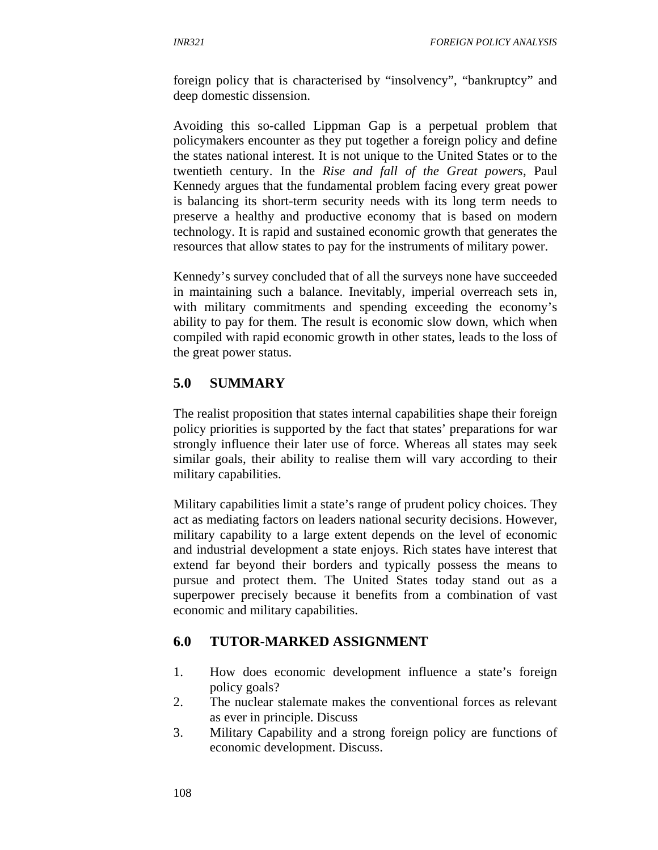foreign policy that is characterised by "insolvency", "bankruptcy" and deep domestic dissension.

Avoiding this so-called Lippman Gap is a perpetual problem that policymakers encounter as they put together a foreign policy and define the states national interest. It is not unique to the United States or to the twentieth century. In the *Rise and fall of the Great powers*, Paul Kennedy argues that the fundamental problem facing every great power is balancing its short-term security needs with its long term needs to preserve a healthy and productive economy that is based on modern technology. It is rapid and sustained economic growth that generates the resources that allow states to pay for the instruments of military power.

Kennedy's survey concluded that of all the surveys none have succeeded in maintaining such a balance. Inevitably, imperial overreach sets in, with military commitments and spending exceeding the economy's ability to pay for them. The result is economic slow down, which when compiled with rapid economic growth in other states, leads to the loss of the great power status.

## **5.0 SUMMARY**

The realist proposition that states internal capabilities shape their foreign policy priorities is supported by the fact that states' preparations for war strongly influence their later use of force. Whereas all states may seek similar goals, their ability to realise them will vary according to their military capabilities.

Military capabilities limit a state's range of prudent policy choices. They act as mediating factors on leaders national security decisions. However, military capability to a large extent depends on the level of economic and industrial development a state enjoys. Rich states have interest that extend far beyond their borders and typically possess the means to pursue and protect them. The United States today stand out as a superpower precisely because it benefits from a combination of vast economic and military capabilities.

## **6.0 TUTOR-MARKED ASSIGNMENT**

- 1. How does economic development influence a state's foreign policy goals?
- 2. The nuclear stalemate makes the conventional forces as relevant as ever in principle. Discuss
- 3. Military Capability and a strong foreign policy are functions of economic development. Discuss.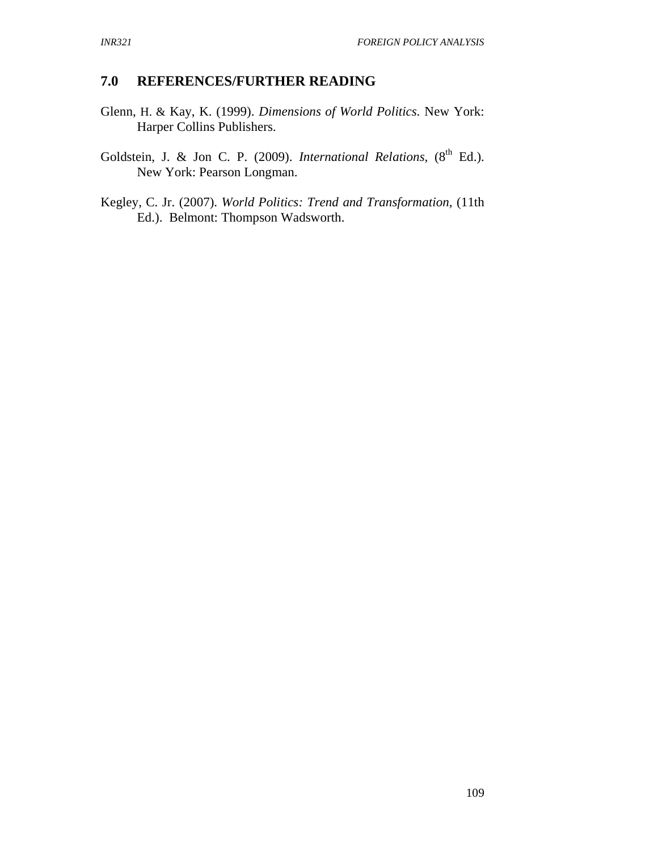## **7.0 REFERENCES/FURTHER READING**

- Glenn, H. & Kay, K. (1999). *Dimensions of World Politics.* New York: Harper Collins Publishers.
- Goldstein, J. & Jon C. P. (2009). *International Relations*, (8<sup>th</sup> Ed.). New York: Pearson Longman.
- Kegley, C. Jr. (2007). *World Politics: Trend and Transformation,* (11th Ed.). Belmont: Thompson Wadsworth.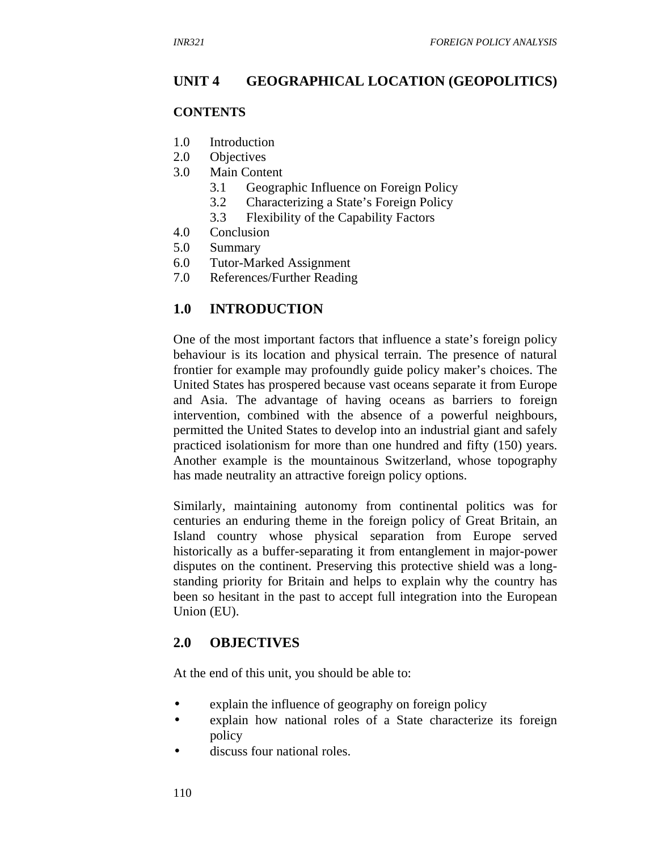# **UNIT 4 GEOGRAPHICAL LOCATION (GEOPOLITICS)**

#### **CONTENTS**

- 1.0 Introduction
- 2.0 Objectives
- 3.0 Main Content
	- 3.1 Geographic Influence on Foreign Policy
	- 3.2 Characterizing a State's Foreign Policy
	- 3.3 Flexibility of the Capability Factors
- 4.0 Conclusion
- 5.0 Summary
- 6.0 Tutor-Marked Assignment
- 7.0 References/Further Reading

## **1.0 INTRODUCTION**

One of the most important factors that influence a state's foreign policy behaviour is its location and physical terrain. The presence of natural frontier for example may profoundly guide policy maker's choices. The United States has prospered because vast oceans separate it from Europe and Asia. The advantage of having oceans as barriers to foreign intervention, combined with the absence of a powerful neighbours, permitted the United States to develop into an industrial giant and safely practiced isolationism for more than one hundred and fifty (150) years. Another example is the mountainous Switzerland, whose topography has made neutrality an attractive foreign policy options.

Similarly, maintaining autonomy from continental politics was for centuries an enduring theme in the foreign policy of Great Britain, an Island country whose physical separation from Europe served historically as a buffer-separating it from entanglement in major-power disputes on the continent. Preserving this protective shield was a longstanding priority for Britain and helps to explain why the country has been so hesitant in the past to accept full integration into the European Union (EU).

## **2.0 OBJECTIVES**

At the end of this unit, you should be able to:

- explain the influence of geography on foreign policy
- explain how national roles of a State characterize its foreign policy
- discuss four national roles.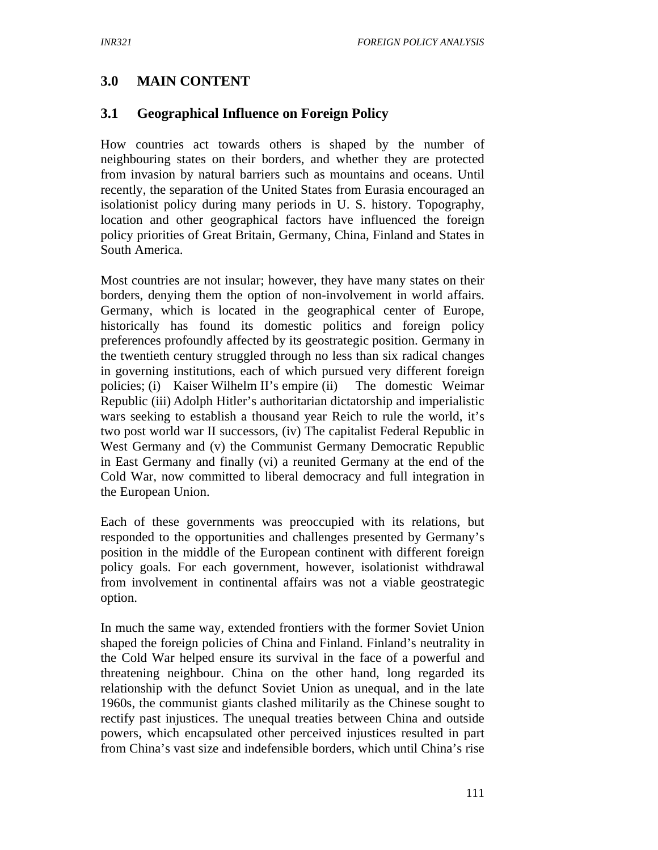# **3.0 MAIN CONTENT**

## **3.1 Geographical Influence on Foreign Policy**

How countries act towards others is shaped by the number of neighbouring states on their borders, and whether they are protected from invasion by natural barriers such as mountains and oceans. Until recently, the separation of the United States from Eurasia encouraged an isolationist policy during many periods in U. S. history. Topography, location and other geographical factors have influenced the foreign policy priorities of Great Britain, Germany, China, Finland and States in South America.

Most countries are not insular; however, they have many states on their borders, denying them the option of non-involvement in world affairs. Germany, which is located in the geographical center of Europe, historically has found its domestic politics and foreign policy preferences profoundly affected by its geostrategic position. Germany in the twentieth century struggled through no less than six radical changes in governing institutions, each of which pursued very different foreign policies; (i) Kaiser Wilhelm II's empire (ii) The domestic Weimar Republic (iii) Adolph Hitler's authoritarian dictatorship and imperialistic wars seeking to establish a thousand year Reich to rule the world, it's two post world war II successors, (iv) The capitalist Federal Republic in West Germany and (v) the Communist Germany Democratic Republic in East Germany and finally (vi) a reunited Germany at the end of the Cold War, now committed to liberal democracy and full integration in the European Union.

Each of these governments was preoccupied with its relations, but responded to the opportunities and challenges presented by Germany's position in the middle of the European continent with different foreign policy goals. For each government, however, isolationist withdrawal from involvement in continental affairs was not a viable geostrategic option.

In much the same way, extended frontiers with the former Soviet Union shaped the foreign policies of China and Finland. Finland's neutrality in the Cold War helped ensure its survival in the face of a powerful and threatening neighbour. China on the other hand, long regarded its relationship with the defunct Soviet Union as unequal, and in the late 1960s, the communist giants clashed militarily as the Chinese sought to rectify past injustices. The unequal treaties between China and outside powers, which encapsulated other perceived injustices resulted in part from China's vast size and indefensible borders, which until China's rise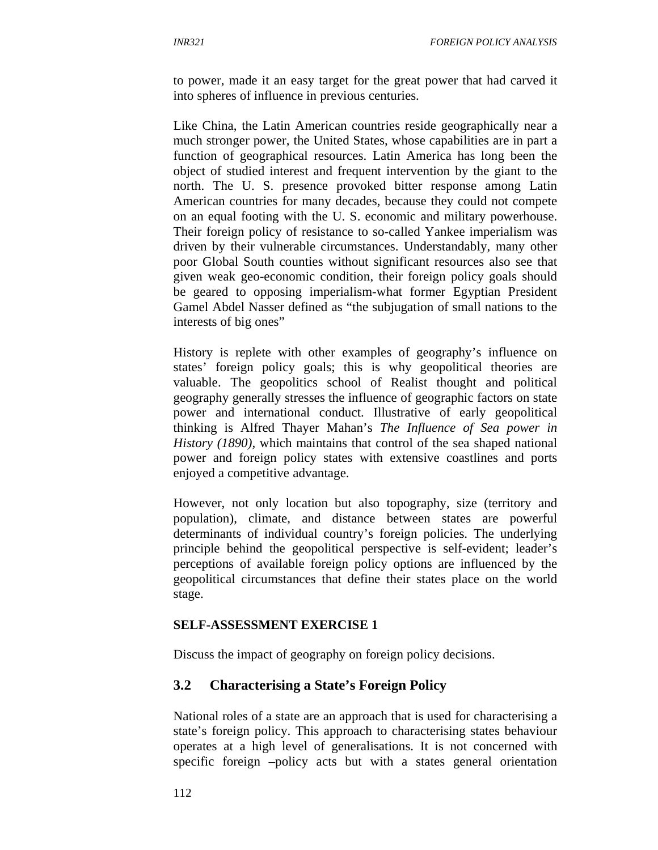to power, made it an easy target for the great power that had carved it into spheres of influence in previous centuries.

Like China, the Latin American countries reside geographically near a much stronger power, the United States, whose capabilities are in part a function of geographical resources. Latin America has long been the object of studied interest and frequent intervention by the giant to the north. The U. S. presence provoked bitter response among Latin American countries for many decades, because they could not compete on an equal footing with the U. S. economic and military powerhouse. Their foreign policy of resistance to so-called Yankee imperialism was driven by their vulnerable circumstances. Understandably, many other poor Global South counties without significant resources also see that given weak geo-economic condition, their foreign policy goals should be geared to opposing imperialism-what former Egyptian President Gamel Abdel Nasser defined as "the subjugation of small nations to the interests of big ones"

History is replete with other examples of geography's influence on states' foreign policy goals; this is why geopolitical theories are valuable. The geopolitics school of Realist thought and political geography generally stresses the influence of geographic factors on state power and international conduct. Illustrative of early geopolitical thinking is Alfred Thayer Mahan's *The Influence of Sea power in History (1890),* which maintains that control of the sea shaped national power and foreign policy states with extensive coastlines and ports enjoyed a competitive advantage.

However, not only location but also topography, size (territory and population), climate, and distance between states are powerful determinants of individual country's foreign policies. The underlying principle behind the geopolitical perspective is self-evident; leader's perceptions of available foreign policy options are influenced by the geopolitical circumstances that define their states place on the world stage.

#### **SELF-ASSESSMENT EXERCISE 1**

Discuss the impact of geography on foreign policy decisions.

## **3.2 Characterising a State's Foreign Policy**

National roles of a state are an approach that is used for characterising a state's foreign policy. This approach to characterising states behaviour operates at a high level of generalisations. It is not concerned with specific foreign –policy acts but with a states general orientation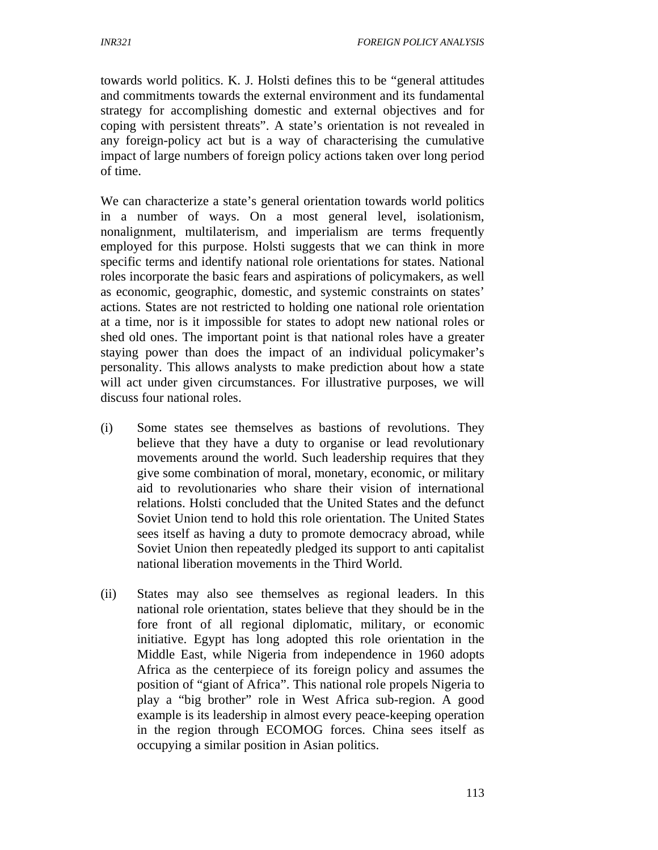towards world politics. K. J. Holsti defines this to be "general attitudes and commitments towards the external environment and its fundamental strategy for accomplishing domestic and external objectives and for coping with persistent threats". A state's orientation is not revealed in any foreign-policy act but is a way of characterising the cumulative impact of large numbers of foreign policy actions taken over long period of time.

We can characterize a state's general orientation towards world politics in a number of ways. On a most general level, isolationism, nonalignment, multilaterism, and imperialism are terms frequently employed for this purpose. Holsti suggests that we can think in more specific terms and identify national role orientations for states. National roles incorporate the basic fears and aspirations of policymakers, as well as economic, geographic, domestic, and systemic constraints on states' actions. States are not restricted to holding one national role orientation at a time, nor is it impossible for states to adopt new national roles or shed old ones. The important point is that national roles have a greater staying power than does the impact of an individual policymaker's personality. This allows analysts to make prediction about how a state will act under given circumstances. For illustrative purposes, we will discuss four national roles.

- (i) Some states see themselves as bastions of revolutions. They believe that they have a duty to organise or lead revolutionary movements around the world. Such leadership requires that they give some combination of moral, monetary, economic, or military aid to revolutionaries who share their vision of international relations. Holsti concluded that the United States and the defunct Soviet Union tend to hold this role orientation. The United States sees itself as having a duty to promote democracy abroad, while Soviet Union then repeatedly pledged its support to anti capitalist national liberation movements in the Third World.
- (ii) States may also see themselves as regional leaders. In this national role orientation, states believe that they should be in the fore front of all regional diplomatic, military, or economic initiative. Egypt has long adopted this role orientation in the Middle East, while Nigeria from independence in 1960 adopts Africa as the centerpiece of its foreign policy and assumes the position of "giant of Africa". This national role propels Nigeria to play a "big brother" role in West Africa sub-region. A good example is its leadership in almost every peace-keeping operation in the region through ECOMOG forces. China sees itself as occupying a similar position in Asian politics.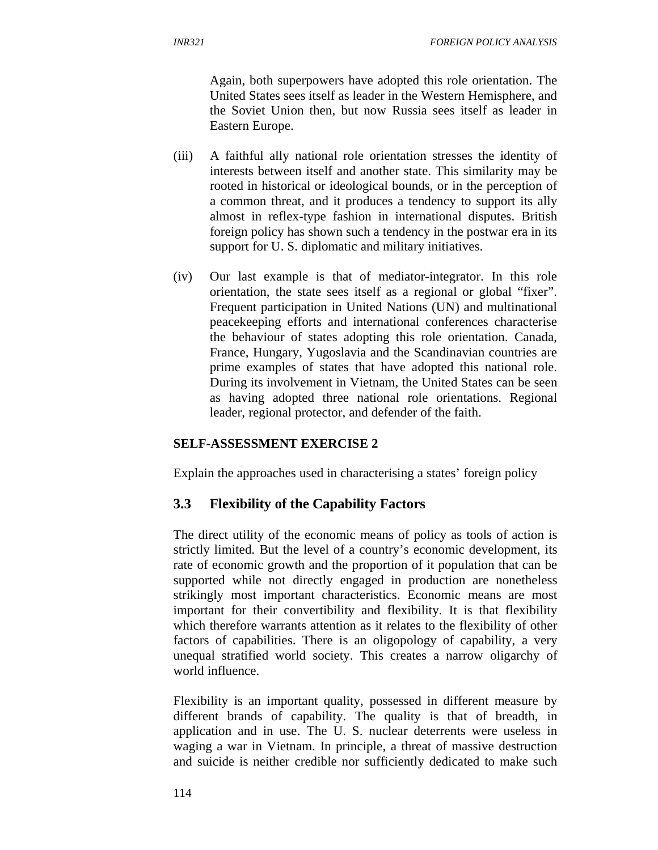Again, both superpowers have adopted this role orientation. The United States sees itself as leader in the Western Hemisphere, and the Soviet Union then, but now Russia sees itself as leader in Eastern Europe.

- (iii) A faithful ally national role orientation stresses the identity of interests between itself and another state. This similarity may be rooted in historical or ideological bounds, or in the perception of a common threat, and it produces a tendency to support its ally almost in reflex-type fashion in international disputes. British foreign policy has shown such a tendency in the postwar era in its support for U. S. diplomatic and military initiatives.
- (iv) Our last example is that of mediator-integrator. In this role orientation, the state sees itself as a regional or global "fixer". Frequent participation in United Nations (UN) and multinational peacekeeping efforts and international conferences characterise the behaviour of states adopting this role orientation. Canada, France, Hungary, Yugoslavia and the Scandinavian countries are prime examples of states that have adopted this national role. During its involvement in Vietnam, the United States can be seen as having adopted three national role orientations. Regional leader, regional protector, and defender of the faith.

## **SELF-ASSESSMENT EXERCISE 2**

Explain the approaches used in characterising a states' foreign policy

## **3.3 Flexibility of the Capability Factors**

The direct utility of the economic means of policy as tools of action is strictly limited. But the level of a country's economic development, its rate of economic growth and the proportion of it population that can be supported while not directly engaged in production are nonetheless strikingly most important characteristics. Economic means are most important for their convertibility and flexibility. It is that flexibility which therefore warrants attention as it relates to the flexibility of other factors of capabilities. There is an oligopology of capability, a very unequal stratified world society. This creates a narrow oligarchy of world influence.

Flexibility is an important quality, possessed in different measure by different brands of capability. The quality is that of breadth, in application and in use. The U. S. nuclear deterrents were useless in waging a war in Vietnam. In principle, a threat of massive destruction and suicide is neither credible nor sufficiently dedicated to make such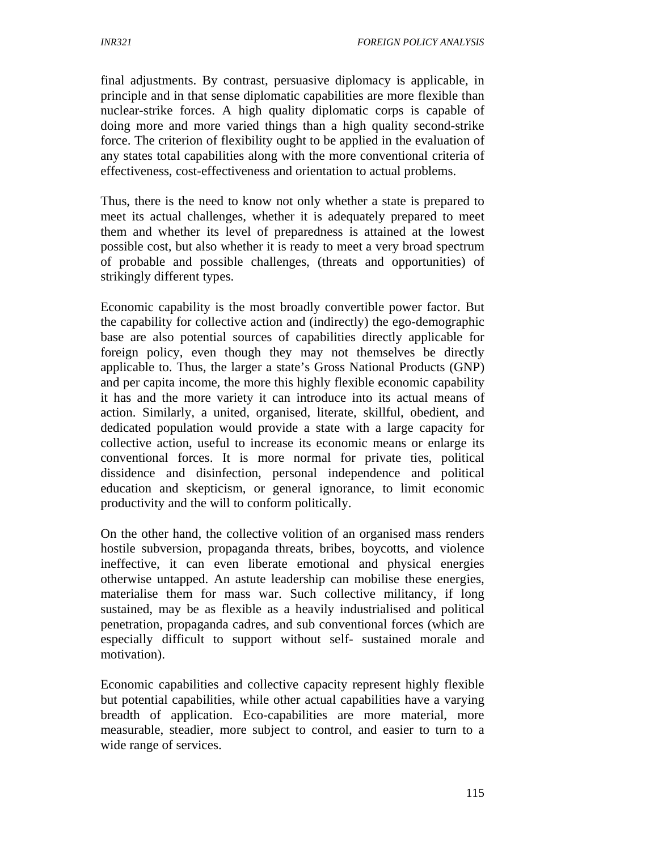final adjustments. By contrast, persuasive diplomacy is applicable, in principle and in that sense diplomatic capabilities are more flexible than nuclear-strike forces. A high quality diplomatic corps is capable of doing more and more varied things than a high quality second-strike force. The criterion of flexibility ought to be applied in the evaluation of any states total capabilities along with the more conventional criteria of effectiveness, cost-effectiveness and orientation to actual problems.

Thus, there is the need to know not only whether a state is prepared to meet its actual challenges, whether it is adequately prepared to meet them and whether its level of preparedness is attained at the lowest possible cost, but also whether it is ready to meet a very broad spectrum of probable and possible challenges, (threats and opportunities) of strikingly different types.

Economic capability is the most broadly convertible power factor. But the capability for collective action and (indirectly) the ego-demographic base are also potential sources of capabilities directly applicable for foreign policy, even though they may not themselves be directly applicable to. Thus, the larger a state's Gross National Products (GNP) and per capita income, the more this highly flexible economic capability it has and the more variety it can introduce into its actual means of action. Similarly, a united, organised, literate, skillful, obedient, and dedicated population would provide a state with a large capacity for collective action, useful to increase its economic means or enlarge its conventional forces. It is more normal for private ties, political dissidence and disinfection, personal independence and political education and skepticism, or general ignorance, to limit economic productivity and the will to conform politically.

On the other hand, the collective volition of an organised mass renders hostile subversion, propaganda threats, bribes, boycotts, and violence ineffective, it can even liberate emotional and physical energies otherwise untapped. An astute leadership can mobilise these energies, materialise them for mass war. Such collective militancy, if long sustained, may be as flexible as a heavily industrialised and political penetration, propaganda cadres, and sub conventional forces (which are especially difficult to support without self- sustained morale and motivation).

Economic capabilities and collective capacity represent highly flexible but potential capabilities, while other actual capabilities have a varying breadth of application. Eco-capabilities are more material, more measurable, steadier, more subject to control, and easier to turn to a wide range of services.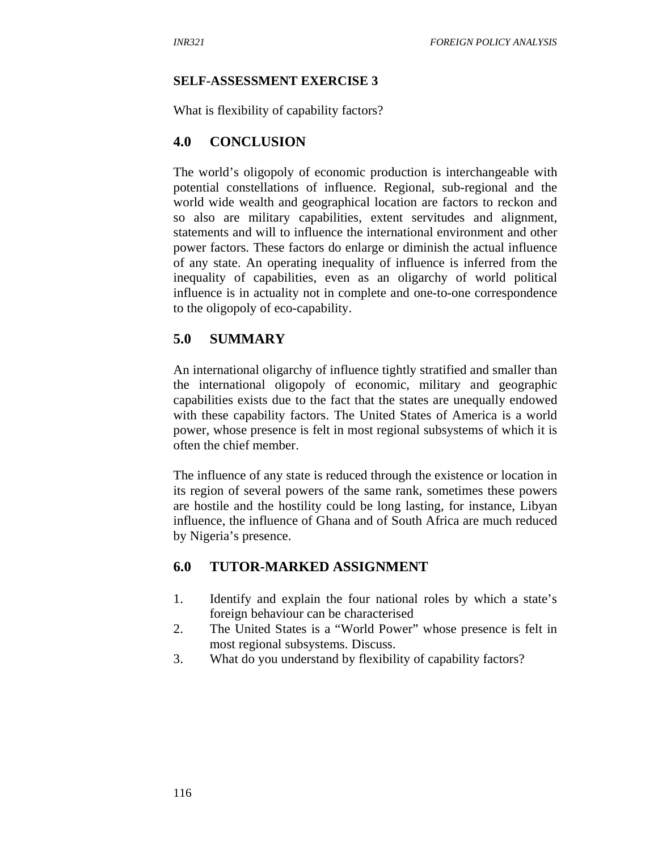#### **SELF-ASSESSMENT EXERCISE 3**

What is flexibility of capability factors?

#### **4.0 CONCLUSION**

The world's oligopoly of economic production is interchangeable with potential constellations of influence. Regional, sub-regional and the world wide wealth and geographical location are factors to reckon and so also are military capabilities, extent servitudes and alignment, statements and will to influence the international environment and other power factors. These factors do enlarge or diminish the actual influence of any state. An operating inequality of influence is inferred from the inequality of capabilities, even as an oligarchy of world political influence is in actuality not in complete and one-to-one correspondence to the oligopoly of eco-capability.

#### **5.0 SUMMARY**

An international oligarchy of influence tightly stratified and smaller than the international oligopoly of economic, military and geographic capabilities exists due to the fact that the states are unequally endowed with these capability factors. The United States of America is a world power, whose presence is felt in most regional subsystems of which it is often the chief member.

The influence of any state is reduced through the existence or location in its region of several powers of the same rank, sometimes these powers are hostile and the hostility could be long lasting, for instance, Libyan influence, the influence of Ghana and of South Africa are much reduced by Nigeria's presence.

## **6.0 TUTOR-MARKED ASSIGNMENT**

- 1. Identify and explain the four national roles by which a state's foreign behaviour can be characterised
- 2. The United States is a "World Power" whose presence is felt in most regional subsystems. Discuss.
- 3. What do you understand by flexibility of capability factors?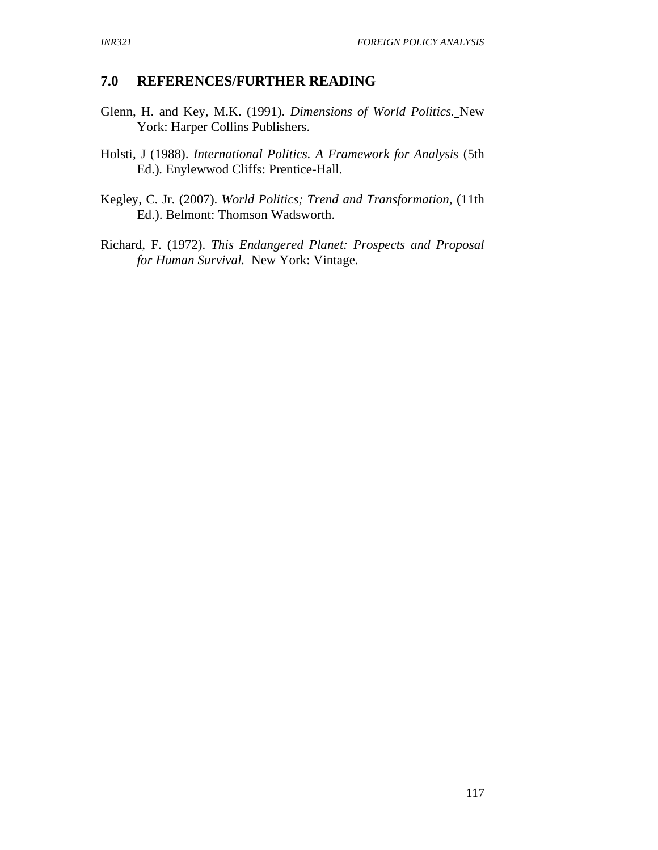## **7.0 REFERENCES/FURTHER READING**

- Glenn, H. and Key, M.K. (1991). *Dimensions of World Politics.* New York: Harper Collins Publishers.
- Holsti, J (1988). *International Politics. A Framework for Analysis* (5th Ed.)*.* Enylewwod Cliffs: Prentice-Hall.
- Kegley, C. Jr. (2007). *World Politics; Trend and Transformation,* (11th Ed.). Belmont: Thomson Wadsworth.
- Richard, F. (1972). *This Endangered Planet: Prospects and Proposal for Human Survival.* New York: Vintage.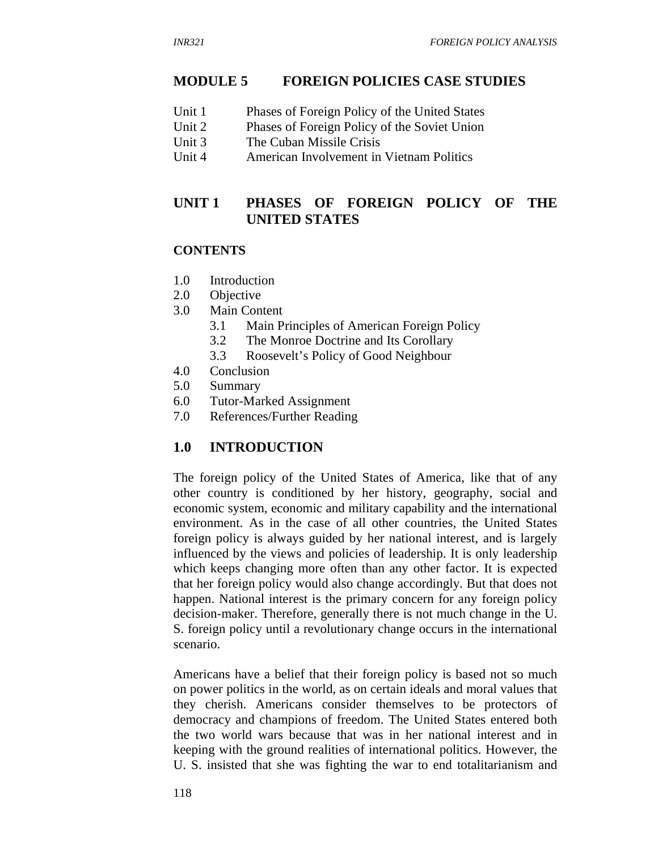#### **MODULE 5 FOREIGN POLICIES CASE STUDIES**

- Unit 1 Phases of Foreign Policy of the United States
- Unit 2 Phases of Foreign Policy of the Soviet Union
- Unit 3 The Cuban Missile Crisis
- Unit 4 American Involvement in Vietnam Politics

## **UNIT 1 PHASES OF FOREIGN POLICY OF THE UNITED STATES**

#### **CONTENTS**

- 1.0 Introduction
- 2.0 Objective
- 3.0 Main Content
	- 3.1 Main Principles of American Foreign Policy
	- 3.2 The Monroe Doctrine and Its Corollary
	- 3.3 Roosevelt's Policy of Good Neighbour
- 4.0 Conclusion
- 5.0 Summary
- 6.0 Tutor-Marked Assignment
- 7.0 References/Further Reading

#### **1.0 INTRODUCTION**

The foreign policy of the United States of America, like that of any other country is conditioned by her history, geography, social and economic system, economic and military capability and the international environment. As in the case of all other countries, the United States foreign policy is always guided by her national interest, and is largely influenced by the views and policies of leadership. It is only leadership which keeps changing more often than any other factor. It is expected that her foreign policy would also change accordingly. But that does not happen. National interest is the primary concern for any foreign policy decision-maker. Therefore, generally there is not much change in the U. S. foreign policy until a revolutionary change occurs in the international scenario.

Americans have a belief that their foreign policy is based not so much on power politics in the world, as on certain ideals and moral values that they cherish. Americans consider themselves to be protectors of democracy and champions of freedom. The United States entered both the two world wars because that was in her national interest and in keeping with the ground realities of international politics. However, the U. S. insisted that she was fighting the war to end totalitarianism and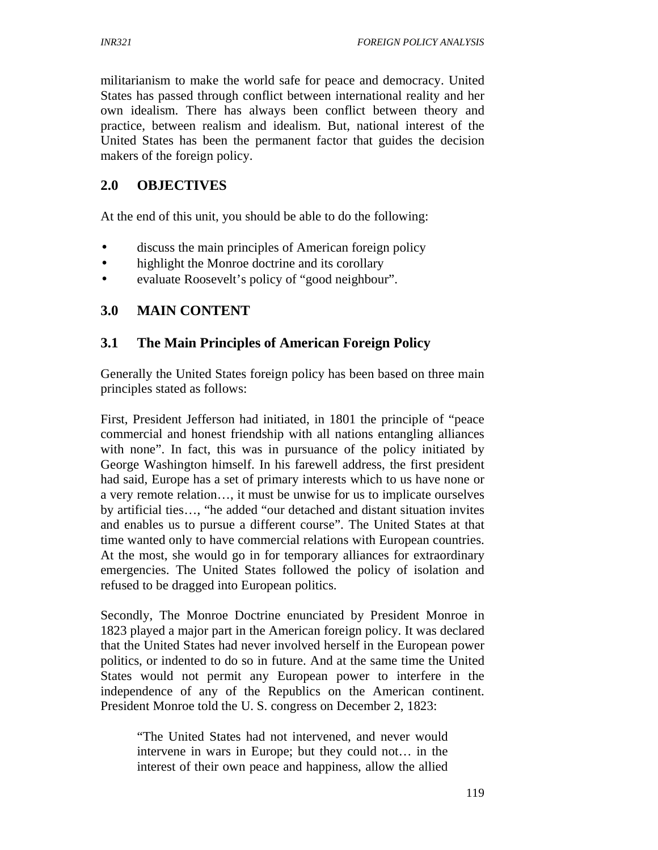militarianism to make the world safe for peace and democracy. United States has passed through conflict between international reality and her own idealism. There has always been conflict between theory and practice, between realism and idealism. But, national interest of the United States has been the permanent factor that guides the decision makers of the foreign policy.

## **2.0 OBJECTIVES**

At the end of this unit, you should be able to do the following:

- discuss the main principles of American foreign policy
- highlight the Monroe doctrine and its corollary
- evaluate Roosevelt's policy of "good neighbour".

## **3.0 MAIN CONTENT**

## **3.1 The Main Principles of American Foreign Policy**

Generally the United States foreign policy has been based on three main principles stated as follows:

First, President Jefferson had initiated, in 1801 the principle of "peace commercial and honest friendship with all nations entangling alliances with none". In fact, this was in pursuance of the policy initiated by George Washington himself. In his farewell address, the first president had said, Europe has a set of primary interests which to us have none or a very remote relation…, it must be unwise for us to implicate ourselves by artificial ties…, "he added "our detached and distant situation invites and enables us to pursue a different course". The United States at that time wanted only to have commercial relations with European countries. At the most, she would go in for temporary alliances for extraordinary emergencies. The United States followed the policy of isolation and refused to be dragged into European politics.

Secondly, The Monroe Doctrine enunciated by President Monroe in 1823 played a major part in the American foreign policy. It was declared that the United States had never involved herself in the European power politics, or indented to do so in future. And at the same time the United States would not permit any European power to interfere in the independence of any of the Republics on the American continent. President Monroe told the U. S. congress on December 2, 1823:

"The United States had not intervened, and never would intervene in wars in Europe; but they could not… in the interest of their own peace and happiness, allow the allied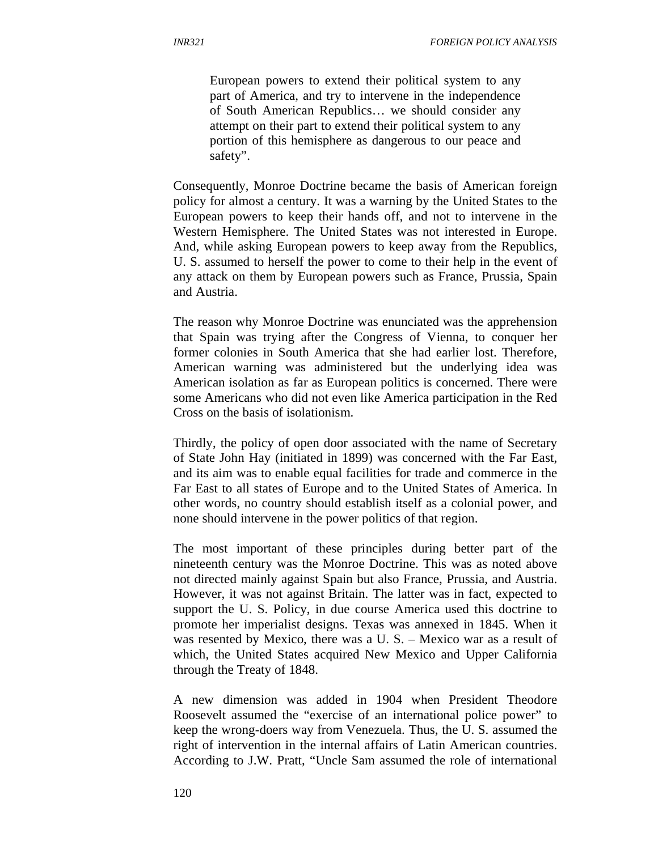European powers to extend their political system to any part of America, and try to intervene in the independence of South American Republics… we should consider any attempt on their part to extend their political system to any portion of this hemisphere as dangerous to our peace and safety".

Consequently, Monroe Doctrine became the basis of American foreign policy for almost a century. It was a warning by the United States to the European powers to keep their hands off, and not to intervene in the Western Hemisphere. The United States was not interested in Europe. And, while asking European powers to keep away from the Republics, U. S. assumed to herself the power to come to their help in the event of any attack on them by European powers such as France, Prussia, Spain and Austria.

The reason why Monroe Doctrine was enunciated was the apprehension that Spain was trying after the Congress of Vienna, to conquer her former colonies in South America that she had earlier lost. Therefore, American warning was administered but the underlying idea was American isolation as far as European politics is concerned. There were some Americans who did not even like America participation in the Red Cross on the basis of isolationism.

Thirdly, the policy of open door associated with the name of Secretary of State John Hay (initiated in 1899) was concerned with the Far East, and its aim was to enable equal facilities for trade and commerce in the Far East to all states of Europe and to the United States of America. In other words, no country should establish itself as a colonial power, and none should intervene in the power politics of that region.

The most important of these principles during better part of the nineteenth century was the Monroe Doctrine. This was as noted above not directed mainly against Spain but also France, Prussia, and Austria. However, it was not against Britain. The latter was in fact, expected to support the U. S. Policy, in due course America used this doctrine to promote her imperialist designs. Texas was annexed in 1845. When it was resented by Mexico, there was a U. S. – Mexico war as a result of which, the United States acquired New Mexico and Upper California through the Treaty of 1848.

A new dimension was added in 1904 when President Theodore Roosevelt assumed the "exercise of an international police power" to keep the wrong-doers way from Venezuela. Thus, the U. S. assumed the right of intervention in the internal affairs of Latin American countries. According to J.W. Pratt, "Uncle Sam assumed the role of international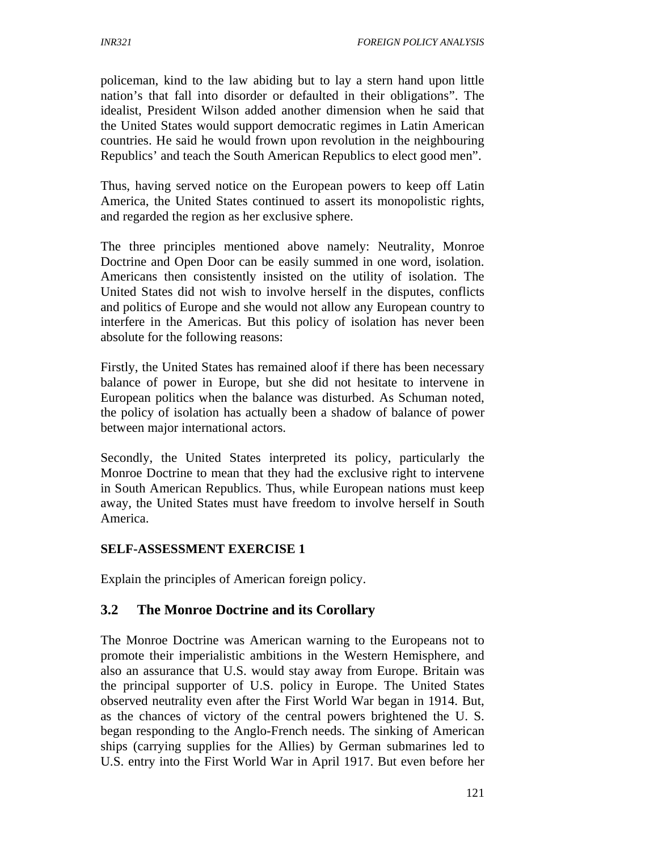policeman, kind to the law abiding but to lay a stern hand upon little nation's that fall into disorder or defaulted in their obligations". The idealist, President Wilson added another dimension when he said that the United States would support democratic regimes in Latin American countries. He said he would frown upon revolution in the neighbouring Republics' and teach the South American Republics to elect good men".

Thus, having served notice on the European powers to keep off Latin America, the United States continued to assert its monopolistic rights, and regarded the region as her exclusive sphere.

The three principles mentioned above namely: Neutrality, Monroe Doctrine and Open Door can be easily summed in one word, isolation. Americans then consistently insisted on the utility of isolation. The United States did not wish to involve herself in the disputes, conflicts and politics of Europe and she would not allow any European country to interfere in the Americas. But this policy of isolation has never been absolute for the following reasons:

Firstly, the United States has remained aloof if there has been necessary balance of power in Europe, but she did not hesitate to intervene in European politics when the balance was disturbed. As Schuman noted, the policy of isolation has actually been a shadow of balance of power between major international actors.

Secondly, the United States interpreted its policy, particularly the Monroe Doctrine to mean that they had the exclusive right to intervene in South American Republics. Thus, while European nations must keep away, the United States must have freedom to involve herself in South America.

## **SELF-ASSESSMENT EXERCISE 1**

Explain the principles of American foreign policy.

# **3.2 The Monroe Doctrine and its Corollary**

The Monroe Doctrine was American warning to the Europeans not to promote their imperialistic ambitions in the Western Hemisphere, and also an assurance that U.S. would stay away from Europe. Britain was the principal supporter of U.S. policy in Europe. The United States observed neutrality even after the First World War began in 1914. But, as the chances of victory of the central powers brightened the U. S. began responding to the Anglo-French needs. The sinking of American ships (carrying supplies for the Allies) by German submarines led to U.S. entry into the First World War in April 1917. But even before her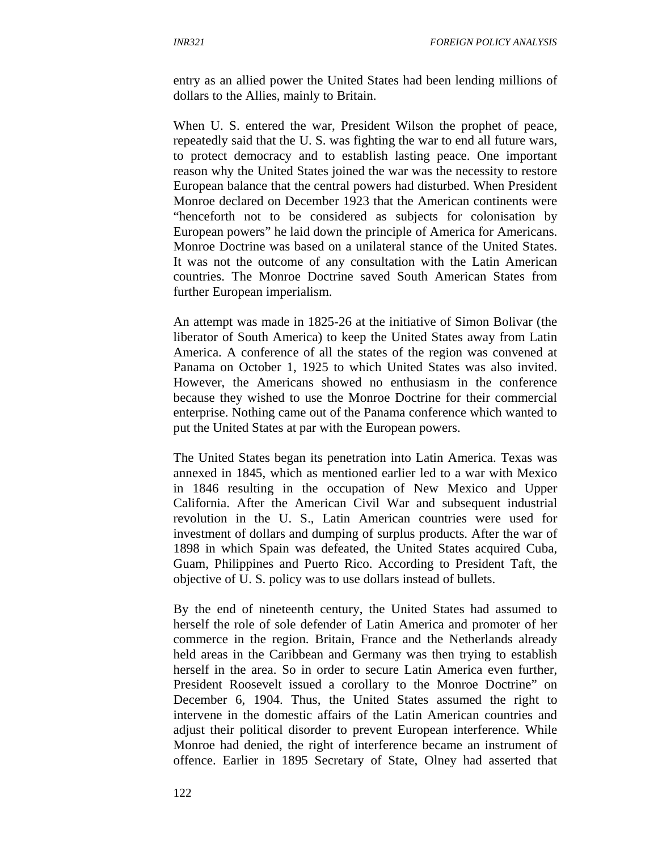entry as an allied power the United States had been lending millions of dollars to the Allies, mainly to Britain.

When U. S. entered the war, President Wilson the prophet of peace, repeatedly said that the U. S. was fighting the war to end all future wars, to protect democracy and to establish lasting peace. One important reason why the United States joined the war was the necessity to restore European balance that the central powers had disturbed. When President Monroe declared on December 1923 that the American continents were "henceforth not to be considered as subjects for colonisation by European powers" he laid down the principle of America for Americans. Monroe Doctrine was based on a unilateral stance of the United States. It was not the outcome of any consultation with the Latin American countries. The Monroe Doctrine saved South American States from further European imperialism.

An attempt was made in 1825-26 at the initiative of Simon Bolivar (the liberator of South America) to keep the United States away from Latin America. A conference of all the states of the region was convened at Panama on October 1, 1925 to which United States was also invited. However, the Americans showed no enthusiasm in the conference because they wished to use the Monroe Doctrine for their commercial enterprise. Nothing came out of the Panama conference which wanted to put the United States at par with the European powers.

The United States began its penetration into Latin America. Texas was annexed in 1845, which as mentioned earlier led to a war with Mexico in 1846 resulting in the occupation of New Mexico and Upper California. After the American Civil War and subsequent industrial revolution in the U. S., Latin American countries were used for investment of dollars and dumping of surplus products. After the war of 1898 in which Spain was defeated, the United States acquired Cuba, Guam, Philippines and Puerto Rico. According to President Taft, the objective of U. S. policy was to use dollars instead of bullets.

By the end of nineteenth century, the United States had assumed to herself the role of sole defender of Latin America and promoter of her commerce in the region. Britain, France and the Netherlands already held areas in the Caribbean and Germany was then trying to establish herself in the area. So in order to secure Latin America even further, President Roosevelt issued a corollary to the Monroe Doctrine" on December 6, 1904. Thus, the United States assumed the right to intervene in the domestic affairs of the Latin American countries and adjust their political disorder to prevent European interference. While Monroe had denied, the right of interference became an instrument of offence. Earlier in 1895 Secretary of State, Olney had asserted that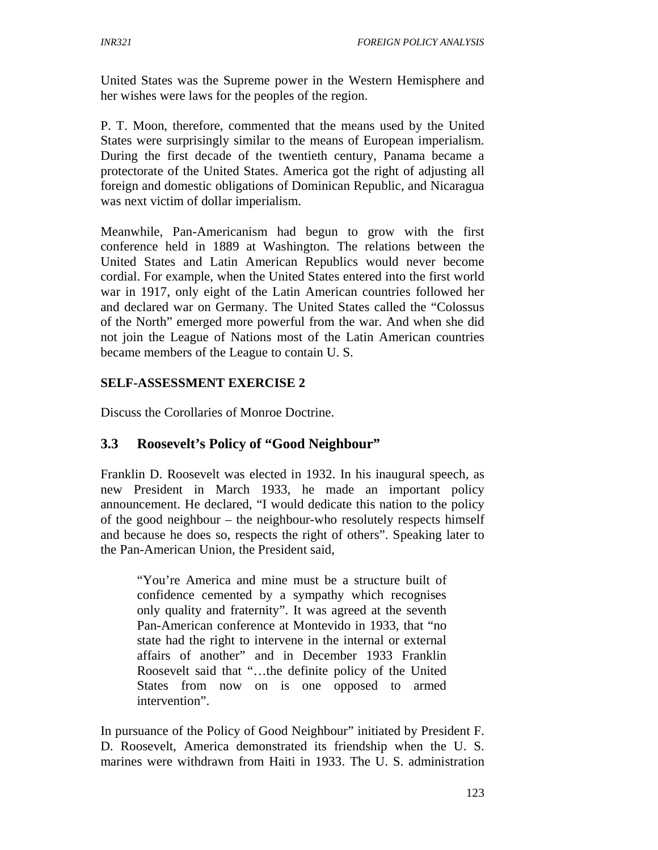United States was the Supreme power in the Western Hemisphere and her wishes were laws for the peoples of the region.

P. T. Moon, therefore, commented that the means used by the United States were surprisingly similar to the means of European imperialism. During the first decade of the twentieth century, Panama became a protectorate of the United States. America got the right of adjusting all foreign and domestic obligations of Dominican Republic, and Nicaragua was next victim of dollar imperialism.

Meanwhile, Pan-Americanism had begun to grow with the first conference held in 1889 at Washington. The relations between the United States and Latin American Republics would never become cordial. For example, when the United States entered into the first world war in 1917, only eight of the Latin American countries followed her and declared war on Germany. The United States called the "Colossus of the North" emerged more powerful from the war. And when she did not join the League of Nations most of the Latin American countries became members of the League to contain U. S.

## **SELF-ASSESSMENT EXERCISE 2**

Discuss the Corollaries of Monroe Doctrine.

## **3.3 Roosevelt's Policy of "Good Neighbour"**

Franklin D. Roosevelt was elected in 1932. In his inaugural speech, as new President in March 1933, he made an important policy announcement. He declared, "I would dedicate this nation to the policy of the good neighbour – the neighbour-who resolutely respects himself and because he does so, respects the right of others". Speaking later to the Pan-American Union, the President said,

"You're America and mine must be a structure built of confidence cemented by a sympathy which recognises only quality and fraternity". It was agreed at the seventh Pan-American conference at Montevido in 1933, that "no state had the right to intervene in the internal or external affairs of another" and in December 1933 Franklin Roosevelt said that "…the definite policy of the United States from now on is one opposed to armed intervention".

In pursuance of the Policy of Good Neighbour" initiated by President F. D. Roosevelt, America demonstrated its friendship when the U. S. marines were withdrawn from Haiti in 1933. The U. S. administration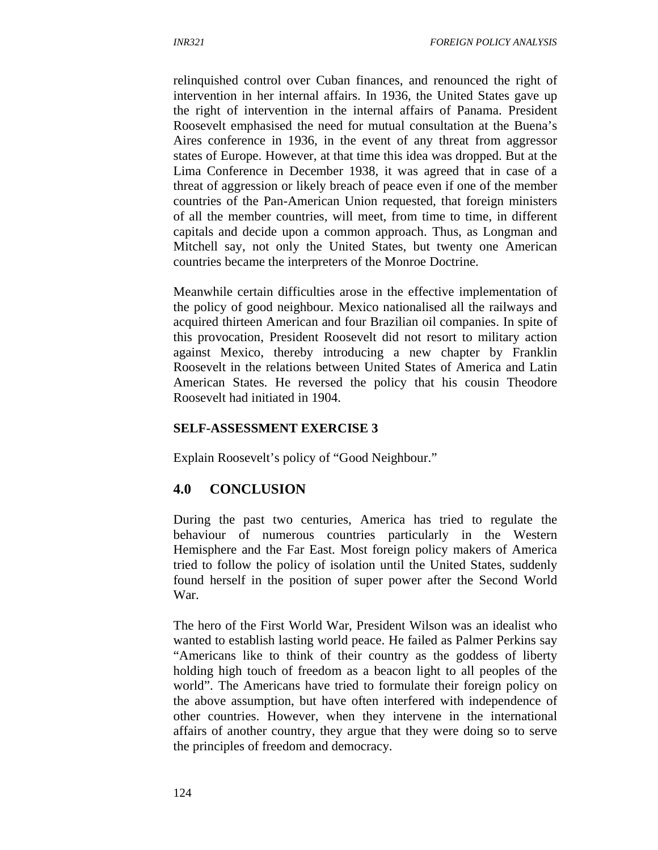relinquished control over Cuban finances, and renounced the right of intervention in her internal affairs. In 1936, the United States gave up the right of intervention in the internal affairs of Panama. President Roosevelt emphasised the need for mutual consultation at the Buena's Aires conference in 1936, in the event of any threat from aggressor states of Europe. However, at that time this idea was dropped. But at the Lima Conference in December 1938, it was agreed that in case of a threat of aggression or likely breach of peace even if one of the member countries of the Pan-American Union requested, that foreign ministers of all the member countries, will meet, from time to time, in different capitals and decide upon a common approach. Thus, as Longman and Mitchell say, not only the United States, but twenty one American countries became the interpreters of the Monroe Doctrine.

Meanwhile certain difficulties arose in the effective implementation of the policy of good neighbour. Mexico nationalised all the railways and acquired thirteen American and four Brazilian oil companies. In spite of this provocation, President Roosevelt did not resort to military action against Mexico, thereby introducing a new chapter by Franklin Roosevelt in the relations between United States of America and Latin American States. He reversed the policy that his cousin Theodore Roosevelt had initiated in 1904.

## **SELF-ASSESSMENT EXERCISE 3**

Explain Roosevelt's policy of "Good Neighbour."

## **4.0 CONCLUSION**

During the past two centuries, America has tried to regulate the behaviour of numerous countries particularly in the Western Hemisphere and the Far East. Most foreign policy makers of America tried to follow the policy of isolation until the United States, suddenly found herself in the position of super power after the Second World War.

The hero of the First World War, President Wilson was an idealist who wanted to establish lasting world peace. He failed as Palmer Perkins say "Americans like to think of their country as the goddess of liberty holding high touch of freedom as a beacon light to all peoples of the world". The Americans have tried to formulate their foreign policy on the above assumption, but have often interfered with independence of other countries. However, when they intervene in the international affairs of another country, they argue that they were doing so to serve the principles of freedom and democracy.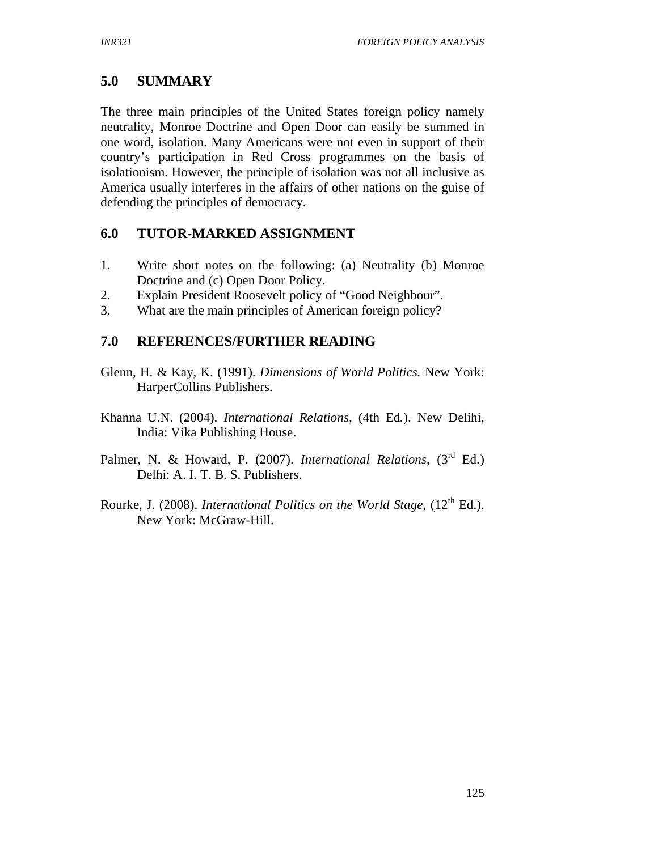# **5.0 SUMMARY**

The three main principles of the United States foreign policy namely neutrality, Monroe Doctrine and Open Door can easily be summed in one word, isolation. Many Americans were not even in support of their country's participation in Red Cross programmes on the basis of isolationism. However, the principle of isolation was not all inclusive as America usually interferes in the affairs of other nations on the guise of defending the principles of democracy.

## **6.0 TUTOR-MARKED ASSIGNMENT**

- 1. Write short notes on the following: (a) Neutrality (b) Monroe Doctrine and (c) Open Door Policy.
- 2. Explain President Roosevelt policy of "Good Neighbour".
- 3. What are the main principles of American foreign policy?

## **7.0 REFERENCES/FURTHER READING**

- Glenn, H. & Kay, K. (1991). *Dimensions of World Politics.* New York: HarperCollins Publishers.
- Khanna U.N. (2004). *International Relations,* (4th Ed*.*). New Delihi, India: Vika Publishing House.
- Palmer, N. & Howard, P. (2007). *International Relations*, (3<sup>rd</sup> Ed.) Delhi: A. I. T. B. S. Publishers.
- Rourke, J. (2008). *International Politics on the World Stage*, (12<sup>th</sup> Ed.). New York: McGraw-Hill.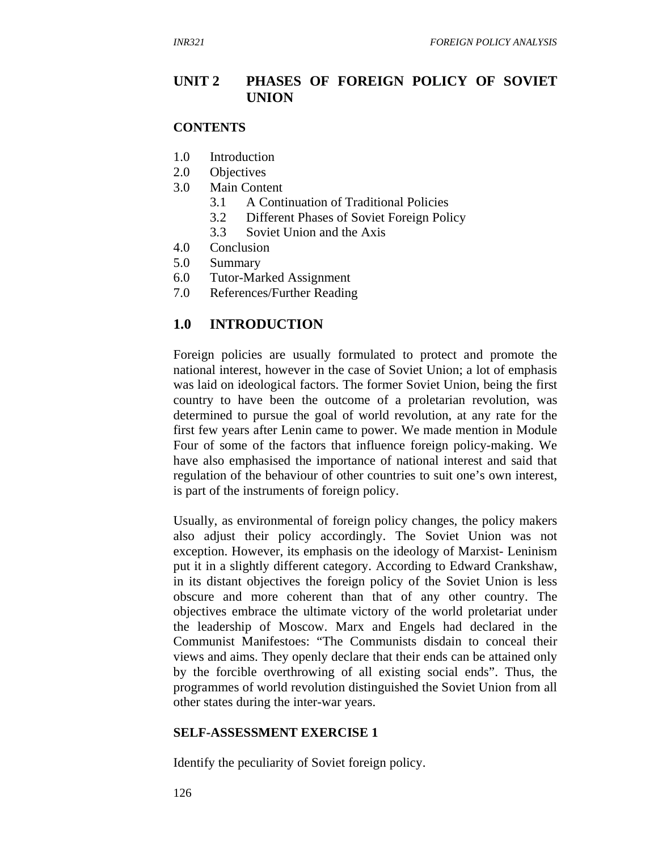## **UNIT 2 PHASES OF FOREIGN POLICY OF SOVIET UNION**

#### **CONTENTS**

- 1.0 Introduction
- 2.0 Objectives
- 3.0 Main Content
	- 3.1 A Continuation of Traditional Policies
	- 3.2 Different Phases of Soviet Foreign Policy
	- 3.3 Soviet Union and the Axis
- 4.0 Conclusion
- 5.0 Summary
- 6.0 Tutor-Marked Assignment
- 7.0 References/Further Reading

## **1.0 INTRODUCTION**

Foreign policies are usually formulated to protect and promote the national interest, however in the case of Soviet Union; a lot of emphasis was laid on ideological factors. The former Soviet Union, being the first country to have been the outcome of a proletarian revolution, was determined to pursue the goal of world revolution, at any rate for the first few years after Lenin came to power. We made mention in Module Four of some of the factors that influence foreign policy-making. We have also emphasised the importance of national interest and said that regulation of the behaviour of other countries to suit one's own interest, is part of the instruments of foreign policy.

Usually, as environmental of foreign policy changes, the policy makers also adjust their policy accordingly. The Soviet Union was not exception. However, its emphasis on the ideology of Marxist- Leninism put it in a slightly different category. According to Edward Crankshaw, in its distant objectives the foreign policy of the Soviet Union is less obscure and more coherent than that of any other country. The objectives embrace the ultimate victory of the world proletariat under the leadership of Moscow. Marx and Engels had declared in the Communist Manifestoes: "The Communists disdain to conceal their views and aims. They openly declare that their ends can be attained only by the forcible overthrowing of all existing social ends". Thus, the programmes of world revolution distinguished the Soviet Union from all other states during the inter-war years.

#### **SELF-ASSESSMENT EXERCISE 1**

Identify the peculiarity of Soviet foreign policy.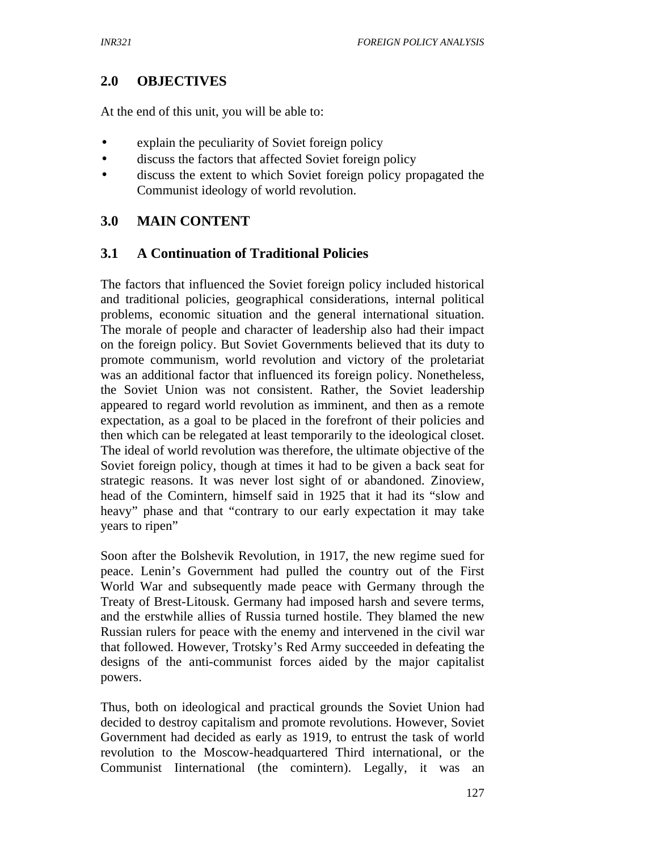# **2.0 OBJECTIVES**

At the end of this unit, you will be able to:

- explain the peculiarity of Soviet foreign policy
- discuss the factors that affected Soviet foreign policy
- discuss the extent to which Soviet foreign policy propagated the Communist ideology of world revolution.

# **3.0 MAIN CONTENT**

## **3.1 A Continuation of Traditional Policies**

The factors that influenced the Soviet foreign policy included historical and traditional policies, geographical considerations, internal political problems, economic situation and the general international situation. The morale of people and character of leadership also had their impact on the foreign policy. But Soviet Governments believed that its duty to promote communism, world revolution and victory of the proletariat was an additional factor that influenced its foreign policy. Nonetheless, the Soviet Union was not consistent. Rather, the Soviet leadership appeared to regard world revolution as imminent, and then as a remote expectation, as a goal to be placed in the forefront of their policies and then which can be relegated at least temporarily to the ideological closet. The ideal of world revolution was therefore, the ultimate objective of the Soviet foreign policy, though at times it had to be given a back seat for strategic reasons. It was never lost sight of or abandoned. Zinoview, head of the Comintern, himself said in 1925 that it had its "slow and heavy" phase and that "contrary to our early expectation it may take years to ripen"

Soon after the Bolshevik Revolution, in 1917, the new regime sued for peace. Lenin's Government had pulled the country out of the First World War and subsequently made peace with Germany through the Treaty of Brest-Litousk. Germany had imposed harsh and severe terms, and the erstwhile allies of Russia turned hostile. They blamed the new Russian rulers for peace with the enemy and intervened in the civil war that followed. However, Trotsky's Red Army succeeded in defeating the designs of the anti-communist forces aided by the major capitalist powers.

Thus, both on ideological and practical grounds the Soviet Union had decided to destroy capitalism and promote revolutions. However, Soviet Government had decided as early as 1919, to entrust the task of world revolution to the Moscow-headquartered Third international, or the Communist Iinternational (the comintern). Legally, it was an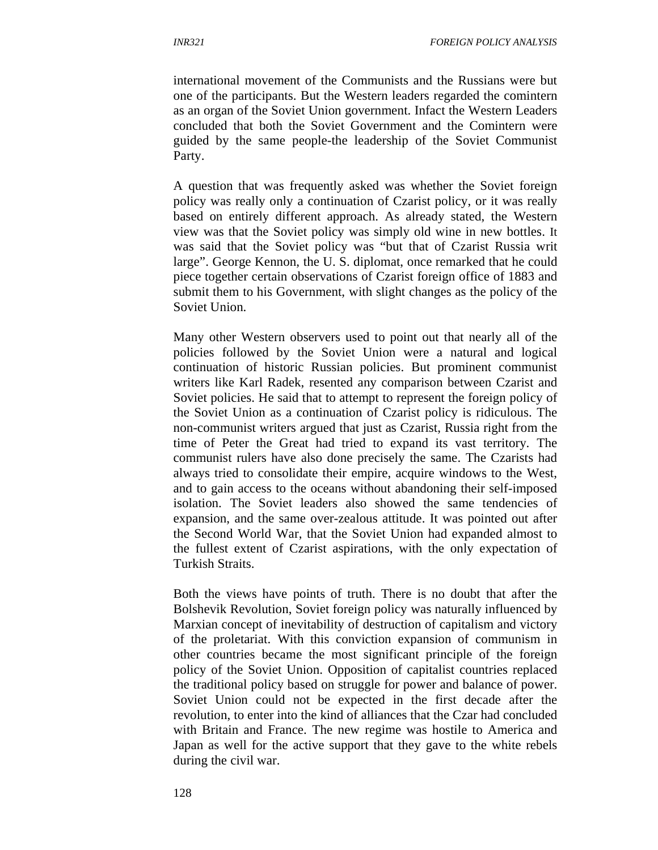international movement of the Communists and the Russians were but one of the participants. But the Western leaders regarded the comintern as an organ of the Soviet Union government. Infact the Western Leaders concluded that both the Soviet Government and the Comintern were guided by the same people-the leadership of the Soviet Communist Party.

A question that was frequently asked was whether the Soviet foreign policy was really only a continuation of Czarist policy, or it was really based on entirely different approach. As already stated, the Western view was that the Soviet policy was simply old wine in new bottles. It was said that the Soviet policy was "but that of Czarist Russia writ large". George Kennon, the U. S. diplomat, once remarked that he could piece together certain observations of Czarist foreign office of 1883 and submit them to his Government, with slight changes as the policy of the Soviet Union.

Many other Western observers used to point out that nearly all of the policies followed by the Soviet Union were a natural and logical continuation of historic Russian policies. But prominent communist writers like Karl Radek, resented any comparison between Czarist and Soviet policies. He said that to attempt to represent the foreign policy of the Soviet Union as a continuation of Czarist policy is ridiculous. The non-communist writers argued that just as Czarist, Russia right from the time of Peter the Great had tried to expand its vast territory. The communist rulers have also done precisely the same. The Czarists had always tried to consolidate their empire, acquire windows to the West, and to gain access to the oceans without abandoning their self-imposed isolation. The Soviet leaders also showed the same tendencies of expansion, and the same over-zealous attitude. It was pointed out after the Second World War, that the Soviet Union had expanded almost to the fullest extent of Czarist aspirations, with the only expectation of Turkish Straits.

Both the views have points of truth. There is no doubt that after the Bolshevik Revolution, Soviet foreign policy was naturally influenced by Marxian concept of inevitability of destruction of capitalism and victory of the proletariat. With this conviction expansion of communism in other countries became the most significant principle of the foreign policy of the Soviet Union. Opposition of capitalist countries replaced the traditional policy based on struggle for power and balance of power. Soviet Union could not be expected in the first decade after the revolution, to enter into the kind of alliances that the Czar had concluded with Britain and France. The new regime was hostile to America and Japan as well for the active support that they gave to the white rebels during the civil war.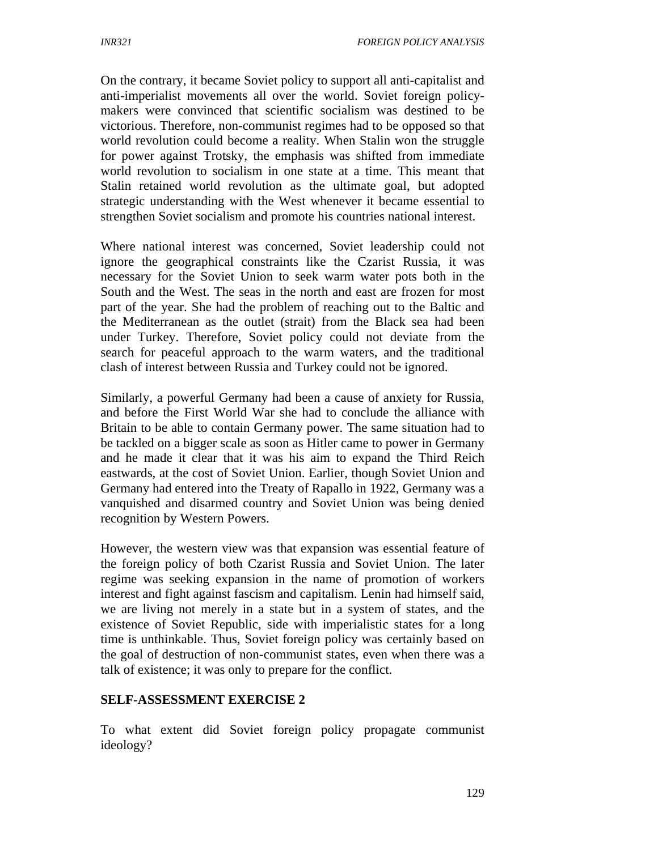*INR321 FOREIGN POLICY ANALYSIS* 

On the contrary, it became Soviet policy to support all anti-capitalist and anti-imperialist movements all over the world. Soviet foreign policymakers were convinced that scientific socialism was destined to be victorious. Therefore, non-communist regimes had to be opposed so that world revolution could become a reality. When Stalin won the struggle for power against Trotsky, the emphasis was shifted from immediate world revolution to socialism in one state at a time. This meant that Stalin retained world revolution as the ultimate goal, but adopted strategic understanding with the West whenever it became essential to strengthen Soviet socialism and promote his countries national interest.

Where national interest was concerned, Soviet leadership could not ignore the geographical constraints like the Czarist Russia, it was necessary for the Soviet Union to seek warm water pots both in the South and the West. The seas in the north and east are frozen for most part of the year. She had the problem of reaching out to the Baltic and the Mediterranean as the outlet (strait) from the Black sea had been under Turkey. Therefore, Soviet policy could not deviate from the search for peaceful approach to the warm waters, and the traditional clash of interest between Russia and Turkey could not be ignored.

Similarly, a powerful Germany had been a cause of anxiety for Russia, and before the First World War she had to conclude the alliance with Britain to be able to contain Germany power. The same situation had to be tackled on a bigger scale as soon as Hitler came to power in Germany and he made it clear that it was his aim to expand the Third Reich eastwards, at the cost of Soviet Union. Earlier, though Soviet Union and Germany had entered into the Treaty of Rapallo in 1922, Germany was a vanquished and disarmed country and Soviet Union was being denied recognition by Western Powers.

However, the western view was that expansion was essential feature of the foreign policy of both Czarist Russia and Soviet Union. The later regime was seeking expansion in the name of promotion of workers interest and fight against fascism and capitalism. Lenin had himself said, we are living not merely in a state but in a system of states, and the existence of Soviet Republic, side with imperialistic states for a long time is unthinkable. Thus, Soviet foreign policy was certainly based on the goal of destruction of non-communist states, even when there was a talk of existence; it was only to prepare for the conflict.

### **SELF-ASSESSMENT EXERCISE 2**

To what extent did Soviet foreign policy propagate communist ideology?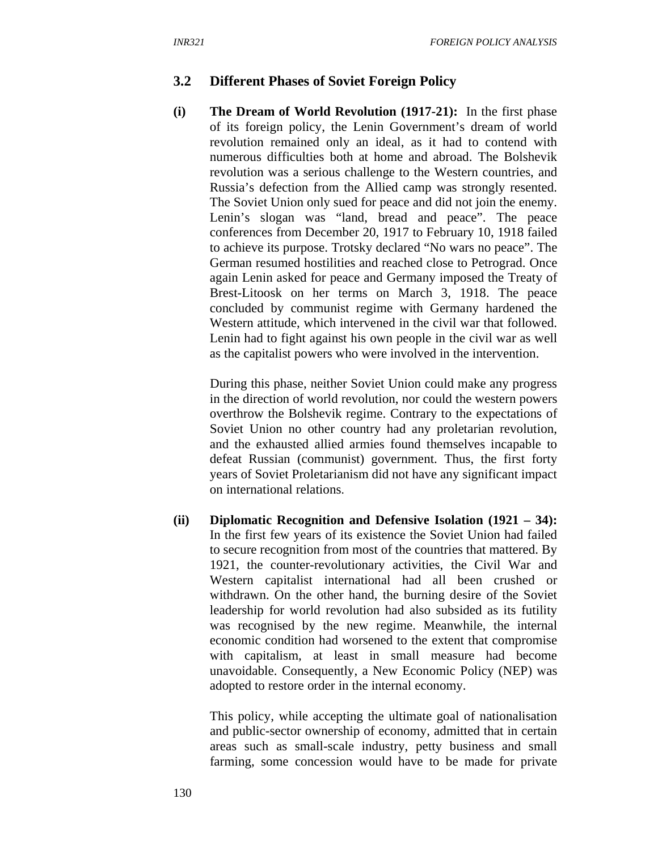## **3.2 Different Phases of Soviet Foreign Policy**

**(i) The Dream of World Revolution (1917-21):** In the first phase of its foreign policy, the Lenin Government's dream of world revolution remained only an ideal, as it had to contend with numerous difficulties both at home and abroad. The Bolshevik revolution was a serious challenge to the Western countries, and Russia's defection from the Allied camp was strongly resented. The Soviet Union only sued for peace and did not join the enemy. Lenin's slogan was "land, bread and peace". The peace conferences from December 20, 1917 to February 10, 1918 failed to achieve its purpose. Trotsky declared "No wars no peace". The German resumed hostilities and reached close to Petrograd. Once again Lenin asked for peace and Germany imposed the Treaty of Brest-Litoosk on her terms on March 3, 1918. The peace concluded by communist regime with Germany hardened the Western attitude, which intervened in the civil war that followed. Lenin had to fight against his own people in the civil war as well as the capitalist powers who were involved in the intervention.

 During this phase, neither Soviet Union could make any progress in the direction of world revolution, nor could the western powers overthrow the Bolshevik regime. Contrary to the expectations of Soviet Union no other country had any proletarian revolution, and the exhausted allied armies found themselves incapable to defeat Russian (communist) government. Thus, the first forty years of Soviet Proletarianism did not have any significant impact on international relations.

**(ii) Diplomatic Recognition and Defensive Isolation (1921 – 34):**  In the first few years of its existence the Soviet Union had failed to secure recognition from most of the countries that mattered. By 1921, the counter-revolutionary activities, the Civil War and Western capitalist international had all been crushed or withdrawn. On the other hand, the burning desire of the Soviet leadership for world revolution had also subsided as its futility was recognised by the new regime. Meanwhile, the internal economic condition had worsened to the extent that compromise with capitalism, at least in small measure had become unavoidable. Consequently, a New Economic Policy (NEP) was adopted to restore order in the internal economy.

 This policy, while accepting the ultimate goal of nationalisation and public-sector ownership of economy, admitted that in certain areas such as small-scale industry, petty business and small farming, some concession would have to be made for private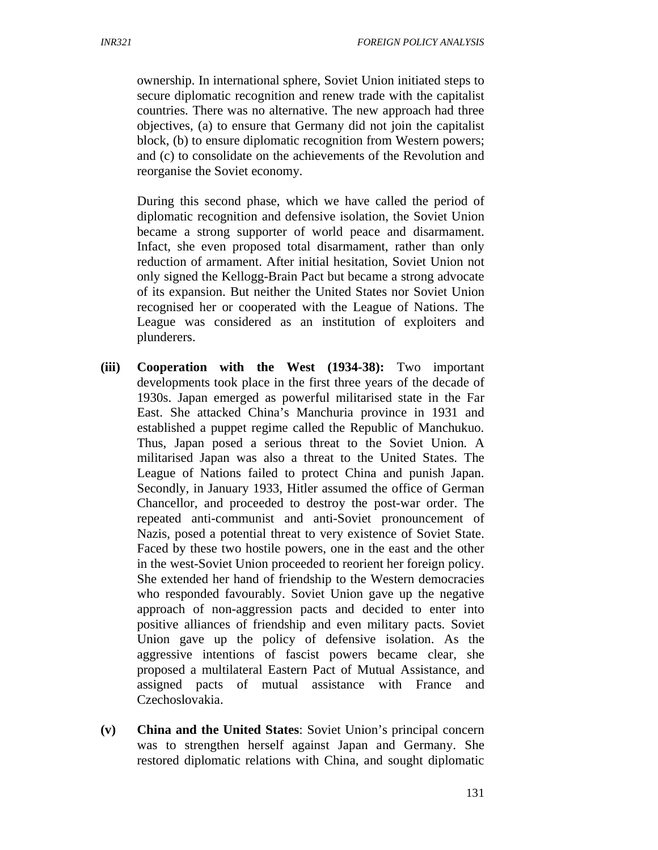ownership. In international sphere, Soviet Union initiated steps to secure diplomatic recognition and renew trade with the capitalist countries. There was no alternative. The new approach had three objectives, (a) to ensure that Germany did not join the capitalist block, (b) to ensure diplomatic recognition from Western powers; and (c) to consolidate on the achievements of the Revolution and reorganise the Soviet economy.

 During this second phase, which we have called the period of diplomatic recognition and defensive isolation, the Soviet Union became a strong supporter of world peace and disarmament. Infact, she even proposed total disarmament, rather than only reduction of armament. After initial hesitation, Soviet Union not only signed the Kellogg-Brain Pact but became a strong advocate of its expansion. But neither the United States nor Soviet Union recognised her or cooperated with the League of Nations. The League was considered as an institution of exploiters and plunderers.

- **(iii) Cooperation with the West (1934-38):** Two important developments took place in the first three years of the decade of 1930s. Japan emerged as powerful militarised state in the Far East. She attacked China's Manchuria province in 1931 and established a puppet regime called the Republic of Manchukuo. Thus, Japan posed a serious threat to the Soviet Union. A militarised Japan was also a threat to the United States. The League of Nations failed to protect China and punish Japan. Secondly, in January 1933, Hitler assumed the office of German Chancellor, and proceeded to destroy the post-war order. The repeated anti-communist and anti-Soviet pronouncement of Nazis, posed a potential threat to very existence of Soviet State. Faced by these two hostile powers, one in the east and the other in the west-Soviet Union proceeded to reorient her foreign policy. She extended her hand of friendship to the Western democracies who responded favourably. Soviet Union gave up the negative approach of non-aggression pacts and decided to enter into positive alliances of friendship and even military pacts. Soviet Union gave up the policy of defensive isolation. As the aggressive intentions of fascist powers became clear, she proposed a multilateral Eastern Pact of Mutual Assistance, and assigned pacts of mutual assistance with France and Czechoslovakia.
- **(v) China and the United States**: Soviet Union's principal concern was to strengthen herself against Japan and Germany. She restored diplomatic relations with China, and sought diplomatic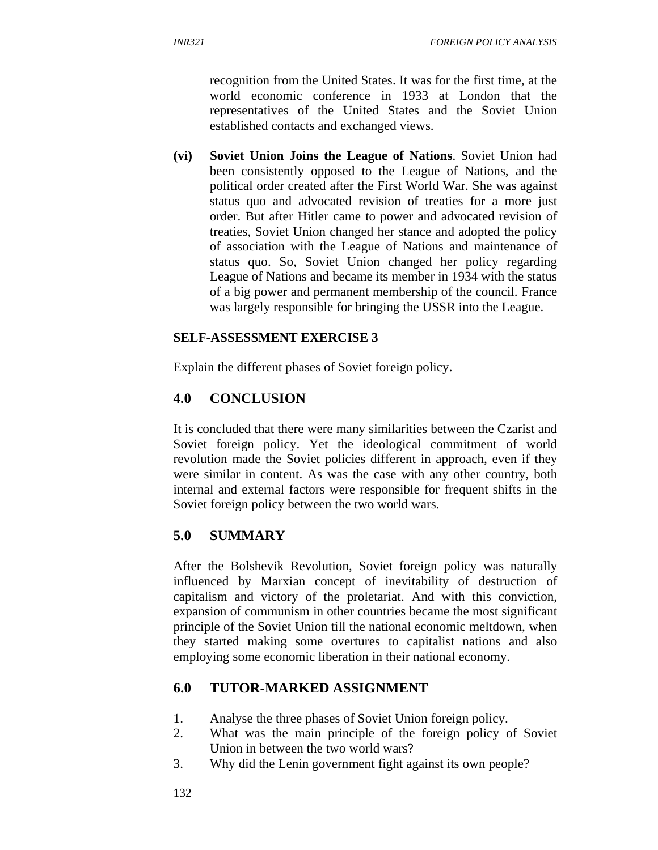recognition from the United States. It was for the first time, at the world economic conference in 1933 at London that the representatives of the United States and the Soviet Union established contacts and exchanged views.

**(vi) Soviet Union Joins the League of Nations**. Soviet Union had been consistently opposed to the League of Nations, and the political order created after the First World War. She was against status quo and advocated revision of treaties for a more just order. But after Hitler came to power and advocated revision of treaties, Soviet Union changed her stance and adopted the policy of association with the League of Nations and maintenance of status quo. So, Soviet Union changed her policy regarding League of Nations and became its member in 1934 with the status of a big power and permanent membership of the council. France was largely responsible for bringing the USSR into the League.

### **SELF-ASSESSMENT EXERCISE 3**

Explain the different phases of Soviet foreign policy.

## **4.0 CONCLUSION**

It is concluded that there were many similarities between the Czarist and Soviet foreign policy. Yet the ideological commitment of world revolution made the Soviet policies different in approach, even if they were similar in content. As was the case with any other country, both internal and external factors were responsible for frequent shifts in the Soviet foreign policy between the two world wars.

## **5.0 SUMMARY**

After the Bolshevik Revolution, Soviet foreign policy was naturally influenced by Marxian concept of inevitability of destruction of capitalism and victory of the proletariat. And with this conviction, expansion of communism in other countries became the most significant principle of the Soviet Union till the national economic meltdown, when they started making some overtures to capitalist nations and also employing some economic liberation in their national economy.

## **6.0 TUTOR-MARKED ASSIGNMENT**

- 1. Analyse the three phases of Soviet Union foreign policy.
- 2. What was the main principle of the foreign policy of Soviet Union in between the two world wars?
- 3. Why did the Lenin government fight against its own people?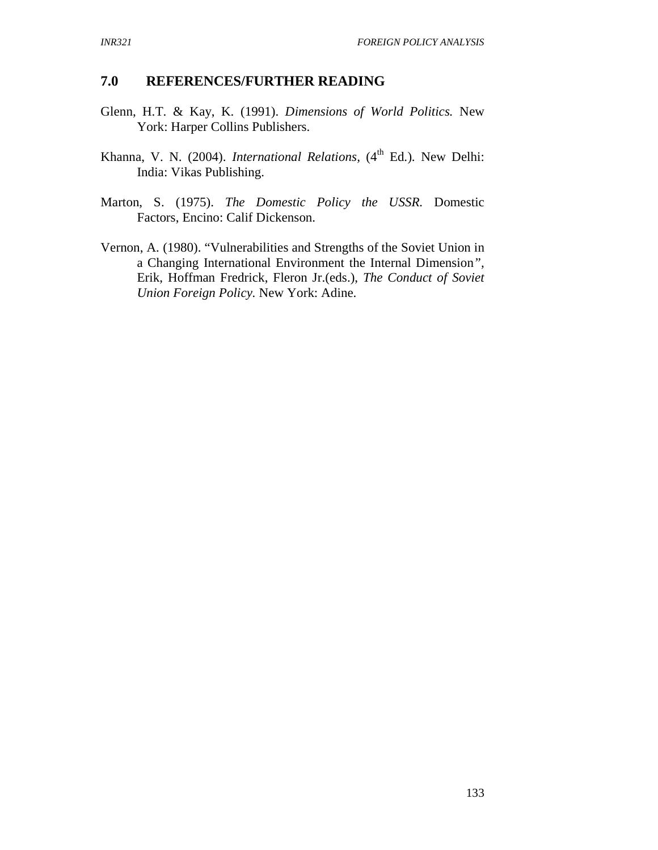### **7.0 REFERENCES/FURTHER READING**

- Glenn, H.T. & Kay, K. (1991). *Dimensions of World Politics.* New York: Harper Collins Publishers.
- Khanna, V. N. (2004). *International Relations*, (4<sup>th</sup> Ed.). New Delhi: India: Vikas Publishing.
- Marton, S. (1975). *The Domestic Policy the USSR.* Domestic Factors, Encino: Calif Dickenson.
- Vernon, A. (1980). "Vulnerabilities and Strengths of the Soviet Union in a Changing International Environment the Internal Dimension*",* Erik, Hoffman Fredrick, Fleron Jr.(eds.), *The Conduct of Soviet Union Foreign Policy.* New York: Adine.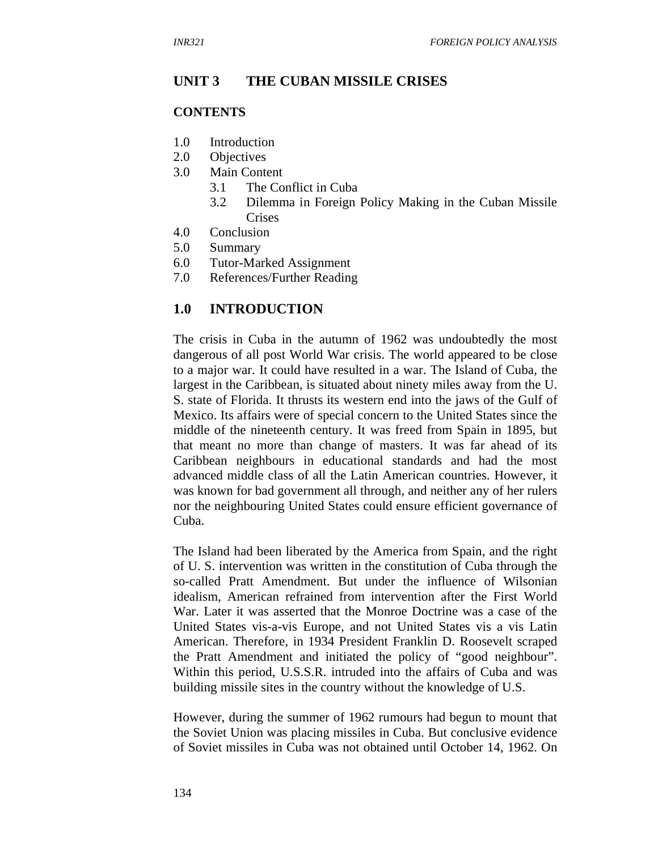#### **UNIT 3 THE CUBAN MISSILE CRISES**

#### **CONTENTS**

- 1.0 Introduction
- 2.0 Objectives
- 3.0 Main Content
	- 3.1 The Conflict in Cuba
	- 3.2 Dilemma in Foreign Policy Making in the Cuban Missile Crises
- 4.0 Conclusion
- 5.0 Summary
- 6.0 Tutor-Marked Assignment
- 7.0 References/Further Reading

#### **1.0 INTRODUCTION**

The crisis in Cuba in the autumn of 1962 was undoubtedly the most dangerous of all post World War crisis. The world appeared to be close to a major war. It could have resulted in a war. The Island of Cuba, the largest in the Caribbean, is situated about ninety miles away from the U. S. state of Florida. It thrusts its western end into the jaws of the Gulf of Mexico. Its affairs were of special concern to the United States since the middle of the nineteenth century. It was freed from Spain in 1895, but that meant no more than change of masters. It was far ahead of its Caribbean neighbours in educational standards and had the most advanced middle class of all the Latin American countries. However, it was known for bad government all through, and neither any of her rulers nor the neighbouring United States could ensure efficient governance of Cuba.

The Island had been liberated by the America from Spain, and the right of U. S. intervention was written in the constitution of Cuba through the so-called Pratt Amendment. But under the influence of Wilsonian idealism, American refrained from intervention after the First World War. Later it was asserted that the Monroe Doctrine was a case of the United States vis-a-vis Europe, and not United States vis a vis Latin American. Therefore, in 1934 President Franklin D. Roosevelt scraped the Pratt Amendment and initiated the policy of "good neighbour". Within this period, U.S.S.R. intruded into the affairs of Cuba and was building missile sites in the country without the knowledge of U.S.

However, during the summer of 1962 rumours had begun to mount that the Soviet Union was placing missiles in Cuba. But conclusive evidence of Soviet missiles in Cuba was not obtained until October 14, 1962. On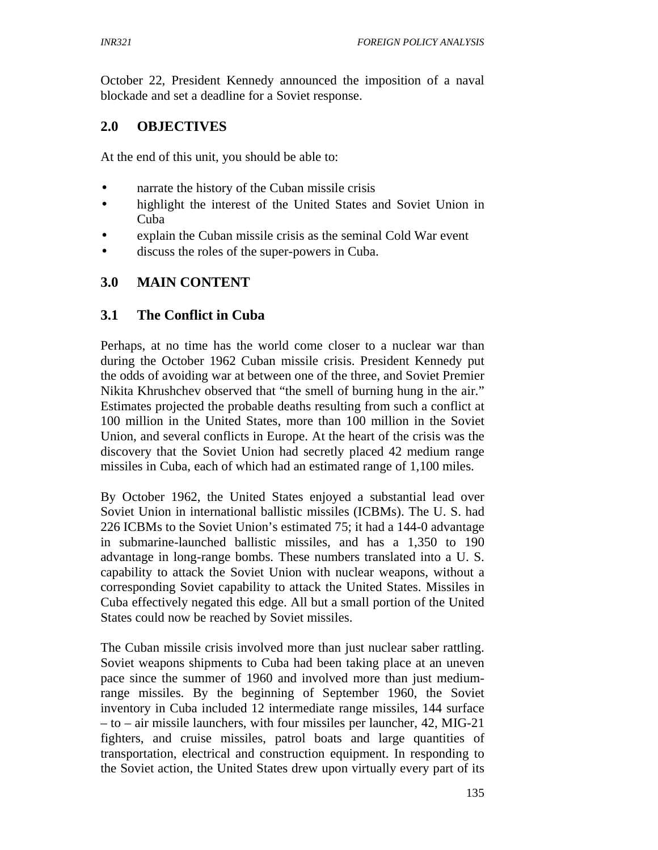October 22, President Kennedy announced the imposition of a naval blockade and set a deadline for a Soviet response.

## **2.0 OBJECTIVES**

At the end of this unit, you should be able to:

- narrate the history of the Cuban missile crisis
- highlight the interest of the United States and Soviet Union in Cuba
- explain the Cuban missile crisis as the seminal Cold War event
- discuss the roles of the super-powers in Cuba.

## **3.0 MAIN CONTENT**

## **3.1 The Conflict in Cuba**

Perhaps, at no time has the world come closer to a nuclear war than during the October 1962 Cuban missile crisis. President Kennedy put the odds of avoiding war at between one of the three, and Soviet Premier Nikita Khrushchev observed that "the smell of burning hung in the air." Estimates projected the probable deaths resulting from such a conflict at 100 million in the United States, more than 100 million in the Soviet Union, and several conflicts in Europe. At the heart of the crisis was the discovery that the Soviet Union had secretly placed 42 medium range missiles in Cuba, each of which had an estimated range of 1,100 miles.

By October 1962, the United States enjoyed a substantial lead over Soviet Union in international ballistic missiles (ICBMs). The U. S. had 226 ICBMs to the Soviet Union's estimated 75; it had a 144-0 advantage in submarine-launched ballistic missiles, and has a 1,350 to 190 advantage in long-range bombs. These numbers translated into a U. S. capability to attack the Soviet Union with nuclear weapons, without a corresponding Soviet capability to attack the United States. Missiles in Cuba effectively negated this edge. All but a small portion of the United States could now be reached by Soviet missiles.

The Cuban missile crisis involved more than just nuclear saber rattling. Soviet weapons shipments to Cuba had been taking place at an uneven pace since the summer of 1960 and involved more than just mediumrange missiles. By the beginning of September 1960, the Soviet inventory in Cuba included 12 intermediate range missiles, 144 surface – to – air missile launchers, with four missiles per launcher, 42, MIG-21 fighters, and cruise missiles, patrol boats and large quantities of transportation, electrical and construction equipment. In responding to the Soviet action, the United States drew upon virtually every part of its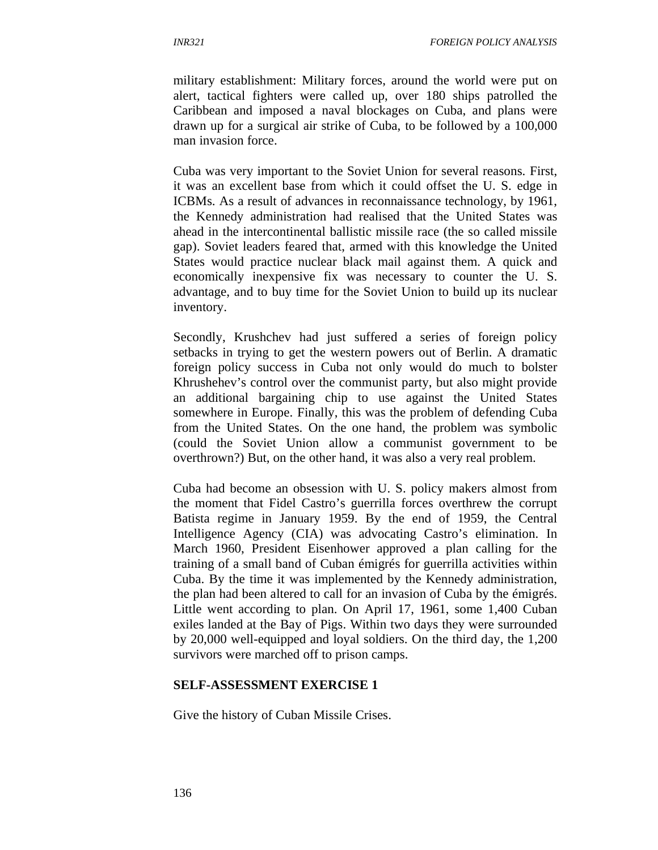military establishment: Military forces, around the world were put on alert, tactical fighters were called up, over 180 ships patrolled the Caribbean and imposed a naval blockages on Cuba, and plans were drawn up for a surgical air strike of Cuba, to be followed by a 100,000 man invasion force.

Cuba was very important to the Soviet Union for several reasons. First, it was an excellent base from which it could offset the U. S. edge in ICBMs. As a result of advances in reconnaissance technology, by 1961, the Kennedy administration had realised that the United States was ahead in the intercontinental ballistic missile race (the so called missile gap). Soviet leaders feared that, armed with this knowledge the United States would practice nuclear black mail against them. A quick and economically inexpensive fix was necessary to counter the U. S. advantage, and to buy time for the Soviet Union to build up its nuclear inventory.

Secondly, Krushchev had just suffered a series of foreign policy setbacks in trying to get the western powers out of Berlin. A dramatic foreign policy success in Cuba not only would do much to bolster Khrushehev's control over the communist party, but also might provide an additional bargaining chip to use against the United States somewhere in Europe. Finally, this was the problem of defending Cuba from the United States. On the one hand, the problem was symbolic (could the Soviet Union allow a communist government to be overthrown?) But, on the other hand, it was also a very real problem.

Cuba had become an obsession with U. S. policy makers almost from the moment that Fidel Castro's guerrilla forces overthrew the corrupt Batista regime in January 1959. By the end of 1959, the Central Intelligence Agency (CIA) was advocating Castro's elimination. In March 1960, President Eisenhower approved a plan calling for the training of a small band of Cuban émigrés for guerrilla activities within Cuba. By the time it was implemented by the Kennedy administration, the plan had been altered to call for an invasion of Cuba by the émigrés. Little went according to plan. On April 17, 1961, some 1,400 Cuban exiles landed at the Bay of Pigs. Within two days they were surrounded by 20,000 well-equipped and loyal soldiers. On the third day, the 1,200 survivors were marched off to prison camps.

#### **SELF-ASSESSMENT EXERCISE 1**

Give the history of Cuban Missile Crises.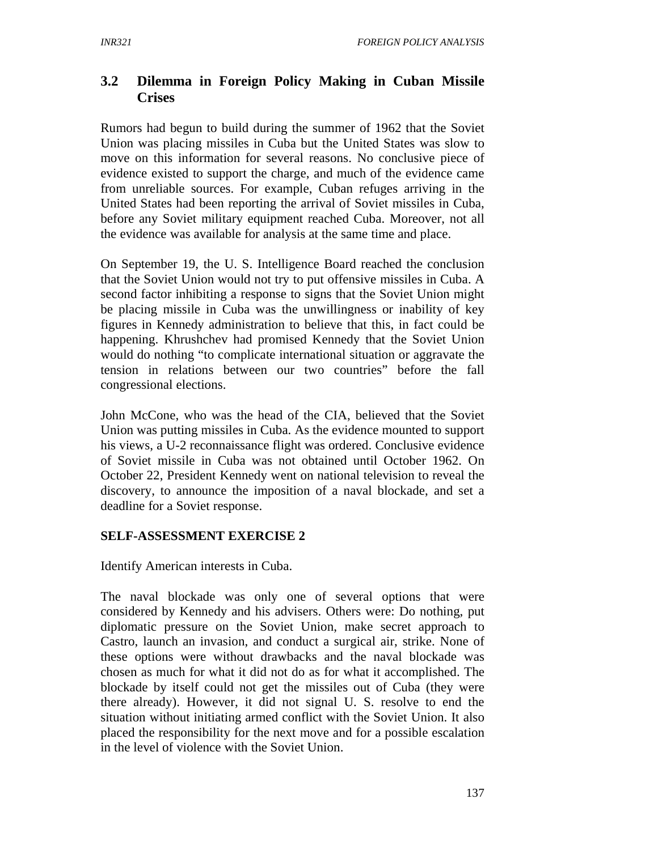# **3.2 Dilemma in Foreign Policy Making in Cuban Missile Crises**

Rumors had begun to build during the summer of 1962 that the Soviet Union was placing missiles in Cuba but the United States was slow to move on this information for several reasons. No conclusive piece of evidence existed to support the charge, and much of the evidence came from unreliable sources. For example, Cuban refuges arriving in the United States had been reporting the arrival of Soviet missiles in Cuba, before any Soviet military equipment reached Cuba. Moreover, not all the evidence was available for analysis at the same time and place.

On September 19, the U. S. Intelligence Board reached the conclusion that the Soviet Union would not try to put offensive missiles in Cuba. A second factor inhibiting a response to signs that the Soviet Union might be placing missile in Cuba was the unwillingness or inability of key figures in Kennedy administration to believe that this, in fact could be happening. Khrushchev had promised Kennedy that the Soviet Union would do nothing "to complicate international situation or aggravate the tension in relations between our two countries" before the fall congressional elections.

John McCone, who was the head of the CIA, believed that the Soviet Union was putting missiles in Cuba. As the evidence mounted to support his views, a U-2 reconnaissance flight was ordered. Conclusive evidence of Soviet missile in Cuba was not obtained until October 1962. On October 22, President Kennedy went on national television to reveal the discovery, to announce the imposition of a naval blockade, and set a deadline for a Soviet response.

## **SELF-ASSESSMENT EXERCISE 2**

Identify American interests in Cuba.

The naval blockade was only one of several options that were considered by Kennedy and his advisers. Others were: Do nothing, put diplomatic pressure on the Soviet Union, make secret approach to Castro, launch an invasion, and conduct a surgical air, strike. None of these options were without drawbacks and the naval blockade was chosen as much for what it did not do as for what it accomplished. The blockade by itself could not get the missiles out of Cuba (they were there already). However, it did not signal U. S. resolve to end the situation without initiating armed conflict with the Soviet Union. It also placed the responsibility for the next move and for a possible escalation in the level of violence with the Soviet Union.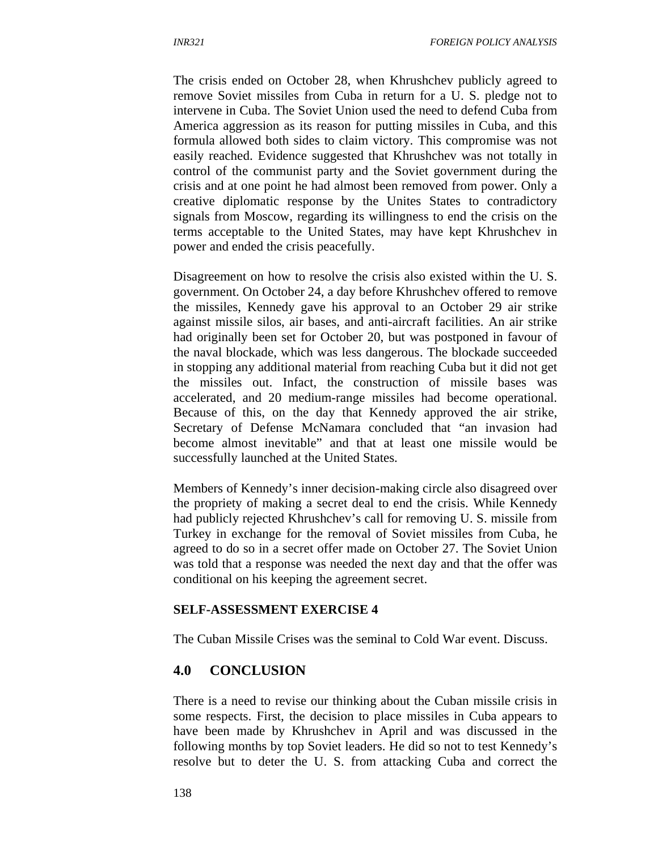The crisis ended on October 28, when Khrushchev publicly agreed to remove Soviet missiles from Cuba in return for a U. S. pledge not to intervene in Cuba. The Soviet Union used the need to defend Cuba from America aggression as its reason for putting missiles in Cuba, and this formula allowed both sides to claim victory. This compromise was not easily reached. Evidence suggested that Khrushchev was not totally in control of the communist party and the Soviet government during the crisis and at one point he had almost been removed from power. Only a creative diplomatic response by the Unites States to contradictory signals from Moscow, regarding its willingness to end the crisis on the terms acceptable to the United States, may have kept Khrushchev in power and ended the crisis peacefully.

Disagreement on how to resolve the crisis also existed within the U. S. government. On October 24, a day before Khrushchev offered to remove the missiles, Kennedy gave his approval to an October 29 air strike against missile silos, air bases, and anti-aircraft facilities. An air strike had originally been set for October 20, but was postponed in favour of the naval blockade, which was less dangerous. The blockade succeeded in stopping any additional material from reaching Cuba but it did not get the missiles out. Infact, the construction of missile bases was accelerated, and 20 medium-range missiles had become operational. Because of this, on the day that Kennedy approved the air strike, Secretary of Defense McNamara concluded that "an invasion had become almost inevitable" and that at least one missile would be successfully launched at the United States.

Members of Kennedy's inner decision-making circle also disagreed over the propriety of making a secret deal to end the crisis. While Kennedy had publicly rejected Khrushchev's call for removing U. S. missile from Turkey in exchange for the removal of Soviet missiles from Cuba, he agreed to do so in a secret offer made on October 27. The Soviet Union was told that a response was needed the next day and that the offer was conditional on his keeping the agreement secret.

#### **SELF-ASSESSMENT EXERCISE 4**

The Cuban Missile Crises was the seminal to Cold War event. Discuss.

#### **4.0 CONCLUSION**

There is a need to revise our thinking about the Cuban missile crisis in some respects. First, the decision to place missiles in Cuba appears to have been made by Khrushchev in April and was discussed in the following months by top Soviet leaders. He did so not to test Kennedy's resolve but to deter the U. S. from attacking Cuba and correct the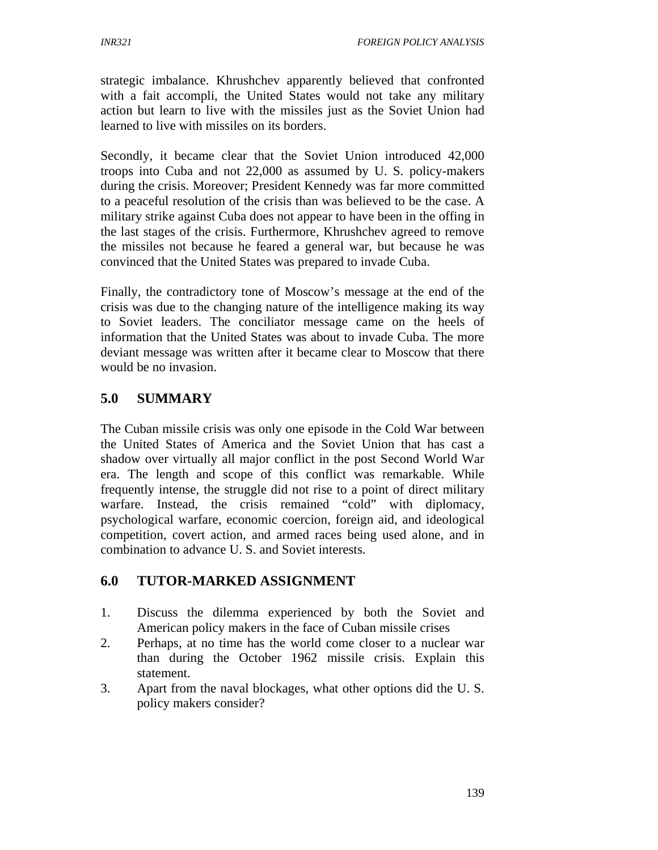strategic imbalance. Khrushchev apparently believed that confronted with a fait accompli, the United States would not take any military action but learn to live with the missiles just as the Soviet Union had learned to live with missiles on its borders.

Secondly, it became clear that the Soviet Union introduced 42,000 troops into Cuba and not 22,000 as assumed by U. S. policy-makers during the crisis. Moreover; President Kennedy was far more committed to a peaceful resolution of the crisis than was believed to be the case. A military strike against Cuba does not appear to have been in the offing in the last stages of the crisis. Furthermore, Khrushchev agreed to remove the missiles not because he feared a general war, but because he was convinced that the United States was prepared to invade Cuba.

Finally, the contradictory tone of Moscow's message at the end of the crisis was due to the changing nature of the intelligence making its way to Soviet leaders. The conciliator message came on the heels of information that the United States was about to invade Cuba. The more deviant message was written after it became clear to Moscow that there would be no invasion.

# **5.0 SUMMARY**

The Cuban missile crisis was only one episode in the Cold War between the United States of America and the Soviet Union that has cast a shadow over virtually all major conflict in the post Second World War era. The length and scope of this conflict was remarkable. While frequently intense, the struggle did not rise to a point of direct military warfare. Instead, the crisis remained "cold" with diplomacy, psychological warfare, economic coercion, foreign aid, and ideological competition, covert action, and armed races being used alone, and in combination to advance U. S. and Soviet interests.

## **6.0 TUTOR-MARKED ASSIGNMENT**

- 1. Discuss the dilemma experienced by both the Soviet and American policy makers in the face of Cuban missile crises
- 2. Perhaps, at no time has the world come closer to a nuclear war than during the October 1962 missile crisis. Explain this statement.
- 3. Apart from the naval blockages, what other options did the U. S. policy makers consider?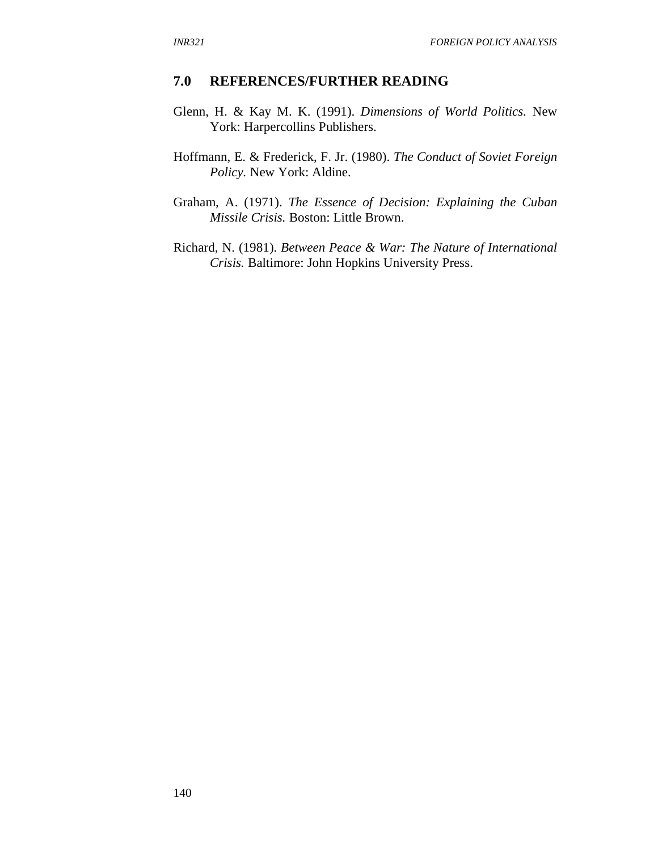#### **7.0 REFERENCES/FURTHER READING**

- Glenn, H. & Kay M. K. (1991). *Dimensions of World Politics.* New York: Harpercollins Publishers.
- Hoffmann, E. & Frederick, F. Jr. (1980). *The Conduct of Soviet Foreign Policy.* New York: Aldine.
- Graham, A. (1971). *The Essence of Decision: Explaining the Cuban Missile Crisis.* Boston: Little Brown.
- Richard, N. (1981). *Between Peace & War: The Nature of International Crisis.* Baltimore: John Hopkins University Press.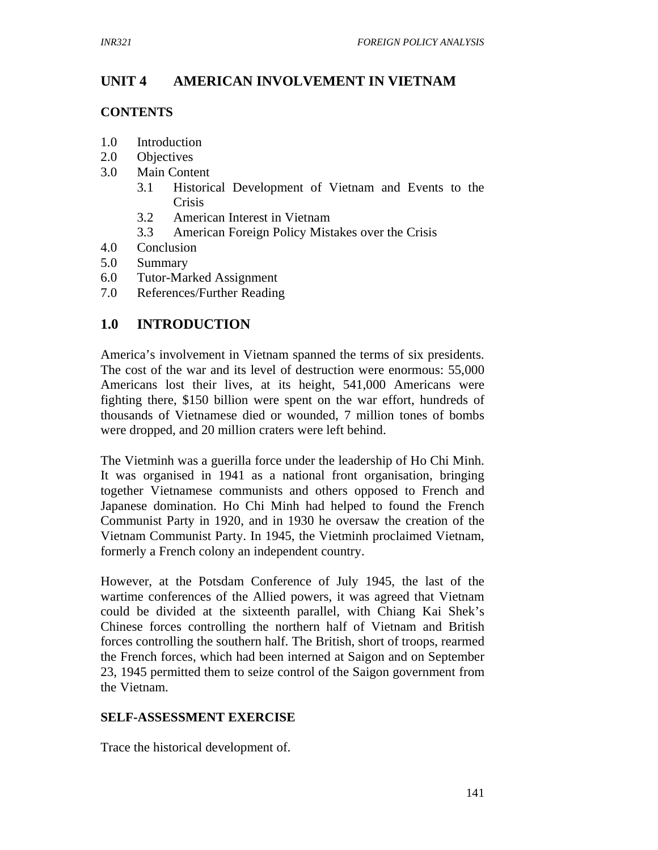# **UNIT 4 AMERICAN INVOLVEMENT IN VIETNAM**

### **CONTENTS**

- 1.0 Introduction
- 2.0 Objectives
- 3.0 Main Content
	- 3.1 Historical Development of Vietnam and Events to the Crisis
	- 3.2 American Interest in Vietnam
	- 3.3 American Foreign Policy Mistakes over the Crisis
- 4.0 Conclusion
- 5.0 Summary
- 6.0 Tutor-Marked Assignment
- 7.0 References/Further Reading

## **1.0 INTRODUCTION**

America's involvement in Vietnam spanned the terms of six presidents. The cost of the war and its level of destruction were enormous: 55,000 Americans lost their lives, at its height, 541,000 Americans were fighting there, \$150 billion were spent on the war effort, hundreds of thousands of Vietnamese died or wounded, 7 million tones of bombs were dropped, and 20 million craters were left behind.

The Vietminh was a guerilla force under the leadership of Ho Chi Minh. It was organised in 1941 as a national front organisation, bringing together Vietnamese communists and others opposed to French and Japanese domination. Ho Chi Minh had helped to found the French Communist Party in 1920, and in 1930 he oversaw the creation of the Vietnam Communist Party. In 1945, the Vietminh proclaimed Vietnam, formerly a French colony an independent country.

However, at the Potsdam Conference of July 1945, the last of the wartime conferences of the Allied powers, it was agreed that Vietnam could be divided at the sixteenth parallel, with Chiang Kai Shek's Chinese forces controlling the northern half of Vietnam and British forces controlling the southern half. The British, short of troops, rearmed the French forces, which had been interned at Saigon and on September 23, 1945 permitted them to seize control of the Saigon government from the Vietnam.

## **SELF-ASSESSMENT EXERCISE**

Trace the historical development of.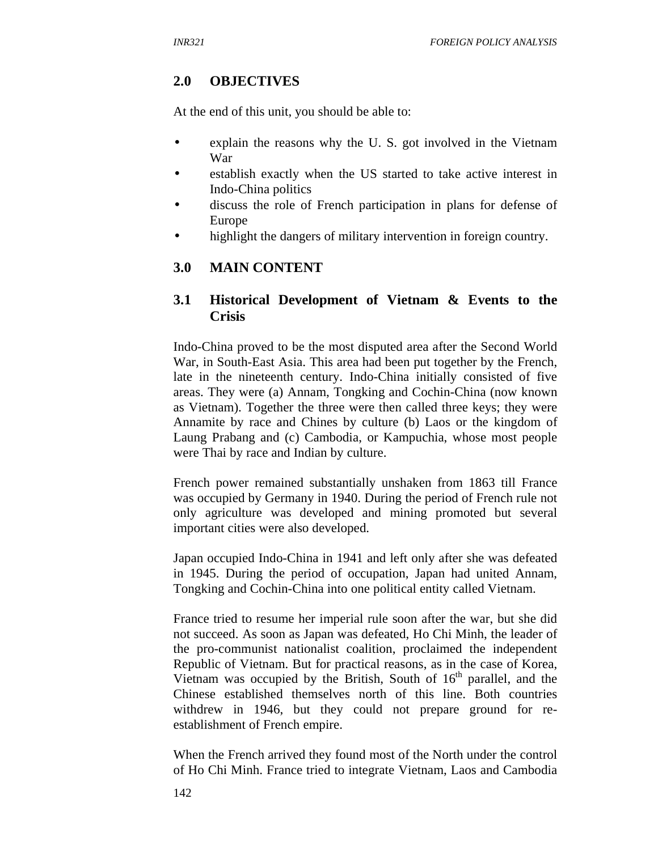## **2.0 OBJECTIVES**

At the end of this unit, you should be able to:

- explain the reasons why the U.S. got involved in the Vietnam War
- establish exactly when the US started to take active interest in Indo-China politics
- discuss the role of French participation in plans for defense of Europe
- highlight the dangers of military intervention in foreign country.

## **3.0 MAIN CONTENT**

## **3.1 Historical Development of Vietnam & Events to the Crisis**

Indo-China proved to be the most disputed area after the Second World War, in South-East Asia. This area had been put together by the French, late in the nineteenth century. Indo-China initially consisted of five areas. They were (a) Annam, Tongking and Cochin-China (now known as Vietnam). Together the three were then called three keys; they were Annamite by race and Chines by culture (b) Laos or the kingdom of Laung Prabang and (c) Cambodia, or Kampuchia, whose most people were Thai by race and Indian by culture.

French power remained substantially unshaken from 1863 till France was occupied by Germany in 1940. During the period of French rule not only agriculture was developed and mining promoted but several important cities were also developed.

Japan occupied Indo-China in 1941 and left only after she was defeated in 1945. During the period of occupation, Japan had united Annam, Tongking and Cochin-China into one political entity called Vietnam.

France tried to resume her imperial rule soon after the war, but she did not succeed. As soon as Japan was defeated, Ho Chi Minh, the leader of the pro-communist nationalist coalition, proclaimed the independent Republic of Vietnam. But for practical reasons, as in the case of Korea, Vietnam was occupied by the British, South of  $16<sup>th</sup>$  parallel, and the Chinese established themselves north of this line. Both countries withdrew in 1946, but they could not prepare ground for reestablishment of French empire.

When the French arrived they found most of the North under the control of Ho Chi Minh. France tried to integrate Vietnam, Laos and Cambodia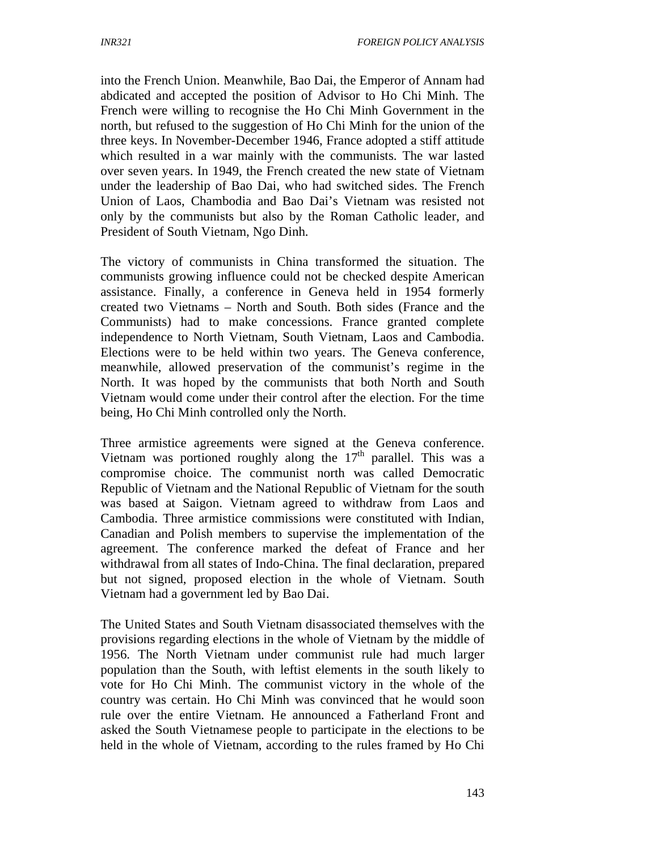into the French Union. Meanwhile, Bao Dai, the Emperor of Annam had abdicated and accepted the position of Advisor to Ho Chi Minh. The French were willing to recognise the Ho Chi Minh Government in the north, but refused to the suggestion of Ho Chi Minh for the union of the three keys. In November-December 1946, France adopted a stiff attitude which resulted in a war mainly with the communists. The war lasted over seven years. In 1949, the French created the new state of Vietnam under the leadership of Bao Dai, who had switched sides. The French Union of Laos, Chambodia and Bao Dai's Vietnam was resisted not only by the communists but also by the Roman Catholic leader, and President of South Vietnam, Ngo Dinh.

The victory of communists in China transformed the situation. The communists growing influence could not be checked despite American assistance. Finally, a conference in Geneva held in 1954 formerly created two Vietnams – North and South. Both sides (France and the Communists) had to make concessions. France granted complete independence to North Vietnam, South Vietnam, Laos and Cambodia. Elections were to be held within two years. The Geneva conference, meanwhile, allowed preservation of the communist's regime in the North. It was hoped by the communists that both North and South Vietnam would come under their control after the election. For the time being, Ho Chi Minh controlled only the North.

Three armistice agreements were signed at the Geneva conference. Vietnam was portioned roughly along the  $17<sup>th</sup>$  parallel. This was a compromise choice. The communist north was called Democratic Republic of Vietnam and the National Republic of Vietnam for the south was based at Saigon. Vietnam agreed to withdraw from Laos and Cambodia. Three armistice commissions were constituted with Indian, Canadian and Polish members to supervise the implementation of the agreement. The conference marked the defeat of France and her withdrawal from all states of Indo-China. The final declaration, prepared but not signed, proposed election in the whole of Vietnam. South Vietnam had a government led by Bao Dai.

The United States and South Vietnam disassociated themselves with the provisions regarding elections in the whole of Vietnam by the middle of 1956. The North Vietnam under communist rule had much larger population than the South, with leftist elements in the south likely to vote for Ho Chi Minh. The communist victory in the whole of the country was certain. Ho Chi Minh was convinced that he would soon rule over the entire Vietnam. He announced a Fatherland Front and asked the South Vietnamese people to participate in the elections to be held in the whole of Vietnam, according to the rules framed by Ho Chi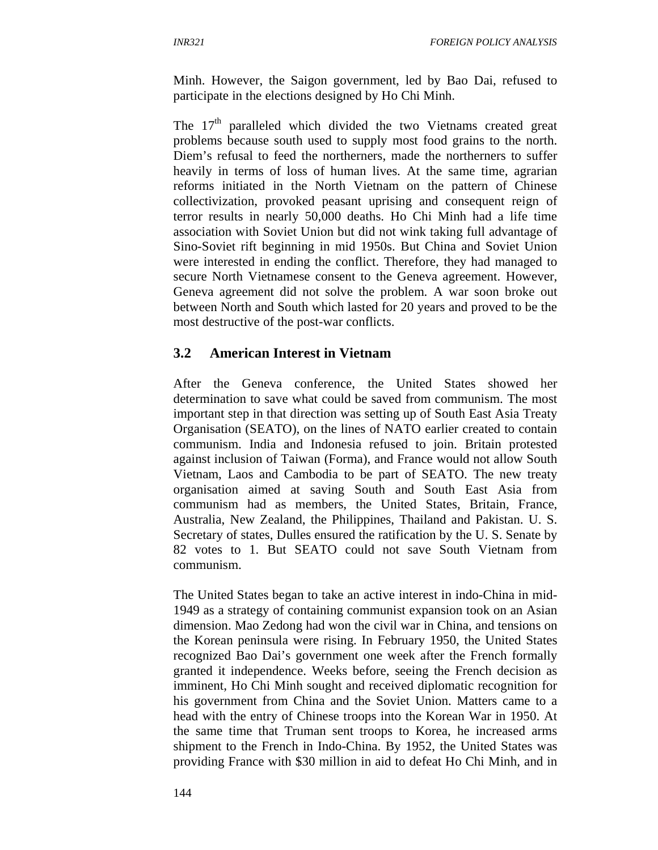Minh. However, the Saigon government, led by Bao Dai, refused to participate in the elections designed by Ho Chi Minh.

The  $17<sup>th</sup>$  paralleled which divided the two Vietnams created great problems because south used to supply most food grains to the north. Diem's refusal to feed the northerners, made the northerners to suffer heavily in terms of loss of human lives. At the same time, agrarian reforms initiated in the North Vietnam on the pattern of Chinese collectivization, provoked peasant uprising and consequent reign of terror results in nearly 50,000 deaths. Ho Chi Minh had a life time association with Soviet Union but did not wink taking full advantage of Sino-Soviet rift beginning in mid 1950s. But China and Soviet Union were interested in ending the conflict. Therefore, they had managed to secure North Vietnamese consent to the Geneva agreement. However, Geneva agreement did not solve the problem. A war soon broke out between North and South which lasted for 20 years and proved to be the most destructive of the post-war conflicts.

#### **3.2 American Interest in Vietnam**

After the Geneva conference, the United States showed her determination to save what could be saved from communism. The most important step in that direction was setting up of South East Asia Treaty Organisation (SEATO), on the lines of NATO earlier created to contain communism. India and Indonesia refused to join. Britain protested against inclusion of Taiwan (Forma), and France would not allow South Vietnam, Laos and Cambodia to be part of SEATO. The new treaty organisation aimed at saving South and South East Asia from communism had as members, the United States, Britain, France, Australia, New Zealand, the Philippines, Thailand and Pakistan. U. S. Secretary of states, Dulles ensured the ratification by the U. S. Senate by 82 votes to 1. But SEATO could not save South Vietnam from communism.

The United States began to take an active interest in indo-China in mid-1949 as a strategy of containing communist expansion took on an Asian dimension. Mao Zedong had won the civil war in China, and tensions on the Korean peninsula were rising. In February 1950, the United States recognized Bao Dai's government one week after the French formally granted it independence. Weeks before, seeing the French decision as imminent, Ho Chi Minh sought and received diplomatic recognition for his government from China and the Soviet Union. Matters came to a head with the entry of Chinese troops into the Korean War in 1950. At the same time that Truman sent troops to Korea, he increased arms shipment to the French in Indo-China. By 1952, the United States was providing France with \$30 million in aid to defeat Ho Chi Minh, and in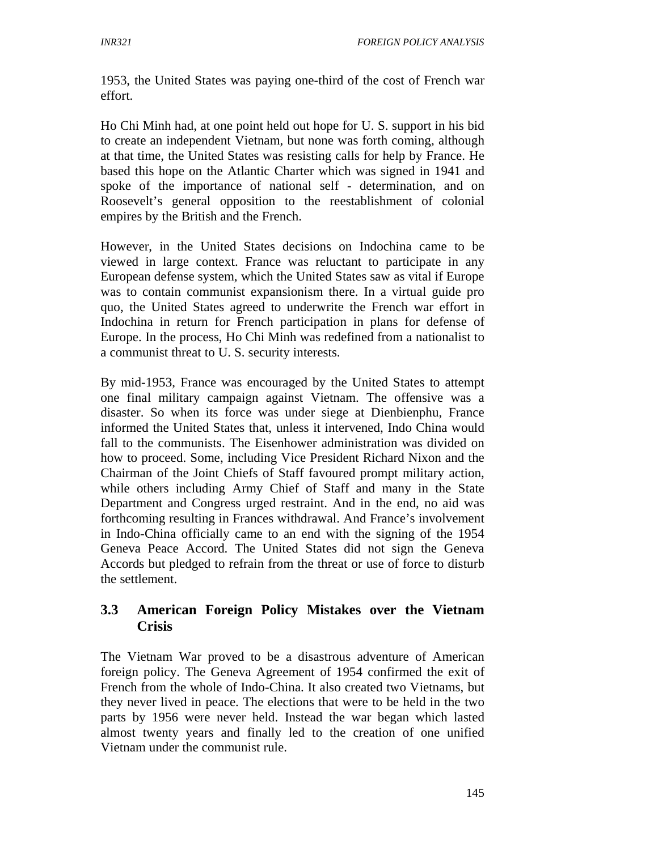1953, the United States was paying one-third of the cost of French war effort.

Ho Chi Minh had, at one point held out hope for U. S. support in his bid to create an independent Vietnam, but none was forth coming, although at that time, the United States was resisting calls for help by France. He based this hope on the Atlantic Charter which was signed in 1941 and spoke of the importance of national self - determination, and on Roosevelt's general opposition to the reestablishment of colonial empires by the British and the French.

However, in the United States decisions on Indochina came to be viewed in large context. France was reluctant to participate in any European defense system, which the United States saw as vital if Europe was to contain communist expansionism there. In a virtual guide pro quo, the United States agreed to underwrite the French war effort in Indochina in return for French participation in plans for defense of Europe. In the process, Ho Chi Minh was redefined from a nationalist to a communist threat to U. S. security interests.

By mid-1953, France was encouraged by the United States to attempt one final military campaign against Vietnam. The offensive was a disaster. So when its force was under siege at Dienbienphu, France informed the United States that, unless it intervened, Indo China would fall to the communists. The Eisenhower administration was divided on how to proceed. Some, including Vice President Richard Nixon and the Chairman of the Joint Chiefs of Staff favoured prompt military action, while others including Army Chief of Staff and many in the State Department and Congress urged restraint. And in the end, no aid was forthcoming resulting in Frances withdrawal. And France's involvement in Indo-China officially came to an end with the signing of the 1954 Geneva Peace Accord. The United States did not sign the Geneva Accords but pledged to refrain from the threat or use of force to disturb the settlement.

## **3.3 American Foreign Policy Mistakes over the Vietnam Crisis**

The Vietnam War proved to be a disastrous adventure of American foreign policy. The Geneva Agreement of 1954 confirmed the exit of French from the whole of Indo-China. It also created two Vietnams, but they never lived in peace. The elections that were to be held in the two parts by 1956 were never held. Instead the war began which lasted almost twenty years and finally led to the creation of one unified Vietnam under the communist rule.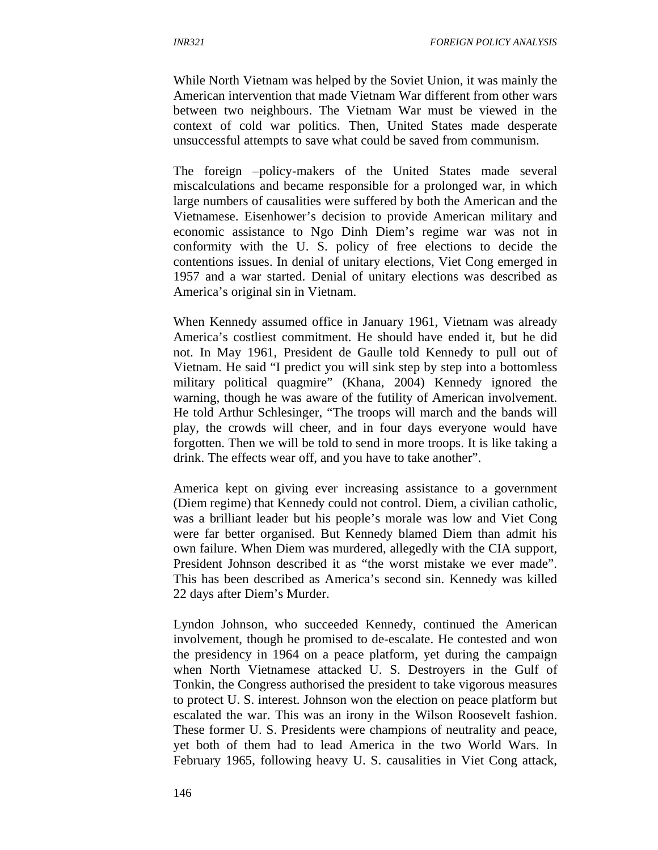While North Vietnam was helped by the Soviet Union, it was mainly the American intervention that made Vietnam War different from other wars between two neighbours. The Vietnam War must be viewed in the context of cold war politics. Then, United States made desperate unsuccessful attempts to save what could be saved from communism.

The foreign –policy-makers of the United States made several miscalculations and became responsible for a prolonged war, in which large numbers of causalities were suffered by both the American and the Vietnamese. Eisenhower's decision to provide American military and economic assistance to Ngo Dinh Diem's regime war was not in conformity with the U. S. policy of free elections to decide the contentions issues. In denial of unitary elections, Viet Cong emerged in 1957 and a war started. Denial of unitary elections was described as America's original sin in Vietnam.

When Kennedy assumed office in January 1961, Vietnam was already America's costliest commitment. He should have ended it, but he did not. In May 1961, President de Gaulle told Kennedy to pull out of Vietnam. He said "I predict you will sink step by step into a bottomless military political quagmire" (Khana, 2004) Kennedy ignored the warning, though he was aware of the futility of American involvement. He told Arthur Schlesinger, "The troops will march and the bands will play, the crowds will cheer, and in four days everyone would have forgotten. Then we will be told to send in more troops. It is like taking a drink. The effects wear off, and you have to take another".

America kept on giving ever increasing assistance to a government (Diem regime) that Kennedy could not control. Diem, a civilian catholic, was a brilliant leader but his people's morale was low and Viet Cong were far better organised. But Kennedy blamed Diem than admit his own failure. When Diem was murdered, allegedly with the CIA support, President Johnson described it as "the worst mistake we ever made". This has been described as America's second sin. Kennedy was killed 22 days after Diem's Murder.

Lyndon Johnson, who succeeded Kennedy, continued the American involvement, though he promised to de-escalate. He contested and won the presidency in 1964 on a peace platform, yet during the campaign when North Vietnamese attacked U. S. Destroyers in the Gulf of Tonkin, the Congress authorised the president to take vigorous measures to protect U. S. interest. Johnson won the election on peace platform but escalated the war. This was an irony in the Wilson Roosevelt fashion. These former U. S. Presidents were champions of neutrality and peace, yet both of them had to lead America in the two World Wars. In February 1965, following heavy U. S. causalities in Viet Cong attack,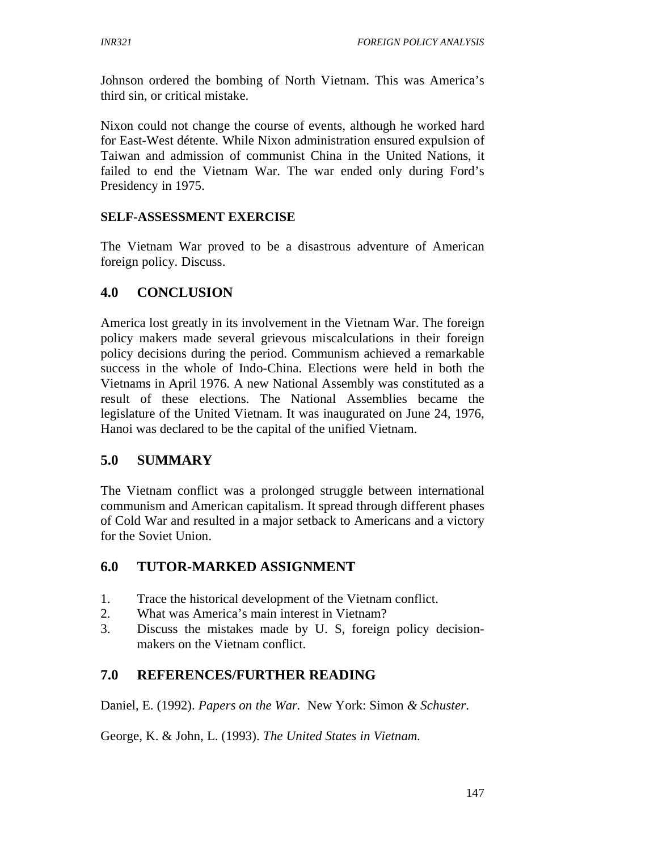Johnson ordered the bombing of North Vietnam. This was America's third sin, or critical mistake.

Nixon could not change the course of events, although he worked hard for East-West détente. While Nixon administration ensured expulsion of Taiwan and admission of communist China in the United Nations, it failed to end the Vietnam War. The war ended only during Ford's Presidency in 1975.

#### **SELF-ASSESSMENT EXERCISE**

The Vietnam War proved to be a disastrous adventure of American foreign policy. Discuss.

## **4.0 CONCLUSION**

America lost greatly in its involvement in the Vietnam War. The foreign policy makers made several grievous miscalculations in their foreign policy decisions during the period. Communism achieved a remarkable success in the whole of Indo-China. Elections were held in both the Vietnams in April 1976. A new National Assembly was constituted as a result of these elections. The National Assemblies became the legislature of the United Vietnam. It was inaugurated on June 24, 1976, Hanoi was declared to be the capital of the unified Vietnam.

## **5.0 SUMMARY**

The Vietnam conflict was a prolonged struggle between international communism and American capitalism. It spread through different phases of Cold War and resulted in a major setback to Americans and a victory for the Soviet Union.

## **6.0 TUTOR-MARKED ASSIGNMENT**

- 1. Trace the historical development of the Vietnam conflict.
- 2. What was America's main interest in Vietnam?
- 3. Discuss the mistakes made by U. S, foreign policy decisionmakers on the Vietnam conflict.

## **7.0 REFERENCES/FURTHER READING**

Daniel, E. (1992). *Papers on the War.* New York: Simon *& Schuster*.

George, K. & John, L. (1993). *The United States in Vietnam.*